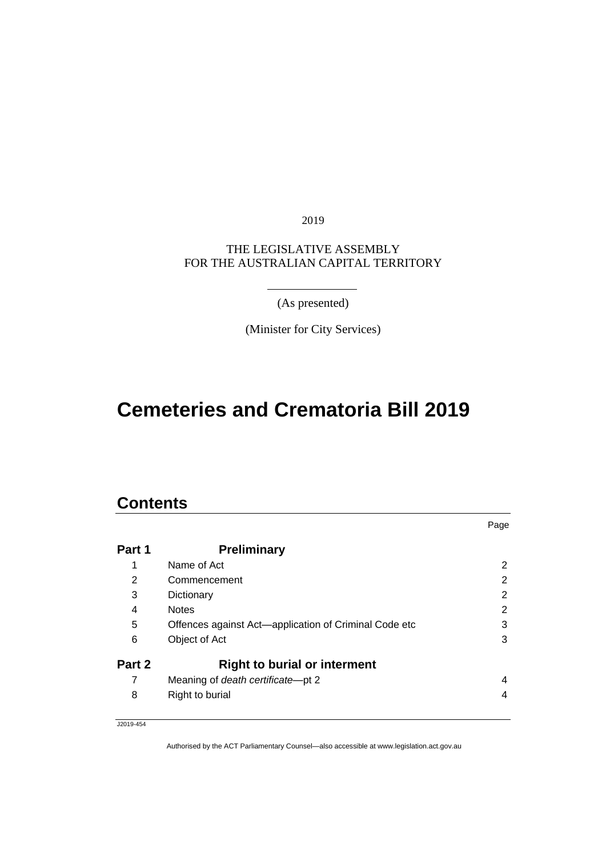2019

#### THE LEGISLATIVE ASSEMBLY FOR THE AUSTRALIAN CAPITAL TERRITORY

(As presented)

(Minister for City Services)

# **Cemeteries and Crematoria Bill 2019**

### **Contents**

|        |                                                       | Page           |
|--------|-------------------------------------------------------|----------------|
| Part 1 | <b>Preliminary</b>                                    |                |
| 1      | Name of Act                                           | $\overline{2}$ |
| 2      | Commencement                                          | 2              |
| 3      | Dictionary                                            | 2              |
| 4      | <b>Notes</b>                                          | 2              |
| 5      | Offences against Act-application of Criminal Code etc | 3              |
| 6      | Object of Act                                         | 3              |
| Part 2 | <b>Right to burial or interment</b>                   |                |
| 7      | Meaning of death certificate-pt 2                     | 4              |
| 8      | Right to burial                                       | 4              |

J2019-454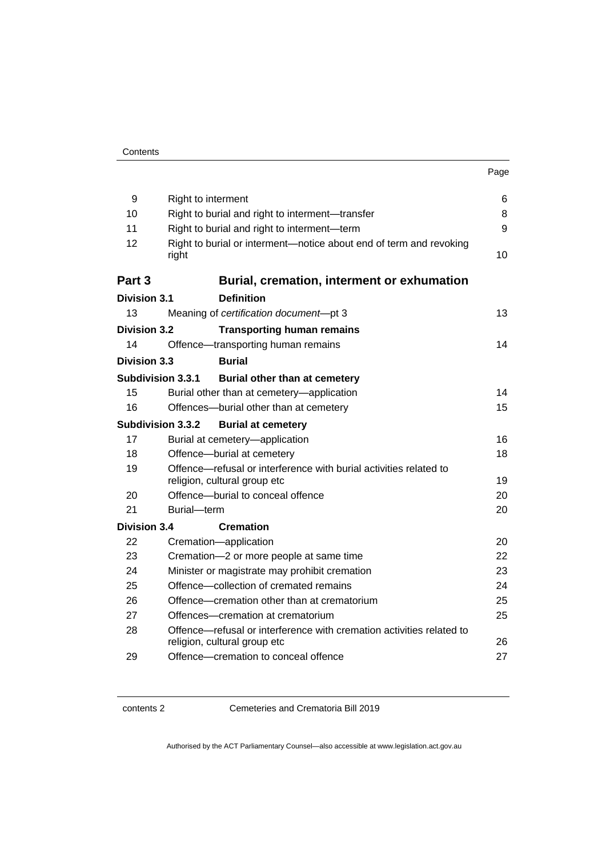| . .<br>×<br>۰.<br>× |
|---------------------|
|---------------------|

| 9                        | Right to interment                                                                                   | 6  |
|--------------------------|------------------------------------------------------------------------------------------------------|----|
| 10                       | Right to burial and right to interment-transfer                                                      | 8  |
| 11                       | Right to burial and right to interment-term                                                          | 9  |
| 12                       | Right to burial or interment-notice about end of term and revoking<br>right                          | 10 |
| Part 3                   | Burial, cremation, interment or exhumation                                                           |    |
| <b>Division 3.1</b>      | <b>Definition</b>                                                                                    |    |
| 13                       | Meaning of certification document-pt 3                                                               | 13 |
| <b>Division 3.2</b>      | <b>Transporting human remains</b>                                                                    |    |
| 14                       | Offence-transporting human remains                                                                   | 14 |
| Division 3.3             | <b>Burial</b>                                                                                        |    |
| <b>Subdivision 3.3.1</b> | Burial other than at cemetery                                                                        |    |
| 15                       | Burial other than at cemetery-application                                                            | 14 |
| 16                       | Offences-burial other than at cemetery                                                               | 15 |
| <b>Subdivision 3.3.2</b> | <b>Burial at cemetery</b>                                                                            |    |
| 17                       | Burial at cemetery-application                                                                       | 16 |
| 18                       | Offence-burial at cemetery                                                                           | 18 |
| 19                       | Offence—refusal or interference with burial activities related to<br>religion, cultural group etc    | 19 |
| 20                       | Offence-burial to conceal offence                                                                    | 20 |
| 21                       | Burial-term                                                                                          | 20 |
| <b>Division 3.4</b>      | <b>Cremation</b>                                                                                     |    |
| 22                       | Cremation-application                                                                                | 20 |
| 23                       | Cremation-2 or more people at same time                                                              | 22 |
| 24                       | Minister or magistrate may prohibit cremation                                                        | 23 |
| 25                       | Offence—collection of cremated remains                                                               | 24 |
| 26                       | Offence—cremation other than at crematorium                                                          | 25 |
| 27                       | Offences-cremation at crematorium                                                                    | 25 |
| 28                       | Offence—refusal or interference with cremation activities related to<br>religion, cultural group etc | 26 |
| 29                       | Offence—cremation to conceal offence                                                                 | 27 |

contents 2 Cemeteries and Crematoria Bill 2019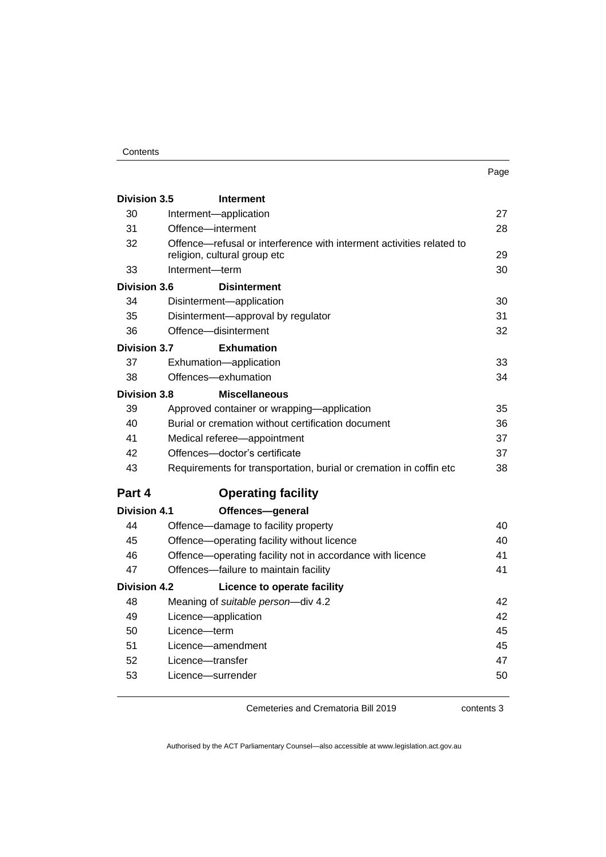#### **Contents**

| . .<br>× | ۰.<br>× |
|----------|---------|

| <b>Division 3.5</b> | <b>Interment</b>                                                                                     |    |
|---------------------|------------------------------------------------------------------------------------------------------|----|
| 30                  | Interment-application                                                                                | 27 |
| 31                  | Offence-interment                                                                                    | 28 |
| 32                  | Offence-refusal or interference with interment activities related to<br>religion, cultural group etc | 29 |
| 33                  | Interment-term                                                                                       | 30 |
| <b>Division 3.6</b> | <b>Disinterment</b>                                                                                  |    |
| 34                  | Disinterment-application                                                                             | 30 |
| 35                  | Disinterment-approval by regulator                                                                   | 31 |
| 36                  | Offence-disinterment                                                                                 | 32 |
| <b>Division 3.7</b> | <b>Exhumation</b>                                                                                    |    |
| 37                  | Exhumation-application                                                                               | 33 |
| 38                  | Offences-exhumation                                                                                  | 34 |
| <b>Division 3.8</b> | <b>Miscellaneous</b>                                                                                 |    |
| 39                  | Approved container or wrapping—application                                                           | 35 |
| 40                  | Burial or cremation without certification document                                                   | 36 |
| 41                  | Medical referee-appointment                                                                          | 37 |
| 42                  | Offences-doctor's certificate                                                                        | 37 |
| 43                  | Requirements for transportation, burial or cremation in coffin etc                                   | 38 |
| Part 4              | <b>Operating facility</b>                                                                            |    |
| <b>Division 4.1</b> | Offences-general                                                                                     |    |
| 44                  | Offence-damage to facility property                                                                  | 40 |
| 45                  | Offence-operating facility without licence                                                           | 40 |
| 46                  | Offence-operating facility not in accordance with licence                                            | 41 |
| 47                  | Offences-failure to maintain facility                                                                | 41 |
| <b>Division 4.2</b> | Licence to operate facility                                                                          |    |
| 48                  | Meaning of suitable person-div 4.2                                                                   | 42 |
| 49                  | Licence-application                                                                                  | 42 |
| 50                  | Licence-term                                                                                         | 45 |
| 51                  | Licence-amendment                                                                                    | 45 |
| 52                  | Licence-transfer                                                                                     | 47 |
| 53                  | Licence—surrender                                                                                    | 50 |
|                     |                                                                                                      |    |

Cemeteries and Crematoria Bill 2019

contents 3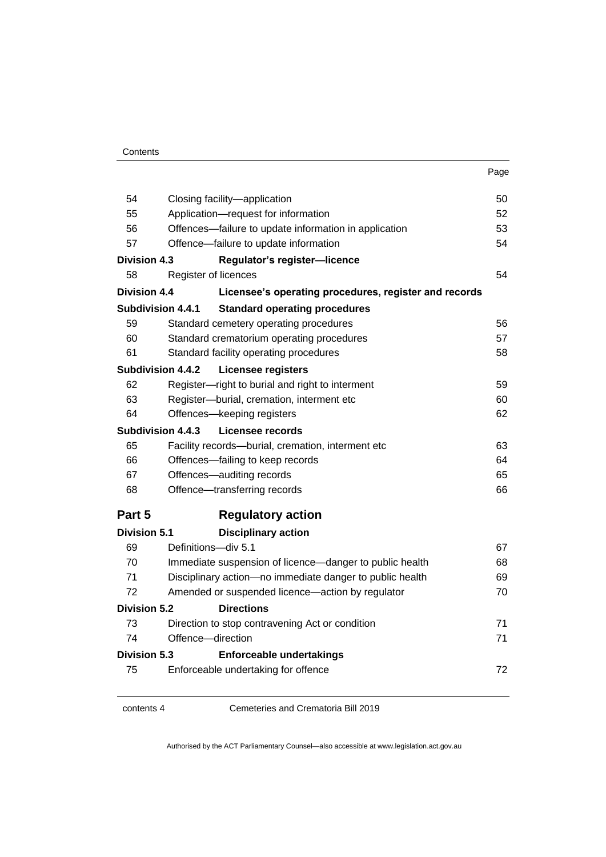| . .<br>×<br>۰.<br>×<br>× |
|--------------------------|
|--------------------------|

| 54                       | Closing facility-application                             | 50 |
|--------------------------|----------------------------------------------------------|----|
| 55                       | Application-request for information                      | 52 |
| 56                       | Offences-failure to update information in application    | 53 |
| 57                       | Offence-failure to update information                    | 54 |
| <b>Division 4.3</b>      | Regulator's register-licence                             |    |
| 58                       | Register of licences                                     | 54 |
| <b>Division 4.4</b>      | Licensee's operating procedures, register and records    |    |
| <b>Subdivision 4.4.1</b> | <b>Standard operating procedures</b>                     |    |
| 59                       | Standard cemetery operating procedures                   | 56 |
| 60                       | Standard crematorium operating procedures                | 57 |
| 61                       | Standard facility operating procedures                   | 58 |
| <b>Subdivision 4.4.2</b> | Licensee registers                                       |    |
| 62                       | Register-right to burial and right to interment          | 59 |
| 63                       | Register-burial, cremation, interment etc                | 60 |
| 64                       | Offences-keeping registers                               | 62 |
| Subdivision 4.4.3        | Licensee records                                         |    |
| 65                       | Facility records-burial, cremation, interment etc        | 63 |
| 66                       | Offences-failing to keep records                         | 64 |
| 67                       | Offences-auditing records                                | 65 |
| 68                       | Offence-transferring records                             | 66 |
| Part 5                   | <b>Regulatory action</b>                                 |    |
| <b>Division 5.1</b>      | <b>Disciplinary action</b>                               |    |
| 69                       | Definitions-div 5.1                                      | 67 |
| 70                       | Immediate suspension of licence—danger to public health  | 68 |
| 71                       | Disciplinary action-no immediate danger to public health | 69 |
| 72                       | Amended or suspended licence-action by regulator         | 70 |
| <b>Division 5.2</b>      | <b>Directions</b>                                        |    |
| 73                       | Direction to stop contravening Act or condition          | 71 |
| 74                       | Offence-direction                                        | 71 |
| <b>Division 5.3</b>      | <b>Enforceable undertakings</b>                          |    |
| 75                       | Enforceable undertaking for offence                      | 72 |
|                          |                                                          |    |

contents 4 Cemeteries and Crematoria Bill 2019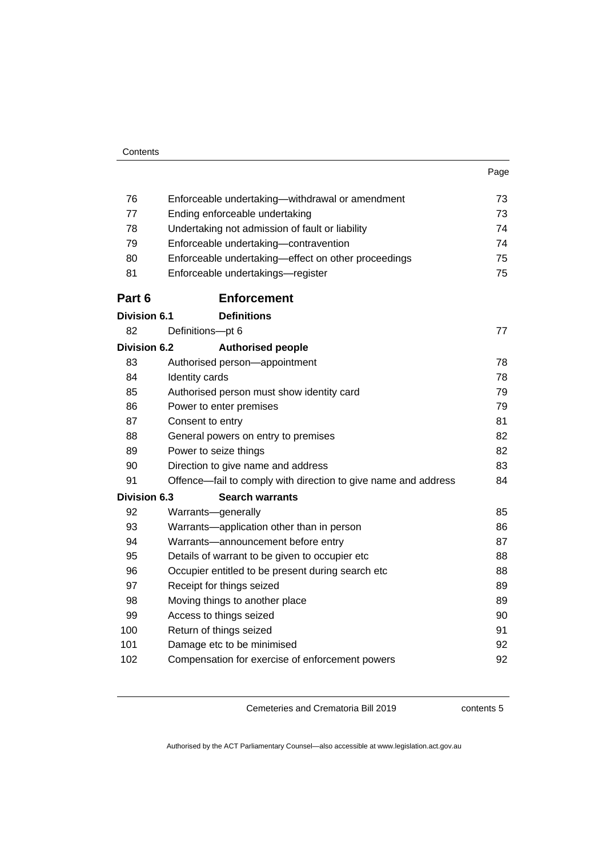| ×<br>۹<br>×<br>۰.<br>۰.<br>× |
|------------------------------|
|------------------------------|

| 76                  | Enforceable undertaking—withdrawal or amendment                | 73 |
|---------------------|----------------------------------------------------------------|----|
| 77                  | Ending enforceable undertaking                                 | 73 |
| 78                  | Undertaking not admission of fault or liability                | 74 |
| 79                  | Enforceable undertaking-contravention                          | 74 |
| 80                  | Enforceable undertaking-effect on other proceedings            | 75 |
| 81                  | Enforceable undertakings-register                              | 75 |
| Part 6              | <b>Enforcement</b>                                             |    |
| <b>Division 6.1</b> | <b>Definitions</b>                                             |    |
| 82                  | Definitions-pt 6                                               | 77 |
| <b>Division 6.2</b> | <b>Authorised people</b>                                       |    |
| 83                  | Authorised person-appointment                                  | 78 |
| 84                  | Identity cards                                                 | 78 |
| 85                  | Authorised person must show identity card                      | 79 |
| 86                  | Power to enter premises                                        | 79 |
| 87                  | Consent to entry                                               | 81 |
| 88                  | General powers on entry to premises                            | 82 |
| 89                  | Power to seize things                                          | 82 |
| 90                  | Direction to give name and address                             | 83 |
| 91                  | Offence—fail to comply with direction to give name and address | 84 |
| <b>Division 6.3</b> | <b>Search warrants</b>                                         |    |
| 92                  | Warrants-generally                                             | 85 |
| 93                  | Warrants-application other than in person                      | 86 |
| 94                  | Warrants-announcement before entry                             | 87 |
| 95                  | Details of warrant to be given to occupier etc                 | 88 |
| 96                  | Occupier entitled to be present during search etc              | 88 |
| 97                  | Receipt for things seized                                      | 89 |
| 98                  | Moving things to another place                                 | 89 |
| 99                  | Access to things seized                                        | 90 |
| 100                 | Return of things seized                                        | 91 |
| 101                 | Damage etc to be minimised                                     | 92 |
| 102                 | Compensation for exercise of enforcement powers                | 92 |

contents 5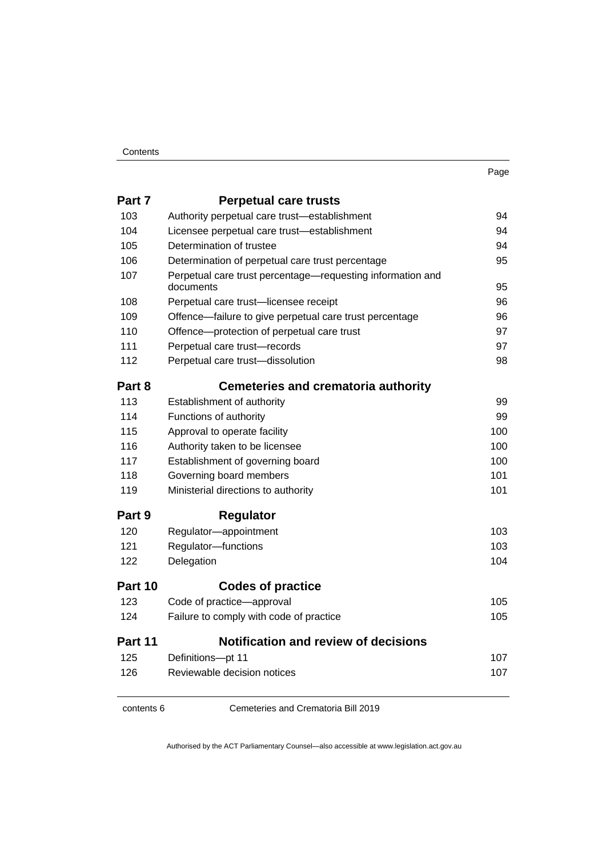| . .<br>× | × |
|----------|---|

| Part 7  | <b>Perpetual care trusts</b>                                            |     |
|---------|-------------------------------------------------------------------------|-----|
| 103     | Authority perpetual care trust-establishment                            | 94  |
| 104     | Licensee perpetual care trust-establishment                             | 94  |
| 105     | Determination of trustee                                                | 94  |
| 106     | Determination of perpetual care trust percentage                        | 95  |
| 107     | Perpetual care trust percentage—requesting information and<br>documents | 95  |
| 108     | Perpetual care trust-licensee receipt                                   | 96  |
| 109     | Offence-failure to give perpetual care trust percentage                 | 96  |
| 110     | Offence-protection of perpetual care trust                              | 97  |
| 111     | Perpetual care trust-records                                            | 97  |
| 112     | Perpetual care trust-dissolution                                        | 98  |
| Part 8  | <b>Cemeteries and crematoria authority</b>                              |     |
| 113     | Establishment of authority                                              | 99  |
| 114     | Functions of authority                                                  | 99  |
| 115     | Approval to operate facility                                            | 100 |
| 116     | Authority taken to be licensee                                          | 100 |
| 117     | Establishment of governing board                                        | 100 |
| 118     | Governing board members                                                 | 101 |
| 119     | Ministerial directions to authority                                     | 101 |
| Part 9  | <b>Regulator</b>                                                        |     |
| 120     | Regulator-appointment                                                   | 103 |
| 121     | Regulator-functions                                                     | 103 |
| 122     | Delegation                                                              | 104 |
| Part 10 | <b>Codes of practice</b>                                                |     |
| 123     | Code of practice-approval                                               | 105 |
| 124     | Failure to comply with code of practice                                 | 105 |
| Part 11 | <b>Notification and review of decisions</b>                             |     |
| 125     | Definitions-pt 11                                                       | 107 |
| 126     | Reviewable decision notices                                             | 107 |
|         |                                                                         |     |

contents 6 Cemeteries and Crematoria Bill 2019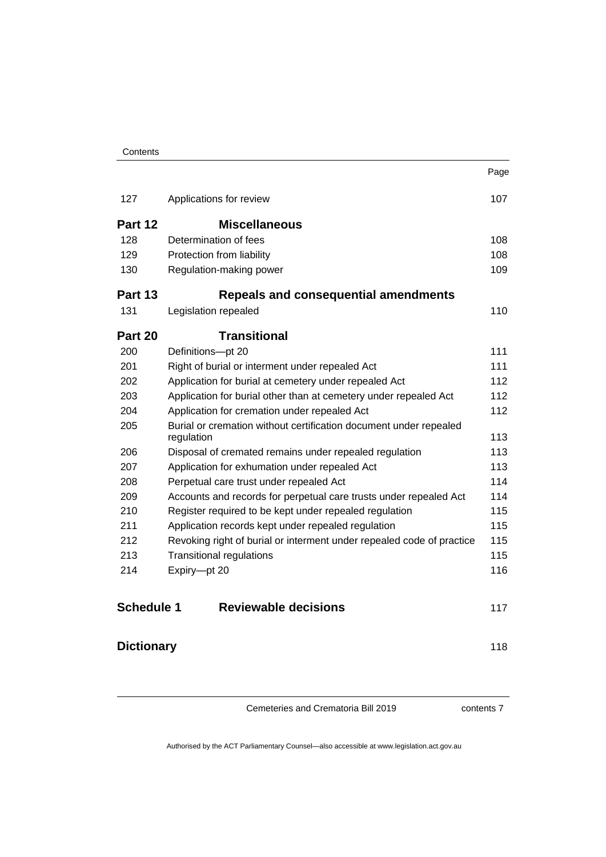|                   |                                                                                 | Page |
|-------------------|---------------------------------------------------------------------------------|------|
| 127               | Applications for review                                                         | 107  |
| Part 12           | <b>Miscellaneous</b>                                                            |      |
| 128               | Determination of fees                                                           | 108  |
| 129               | Protection from liability                                                       | 108  |
| 130               | Regulation-making power                                                         | 109  |
| Part 13           | Repeals and consequential amendments                                            |      |
| 131               | Legislation repealed                                                            | 110  |
| Part 20           | <b>Transitional</b>                                                             |      |
| 200               | Definitions-pt 20                                                               | 111  |
| 201               | Right of burial or interment under repealed Act                                 | 111  |
| 202               | Application for burial at cemetery under repealed Act                           | 112  |
| 203               | Application for burial other than at cemetery under repealed Act                | 112  |
| 204               | Application for cremation under repealed Act                                    | 112  |
| 205               | Burial or cremation without certification document under repealed<br>regulation | 113  |
| 206               | Disposal of cremated remains under repealed regulation                          | 113  |
| 207               | Application for exhumation under repealed Act                                   | 113  |
| 208               | Perpetual care trust under repealed Act                                         | 114  |
| 209               | Accounts and records for perpetual care trusts under repealed Act               | 114  |
| 210               | Register required to be kept under repealed regulation                          | 115  |
| 211               | Application records kept under repealed regulation                              | 115  |
| 212               | Revoking right of burial or interment under repealed code of practice           | 115  |
| 213               | <b>Transitional regulations</b>                                                 | 115  |
| 214               | Expiry-pt 20                                                                    | 116  |
| <b>Schedule 1</b> | <b>Reviewable decisions</b>                                                     | 117  |
| <b>Dictionary</b> |                                                                                 | 118  |

contents 7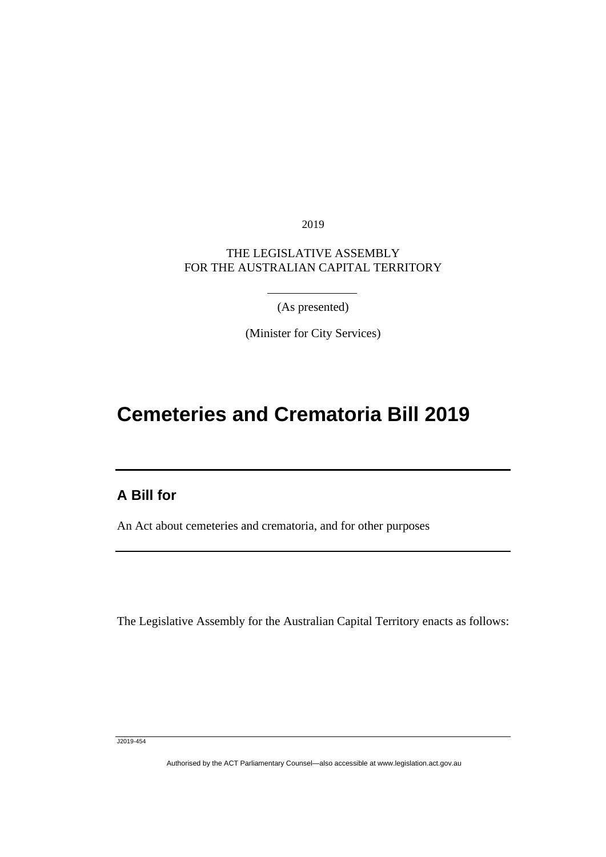2019

### THE LEGISLATIVE ASSEMBLY FOR THE AUSTRALIAN CAPITAL TERRITORY

(As presented)

(Minister for City Services)

# **Cemeteries and Crematoria Bill 2019**

### **A Bill for**

Ī

An Act about cemeteries and crematoria, and for other purposes

The Legislative Assembly for the Australian Capital Territory enacts as follows:

J2019-454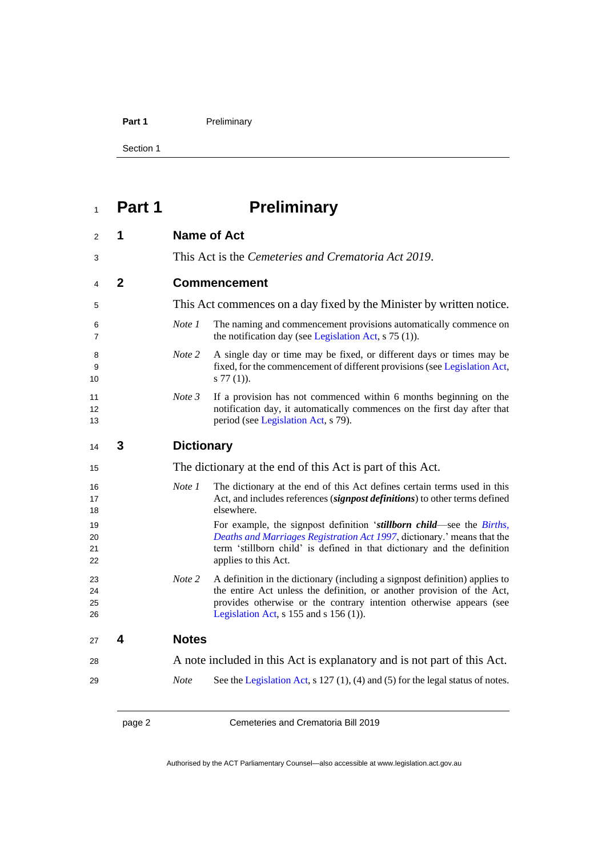#### Part 1 **Preliminary**

Section 1

# <span id="page-9-0"></span>**Part 1 Preliminary**

<span id="page-9-3"></span><span id="page-9-2"></span><span id="page-9-1"></span>

| 2                    | 1              |                   | <b>Name of Act</b>                                                                                                                                                                                                                                                         |
|----------------------|----------------|-------------------|----------------------------------------------------------------------------------------------------------------------------------------------------------------------------------------------------------------------------------------------------------------------------|
| 3                    |                |                   | This Act is the Cemeteries and Crematoria Act 2019.                                                                                                                                                                                                                        |
| 4                    | $\overline{2}$ |                   | <b>Commencement</b>                                                                                                                                                                                                                                                        |
| 5                    |                |                   | This Act commences on a day fixed by the Minister by written notice.                                                                                                                                                                                                       |
| 6<br>7               |                | Note 1            | The naming and commencement provisions automatically commence on<br>the notification day (see Legislation Act, $s$ 75 (1)).                                                                                                                                                |
| 8<br>9<br>10         |                | Note 2            | A single day or time may be fixed, or different days or times may be<br>fixed, for the commencement of different provisions (see Legislation Act,<br>$s 77(1)$ ).                                                                                                          |
| 11<br>12<br>13       |                | Note 3            | If a provision has not commenced within 6 months beginning on the<br>notification day, it automatically commences on the first day after that<br>period (see Legislation Act, s 79).                                                                                       |
| 14                   | 3              | <b>Dictionary</b> |                                                                                                                                                                                                                                                                            |
| 15                   |                |                   | The dictionary at the end of this Act is part of this Act.                                                                                                                                                                                                                 |
| 16<br>17<br>18       |                | Note 1            | The dictionary at the end of this Act defines certain terms used in this<br>Act, and includes references (signpost definitions) to other terms defined<br>elsewhere.                                                                                                       |
| 19<br>20<br>21<br>22 |                |                   | For example, the signpost definition 'stillborn child—see the Births,<br>Deaths and Marriages Registration Act 1997, dictionary.' means that the<br>term 'stillborn child' is defined in that dictionary and the definition<br>applies to this Act.                        |
| 23<br>24<br>25<br>26 |                | Note 2            | A definition in the dictionary (including a signpost definition) applies to<br>the entire Act unless the definition, or another provision of the Act,<br>provides otherwise or the contrary intention otherwise appears (see<br>Legislation Act, $s$ 155 and $s$ 156 (1)). |
| 27                   | 4              | <b>Notes</b>      |                                                                                                                                                                                                                                                                            |
| 28                   |                |                   | A note included in this Act is explanatory and is not part of this Act.                                                                                                                                                                                                    |
| 29                   |                | <b>Note</b>       | See the Legislation Act, $s$ 127 (1), (4) and (5) for the legal status of notes.                                                                                                                                                                                           |
|                      |                |                   |                                                                                                                                                                                                                                                                            |

<span id="page-9-4"></span>page 2 Cemeteries and Crematoria Bill 2019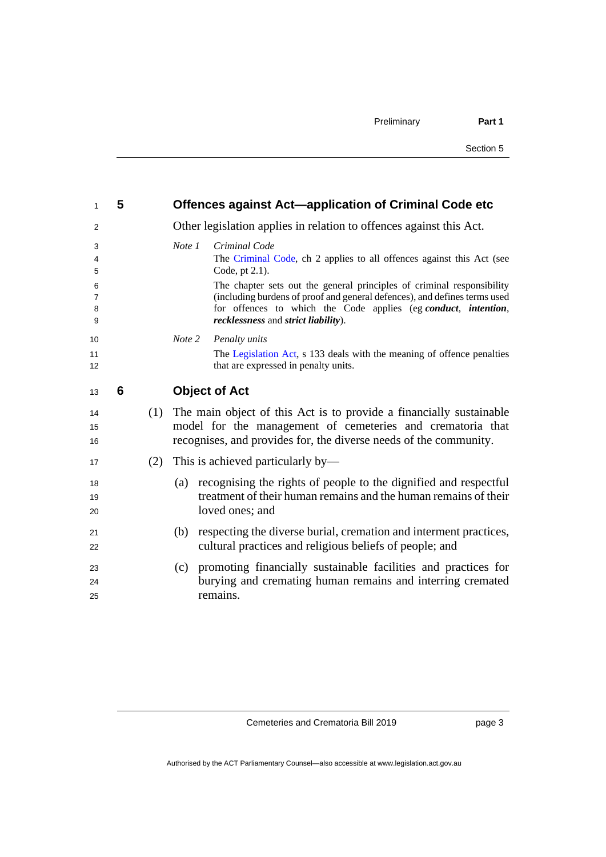<span id="page-10-1"></span><span id="page-10-0"></span>

| $\mathbf{1}$                  | 5 |     |        | Offences against Act-application of Criminal Code etc                                                                                                                                                                                                        |
|-------------------------------|---|-----|--------|--------------------------------------------------------------------------------------------------------------------------------------------------------------------------------------------------------------------------------------------------------------|
| 2                             |   |     |        | Other legislation applies in relation to offences against this Act.                                                                                                                                                                                          |
| 3<br>4<br>5                   |   |     | Note 1 | Criminal Code<br>The Criminal Code, ch 2 applies to all offences against this Act (see<br>Code, pt 2.1).                                                                                                                                                     |
| 6<br>$\overline{7}$<br>8<br>9 |   |     |        | The chapter sets out the general principles of criminal responsibility<br>(including burdens of proof and general defences), and defines terms used<br>for offences to which the Code applies (eg conduct, intention,<br>recklessness and strict liability). |
| 10                            |   |     | Note 2 | Penalty units                                                                                                                                                                                                                                                |
| 11<br>12                      |   |     |        | The Legislation Act, s 133 deals with the meaning of offence penalties<br>that are expressed in penalty units.                                                                                                                                               |
| 13                            | 6 |     |        | <b>Object of Act</b>                                                                                                                                                                                                                                         |
| 14<br>15<br>16                |   | (1) |        | The main object of this Act is to provide a financially sustainable<br>model for the management of cemeteries and crematoria that<br>recognises, and provides for, the diverse needs of the community.                                                       |
| 17                            |   | (2) |        | This is achieved particularly by—                                                                                                                                                                                                                            |
| 18<br>19<br>20                |   |     | (a)    | recognising the rights of people to the dignified and respectful<br>treatment of their human remains and the human remains of their<br>loved ones; and                                                                                                       |
| 21<br>22                      |   |     |        | (b) respecting the diverse burial, cremation and interment practices,<br>cultural practices and religious beliefs of people; and                                                                                                                             |
| 23<br>24<br>25                |   |     |        | (c) promoting financially sustainable facilities and practices for<br>burying and cremating human remains and interring cremated<br>remains.                                                                                                                 |

page 3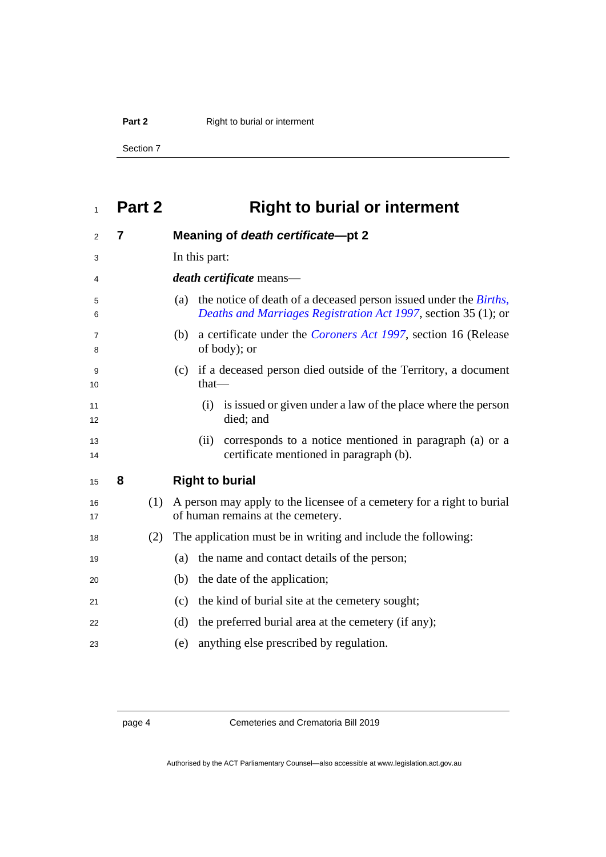**Part 2** Right to burial or interment

Section 7

# <span id="page-11-0"></span>**Part 2 Right to burial or interment**

<span id="page-11-2"></span><span id="page-11-1"></span>

| $\overline{2}$      | $\overline{7}$ |     | Meaning of death certificate-pt 2                                                                                                          |
|---------------------|----------------|-----|--------------------------------------------------------------------------------------------------------------------------------------------|
| 3                   |                |     | In this part:                                                                                                                              |
| 4                   |                |     | <i>death certificate</i> means-                                                                                                            |
| 5<br>6              |                |     | the notice of death of a deceased person issued under the Births,<br>(a)<br>Deaths and Marriages Registration Act 1997, section 35 (1); or |
| $\overline{7}$<br>8 |                |     | a certificate under the Coroners Act 1997, section 16 (Release<br>(b)<br>of body); or                                                      |
| 9<br>10             |                |     | if a deceased person died outside of the Territory, a document<br>(c)<br>that-                                                             |
| 11<br>12            |                |     | (i) is issued or given under a law of the place where the person<br>died; and                                                              |
| 13<br>14            |                |     | corresponds to a notice mentioned in paragraph (a) or a<br>(ii)<br>certificate mentioned in paragraph (b).                                 |
| 15                  | 8              |     | <b>Right to burial</b>                                                                                                                     |
| 16<br>17            |                | (1) | A person may apply to the licensee of a cemetery for a right to burial<br>of human remains at the cemetery.                                |
| 18                  |                | (2) | The application must be in writing and include the following:                                                                              |
| 19                  |                |     | the name and contact details of the person;<br>(a)                                                                                         |
| 20                  |                |     | the date of the application;<br>(b)                                                                                                        |
| 21                  |                |     | the kind of burial site at the cemetery sought;<br>(c)                                                                                     |
| 22                  |                |     | (d)<br>the preferred burial area at the cemetery (if any);                                                                                 |
| 23                  |                |     | anything else prescribed by regulation.<br>(e)                                                                                             |
|                     |                |     |                                                                                                                                            |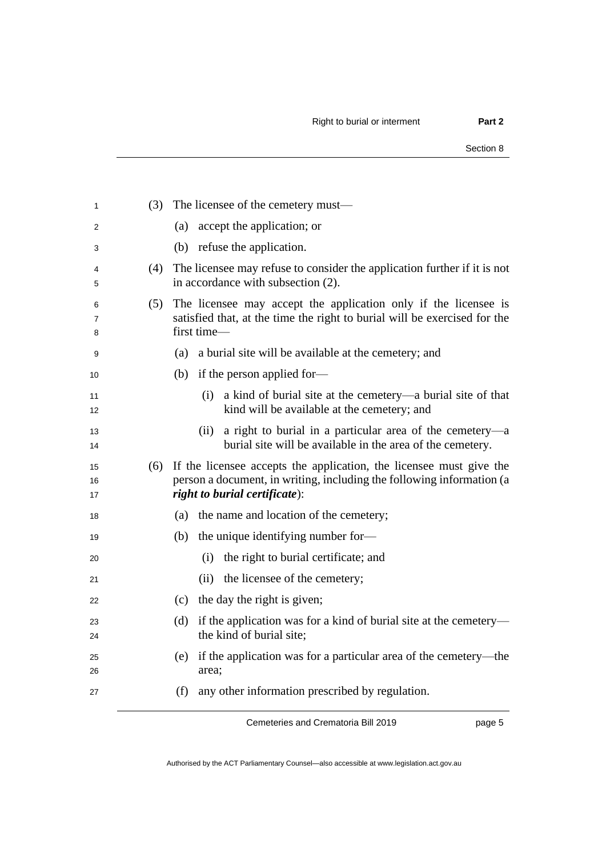| 1              | (3) | The licensee of the cemetery must—                                                                                                                                            |
|----------------|-----|-------------------------------------------------------------------------------------------------------------------------------------------------------------------------------|
| 2              |     | accept the application; or<br>(a)                                                                                                                                             |
| 3              |     | (b) refuse the application.                                                                                                                                                   |
| 4<br>5         | (4) | The licensee may refuse to consider the application further if it is not<br>in accordance with subsection (2).                                                                |
| 6<br>7<br>8    | (5) | The licensee may accept the application only if the licensee is<br>satisfied that, at the time the right to burial will be exercised for the<br>first time-                   |
| 9              |     | (a) a burial site will be available at the cemetery; and                                                                                                                      |
| 10             |     | (b) if the person applied for-                                                                                                                                                |
| 11<br>12       |     | a kind of burial site at the cemetery—a burial site of that<br>(i)<br>kind will be available at the cemetery; and                                                             |
| 13<br>14       |     | a right to burial in a particular area of the cemetery—a<br>(ii)<br>burial site will be available in the area of the cemetery.                                                |
| 15<br>16<br>17 | (6) | If the licensee accepts the application, the licensee must give the<br>person a document, in writing, including the following information (a<br>right to burial certificate): |
| 18             |     | the name and location of the cemetery;<br>(a)                                                                                                                                 |
| 19             |     | the unique identifying number for-<br>(b)                                                                                                                                     |
| 20             |     | the right to burial certificate; and<br>(i)                                                                                                                                   |
| 21             |     | (ii) the licensee of the cemetery;                                                                                                                                            |
| 22             |     | (c) the day the right is given;                                                                                                                                               |
| 23             |     | if the application was for a kind of burial site at the cemetery—<br>(d)<br>the kind of burial site;                                                                          |
| 24             |     |                                                                                                                                                                               |
| 25<br>26       |     | (e) if the application was for a particular area of the cemetery—the<br>area;                                                                                                 |

page 5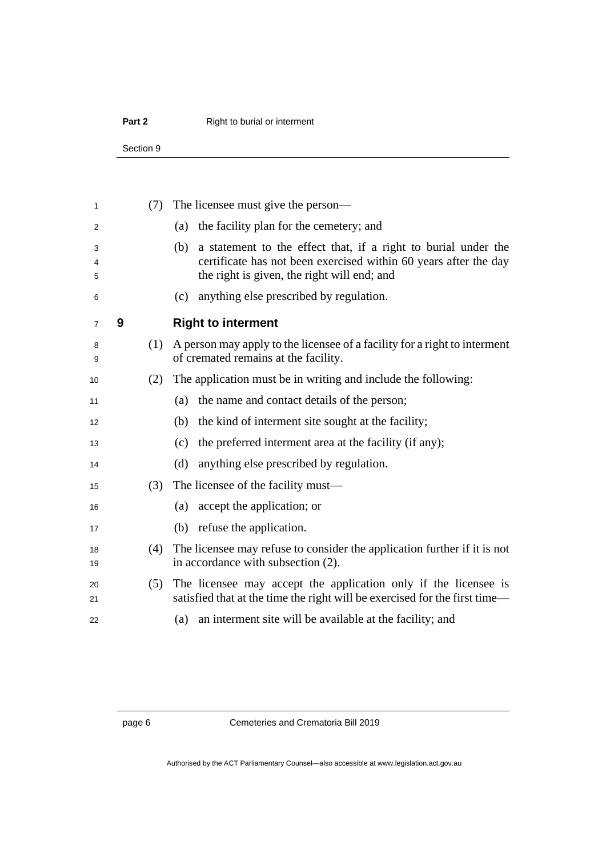### **Part 2** Right to burial or interment

Section 9

<span id="page-13-0"></span>

| 1           |   | (7) | The licensee must give the person—                                                                                                                                                       |
|-------------|---|-----|------------------------------------------------------------------------------------------------------------------------------------------------------------------------------------------|
| 2           |   |     | the facility plan for the cemetery; and<br>(a)                                                                                                                                           |
| 3<br>4<br>5 |   |     | a statement to the effect that, if a right to burial under the<br>(b)<br>certificate has not been exercised within 60 years after the day<br>the right is given, the right will end; and |
| 6           |   |     | anything else prescribed by regulation.<br>(c)                                                                                                                                           |
| 7           | 9 |     | <b>Right to interment</b>                                                                                                                                                                |
| 8<br>9      |   | (1) | A person may apply to the licensee of a facility for a right to interment<br>of cremated remains at the facility.                                                                        |
| 10          |   | (2) | The application must be in writing and include the following:                                                                                                                            |
| 11          |   |     | the name and contact details of the person;<br>(a)                                                                                                                                       |
| 12          |   |     | the kind of interment site sought at the facility;<br>(b)                                                                                                                                |
| 13          |   |     | the preferred interment area at the facility (if any);<br>(c)                                                                                                                            |
| 14          |   |     | (d)<br>anything else prescribed by regulation.                                                                                                                                           |
| 15          |   | (3) | The licensee of the facility must—                                                                                                                                                       |
| 16          |   |     | accept the application; or<br>(a)                                                                                                                                                        |
| 17          |   |     | (b) refuse the application.                                                                                                                                                              |
| 18<br>19    |   | (4) | The licensee may refuse to consider the application further if it is not<br>in accordance with subsection (2).                                                                           |
| 20<br>21    |   | (5) | The licensee may accept the application only if the licensee is<br>satisfied that at the time the right will be exercised for the first time-                                            |
| 22          |   |     | an interment site will be available at the facility; and<br>(a)                                                                                                                          |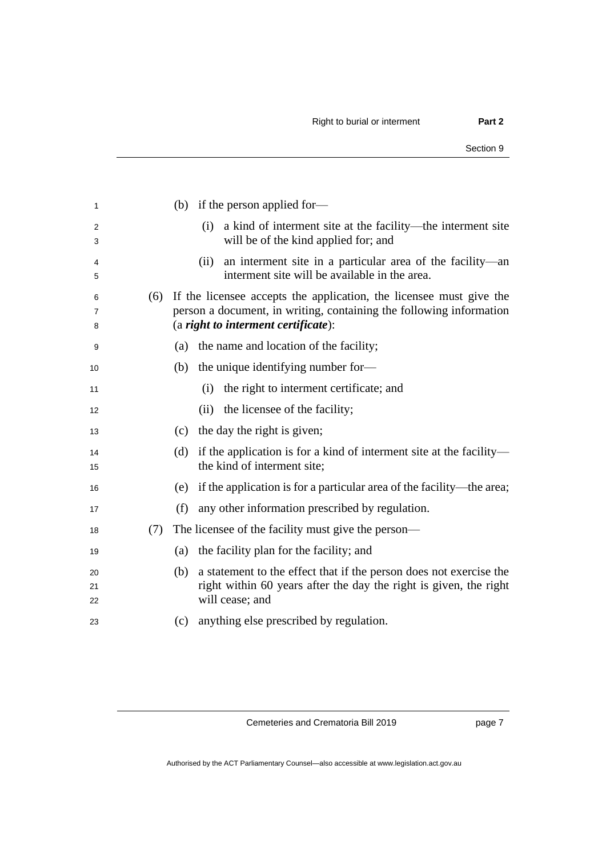| 1              |     | (b) if the person applied for-                                                                                                                                                    |
|----------------|-----|-----------------------------------------------------------------------------------------------------------------------------------------------------------------------------------|
| 2<br>3         |     | a kind of interment site at the facility—the interment site<br>(i)<br>will be of the kind applied for; and                                                                        |
| 4<br>5         |     | an interment site in a particular area of the facility—an<br>(i)<br>interment site will be available in the area.                                                                 |
| 6<br>7<br>8    | (6) | If the licensee accepts the application, the licensee must give the<br>person a document, in writing, containing the following information<br>(a right to interment certificate): |
| 9              |     | the name and location of the facility;<br>(a)                                                                                                                                     |
| 10             |     | the unique identifying number for—<br>(b)                                                                                                                                         |
| 11             |     | the right to interment certificate; and<br>(i)                                                                                                                                    |
| 12             |     | the licensee of the facility;<br>(ii)                                                                                                                                             |
| 13             |     | (c) the day the right is given;                                                                                                                                                   |
| 14<br>15       |     | if the application is for a kind of interment site at the facility—<br>(d)<br>the kind of interment site;                                                                         |
| 16             |     | (e) if the application is for a particular area of the facility—the area;                                                                                                         |
| 17             |     | (f)<br>any other information prescribed by regulation.                                                                                                                            |
| 18             | (7) | The licensee of the facility must give the person—                                                                                                                                |
| 19             |     | the facility plan for the facility; and<br>(a)                                                                                                                                    |
| 20<br>21<br>22 |     | a statement to the effect that if the person does not exercise the<br>(b)<br>right within 60 years after the day the right is given, the right<br>will cease; and                 |
| 23             |     | anything else prescribed by regulation.<br>(c)                                                                                                                                    |
|                |     |                                                                                                                                                                                   |

page 7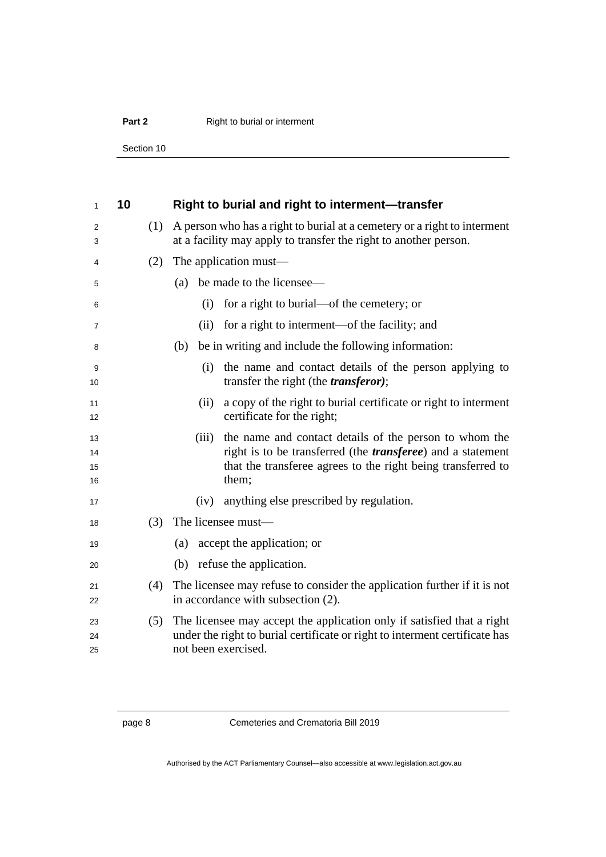### **Part 2** Right to burial or interment

Section 10

<span id="page-15-0"></span>

| 1                    | 10 |     | Right to burial and right to interment-transfer                                                                                                                                                                 |
|----------------------|----|-----|-----------------------------------------------------------------------------------------------------------------------------------------------------------------------------------------------------------------|
| 2<br>3               |    | (1) | A person who has a right to burial at a cemetery or a right to interment<br>at a facility may apply to transfer the right to another person.                                                                    |
| 4                    |    | (2) | The application must—                                                                                                                                                                                           |
| 5                    |    |     | be made to the licensee—<br>(a)                                                                                                                                                                                 |
| 6                    |    |     | for a right to burial—of the cemetery; or<br>(i)                                                                                                                                                                |
| 7                    |    |     | for a right to interment—of the facility; and<br>(ii)                                                                                                                                                           |
| 8                    |    |     | be in writing and include the following information:<br>(b)                                                                                                                                                     |
| 9<br>10              |    |     | (i) the name and contact details of the person applying to<br>transfer the right (the <i>transferor</i> );                                                                                                      |
| 11<br>12             |    |     | a copy of the right to burial certificate or right to interment<br>(ii)<br>certificate for the right;                                                                                                           |
| 13<br>14<br>15<br>16 |    |     | the name and contact details of the person to whom the<br>(iii)<br>right is to be transferred (the <i>transferee</i> ) and a statement<br>that the transferee agrees to the right being transferred to<br>them; |
| 17                   |    |     | anything else prescribed by regulation.<br>(iv)                                                                                                                                                                 |
| 18                   |    | (3) | The licensee must-                                                                                                                                                                                              |
| 19                   |    |     | accept the application; or<br>(a)                                                                                                                                                                               |
| 20                   |    |     | (b) refuse the application.                                                                                                                                                                                     |
| 21<br>22             |    | (4) | The licensee may refuse to consider the application further if it is not<br>in accordance with subsection (2).                                                                                                  |
| 23<br>24<br>25       |    | (5) | The licensee may accept the application only if satisfied that a right<br>under the right to burial certificate or right to interment certificate has<br>not been exercised.                                    |

page 8 Cemeteries and Crematoria Bill 2019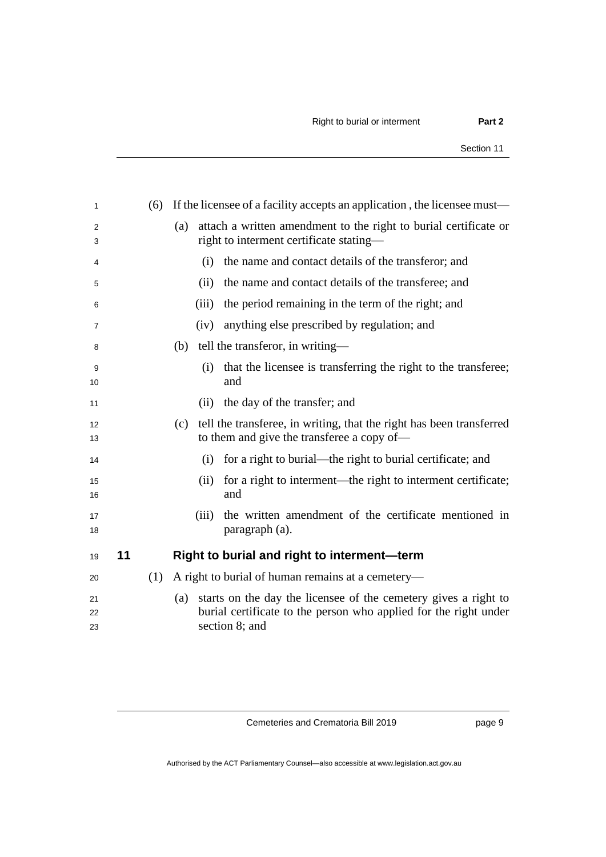<span id="page-16-0"></span>

|     |       | If the licensee of a facility accepts an application, the licensee must—                                                                              |
|-----|-------|-------------------------------------------------------------------------------------------------------------------------------------------------------|
|     | (a)   | attach a written amendment to the right to burial certificate or<br>right to interment certificate stating—                                           |
|     | (i)   | the name and contact details of the transferor; and                                                                                                   |
|     |       | the name and contact details of the transferee; and                                                                                                   |
|     | (iii) | the period remaining in the term of the right; and                                                                                                    |
|     |       | anything else prescribed by regulation; and                                                                                                           |
|     | (b)   | tell the transferor, in writing—                                                                                                                      |
|     | (i)   | that the licensee is transferring the right to the transferee;<br>and                                                                                 |
|     |       | (ii) the day of the transfer; and                                                                                                                     |
|     | (c)   | tell the transferee, in writing, that the right has been transferred<br>to them and give the transferee a copy of—                                    |
|     | (i)   | for a right to burial—the right to burial certificate; and                                                                                            |
|     |       | for a right to interment—the right to interment certificate;<br>and                                                                                   |
|     |       | the written amendment of the certificate mentioned in<br>paragraph (a).                                                                               |
|     |       | Right to burial and right to interment-term                                                                                                           |
| (1) |       | A right to burial of human remains at a cemetery-                                                                                                     |
|     | (a)   | starts on the day the licensee of the cemetery gives a right to<br>burial certificate to the person who applied for the right under<br>section 8; and |
|     |       | (ii)<br>(iv)<br>(ii)<br>(iii)                                                                                                                         |

page 9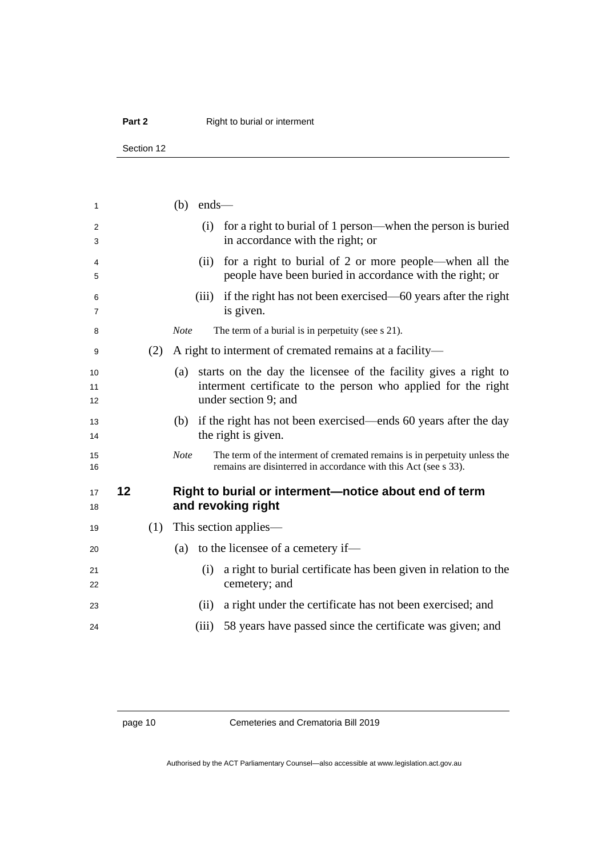### **Part 2** Right to burial or interment

Section 12

<span id="page-17-0"></span>

| 1              |    |     | $(b)$ ends— |                                                                                                                                                              |
|----------------|----|-----|-------------|--------------------------------------------------------------------------------------------------------------------------------------------------------------|
| 2<br>3         |    |     |             | (i) for a right to burial of 1 person—when the person is buried<br>in accordance with the right; or                                                          |
| 4<br>5         |    |     | (ii)        | for a right to burial of 2 or more people—when all the<br>people have been buried in accordance with the right; or                                           |
| 6<br>7         |    |     | (iii)       | if the right has not been exercised—60 years after the right<br>is given.                                                                                    |
| 8              |    |     | <b>Note</b> | The term of a burial is in perpetuity (see s 21).                                                                                                            |
| 9              |    | (2) |             | A right to interment of cremated remains at a facility—                                                                                                      |
| 10<br>11<br>12 |    |     |             | (a) starts on the day the licensee of the facility gives a right to<br>interment certificate to the person who applied for the right<br>under section 9; and |
| 13<br>14       |    |     |             | (b) if the right has not been exercised—ends 60 years after the day<br>the right is given.                                                                   |
| 15<br>16       |    |     | <b>Note</b> | The term of the interment of cremated remains is in perpetuity unless the<br>remains are disinterred in accordance with this Act (see s 33).                 |
| 17<br>18       | 12 |     |             | Right to burial or interment—notice about end of term<br>and revoking right                                                                                  |
| 19             |    | (1) |             | This section applies—                                                                                                                                        |
| 20             |    |     | (a)         | to the licensee of a cemetery if-                                                                                                                            |
| 21<br>22       |    |     | (i)         | a right to burial certificate has been given in relation to the<br>cemetery; and                                                                             |
| 23             |    |     | (ii)        | a right under the certificate has not been exercised; and                                                                                                    |
| 24             |    |     | (iii)       | 58 years have passed since the certificate was given; and                                                                                                    |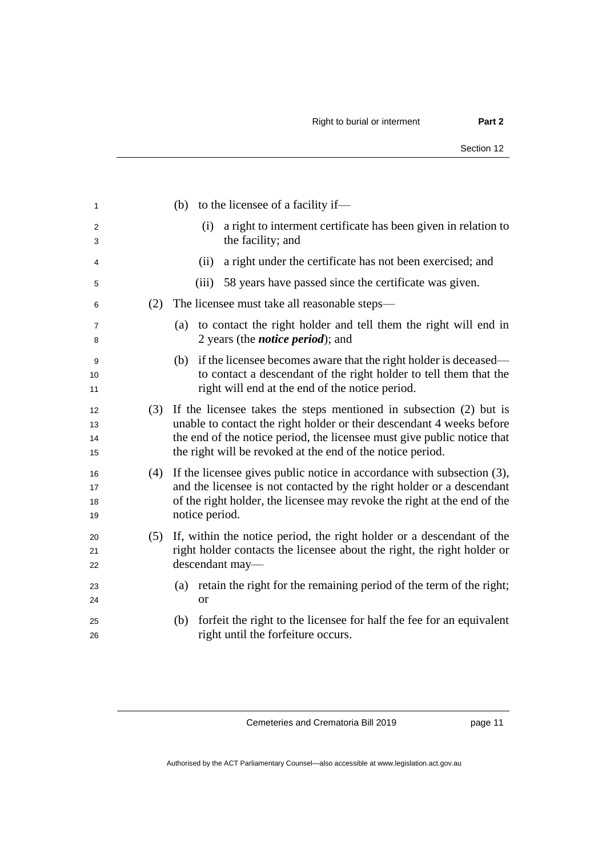| 1                    |     | (b) to the licensee of a facility if—                                                                                                                                                                                                                                                |
|----------------------|-----|--------------------------------------------------------------------------------------------------------------------------------------------------------------------------------------------------------------------------------------------------------------------------------------|
| 2<br>3               |     | a right to interment certificate has been given in relation to<br>(i)<br>the facility; and                                                                                                                                                                                           |
| 4                    |     | a right under the certificate has not been exercised; and<br>(ii)                                                                                                                                                                                                                    |
| 5                    |     | 58 years have passed since the certificate was given.<br>(iii)                                                                                                                                                                                                                       |
| 6                    | (2) | The licensee must take all reasonable steps—                                                                                                                                                                                                                                         |
| $\overline{7}$<br>8  |     | (a) to contact the right holder and tell them the right will end in<br>2 years (the <i>notice period</i> ); and                                                                                                                                                                      |
| 9<br>10<br>11        |     | if the licensee becomes aware that the right holder is deceased—<br>(b)<br>to contact a descendant of the right holder to tell them that the<br>right will end at the end of the notice period.                                                                                      |
| 12<br>13<br>14<br>15 | (3) | If the licensee takes the steps mentioned in subsection (2) but is<br>unable to contact the right holder or their descendant 4 weeks before<br>the end of the notice period, the licensee must give public notice that<br>the right will be revoked at the end of the notice period. |
| 16<br>17<br>18<br>19 | (4) | If the licensee gives public notice in accordance with subsection (3),<br>and the licensee is not contacted by the right holder or a descendant<br>of the right holder, the licensee may revoke the right at the end of the<br>notice period.                                        |
| 20<br>21<br>22       | (5) | If, within the notice period, the right holder or a descendant of the<br>right holder contacts the licensee about the right, the right holder or<br>descendant may-                                                                                                                  |
| 23<br>24             |     | retain the right for the remaining period of the term of the right;<br>(a)<br><sub>or</sub>                                                                                                                                                                                          |
| 25<br>26             |     | forfeit the right to the licensee for half the fee for an equivalent<br>(b)<br>right until the forfeiture occurs.                                                                                                                                                                    |
|                      |     |                                                                                                                                                                                                                                                                                      |

page 11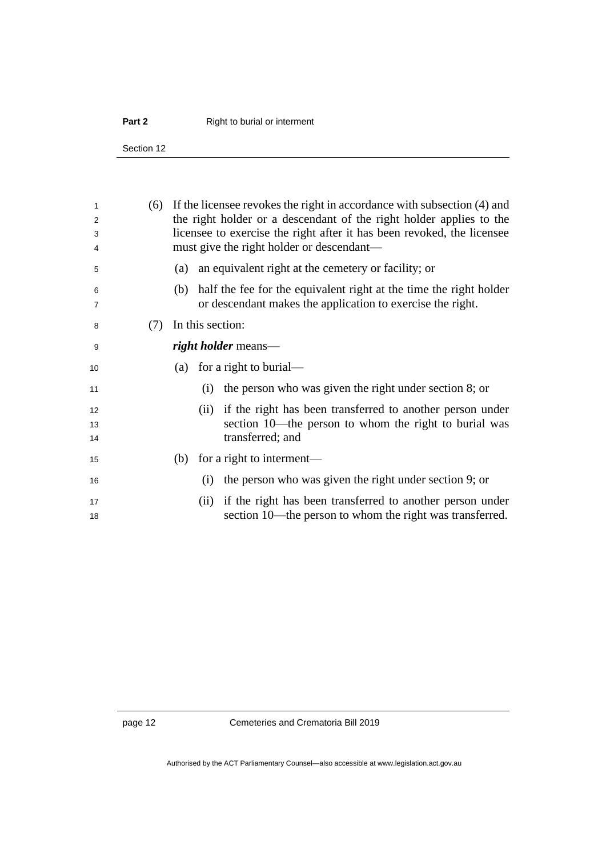### **Part 2** Right to burial or interment

Section 12

| 1<br>2<br>3<br>4 | (6) | If the licensee revokes the right in accordance with subsection (4) and<br>the right holder or a descendant of the right holder applies to the<br>licensee to exercise the right after it has been revoked, the licensee<br>must give the right holder or descendant— |
|------------------|-----|-----------------------------------------------------------------------------------------------------------------------------------------------------------------------------------------------------------------------------------------------------------------------|
| 5                |     | an equivalent right at the cemetery or facility; or<br>(a)                                                                                                                                                                                                            |
| 6<br>7           |     | half the fee for the equivalent right at the time the right holder<br>(b)<br>or descendant makes the application to exercise the right.                                                                                                                               |
| 8                | (7) | In this section:                                                                                                                                                                                                                                                      |
| 9                |     | right holder means—                                                                                                                                                                                                                                                   |
| 10               |     | (a) for a right to burial—                                                                                                                                                                                                                                            |
| 11               |     | the person who was given the right under section 8; or<br>(i)                                                                                                                                                                                                         |
| 12<br>13<br>14   |     | (ii) if the right has been transferred to another person under<br>section 10—the person to whom the right to burial was<br>transferred; and                                                                                                                           |
| 15               |     | for a right to interment—<br>(b)                                                                                                                                                                                                                                      |
| 16               |     | the person who was given the right under section 9; or<br>(i)                                                                                                                                                                                                         |
| 17<br>18         |     | (ii) if the right has been transferred to another person under<br>section 10—the person to whom the right was transferred.                                                                                                                                            |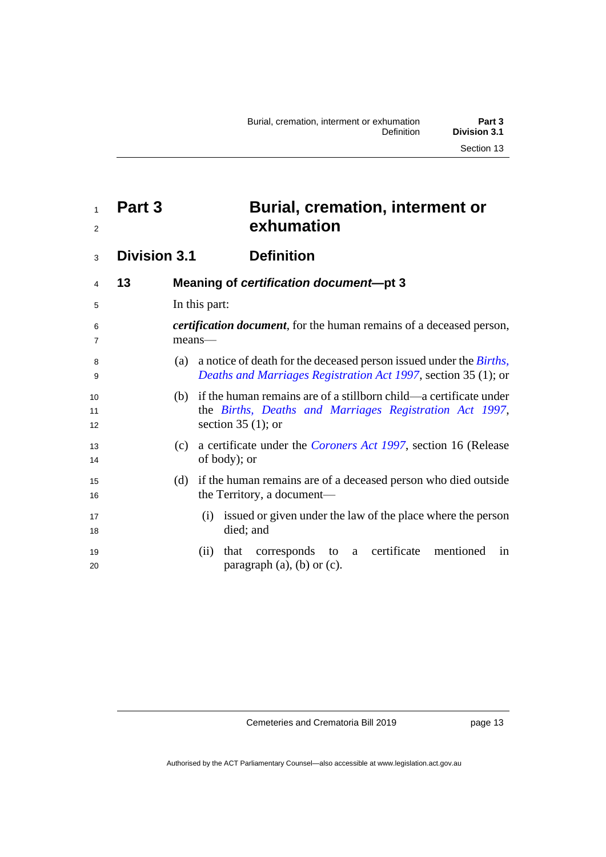## <span id="page-20-0"></span> **Part 3 Burial, cremation, interment or exhumation**

<span id="page-20-2"></span><span id="page-20-1"></span>**Division 3.1 Definition**

| 4                   | 13 | Meaning of certification document-pt 3                                                                                                                     |
|---------------------|----|------------------------------------------------------------------------------------------------------------------------------------------------------------|
| 5                   |    | In this part:                                                                                                                                              |
| 6<br>$\overline{7}$ |    | <i>certification document</i> , for the human remains of a deceased person,<br>means—                                                                      |
| 8<br>9              |    | a notice of death for the deceased person issued under the <i>Births</i> ,<br>(a)<br><i>Deaths and Marriages Registration Act 1997, section 35 (1); or</i> |
| 10<br>11<br>12      |    | (b) if the human remains are of a stillborn child—a certificate under<br>the Births, Deaths and Marriages Registration Act 1997,<br>section 35 $(1)$ ; or  |
| 13<br>14            |    | a certificate under the <i>Coroners Act 1997</i> , section 16 (Release<br>(c)<br>of body); or                                                              |
| 15<br>16            |    | if the human remains are of a deceased person who died outside<br>(d)<br>the Territory, a document—                                                        |
| 17<br>18            |    | (i) issued or given under the law of the place where the person<br>died; and                                                                               |
| 19<br>20            |    | corresponds to a certificate mentioned<br>that<br>(11)<br>in<br>paragraph $(a)$ , $(b)$ or $(c)$ .                                                         |

Cemeteries and Crematoria Bill 2019

page 13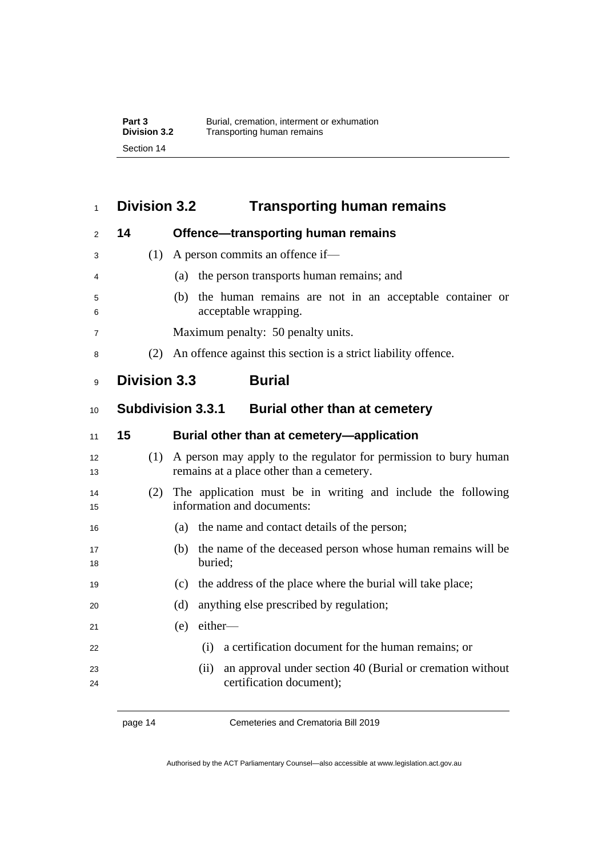### <span id="page-21-0"></span>**Division 3.2 Transporting human remains**

<span id="page-21-4"></span><span id="page-21-3"></span><span id="page-21-2"></span><span id="page-21-1"></span>

| $\overline{2}$ | 14 | <b>Offence-transporting human remains</b>                                                                            |
|----------------|----|----------------------------------------------------------------------------------------------------------------------|
| 3              |    | A person commits an offence if-<br>(1)                                                                               |
| 4              |    | (a) the person transports human remains; and                                                                         |
| 5<br>6         |    | the human remains are not in an acceptable container or<br>(b)<br>acceptable wrapping.                               |
| 7              |    | Maximum penalty: 50 penalty units.                                                                                   |
| 8              |    | An offence against this section is a strict liability offence.<br>(2)                                                |
| 9              |    | <b>Division 3.3</b><br><b>Burial</b>                                                                                 |
| 10             |    | <b>Subdivision 3.3.1</b><br><b>Burial other than at cemetery</b>                                                     |
| 11             | 15 | Burial other than at cemetery—application                                                                            |
| 12<br>13       |    | A person may apply to the regulator for permission to bury human<br>(1)<br>remains at a place other than a cemetery. |
| 14<br>15       |    | The application must be in writing and include the following<br>(2)<br>information and documents:                    |
| 16             |    | the name and contact details of the person;<br>(a)                                                                   |
| 17<br>18       |    | the name of the deceased person whose human remains will be<br>(b)<br>buried;                                        |
| 19             |    | the address of the place where the burial will take place;<br>(c)                                                    |
| 20             |    | (d)<br>anything else prescribed by regulation;                                                                       |
| 21             |    | either-<br>(e)                                                                                                       |
| 22             |    | a certification document for the human remains; or<br>(i)                                                            |
| 23<br>24       |    | an approval under section 40 (Burial or cremation without<br>(ii)<br>certification document);                        |
|                |    |                                                                                                                      |

page 14 Cemeteries and Crematoria Bill 2019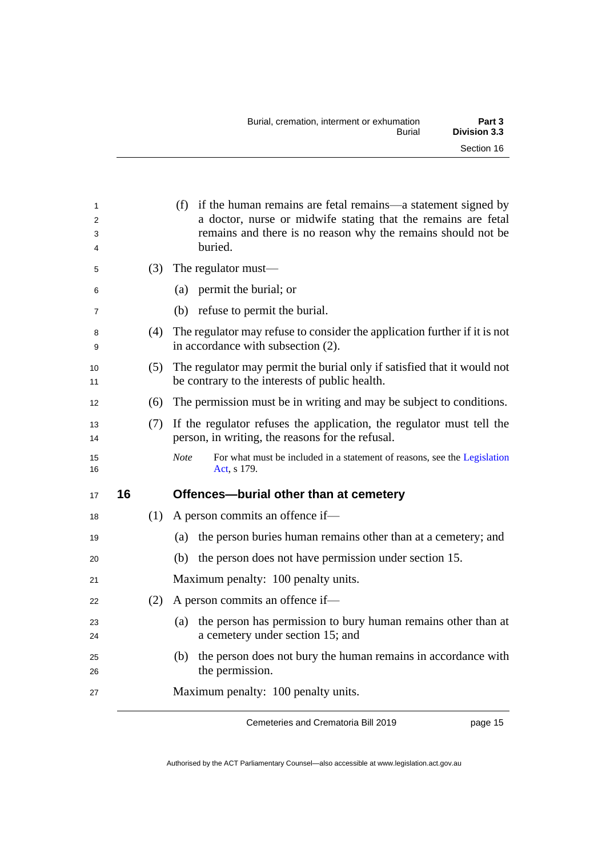| Burial, cremation, interment or exhumation | Part 3       |
|--------------------------------------------|--------------|
| Burial                                     | Division 3.3 |
|                                            | Section 16   |

<span id="page-22-0"></span>

| 1<br>2<br>3<br>4 |     | (f) if the human remains are fetal remains—a statement signed by<br>a doctor, nurse or midwife stating that the remains are fetal<br>remains and there is no reason why the remains should not be<br>buried. |
|------------------|-----|--------------------------------------------------------------------------------------------------------------------------------------------------------------------------------------------------------------|
| 5                | (3) | The regulator must—                                                                                                                                                                                          |
| 6                |     | (a) permit the burial; or                                                                                                                                                                                    |
| 7                |     | (b) refuse to permit the burial.                                                                                                                                                                             |
| 8<br>9           | (4) | The regulator may refuse to consider the application further if it is not<br>in accordance with subsection (2).                                                                                              |
| 10<br>11         | (5) | The regulator may permit the burial only if satisfied that it would not<br>be contrary to the interests of public health.                                                                                    |
| 12               | (6) | The permission must be in writing and may be subject to conditions.                                                                                                                                          |
| 13<br>14         | (7) | If the regulator refuses the application, the regulator must tell the<br>person, in writing, the reasons for the refusal.                                                                                    |
| 15               |     | <b>Note</b><br>For what must be included in a statement of reasons, see the Legislation                                                                                                                      |
| 16               |     | Act, s 179.                                                                                                                                                                                                  |
| 17               | 16  | Offences-burial other than at cemetery                                                                                                                                                                       |
| 18               | (1) | A person commits an offence if-                                                                                                                                                                              |
| 19               |     | the person buries human remains other than at a cemetery; and<br>(a)                                                                                                                                         |
| 20               |     | the person does not have permission under section 15.<br>(b)                                                                                                                                                 |
| 21               |     | Maximum penalty: 100 penalty units.                                                                                                                                                                          |
| 22               | (2) | A person commits an offence if-                                                                                                                                                                              |
| 23<br>24         |     | the person has permission to bury human remains other than at<br>(a)<br>a cemetery under section 15; and                                                                                                     |
| 25<br>26         |     | the person does not bury the human remains in accordance with<br>(b)<br>the permission.                                                                                                                      |

page 15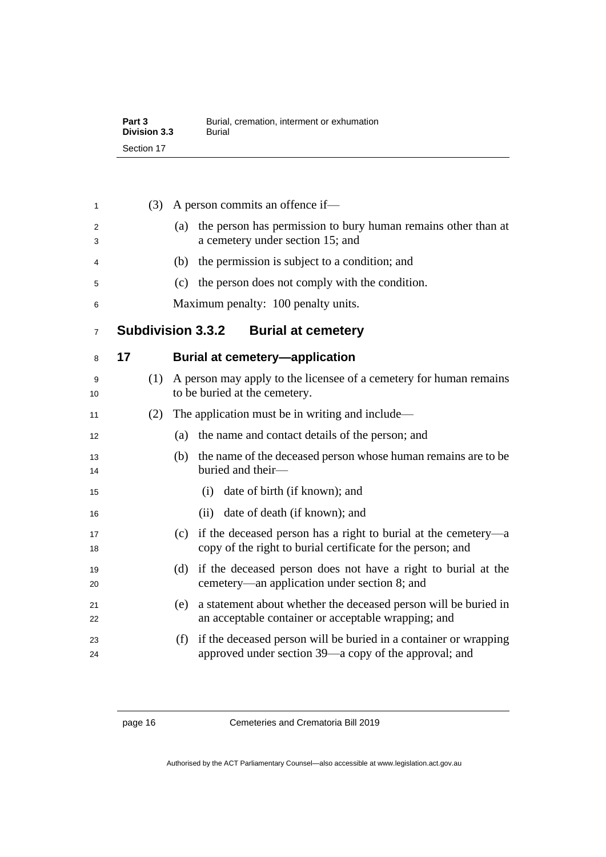| Part 3       | Burial, cremation, interment or exhumation |
|--------------|--------------------------------------------|
| Division 3.3 | Burial                                     |
| Section 17   |                                            |

<span id="page-23-1"></span><span id="page-23-0"></span>

| 1              |    | (3) | A person commits an offence if-                                                                                                   |
|----------------|----|-----|-----------------------------------------------------------------------------------------------------------------------------------|
| 2<br>3         |    |     | the person has permission to bury human remains other than at<br>(a)<br>a cemetery under section 15; and                          |
| 4              |    |     | the permission is subject to a condition; and<br>(b)                                                                              |
| 5              |    |     | the person does not comply with the condition.<br>(c)                                                                             |
| 6              |    |     | Maximum penalty: 100 penalty units.                                                                                               |
| $\overline{7}$ |    |     | <b>Subdivision 3.3.2</b><br><b>Burial at cemetery</b>                                                                             |
| 8              | 17 |     | <b>Burial at cemetery-application</b>                                                                                             |
| 9<br>10        |    | (1) | A person may apply to the licensee of a cemetery for human remains<br>to be buried at the cemetery.                               |
| 11             |    | (2) | The application must be in writing and include—                                                                                   |
| 12             |    |     | the name and contact details of the person; and<br>(a)                                                                            |
| 13<br>14       |    |     | the name of the deceased person whose human remains are to be<br>(b)<br>buried and their-                                         |
| 15             |    |     | date of birth (if known); and<br>(i)                                                                                              |
| 16             |    |     | date of death (if known); and<br>(ii)                                                                                             |
| 17<br>18       |    |     | (c) if the deceased person has a right to burial at the cemetery—a<br>copy of the right to burial certificate for the person; and |
| 19<br>20       |    |     | if the deceased person does not have a right to burial at the<br>(d)<br>cemetery—an application under section 8; and              |
| 21<br>22       |    |     | a statement about whether the deceased person will be buried in<br>(e)<br>an acceptable container or acceptable wrapping; and     |
| 23<br>24       |    |     | if the deceased person will be buried in a container or wrapping<br>(f)<br>approved under section 39—a copy of the approval; and  |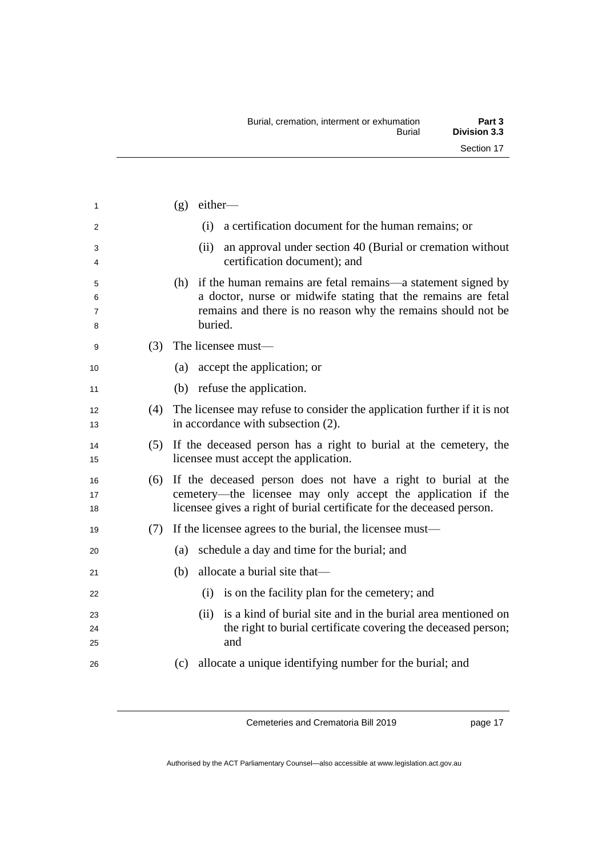| 1                |     | $(g)$ either—                                                                                                                                                                                                |
|------------------|-----|--------------------------------------------------------------------------------------------------------------------------------------------------------------------------------------------------------------|
| 2                |     | (i)<br>a certification document for the human remains; or                                                                                                                                                    |
| 3<br>4           |     | an approval under section 40 (Burial or cremation without<br>(ii)<br>certification document); and                                                                                                            |
| 5<br>6<br>7<br>8 |     | (h) if the human remains are fetal remains—a statement signed by<br>a doctor, nurse or midwife stating that the remains are fetal<br>remains and there is no reason why the remains should not be<br>buried. |
| 9                | (3) | The licensee must—                                                                                                                                                                                           |
| 10               |     | (a) accept the application; or                                                                                                                                                                               |
| 11               |     | (b) refuse the application.                                                                                                                                                                                  |
| 12<br>13         |     | (4) The licensee may refuse to consider the application further if it is not<br>in accordance with subsection (2).                                                                                           |
| 14<br>15         |     | (5) If the deceased person has a right to burial at the cemetery, the<br>licensee must accept the application.                                                                                               |
| 16<br>17<br>18   |     | (6) If the deceased person does not have a right to burial at the<br>cemetery—the licensee may only accept the application if the<br>licensee gives a right of burial certificate for the deceased person.   |
| 19               |     | $(7)$ If the licensee agrees to the burial, the licensee must—                                                                                                                                               |
| 20               |     | schedule a day and time for the burial; and<br>(a)                                                                                                                                                           |
| 21               |     | allocate a burial site that—<br>(b)                                                                                                                                                                          |
| 22               |     | is on the facility plan for the cemetery; and<br>(i)                                                                                                                                                         |
| 23<br>24<br>25   |     | is a kind of burial site and in the burial area mentioned on<br>(ii)<br>the right to burial certificate covering the deceased person;<br>and                                                                 |
| 26               |     | allocate a unique identifying number for the burial; and<br>(c)                                                                                                                                              |

page 17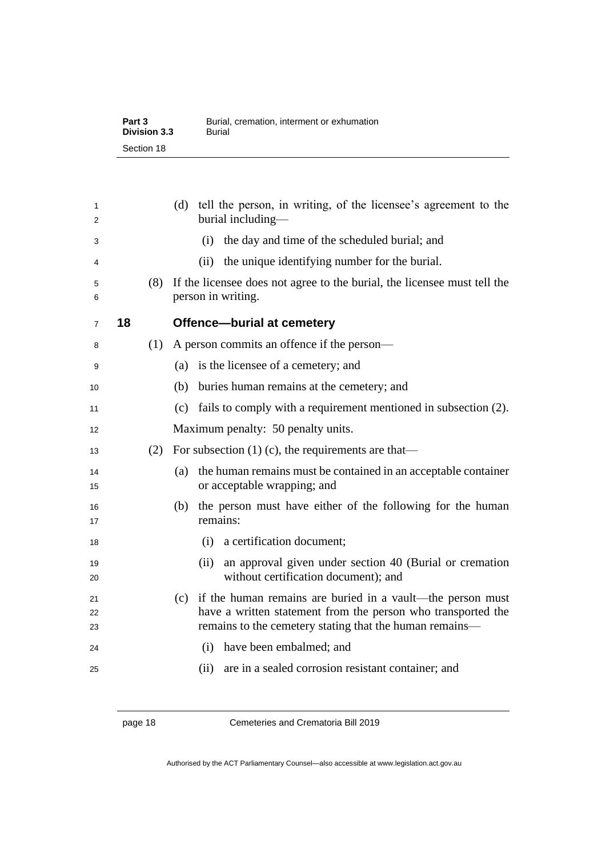| Part 3       | Burial, cremation, interment or exhumation |
|--------------|--------------------------------------------|
| Division 3.3 | Burial                                     |
| Section 18   |                                            |

<span id="page-25-0"></span>

| 1<br>2         |    |     | tell the person, in writing, of the licensee's agreement to the<br>(d)<br>burial including—                                                                                               |
|----------------|----|-----|-------------------------------------------------------------------------------------------------------------------------------------------------------------------------------------------|
| 3              |    |     | the day and time of the scheduled burial; and<br>(i)                                                                                                                                      |
| 4              |    |     | the unique identifying number for the burial.<br>(ii)                                                                                                                                     |
| 5<br>6         |    | (8) | If the licensee does not agree to the burial, the licensee must tell the<br>person in writing.                                                                                            |
| $\overline{7}$ | 18 |     | <b>Offence-burial at cemetery</b>                                                                                                                                                         |
| 8              |    | (1) | A person commits an offence if the person—                                                                                                                                                |
| 9              |    |     | (a) is the licensee of a cemetery; and                                                                                                                                                    |
| 10             |    |     | buries human remains at the cemetery; and<br>(b)                                                                                                                                          |
| 11             |    |     | (c) fails to comply with a requirement mentioned in subsection (2).                                                                                                                       |
| 12             |    |     | Maximum penalty: 50 penalty units.                                                                                                                                                        |
| 13             |    | (2) | For subsection $(1)$ (c), the requirements are that—                                                                                                                                      |
| 14<br>15       |    |     | (a) the human remains must be contained in an acceptable container<br>or acceptable wrapping; and                                                                                         |
| 16<br>17       |    |     | the person must have either of the following for the human<br>(b)<br>remains:                                                                                                             |
| 18             |    |     | a certification document;<br>(i)                                                                                                                                                          |
| 19<br>20       |    |     | an approval given under section 40 (Burial or cremation<br>(ii)<br>without certification document); and                                                                                   |
| 21<br>22<br>23 |    |     | (c) if the human remains are buried in a vault—the person must<br>have a written statement from the person who transported the<br>remains to the cemetery stating that the human remains- |
| 24             |    |     | (i) have been embalmed; and                                                                                                                                                               |
| 25             |    |     | are in a sealed corrosion resistant container; and<br>(ii)                                                                                                                                |

page 18 Cemeteries and Crematoria Bill 2019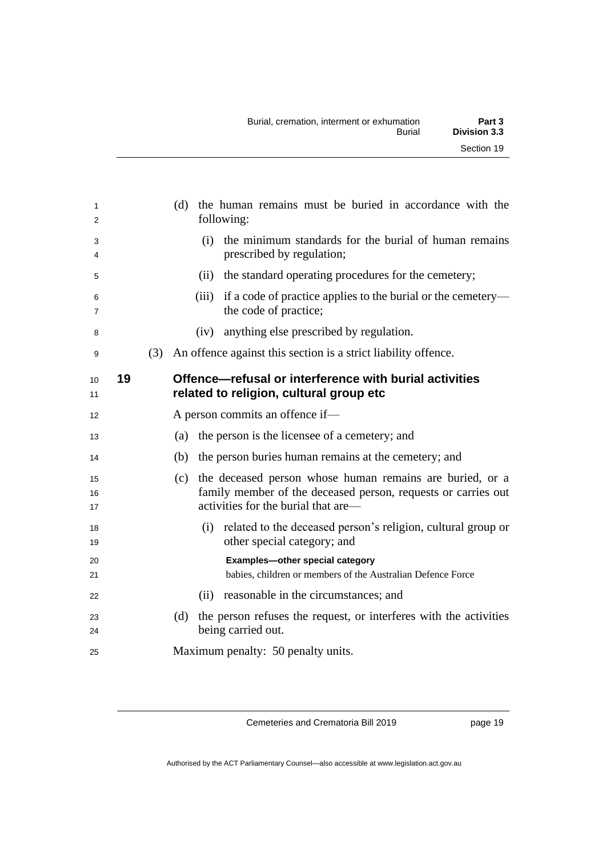<span id="page-26-0"></span>

| 1<br>2              |    |     | (d) the human remains must be buried in accordance with the<br>following:                                                                                               |
|---------------------|----|-----|-------------------------------------------------------------------------------------------------------------------------------------------------------------------------|
| 3<br>4              |    |     | the minimum standards for the burial of human remains<br>(i)<br>prescribed by regulation;                                                                               |
| 5                   |    |     | (ii) the standard operating procedures for the cemetery;                                                                                                                |
| 6<br>$\overline{7}$ |    |     | if a code of practice applies to the burial or the cemetery—<br>(iii)<br>the code of practice;                                                                          |
| 8                   |    |     | anything else prescribed by regulation.<br>(iv)                                                                                                                         |
| 9                   |    | (3) | An offence against this section is a strict liability offence.                                                                                                          |
| 10<br>11            | 19 |     | Offence—refusal or interference with burial activities<br>related to religion, cultural group etc                                                                       |
| 12                  |    |     | A person commits an offence if-                                                                                                                                         |
| 13                  |    |     | the person is the licensee of a cemetery; and<br>(a)                                                                                                                    |
| 14                  |    |     | (b)<br>the person buries human remains at the cemetery; and                                                                                                             |
| 15<br>16<br>17      |    |     | the deceased person whose human remains are buried, or a<br>(c)<br>family member of the deceased person, requests or carries out<br>activities for the burial that are— |
| 18<br>19            |    |     | (i) related to the deceased person's religion, cultural group or<br>other special category; and                                                                         |
| 20<br>21            |    |     | Examples-other special category<br>babies, children or members of the Australian Defence Force                                                                          |
| 22                  |    |     | reasonable in the circumstances; and<br>(ii)                                                                                                                            |
| 23<br>24            |    |     | the person refuses the request, or interferes with the activities<br>(d)<br>being carried out.                                                                          |
| 25                  |    |     | Maximum penalty: 50 penalty units.                                                                                                                                      |

page 19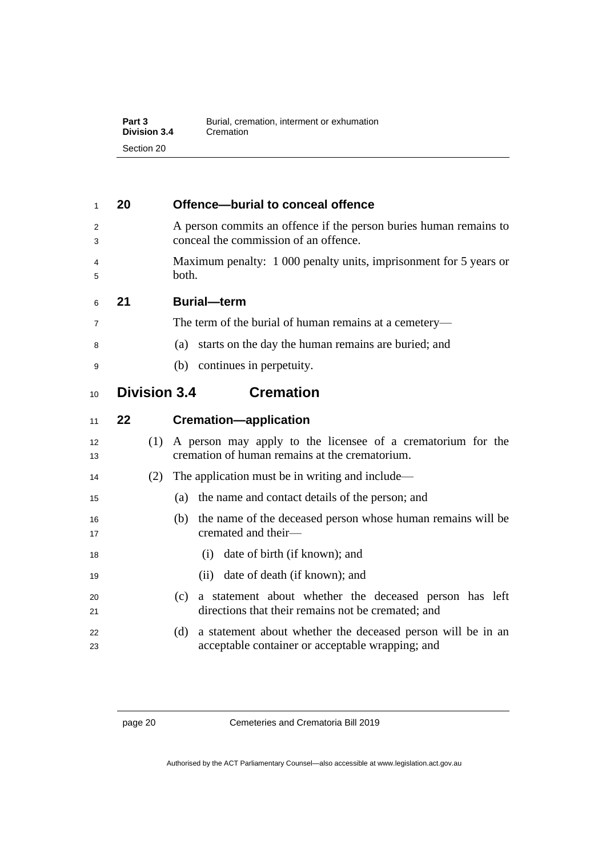| Part 3       | Burial, cremation, interment or exhumation |
|--------------|--------------------------------------------|
| Division 3.4 | Cremation                                  |
| Section 20   |                                            |

#### <span id="page-27-0"></span>**20 Offence—burial to conceal offence**

- A person commits an offence if the person buries human remains to conceal the commission of an offence.
- Maximum penalty: 1 000 penalty units, imprisonment for 5 years or both.

<span id="page-27-1"></span>

|  | 21 | <b>Burial-term</b> |
|--|----|--------------------|
|--|----|--------------------|

- The term of the burial of human remains at a cemetery—
- (a) starts on the day the human remains are buried; and
- <span id="page-27-2"></span>(b) continues in perpetuity.
- **Division 3.4 Cremation**

<span id="page-27-3"></span>

| 1 V                     | דוס ווטוטוזוט | UI VIIIUUVII                                                                                                           |
|-------------------------|---------------|------------------------------------------------------------------------------------------------------------------------|
| 11                      | $22 \,$       | <b>Cremation-application</b>                                                                                           |
| $12 \overline{ }$<br>13 | (1)           | A person may apply to the licensee of a crematorium for the<br>cremation of human remains at the crematorium.          |
| 14                      | (2)           | The application must be in writing and include—                                                                        |
| 15                      |               | the name and contact details of the person; and<br>(a)                                                                 |
| 16<br>17                |               | the name of the deceased person whose human remains will be<br>(b)<br>cremated and their-                              |
| 18                      |               | (i) date of birth (if known); and                                                                                      |
| 19                      |               | (ii) date of death (if known); and                                                                                     |
| 20<br>21                |               | a statement about whether the deceased person has left<br>(c)<br>directions that their remains not be cremated; and    |
| 22<br>23                |               | a statement about whether the deceased person will be in an<br>(d)<br>acceptable container or acceptable wrapping; and |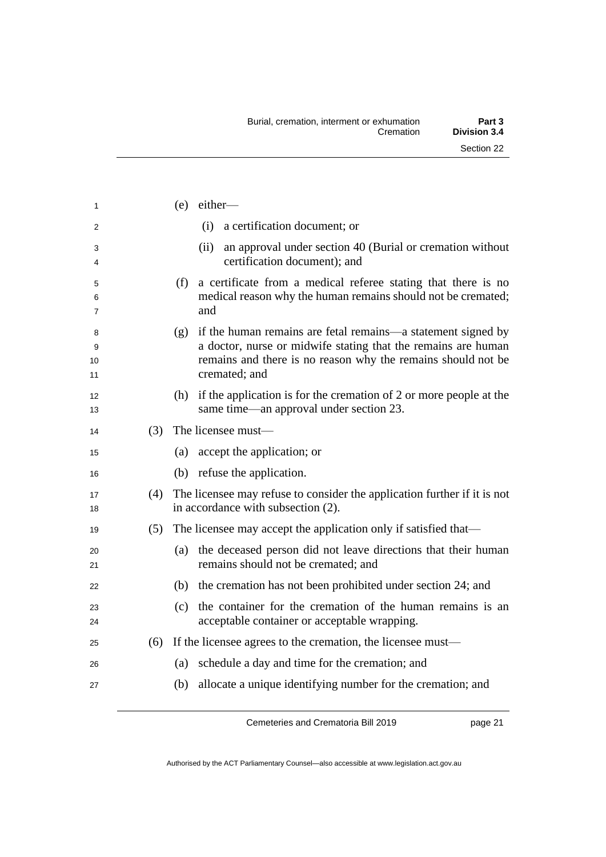| 1                  |     | $(e)$ either-                                                                                                                                                                                                      |
|--------------------|-----|--------------------------------------------------------------------------------------------------------------------------------------------------------------------------------------------------------------------|
| 2                  |     | (i)<br>a certification document; or                                                                                                                                                                                |
| 3<br>4             |     | an approval under section 40 (Burial or cremation without<br>(ii)<br>certification document); and                                                                                                                  |
| 5<br>6<br>7        |     | a certificate from a medical referee stating that there is no<br>(f)<br>medical reason why the human remains should not be cremated;<br>and                                                                        |
| 8<br>9<br>10<br>11 |     | (g) if the human remains are fetal remains—a statement signed by<br>a doctor, nurse or midwife stating that the remains are human<br>remains and there is no reason why the remains should not be<br>cremated; and |
| 12<br>13           |     | (h) if the application is for the cremation of 2 or more people at the<br>same time—an approval under section 23.                                                                                                  |
| 14                 | (3) | The licensee must-                                                                                                                                                                                                 |
| 15                 |     | (a) accept the application; or                                                                                                                                                                                     |
| 16                 |     | (b) refuse the application.                                                                                                                                                                                        |
| 17<br>18           | (4) | The licensee may refuse to consider the application further if it is not<br>in accordance with subsection (2).                                                                                                     |
| 19                 | (5) | The licensee may accept the application only if satisfied that—                                                                                                                                                    |
| 20<br>21           |     | (a) the deceased person did not leave directions that their human<br>remains should not be cremated; and                                                                                                           |
| 22                 |     | (b) the cremation has not been prohibited under section 24; and                                                                                                                                                    |
| 23<br>24           |     | the container for the cremation of the human remains is an<br>(c)<br>acceptable container or acceptable wrapping.                                                                                                  |
| 25                 | (6) | If the licensee agrees to the cremation, the licensee must—                                                                                                                                                        |
| 26                 |     | schedule a day and time for the cremation; and<br>(a)                                                                                                                                                              |
| 27                 |     | allocate a unique identifying number for the cremation; and<br>(b)                                                                                                                                                 |
|                    |     |                                                                                                                                                                                                                    |

page 21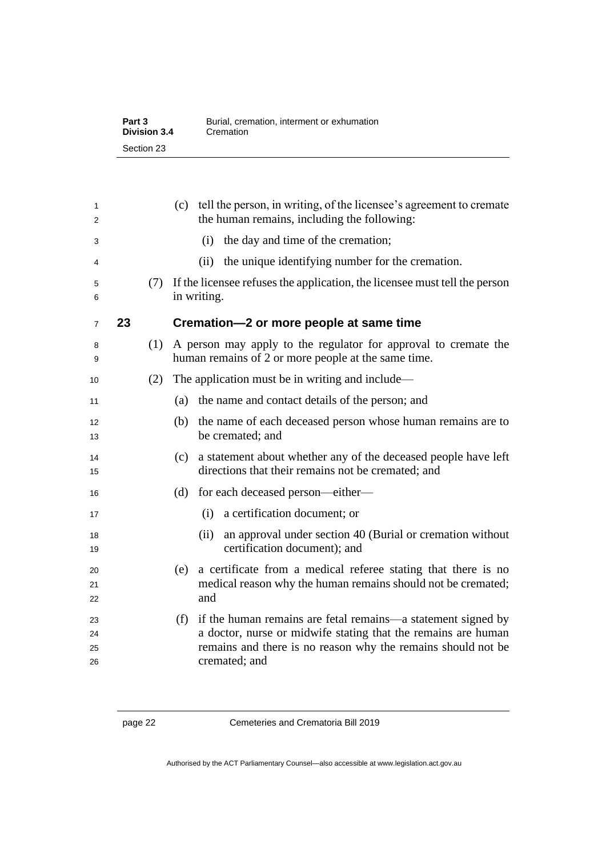| Part 3       | Burial, cremation, interment or exhumation |
|--------------|--------------------------------------------|
| Division 3.4 | Cremation                                  |
| Section 23   |                                            |

<span id="page-29-0"></span>

| 1<br>2               |    |     | (c) tell the person, in writing, of the licensee's agreement to cremate<br>the human remains, including the following:                                                                                                |
|----------------------|----|-----|-----------------------------------------------------------------------------------------------------------------------------------------------------------------------------------------------------------------------|
| 3                    |    |     | the day and time of the cremation;<br>(i)                                                                                                                                                                             |
| 4                    |    |     | the unique identifying number for the cremation.<br>(ii)                                                                                                                                                              |
| 5<br>6               |    | (7) | If the licensee refuses the application, the licensee must tell the person<br>in writing.                                                                                                                             |
| $\overline{7}$       | 23 |     | Cremation-2 or more people at same time                                                                                                                                                                               |
| 8<br>9               |    | (1) | A person may apply to the regulator for approval to cremate the<br>human remains of 2 or more people at the same time.                                                                                                |
| 10                   |    | (2) | The application must be in writing and include—                                                                                                                                                                       |
| 11                   |    |     | the name and contact details of the person; and<br>(a)                                                                                                                                                                |
| 12<br>13             |    |     | (b)<br>the name of each deceased person whose human remains are to<br>be cremated; and                                                                                                                                |
| 14<br>15             |    |     | a statement about whether any of the deceased people have left<br>(c)<br>directions that their remains not be cremated; and                                                                                           |
| 16                   |    |     | for each deceased person—either—<br>(d)                                                                                                                                                                               |
| 17                   |    |     | (i) a certification document; or                                                                                                                                                                                      |
| 18<br>19             |    |     | an approval under section 40 (Burial or cremation without<br>(ii)<br>certification document); and                                                                                                                     |
| 20<br>21<br>22       |    |     | a certificate from a medical referee stating that there is no<br>(e)<br>medical reason why the human remains should not be cremated;<br>and                                                                           |
| 23<br>24<br>25<br>26 |    |     | if the human remains are fetal remains—a statement signed by<br>(f)<br>a doctor, nurse or midwife stating that the remains are human<br>remains and there is no reason why the remains should not be<br>cremated; and |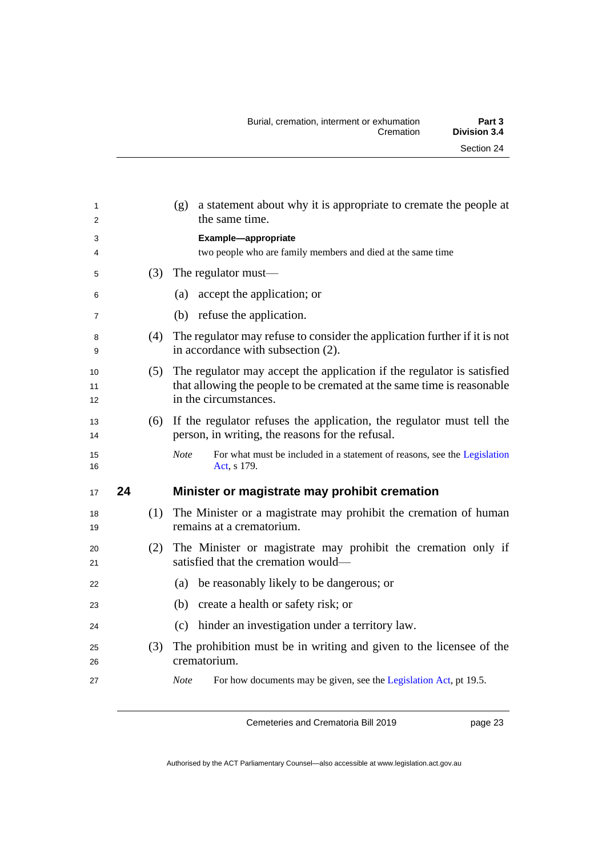<span id="page-30-0"></span>

| 1              |    |     | a statement about why it is appropriate to cremate the people at<br>(g)<br>the same time.                                                                                 |
|----------------|----|-----|---------------------------------------------------------------------------------------------------------------------------------------------------------------------------|
| $\overline{2}$ |    |     |                                                                                                                                                                           |
| 3              |    |     | Example-appropriate                                                                                                                                                       |
| 4              |    |     | two people who are family members and died at the same time                                                                                                               |
| 5              |    | (3) | The regulator must—                                                                                                                                                       |
| 6              |    |     | accept the application; or<br>(a)                                                                                                                                         |
| $\overline{7}$ |    |     | (b) refuse the application.                                                                                                                                               |
| 8<br>9         |    | (4) | The regulator may refuse to consider the application further if it is not<br>in accordance with subsection (2).                                                           |
| 10<br>11<br>12 |    | (5) | The regulator may accept the application if the regulator is satisfied<br>that allowing the people to be cremated at the same time is reasonable<br>in the circumstances. |
|                |    |     |                                                                                                                                                                           |
| 13<br>14       |    | (6) | If the regulator refuses the application, the regulator must tell the<br>person, in writing, the reasons for the refusal.                                                 |
| 15<br>16       |    |     | <b>Note</b><br>For what must be included in a statement of reasons, see the Legislation<br>Act, s 179.                                                                    |
| 17             | 24 |     | Minister or magistrate may prohibit cremation                                                                                                                             |
| 18<br>19       |    | (1) | The Minister or a magistrate may prohibit the cremation of human<br>remains at a crematorium.                                                                             |
| 20<br>21       |    |     | (2) The Minister or magistrate may prohibit the cremation only if<br>satisfied that the cremation would—                                                                  |
| 22             |    |     | be reasonably likely to be dangerous; or<br>(a)                                                                                                                           |
| 23             |    |     | create a health or safety risk; or<br>(b)                                                                                                                                 |
| 24             |    |     | hinder an investigation under a territory law.<br>(c)                                                                                                                     |
| 25<br>26       |    | (3) | The prohibition must be in writing and given to the licensee of the<br>crematorium.                                                                                       |
|                |    |     |                                                                                                                                                                           |
| 27             |    |     | For how documents may be given, see the Legislation Act, pt 19.5.<br><b>Note</b>                                                                                          |

page 23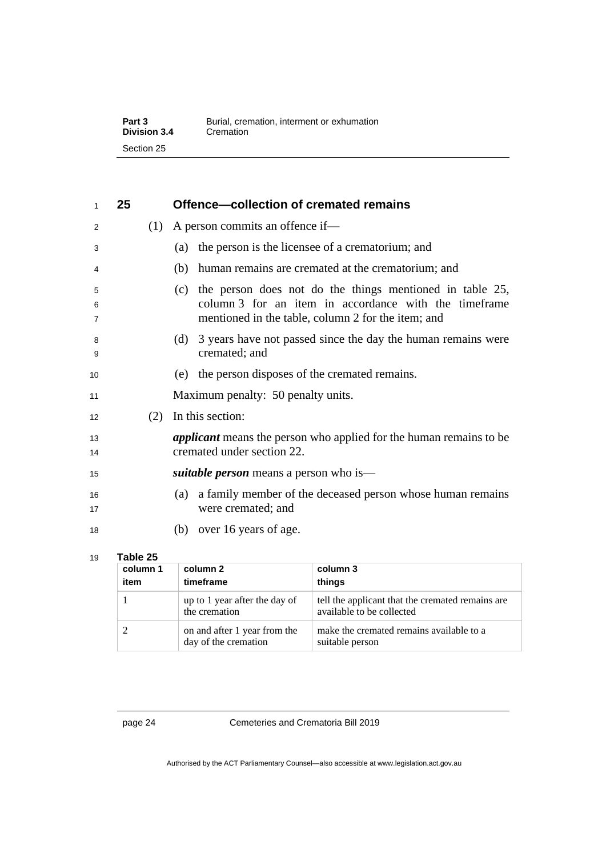| Part 3              | Burial, cremation, interment or exhumation |
|---------------------|--------------------------------------------|
| <b>Division 3.4</b> | Cremation                                  |
| Section 25          |                                            |

<span id="page-31-0"></span>

| 1                        | 25 |     | Offence-collection of cremated remains                                                                                                                                         |  |  |  |
|--------------------------|----|-----|--------------------------------------------------------------------------------------------------------------------------------------------------------------------------------|--|--|--|
| 2                        |    | (1) | A person commits an offence if—                                                                                                                                                |  |  |  |
| 3                        |    |     | the person is the licensee of a crematorium; and<br>(a)                                                                                                                        |  |  |  |
| 4                        |    |     | human remains are cremated at the crematorium; and<br>(b)                                                                                                                      |  |  |  |
| 5<br>6<br>$\overline{7}$ |    |     | the person does not do the things mentioned in table 25,<br>(c)<br>column 3 for an item in accordance with the timeframe<br>mentioned in the table, column 2 for the item; and |  |  |  |
| 8<br>9                   |    |     | 3 years have not passed since the day the human remains were<br>(d)<br>cremated; and                                                                                           |  |  |  |
| 10                       |    |     | the person disposes of the cremated remains.<br>(e)                                                                                                                            |  |  |  |
| 11                       |    |     | Maximum penalty: 50 penalty units.                                                                                                                                             |  |  |  |
| 12                       |    | (2) | In this section:                                                                                                                                                               |  |  |  |
| 13<br>14                 |    |     | <i>applicant</i> means the person who applied for the human remains to be<br>cremated under section 22.                                                                        |  |  |  |
| 15                       |    |     | <i>suitable person</i> means a person who is—                                                                                                                                  |  |  |  |
| 16<br>17                 |    |     | a family member of the deceased person whose human remains<br>(a)<br>were cremated; and                                                                                        |  |  |  |
| 18                       |    |     | over 16 years of age.<br>(b)                                                                                                                                                   |  |  |  |

### 19 **Table 25**

| column 1<br>item | column 2<br>timeframe                                | column 3<br>things                                                            |
|------------------|------------------------------------------------------|-------------------------------------------------------------------------------|
|                  | up to 1 year after the day of<br>the cremation       | tell the applicant that the cremated remains are<br>available to be collected |
|                  | on and after 1 year from the<br>day of the cremation | make the cremated remains available to a<br>suitable person                   |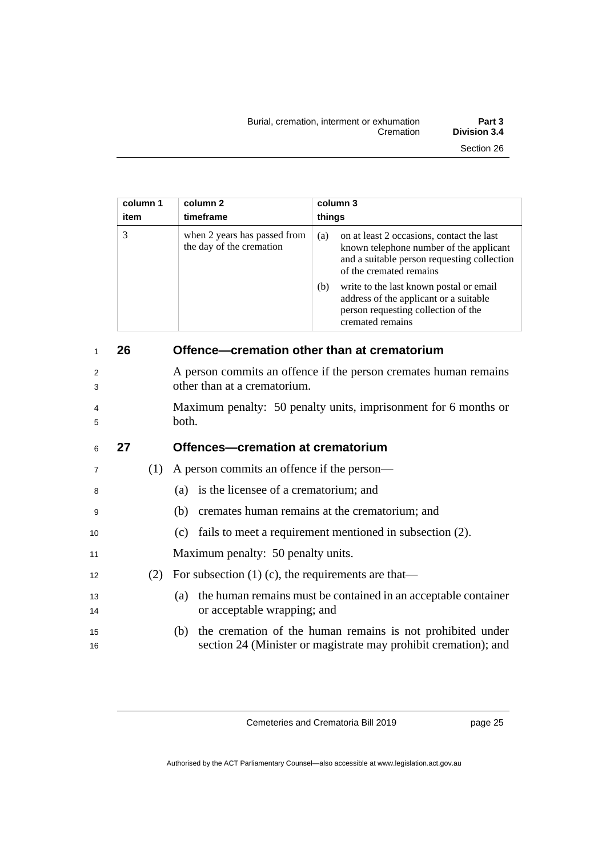| Burial, cremation, interment or exhumation<br>Cremation | Part 3<br><b>Division 3.4</b> |
|---------------------------------------------------------|-------------------------------|
|                                                         | Section 26                    |

| column 1<br>item | column 2<br>timeframe                                    | column 3<br>things                                                                                                                                                    |
|------------------|----------------------------------------------------------|-----------------------------------------------------------------------------------------------------------------------------------------------------------------------|
| 3                | when 2 years has passed from<br>the day of the cremation | on at least 2 occasions, contact the last<br>(a)<br>known telephone number of the applicant<br>and a suitable person requesting collection<br>of the cremated remains |
|                  |                                                          | write to the last known postal or email<br>(b)<br>address of the applicant or a suitable<br>person requesting collection of the<br>cremated remains                   |

<span id="page-32-1"></span><span id="page-32-0"></span>

| 1        | 26 |     | Offence-cremation other than at crematorium                                                                                       |
|----------|----|-----|-----------------------------------------------------------------------------------------------------------------------------------|
| 2<br>3   |    |     | A person commits an offence if the person cremates human remains<br>other than at a crematorium.                                  |
| 4<br>5   |    |     | Maximum penalty: 50 penalty units, imprisonment for 6 months or<br>both.                                                          |
| 6        | 27 |     | Offences-cremation at crematorium                                                                                                 |
| 7        |    | (1) | A person commits an offence if the person—                                                                                        |
| 8        |    |     | (a) is the licensee of a crematorium; and                                                                                         |
| 9        |    |     | (b) cremates human remains at the crematorium; and                                                                                |
| 10       |    |     | (c) fails to meet a requirement mentioned in subsection (2).                                                                      |
| 11       |    |     | Maximum penalty: 50 penalty units.                                                                                                |
| 12       |    | (2) | For subsection $(1)$ (c), the requirements are that—                                                                              |
| 13<br>14 |    |     | the human remains must be contained in an acceptable container<br>(a)<br>or acceptable wrapping; and                              |
| 15<br>16 |    |     | (b) the cremation of the human remains is not prohibited under<br>section 24 (Minister or magistrate may prohibit cremation); and |

page 25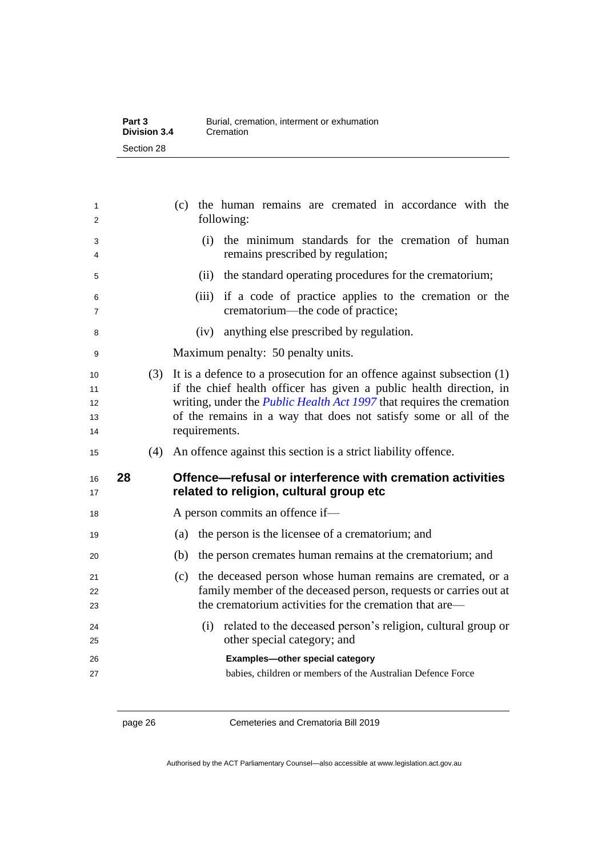| Part 3       | Burial, cremation, interment or exhumation |
|--------------|--------------------------------------------|
| Division 3.4 | Cremation                                  |
| Section 28   |                                            |

| 1<br>2                     |    |     | (c) the human remains are cremated in accordance with the<br>following:                                                                                                                                                                                                                                              |
|----------------------------|----|-----|----------------------------------------------------------------------------------------------------------------------------------------------------------------------------------------------------------------------------------------------------------------------------------------------------------------------|
| 3<br>4                     |    |     | (i) the minimum standards for the cremation of human<br>remains prescribed by regulation;                                                                                                                                                                                                                            |
| 5                          |    |     | (ii) the standard operating procedures for the crematorium;                                                                                                                                                                                                                                                          |
| 6<br>7                     |    |     | (iii) if a code of practice applies to the cremation or the<br>crematorium—the code of practice;                                                                                                                                                                                                                     |
| 8                          |    |     | (iv) anything else prescribed by regulation.                                                                                                                                                                                                                                                                         |
| 9                          |    |     | Maximum penalty: 50 penalty units.                                                                                                                                                                                                                                                                                   |
| 10<br>11<br>12<br>13<br>14 |    | (3) | It is a defence to a prosecution for an offence against subsection $(1)$<br>if the chief health officer has given a public health direction, in<br>writing, under the <i>Public Health Act 1997</i> that requires the cremation<br>of the remains in a way that does not satisfy some or all of the<br>requirements. |
|                            |    |     |                                                                                                                                                                                                                                                                                                                      |
| 15                         |    | (4) | An offence against this section is a strict liability offence.                                                                                                                                                                                                                                                       |
| 16<br>17                   | 28 |     | Offence-refusal or interference with cremation activities<br>related to religion, cultural group etc                                                                                                                                                                                                                 |
| 18                         |    |     | A person commits an offence if-                                                                                                                                                                                                                                                                                      |
| 19                         |    |     | the person is the licensee of a crematorium; and<br>(a)                                                                                                                                                                                                                                                              |
| 20                         |    |     | (b)<br>the person cremates human remains at the crematorium; and                                                                                                                                                                                                                                                     |
| 21<br>22<br>23             |    |     | (c) the deceased person whose human remains are cremated, or a<br>family member of the deceased person, requests or carries out at<br>the crematorium activities for the cremation that are—                                                                                                                         |
| 24<br>25                   |    |     | (i) related to the deceased person's religion, cultural group or<br>other special category; and                                                                                                                                                                                                                      |

<span id="page-33-0"></span>page 26 Cemeteries and Crematoria Bill 2019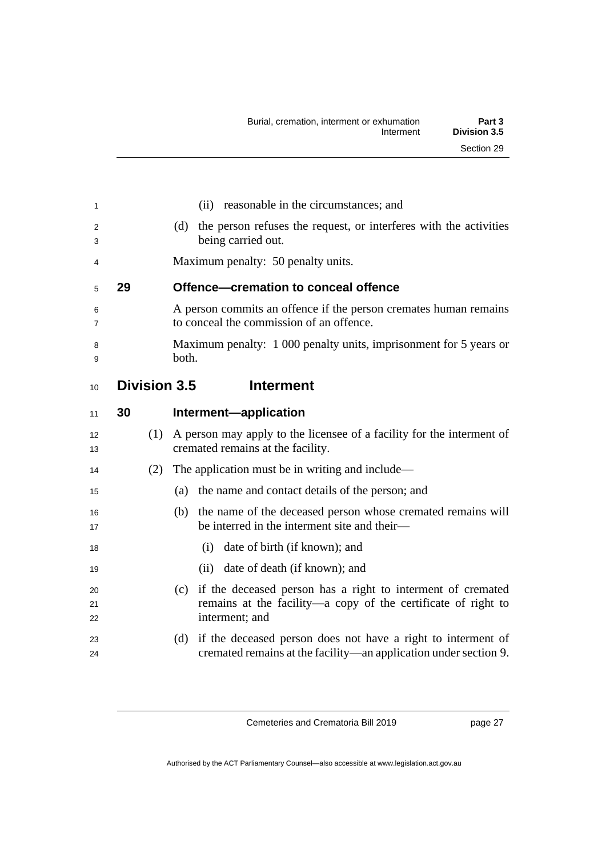<span id="page-34-2"></span><span id="page-34-1"></span><span id="page-34-0"></span>

| 1        |    |     | (ii) reasonable in the circumstances; and                                                                       |
|----------|----|-----|-----------------------------------------------------------------------------------------------------------------|
| 2        |    |     | the person refuses the request, or interferes with the activities<br>(d)<br>being carried out.                  |
| 3        |    |     |                                                                                                                 |
| 4        |    |     | Maximum penalty: 50 penalty units.                                                                              |
| 5        | 29 |     | Offence-cremation to conceal offence                                                                            |
| 6<br>7   |    |     | A person commits an offence if the person cremates human remains<br>to conceal the commission of an offence.    |
| 8<br>9   |    |     | Maximum penalty: 1 000 penalty units, imprisonment for 5 years or<br>both.                                      |
| 10       |    |     | <b>Division 3.5</b><br><b>Interment</b>                                                                         |
| 11       | 30 |     | Interment-application                                                                                           |
| 12<br>13 |    | (1) | A person may apply to the licensee of a facility for the interment of<br>cremated remains at the facility.      |
| 14       |    | (2) | The application must be in writing and include—                                                                 |
| 15       |    |     | the name and contact details of the person; and<br>(a)                                                          |
| 16<br>17 |    |     | (b) the name of the deceased person whose cremated remains will<br>be interred in the interment site and their- |
| 18       |    |     | (i) date of birth (if known); and                                                                               |
| 19       |    |     | (ii) date of death (if known); and                                                                              |
| 20       |    |     | (c) if the deceased person has a right to interment of cremated                                                 |
| 21<br>22 |    |     | remains at the facility—a copy of the certificate of right to<br>interment; and                                 |
| 23       |    |     | if the deceased person does not have a right to interment of<br>(d)                                             |
| 24       |    |     | cremated remains at the facility—an application under section 9.                                                |

page 27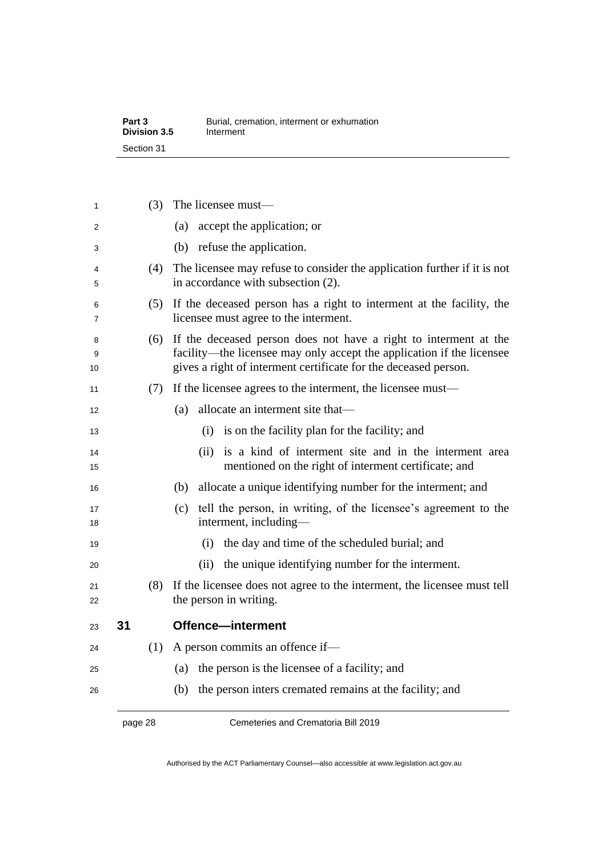| Part 3       | Burial, cremation, interment or exhumation |
|--------------|--------------------------------------------|
| Division 3.5 | Interment                                  |
| Section 31   |                                            |

| 1            |    | (3) | The licensee must-                                                                                                                                                                                           |
|--------------|----|-----|--------------------------------------------------------------------------------------------------------------------------------------------------------------------------------------------------------------|
| 2            |    |     | accept the application; or<br>(a)                                                                                                                                                                            |
| 3            |    |     | (b) refuse the application.                                                                                                                                                                                  |
| 4<br>5       |    | (4) | The licensee may refuse to consider the application further if it is not<br>in accordance with subsection (2).                                                                                               |
| 6<br>7       |    | (5) | If the deceased person has a right to interment at the facility, the<br>licensee must agree to the interment.                                                                                                |
| 8<br>9<br>10 |    | (6) | If the deceased person does not have a right to interment at the<br>facility—the licensee may only accept the application if the licensee<br>gives a right of interment certificate for the deceased person. |
| 11           |    | (7) | If the licensee agrees to the interment, the licensee must—                                                                                                                                                  |
| 12           |    |     | allocate an interment site that—<br>(a)                                                                                                                                                                      |
| 13           |    |     | (i) is on the facility plan for the facility; and                                                                                                                                                            |
| 14<br>15     |    |     | is a kind of interment site and in the interment area<br>(ii)<br>mentioned on the right of interment certificate; and                                                                                        |
| 16           |    |     | allocate a unique identifying number for the interment; and<br>(b)                                                                                                                                           |
| 17<br>18     |    |     | tell the person, in writing, of the licensee's agreement to the<br>(c)<br>interment, including-                                                                                                              |
| 19           |    |     | the day and time of the scheduled burial; and<br>(i)                                                                                                                                                         |
| 20           |    |     | the unique identifying number for the interment.<br>(ii)                                                                                                                                                     |
| 21<br>22     |    | (8) | If the licensee does not agree to the interment, the licensee must tell<br>the person in writing.                                                                                                            |
| 23           | 31 |     | Offence-interment                                                                                                                                                                                            |
| 24           |    | (1) | A person commits an offence if-                                                                                                                                                                              |
| 25           |    |     | the person is the licensee of a facility; and<br>(a)                                                                                                                                                         |
| 26           |    |     | the person inters cremated remains at the facility; and<br>(b)                                                                                                                                               |
|              |    |     |                                                                                                                                                                                                              |

<span id="page-35-0"></span>page 28 Cemeteries and Crematoria Bill 2019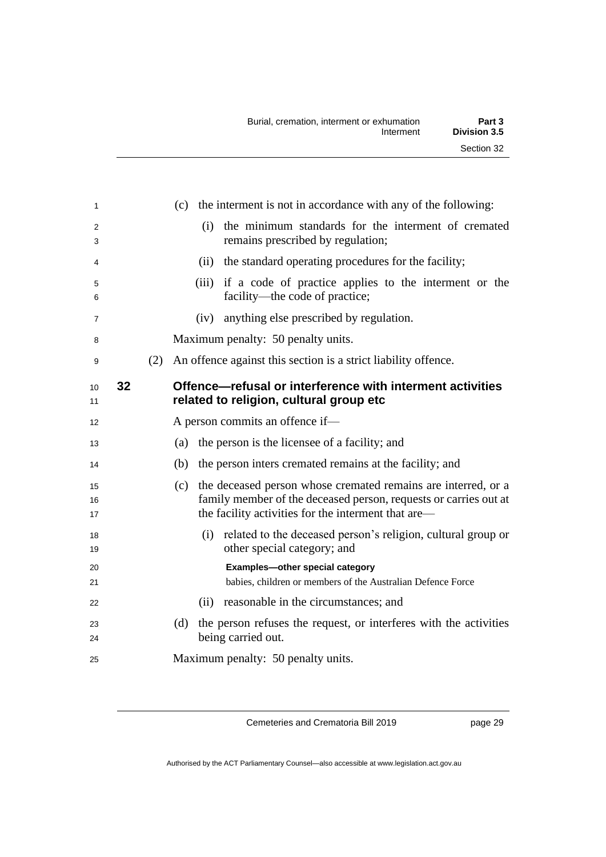| 1                   |    |     | (c) the interment is not in accordance with any of the following:                                                                                                                               |
|---------------------|----|-----|-------------------------------------------------------------------------------------------------------------------------------------------------------------------------------------------------|
| $\overline{2}$<br>3 |    |     | (i) the minimum standards for the interment of cremated<br>remains prescribed by regulation;                                                                                                    |
| 4                   |    |     | (ii) the standard operating procedures for the facility;                                                                                                                                        |
| 5<br>6              |    |     | (iii) if a code of practice applies to the interment or the<br>facility—the code of practice;                                                                                                   |
| $\overline{7}$      |    |     | (iv) anything else prescribed by regulation.                                                                                                                                                    |
| 8                   |    |     | Maximum penalty: 50 penalty units.                                                                                                                                                              |
| 9                   |    | (2) | An offence against this section is a strict liability offence.                                                                                                                                  |
| 10<br>11            | 32 |     | Offence-refusal or interference with interment activities<br>related to religion, cultural group etc                                                                                            |
| 12                  |    |     | A person commits an offence if-                                                                                                                                                                 |
| 13                  |    |     | the person is the licensee of a facility; and<br>(a)                                                                                                                                            |
| 14                  |    |     | the person inters cremated remains at the facility; and<br>(b)                                                                                                                                  |
| 15<br>16<br>17      |    |     | the deceased person whose cremated remains are interred, or a<br>(c)<br>family member of the deceased person, requests or carries out at<br>the facility activities for the interment that are— |
| 18<br>19            |    |     | (i) related to the deceased person's religion, cultural group or<br>other special category; and                                                                                                 |
| 20<br>21            |    |     | Examples-other special category<br>babies, children or members of the Australian Defence Force                                                                                                  |
| 22                  |    |     | (ii) reasonable in the circumstances; and                                                                                                                                                       |
| 23<br>24            |    |     | the person refuses the request, or interferes with the activities<br>(d)<br>being carried out.                                                                                                  |
| 25                  |    |     | Maximum penalty: 50 penalty units.                                                                                                                                                              |

page 29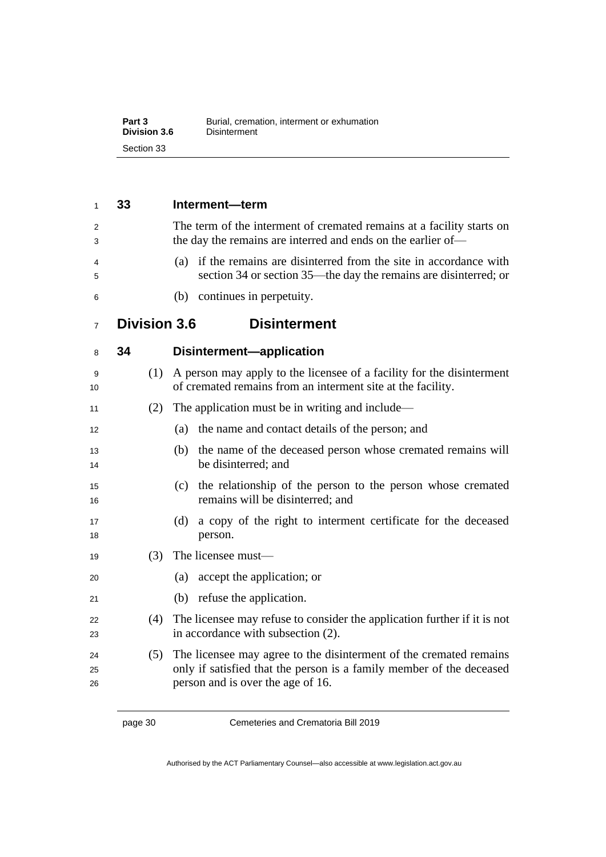| Part 3       | Burial, cremation, interment or exhumation |
|--------------|--------------------------------------------|
| Division 3.6 | Disinterment                               |
| Section 33   |                                            |

| 1              | 33                  | Interment-term                                                                                                                                                                  |
|----------------|---------------------|---------------------------------------------------------------------------------------------------------------------------------------------------------------------------------|
| 2<br>3         |                     | The term of the interment of cremated remains at a facility starts on<br>the day the remains are interred and ends on the earlier of-                                           |
| 4<br>5         |                     | (a) if the remains are disinterred from the site in accordance with<br>section 34 or section 35—the day the remains are disinterred; or                                         |
| 6              |                     | (b) continues in perpetuity.                                                                                                                                                    |
| $\overline{7}$ | <b>Division 3.6</b> | <b>Disinterment</b>                                                                                                                                                             |
| 8              | 34                  | Disinterment-application                                                                                                                                                        |
| 9<br>10        | (1)                 | A person may apply to the licensee of a facility for the disinterment<br>of cremated remains from an interment site at the facility.                                            |
| 11             | (2)                 | The application must be in writing and include—                                                                                                                                 |
| 12             |                     | the name and contact details of the person; and<br>(a)                                                                                                                          |
| 13<br>14       |                     | the name of the deceased person whose cremated remains will<br>(b)<br>be disinterred; and                                                                                       |
| 15<br>16       |                     | (c) the relationship of the person to the person whose cremated<br>remains will be disinterred; and                                                                             |
| 17<br>18       |                     | a copy of the right to interment certificate for the deceased<br>(d)<br>person.                                                                                                 |
| 19             | (3)                 | The licensee must-                                                                                                                                                              |
| 20             |                     | accept the application; or<br>(a)                                                                                                                                               |
| 21             |                     | refuse the application.<br>(b)                                                                                                                                                  |
| 22<br>23       | (4)                 | The licensee may refuse to consider the application further if it is not<br>in accordance with subsection (2).                                                                  |
| 24<br>25<br>26 | (5)                 | The licensee may agree to the disinterment of the cremated remains<br>only if satisfied that the person is a family member of the deceased<br>person and is over the age of 16. |

page 30 Cemeteries and Crematoria Bill 2019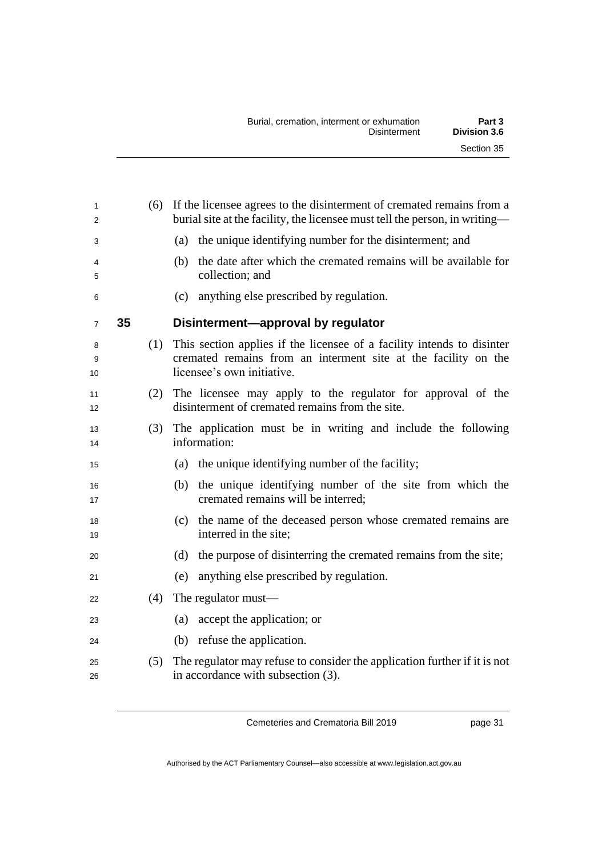| 1<br>$\overline{2}$ |    |     | (6) If the licensee agrees to the disinterment of cremated remains from a<br>burial site at the facility, the licensee must tell the person, in writing-                   |
|---------------------|----|-----|----------------------------------------------------------------------------------------------------------------------------------------------------------------------------|
| 3                   |    |     | (a) the unique identifying number for the disinterment; and                                                                                                                |
| 4<br>5              |    |     | the date after which the cremated remains will be available for<br>(b)<br>collection; and                                                                                  |
| 6                   |    |     | anything else prescribed by regulation.<br>(c)                                                                                                                             |
| $\overline{7}$      | 35 |     | Disinterment-approval by regulator                                                                                                                                         |
| 8<br>9<br>10        |    |     | (1) This section applies if the licensee of a facility intends to disinter<br>cremated remains from an interment site at the facility on the<br>licensee's own initiative. |
| 11<br>12            |    |     | (2) The licensee may apply to the regulator for approval of the<br>disinterment of cremated remains from the site.                                                         |
| 13<br>14            |    | (3) | The application must be in writing and include the following<br>information:                                                                                               |
| 15                  |    |     | the unique identifying number of the facility;<br>(a)                                                                                                                      |
| 16<br>17            |    |     | the unique identifying number of the site from which the<br>(b)<br>cremated remains will be interred;                                                                      |
| 18<br>19            |    |     | the name of the deceased person whose cremated remains are<br>(c)<br>interred in the site;                                                                                 |
| 20                  |    |     | the purpose of disinterring the cremated remains from the site;<br>(d)                                                                                                     |
| 21                  |    |     | anything else prescribed by regulation.<br>(e)                                                                                                                             |
| 22                  |    | (4) | The regulator must—                                                                                                                                                        |
| 23                  |    |     | accept the application; or<br>(a)                                                                                                                                          |
| 24                  |    |     | (b) refuse the application.                                                                                                                                                |
| 25<br>26            |    | (5) | The regulator may refuse to consider the application further if it is not<br>in accordance with subsection (3).                                                            |
|                     |    |     |                                                                                                                                                                            |

page 31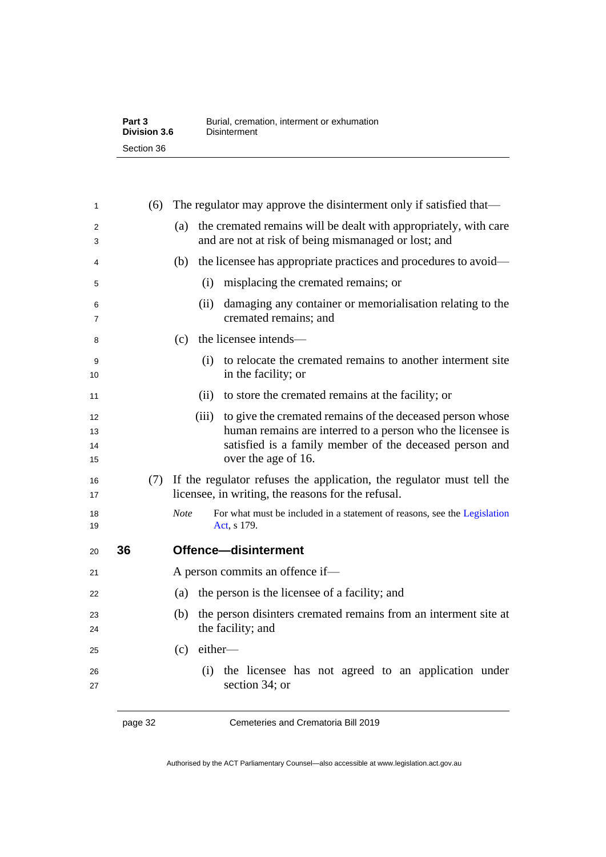| Part 3       | Burial, cremation, interment or exhumation |
|--------------|--------------------------------------------|
| Division 3.6 | Disinterment                               |
| Section 36   |                                            |

| 1                    |    | (6) | The regulator may approve the disinterment only if satisfied that—                                                                                                                                              |
|----------------------|----|-----|-----------------------------------------------------------------------------------------------------------------------------------------------------------------------------------------------------------------|
| 2<br>3               |    |     | the cremated remains will be dealt with appropriately, with care<br>(a)<br>and are not at risk of being mismanaged or lost; and                                                                                 |
| 4                    |    |     | the licensee has appropriate practices and procedures to avoid—<br>(b)                                                                                                                                          |
| 5                    |    |     | (i)<br>misplacing the cremated remains; or                                                                                                                                                                      |
| 6<br>7               |    |     | damaging any container or memorialisation relating to the<br>(ii)<br>cremated remains; and                                                                                                                      |
| 8                    |    |     | the licensee intends—<br>(c)                                                                                                                                                                                    |
| 9<br>10              |    |     | (i) to relocate the cremated remains to another interment site<br>in the facility; or                                                                                                                           |
| 11                   |    |     | to store the cremated remains at the facility; or<br>(ii)                                                                                                                                                       |
| 12<br>13<br>14<br>15 |    |     | (iii) to give the cremated remains of the deceased person whose<br>human remains are interred to a person who the licensee is<br>satisfied is a family member of the deceased person and<br>over the age of 16. |
| 16<br>17             |    |     | (7) If the regulator refuses the application, the regulator must tell the<br>licensee, in writing, the reasons for the refusal.                                                                                 |
| 18<br>19             |    |     | <b>Note</b><br>For what must be included in a statement of reasons, see the Legislation<br>Act, s 179.                                                                                                          |
| 20                   | 36 |     | Offence-disinterment                                                                                                                                                                                            |
| 21                   |    |     | A person commits an offence if-                                                                                                                                                                                 |
| 22                   |    |     | the person is the licensee of a facility; and<br>(a)                                                                                                                                                            |
| 23<br>24             |    |     | the person disinters cremated remains from an interment site at<br>(b)<br>the facility; and                                                                                                                     |
| 25                   |    |     | either-<br>(c)                                                                                                                                                                                                  |
| 26<br>27             |    |     | (i) the licensee has not agreed to an application under<br>section 34; or                                                                                                                                       |
|                      |    |     |                                                                                                                                                                                                                 |

page 32 Cemeteries and Crematoria Bill 2019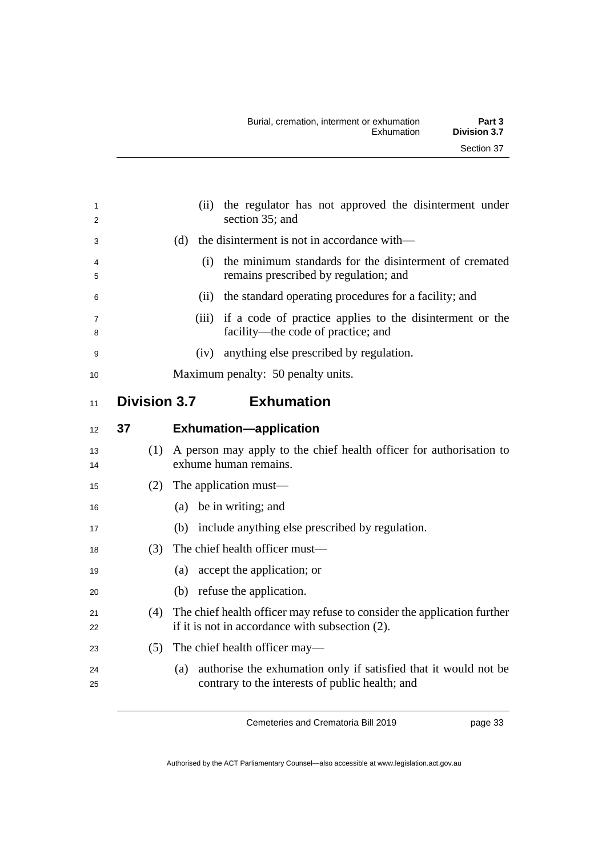| 1<br>2   |                     | the regulator has not approved the disinterment under<br>(ii)<br>section 35; and                                           |
|----------|---------------------|----------------------------------------------------------------------------------------------------------------------------|
| 3        |                     | the disinterment is not in accordance with—<br>(d)                                                                         |
| 4<br>5   |                     | the minimum standards for the disinterment of cremated<br>(i)<br>remains prescribed by regulation; and                     |
| 6        |                     | (ii) the standard operating procedures for a facility; and                                                                 |
| 7<br>8   |                     | (iii) if a code of practice applies to the disinterment or the<br>facility—the code of practice; and                       |
| 9        |                     | anything else prescribed by regulation.<br>(iv)                                                                            |
| 10       |                     | Maximum penalty: 50 penalty units.                                                                                         |
| 11       | <b>Division 3.7</b> | <b>Exhumation</b>                                                                                                          |
| 12       | 37                  | <b>Exhumation-application</b>                                                                                              |
| 13<br>14 | (1)                 | A person may apply to the chief health officer for authorisation to<br>exhume human remains.                               |
| 15       | (2)                 | The application must—                                                                                                      |
| 16       |                     | (a) be in writing; and                                                                                                     |
| 17       |                     | (b) include anything else prescribed by regulation.                                                                        |
| 18       | (3)                 | The chief health officer must-                                                                                             |
| 19       |                     | (a) accept the application; or                                                                                             |
| 20       |                     | (b) refuse the application.                                                                                                |
| 21<br>22 | (4)                 | The chief health officer may refuse to consider the application further<br>if it is not in accordance with subsection (2). |
| 23       | (5)                 | The chief health officer may—                                                                                              |
| 24<br>25 |                     | authorise the exhumation only if satisfied that it would not be<br>(a)<br>contrary to the interests of public health; and  |

page 33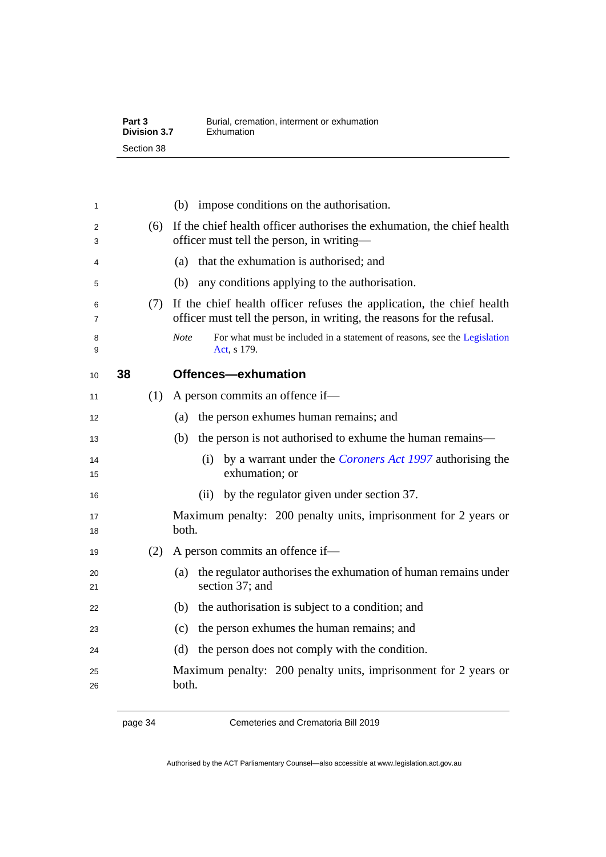| Part 3              | Burial, cremation, interment or exhumation |
|---------------------|--------------------------------------------|
| <b>Division 3.7</b> | Exhumation                                 |
| Section 38          |                                            |

| 1        |    |     | (b) impose conditions on the authorisation.                                                                                                     |
|----------|----|-----|-------------------------------------------------------------------------------------------------------------------------------------------------|
| 2<br>3   |    | (6) | If the chief health officer authorises the exhumation, the chief health<br>officer must tell the person, in writing—                            |
| 4        |    |     | that the exhumation is authorised; and<br>(a)                                                                                                   |
| 5        |    |     | any conditions applying to the authorisation.<br>(b)                                                                                            |
| 6<br>7   |    | (7) | If the chief health officer refuses the application, the chief health<br>officer must tell the person, in writing, the reasons for the refusal. |
| 8<br>9   |    |     | <b>Note</b><br>For what must be included in a statement of reasons, see the Legislation<br>Act, s 179.                                          |
| 10       | 38 |     | Offences-exhumation                                                                                                                             |
| 11       |    | (1) | A person commits an offence if—                                                                                                                 |
| 12       |    |     | the person exhumes human remains; and<br>(a)                                                                                                    |
| 13       |    |     | the person is not authorised to exhume the human remains—<br>(b)                                                                                |
| 14<br>15 |    |     | (i) by a warrant under the <i>Coroners Act 1997</i> authorising the<br>exhumation; or                                                           |
| 16       |    |     | (ii) by the regulator given under section 37.                                                                                                   |
| 17<br>18 |    |     | Maximum penalty: 200 penalty units, imprisonment for 2 years or<br>both.                                                                        |
| 19       |    | (2) | A person commits an offence if—                                                                                                                 |
| 20<br>21 |    |     | the regulator authorises the exhumation of human remains under<br>(a)<br>section 37; and                                                        |
| 22       |    |     | the authorisation is subject to a condition; and<br>(b)                                                                                         |
| 23       |    |     | the person exhumes the human remains; and<br>(c)                                                                                                |
| 24       |    |     | the person does not comply with the condition.<br>(d)                                                                                           |
| 25<br>26 |    |     | Maximum penalty: 200 penalty units, imprisonment for 2 years or<br>both.                                                                        |

page 34 Cemeteries and Crematoria Bill 2019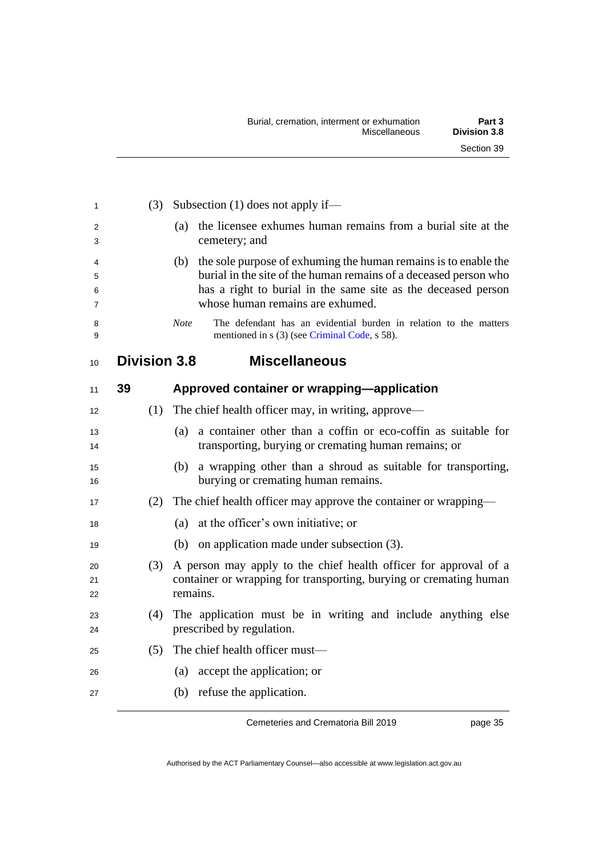| 1                | (3)                 | Subsection $(1)$ does not apply if—                                                                                                                                                                                                          |
|------------------|---------------------|----------------------------------------------------------------------------------------------------------------------------------------------------------------------------------------------------------------------------------------------|
| 2<br>3           |                     | the licensee exhumes human remains from a burial site at the<br>(a)<br>cemetery; and                                                                                                                                                         |
| 4<br>5<br>6<br>7 |                     | (b) the sole purpose of exhuming the human remains is to enable the<br>burial in the site of the human remains of a deceased person who<br>has a right to burial in the same site as the deceased person<br>whose human remains are exhumed. |
| 8<br>9           |                     | The defendant has an evidential burden in relation to the matters<br><b>Note</b><br>mentioned in s (3) (see Criminal Code, s 58).                                                                                                            |
| 10               | <b>Division 3.8</b> | <b>Miscellaneous</b>                                                                                                                                                                                                                         |
| 11               | 39                  | Approved container or wrapping-application                                                                                                                                                                                                   |
| 12               | (1)                 | The chief health officer may, in writing, approve—                                                                                                                                                                                           |
| 13<br>14         |                     | a container other than a coffin or eco-coffin as suitable for<br>(a)<br>transporting, burying or cremating human remains; or                                                                                                                 |
| 15<br>16         |                     | a wrapping other than a shroud as suitable for transporting,<br>(b)<br>burying or cremating human remains.                                                                                                                                   |
| 17               | (2)                 | The chief health officer may approve the container or wrapping—                                                                                                                                                                              |
| 18               |                     | at the officer's own initiative; or<br>(a)                                                                                                                                                                                                   |
| 19               |                     | on application made under subsection (3).<br>(b)                                                                                                                                                                                             |
| 20<br>21<br>22   | (3)                 | A person may apply to the chief health officer for approval of a<br>container or wrapping for transporting, burying or cremating human<br>remains.                                                                                           |
| 23<br>24         | (4)                 | The application must be in writing and include anything else<br>prescribed by regulation.                                                                                                                                                    |
| 25               | (5)                 | The chief health officer must-                                                                                                                                                                                                               |
| 26               |                     | accept the application; or<br>(a)                                                                                                                                                                                                            |
| 27               |                     | (b) refuse the application.                                                                                                                                                                                                                  |

page 35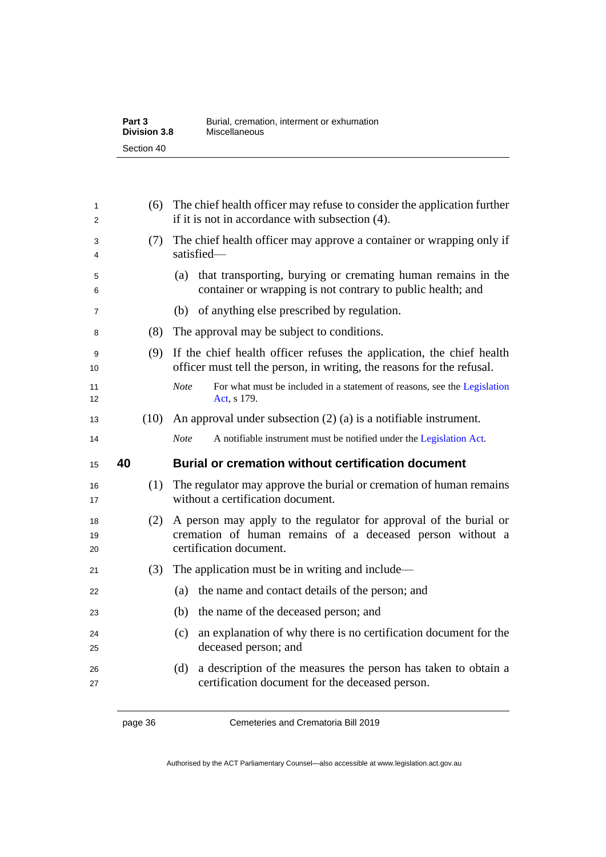| Part 3              | Burial, cremation, interment or exhumation |
|---------------------|--------------------------------------------|
| <b>Division 3.8</b> | Miscellaneous                              |
| Section 40          |                                            |

| 1<br>2                           | (6)  | The chief health officer may refuse to consider the application further<br>if it is not in accordance with subsection (4).                                |
|----------------------------------|------|-----------------------------------------------------------------------------------------------------------------------------------------------------------|
| 3<br>4                           | (7)  | The chief health officer may approve a container or wrapping only if<br>satisfied-                                                                        |
| 5<br>6                           |      | that transporting, burying or cremating human remains in the<br>(a)<br>container or wrapping is not contrary to public health; and                        |
| 7                                |      | of anything else prescribed by regulation.<br>(b)                                                                                                         |
| 8                                | (8)  | The approval may be subject to conditions.                                                                                                                |
| 9<br>10                          | (9)  | If the chief health officer refuses the application, the chief health<br>officer must tell the person, in writing, the reasons for the refusal.           |
| 11<br>12                         |      | <b>Note</b><br>For what must be included in a statement of reasons, see the Legislation<br>Act, s 179.                                                    |
| 13                               | (10) | An approval under subsection $(2)$ (a) is a notifiable instrument.                                                                                        |
| 14                               |      | <b>Note</b><br>A notifiable instrument must be notified under the Legislation Act.                                                                        |
|                                  |      |                                                                                                                                                           |
| 15                               | 40   | <b>Burial or cremation without certification document</b>                                                                                                 |
| 16<br>17                         | (1)  | The regulator may approve the burial or cremation of human remains<br>without a certification document.                                                   |
|                                  | (2)  | A person may apply to the regulator for approval of the burial or<br>cremation of human remains of a deceased person without a<br>certification document. |
|                                  | (3)  | The application must be in writing and include—                                                                                                           |
|                                  |      | the name and contact details of the person; and<br>(a)                                                                                                    |
| 18<br>19<br>20<br>21<br>22<br>23 |      | the name of the deceased person; and<br>(b)                                                                                                               |
| 24<br>25                         |      | an explanation of why there is no certification document for the<br>(c)<br>deceased person; and                                                           |
| 26<br>27                         |      | a description of the measures the person has taken to obtain a<br>(d)<br>certification document for the deceased person.                                  |

page 36 Cemeteries and Crematoria Bill 2019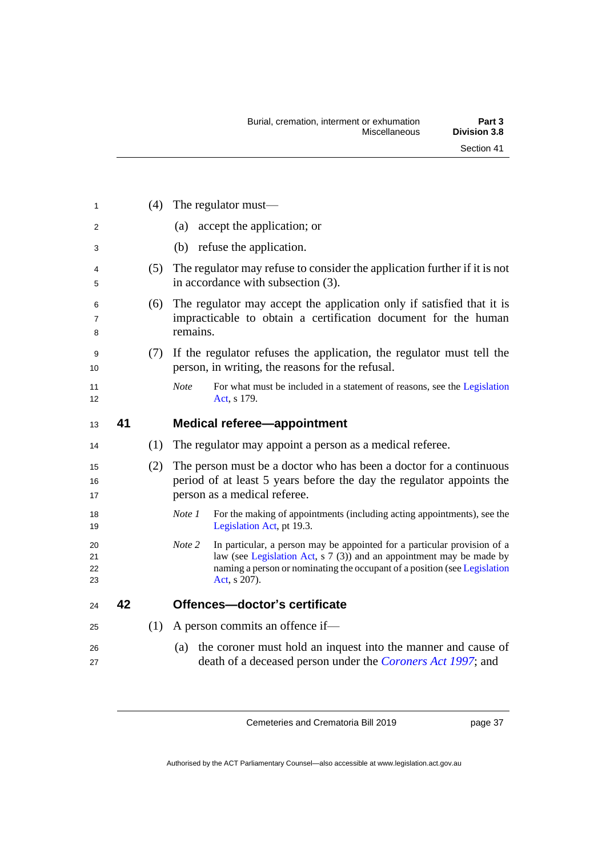| 1                        |    | (4) | The regulator must—                                                                                                                                                        |
|--------------------------|----|-----|----------------------------------------------------------------------------------------------------------------------------------------------------------------------------|
| 2                        |    |     | accept the application; or<br>(a)                                                                                                                                          |
| 3                        |    |     | (b) refuse the application.                                                                                                                                                |
| 4<br>5                   |    | (5) | The regulator may refuse to consider the application further if it is not<br>in accordance with subsection (3).                                                            |
| 6<br>$\overline{7}$<br>8 |    | (6) | The regulator may accept the application only if satisfied that it is<br>impracticable to obtain a certification document for the human<br>remains.                        |
| 9<br>10                  |    | (7) | If the regulator refuses the application, the regulator must tell the<br>person, in writing, the reasons for the refusal.                                                  |
| 11<br>12                 |    |     | <b>Note</b><br>For what must be included in a statement of reasons, see the Legislation<br>Act, s 179.                                                                     |
| 13                       | 41 |     | <b>Medical referee-appointment</b>                                                                                                                                         |
| 14                       |    | (1) | The regulator may appoint a person as a medical referee.                                                                                                                   |
| 15<br>16<br>17           |    | (2) | The person must be a doctor who has been a doctor for a continuous<br>period of at least 5 years before the day the regulator appoints the<br>person as a medical referee. |
| 18<br>19                 |    |     | For the making of appointments (including acting appointments), see the<br>Note 1<br>Legislation Act, pt 19.3.                                                             |
| 20<br>21                 |    |     | Note 2<br>In particular, a person may be appointed for a particular provision of a<br>law (see Legislation Act, s 7 (3)) and an appointment may be made by                 |
| 22<br>23                 |    |     | naming a person or nominating the occupant of a position (see Legislation<br>Act, s 207).                                                                                  |
| 24                       | 42 |     | Offences-doctor's certificate                                                                                                                                              |
| 25                       |    | (1) | A person commits an offence if-                                                                                                                                            |

page 37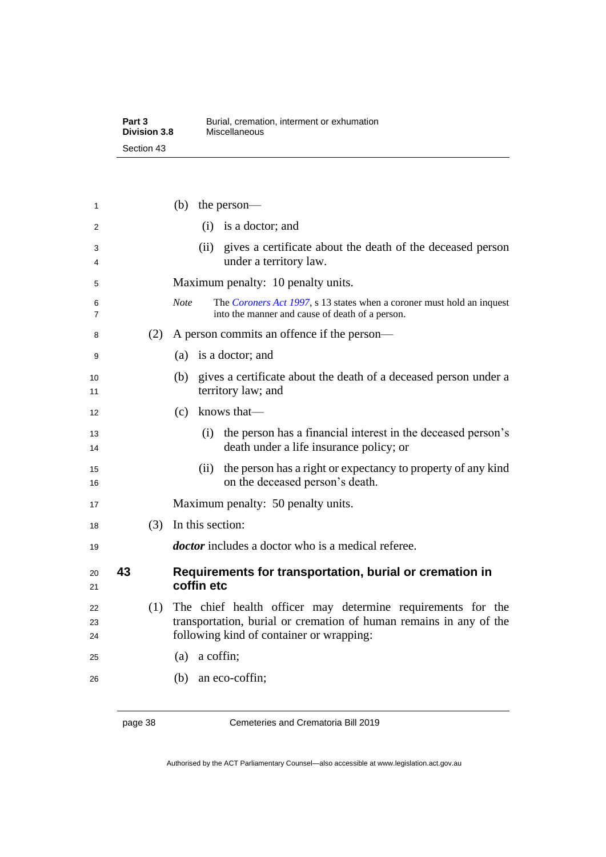| Part 3              | Burial, cremation, interment or exhumation |
|---------------------|--------------------------------------------|
| <b>Division 3.8</b> | Miscellaneous                              |
| Section 43          |                                            |

| 1              |    |     | (b)<br>the person-                                                                                                                                                            |
|----------------|----|-----|-------------------------------------------------------------------------------------------------------------------------------------------------------------------------------|
| 2              |    |     | $(i)$ is a doctor; and                                                                                                                                                        |
| 3<br>4         |    |     | gives a certificate about the death of the deceased person<br>(ii)<br>under a territory law.                                                                                  |
| 5              |    |     | Maximum penalty: 10 penalty units.                                                                                                                                            |
| 6<br>7         |    |     | The Coroners Act 1997, s 13 states when a coroner must hold an inquest<br><b>Note</b><br>into the manner and cause of death of a person.                                      |
| 8              |    | (2) | A person commits an offence if the person—                                                                                                                                    |
| 9              |    |     | is a doctor; and<br>(a)                                                                                                                                                       |
| 10<br>11       |    |     | gives a certificate about the death of a deceased person under a<br>(b)<br>territory law; and                                                                                 |
| 12             |    |     | knows that-<br>(c)                                                                                                                                                            |
| 13<br>14       |    |     | the person has a financial interest in the deceased person's<br>(i)<br>death under a life insurance policy; or                                                                |
| 15<br>16       |    |     | the person has a right or expectancy to property of any kind<br>(ii)<br>on the deceased person's death.                                                                       |
| 17             |    |     | Maximum penalty: 50 penalty units.                                                                                                                                            |
| 18             |    | (3) | In this section:                                                                                                                                                              |
| 19             |    |     | <i>doctor</i> includes a doctor who is a medical referee.                                                                                                                     |
| 20<br>21       | 43 |     | Requirements for transportation, burial or cremation in<br>coffin etc                                                                                                         |
| 22<br>23<br>24 |    | (1) | The chief health officer may determine requirements for the<br>transportation, burial or cremation of human remains in any of the<br>following kind of container or wrapping: |
| 25             |    |     | a coffin;<br>(a)                                                                                                                                                              |
| 26             |    |     | an eco-coffin;<br>(b)                                                                                                                                                         |

page 38 Cemeteries and Crematoria Bill 2019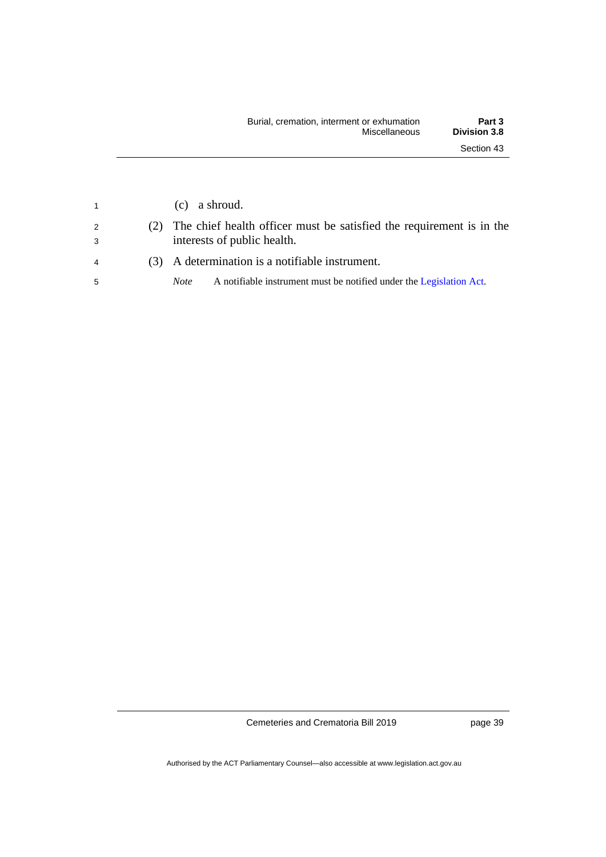| $\overline{1}$ | $(c)$ a shroud.                                                                                     |
|----------------|-----------------------------------------------------------------------------------------------------|
| 2<br>3         | The chief health officer must be satisfied the requirement is in the<br>interests of public health. |
| $\overline{4}$ | (3) A determination is a notifiable instrument.                                                     |
| -5             | A notifiable instrument must be notified under the Legislation Act.<br><i>Note</i>                  |
|                |                                                                                                     |

page 39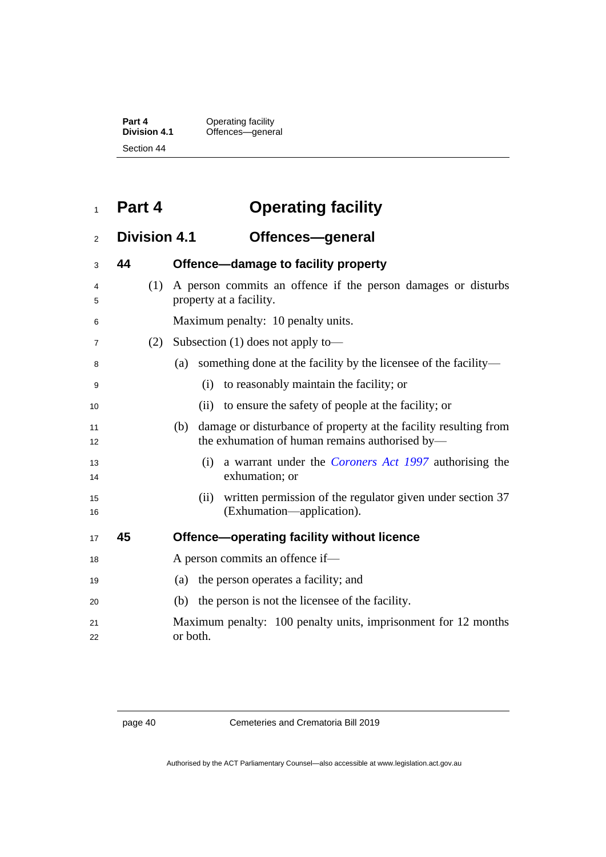| Part 4       | Operating facility |
|--------------|--------------------|
| Division 4.1 | Offences-general   |
| Section 44   |                    |

## **Part 4 Operating facility**

## **Division 4.1 Offences—general**

| 3        | 44 |     | Offence-damage to facility property                                                                                       |
|----------|----|-----|---------------------------------------------------------------------------------------------------------------------------|
| 4<br>5   |    | (1) | A person commits an offence if the person damages or disturbs<br>property at a facility.                                  |
| 6        |    |     | Maximum penalty: 10 penalty units.                                                                                        |
| 7        |    | (2) | Subsection $(1)$ does not apply to —                                                                                      |
| 8        |    |     | something done at the facility by the licensee of the facility—<br>(a)                                                    |
| 9        |    |     | to reasonably maintain the facility; or<br>(i)                                                                            |
| 10       |    |     | (ii) to ensure the safety of people at the facility; or                                                                   |
| 11<br>12 |    |     | damage or disturbance of property at the facility resulting from<br>(b)<br>the exhumation of human remains authorised by— |
| 13<br>14 |    |     | a warrant under the <i>Coroners Act 1997</i> authorising the<br>(i)<br>exhumation; or                                     |
| 15<br>16 |    |     | written permission of the regulator given under section 37<br>(i)<br>(Exhumation—application).                            |
| 17       | 45 |     | Offence-operating facility without licence                                                                                |
| 18       |    |     | A person commits an offence if—                                                                                           |
| 19       |    |     | the person operates a facility; and<br>(a)                                                                                |
| 20       |    |     | the person is not the licensee of the facility.<br>(b)                                                                    |
| 21<br>22 |    |     | Maximum penalty: 100 penalty units, imprisonment for 12 months<br>or both.                                                |
|          |    |     |                                                                                                                           |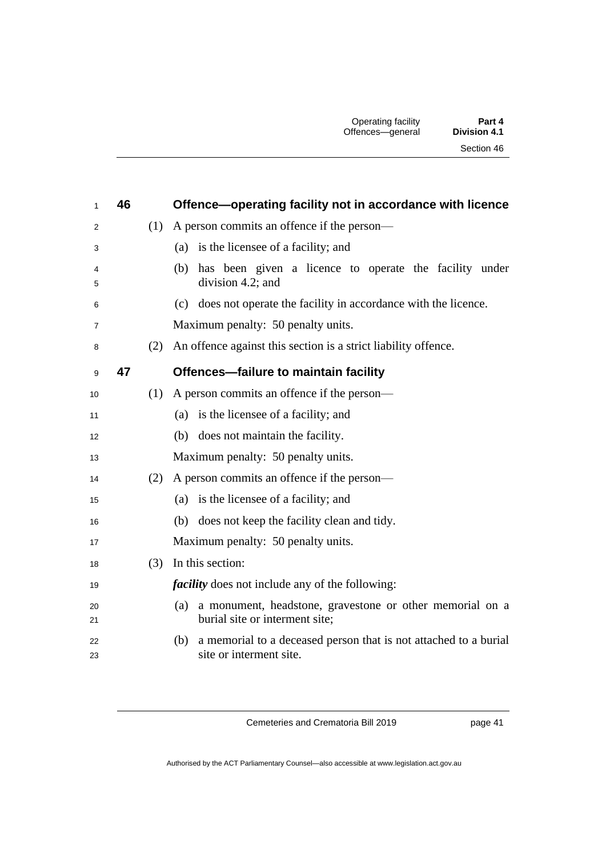| 1        | 46 |     | Offence-operating facility not in accordance with licence                                          |  |
|----------|----|-----|----------------------------------------------------------------------------------------------------|--|
| 2        |    |     | $(1)$ A person commits an offence if the person—                                                   |  |
| 3        |    |     | (a) is the licensee of a facility; and                                                             |  |
| 4<br>5   |    |     | has been given a licence to operate the facility under<br>(b)<br>division 4.2; and                 |  |
| 6        |    |     | (c) does not operate the facility in accordance with the licence.                                  |  |
| 7        |    |     | Maximum penalty: 50 penalty units.                                                                 |  |
| 8        |    |     | (2) An offence against this section is a strict liability offence.                                 |  |
| 9        | 47 |     | Offences-failure to maintain facility                                                              |  |
| 10       |    | (1) | A person commits an offence if the person—                                                         |  |
| 11       |    |     | (a) is the licensee of a facility; and                                                             |  |
| 12       |    |     | does not maintain the facility.<br>(b)                                                             |  |
| 13       |    |     | Maximum penalty: 50 penalty units.                                                                 |  |
| 14       |    |     | $(2)$ A person commits an offence if the person—                                                   |  |
| 15       |    |     | (a) is the licensee of a facility; and                                                             |  |
| 16       |    |     | does not keep the facility clean and tidy.<br>(b)                                                  |  |
| 17       |    |     | Maximum penalty: 50 penalty units.                                                                 |  |
| 18       |    |     | (3) In this section:                                                                               |  |
| 19       |    |     | <i>facility</i> does not include any of the following:                                             |  |
| 20<br>21 |    |     | a monument, headstone, gravestone or other memorial on a<br>(a)<br>burial site or interment site;  |  |
| 22<br>23 |    |     | a memorial to a deceased person that is not attached to a burial<br>(b)<br>site or interment site. |  |

page 41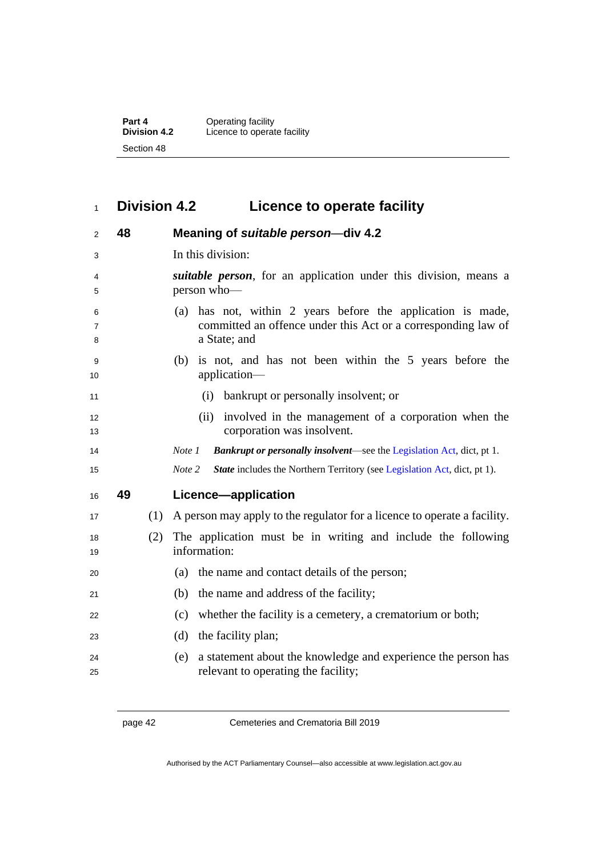**Part 4** Operating facility **Division 4.2** Licence to operate facility Section 48

## **Division 4.2 Licence to operate facility**

| 2           | 48 |     | Meaning of suitable person-div 4.2                                                                                                              |
|-------------|----|-----|-------------------------------------------------------------------------------------------------------------------------------------------------|
| 3           |    |     | In this division:                                                                                                                               |
| 4<br>5      |    |     | <i>suitable person</i> , for an application under this division, means a<br>person who-                                                         |
| 6<br>7<br>8 |    |     | has not, within 2 years before the application is made,<br>(a)<br>committed an offence under this Act or a corresponding law of<br>a State; and |
| 9<br>10     |    |     | (b) is not, and has not been within the 5 years before the<br>application-                                                                      |
| 11          |    |     | (i) bankrupt or personally insolvent; or                                                                                                        |
| 12<br>13    |    |     | (ii) involved in the management of a corporation when the<br>corporation was insolvent.                                                         |
| 14          |    |     | <b>Bankrupt or personally insolvent</b> —see the Legislation Act, dict, pt 1.<br>Note 1                                                         |
| 15          |    |     | Note 2<br><b>State</b> includes the Northern Territory (see Legislation Act, dict, pt 1).                                                       |
| 16          | 49 |     | Licence-application                                                                                                                             |
| 17          |    | (1) | A person may apply to the regulator for a licence to operate a facility.                                                                        |
| 18<br>19    |    | (2) | The application must be in writing and include the following<br>information:                                                                    |
| 20          |    |     | the name and contact details of the person;<br>(a)                                                                                              |
| 21          |    |     | the name and address of the facility;<br>(b)                                                                                                    |
| 22          |    |     | whether the facility is a cemetery, a crematorium or both;<br>(c)                                                                               |
| 23          |    |     | (d)<br>the facility plan;                                                                                                                       |
| 24<br>25    |    |     | a statement about the knowledge and experience the person has<br>(e)<br>relevant to operating the facility;                                     |

page 42 Cemeteries and Crematoria Bill 2019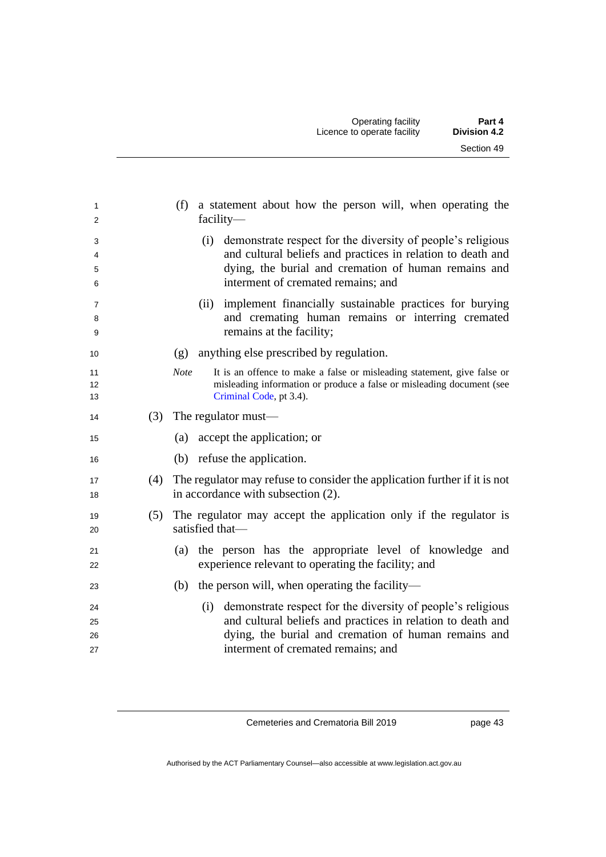| 1<br>2               |     | a statement about how the person will, when operating the<br>(f)<br>$facility-$                                                                                                                                                 |
|----------------------|-----|---------------------------------------------------------------------------------------------------------------------------------------------------------------------------------------------------------------------------------|
| 3<br>4<br>5<br>6     |     | demonstrate respect for the diversity of people's religious<br>(i)<br>and cultural beliefs and practices in relation to death and<br>dying, the burial and cremation of human remains and<br>interment of cremated remains; and |
| 7<br>8<br>9          |     | implement financially sustainable practices for burying<br>(ii)<br>and cremating human remains or interring cremated<br>remains at the facility;                                                                                |
| 10                   |     | anything else prescribed by regulation.<br>(g)                                                                                                                                                                                  |
| 11<br>12<br>13       |     | <b>Note</b><br>It is an offence to make a false or misleading statement, give false or<br>misleading information or produce a false or misleading document (see<br>Criminal Code, pt 3.4).                                      |
| 14                   | (3) | The regulator must—                                                                                                                                                                                                             |
| 15                   |     | accept the application; or<br>(a)                                                                                                                                                                                               |
| 16                   |     | (b) refuse the application.                                                                                                                                                                                                     |
| 17<br>18             |     | (4) The regulator may refuse to consider the application further if it is not<br>in accordance with subsection (2).                                                                                                             |
| 19<br>20             | (5) | The regulator may accept the application only if the regulator is<br>satisfied that-                                                                                                                                            |
| 21<br>22             |     | the person has the appropriate level of knowledge and<br>(a)<br>experience relevant to operating the facility; and                                                                                                              |
| 23                   |     | the person will, when operating the facility—<br>(b)                                                                                                                                                                            |
| 24<br>25<br>26<br>27 |     | (i) demonstrate respect for the diversity of people's religious<br>and cultural beliefs and practices in relation to death and<br>dying, the burial and cremation of human remains and<br>interment of cremated remains; and    |

page 43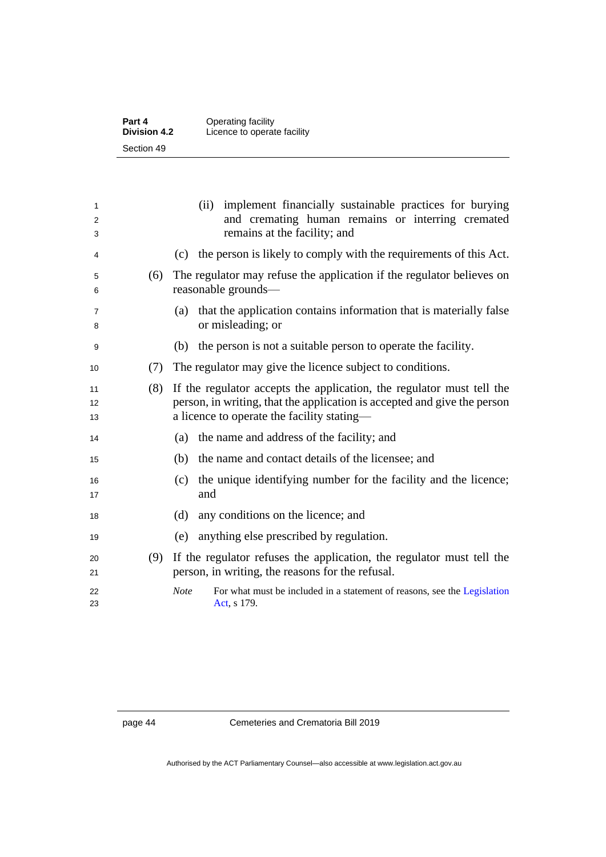| Part 4              | Operating facility          |
|---------------------|-----------------------------|
| <b>Division 4.2</b> | Licence to operate facility |
| Section 49          |                             |

| 1<br>2<br>3    |     | (ii) implement financially sustainable practices for burying<br>and cremating human remains or interring cremated<br>remains at the facility; and                                               |
|----------------|-----|-------------------------------------------------------------------------------------------------------------------------------------------------------------------------------------------------|
| 4              |     | the person is likely to comply with the requirements of this Act.<br>(c)                                                                                                                        |
| 5<br>6         | (6) | The regulator may refuse the application if the regulator believes on<br>reasonable grounds-                                                                                                    |
| 7<br>8         |     | that the application contains information that is materially false<br>(a)<br>or misleading; or                                                                                                  |
| 9              |     | the person is not a suitable person to operate the facility.<br>(b)                                                                                                                             |
| 10             | (7) | The regulator may give the licence subject to conditions.                                                                                                                                       |
| 11<br>12<br>13 | (8) | If the regulator accepts the application, the regulator must tell the<br>person, in writing, that the application is accepted and give the person<br>a licence to operate the facility stating— |
| 14             |     | the name and address of the facility; and<br>(a)                                                                                                                                                |
| 15             |     | the name and contact details of the licensee; and<br>(b)                                                                                                                                        |
| 16<br>17       |     | the unique identifying number for the facility and the licence;<br>(c)<br>and                                                                                                                   |
| 18             |     | any conditions on the licence; and<br>(d)                                                                                                                                                       |
| 19             |     | anything else prescribed by regulation.<br>(e)                                                                                                                                                  |
| 20<br>21       | (9) | If the regulator refuses the application, the regulator must tell the<br>person, in writing, the reasons for the refusal.                                                                       |
| 22<br>23       |     | For what must be included in a statement of reasons, see the Legislation<br><b>Note</b><br>Act, s 179.                                                                                          |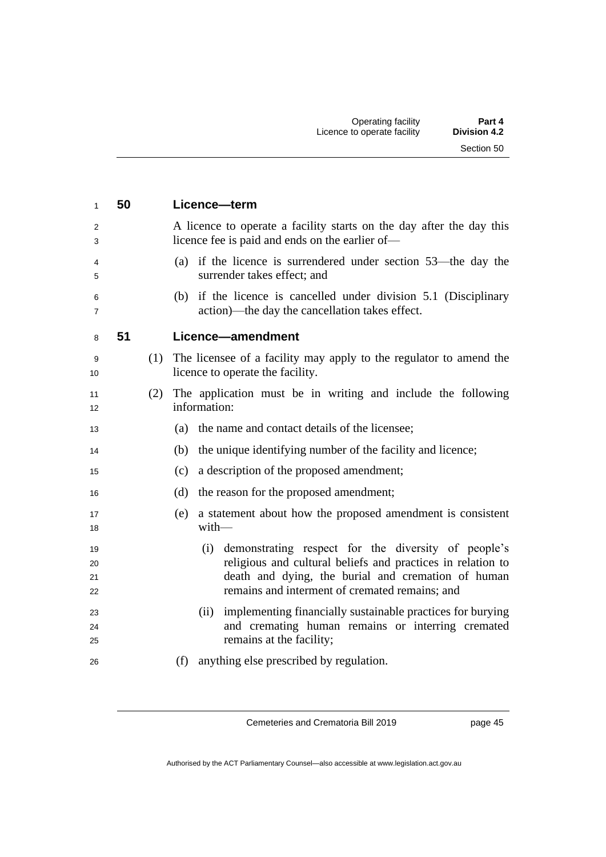| $\mathbf{1}$         | 50 |     | Licence-term                                                                                                                                                                                                                      |
|----------------------|----|-----|-----------------------------------------------------------------------------------------------------------------------------------------------------------------------------------------------------------------------------------|
| $\overline{2}$<br>3  |    |     | A licence to operate a facility starts on the day after the day this<br>licence fee is paid and ends on the earlier of—                                                                                                           |
| 4<br>5               |    |     | (a) if the licence is surrendered under section 53—the day the<br>surrender takes effect; and                                                                                                                                     |
| 6<br>$\overline{7}$  |    |     | (b) if the licence is cancelled under division 5.1 (Disciplinary<br>action)—the day the cancellation takes effect.                                                                                                                |
| 8                    | 51 |     | Licence-amendment                                                                                                                                                                                                                 |
| 9<br>10              |    |     | (1) The licensee of a facility may apply to the regulator to amend the<br>licence to operate the facility.                                                                                                                        |
| 11<br>12             |    | (2) | The application must be in writing and include the following<br>information:                                                                                                                                                      |
| 13                   |    |     | (a) the name and contact details of the licensee;                                                                                                                                                                                 |
| 14                   |    |     | the unique identifying number of the facility and licence;<br>(b)                                                                                                                                                                 |
| 15                   |    |     | a description of the proposed amendment;<br>(c)                                                                                                                                                                                   |
| 16                   |    |     | (d)<br>the reason for the proposed amendment;                                                                                                                                                                                     |
| 17<br>18             |    |     | a statement about how the proposed amendment is consistent<br>(e)<br>$with$ —                                                                                                                                                     |
| 19<br>20<br>21<br>22 |    |     | demonstrating respect for the diversity of people's<br>(i)<br>religious and cultural beliefs and practices in relation to<br>death and dying, the burial and cremation of human<br>remains and interment of cremated remains; and |
| 23<br>24<br>25       |    |     | implementing financially sustainable practices for burying<br>(ii)<br>and cremating human remains or interring cremated<br>remains at the facility;                                                                               |
| 26                   |    |     | anything else prescribed by regulation.<br>(f)                                                                                                                                                                                    |

page 45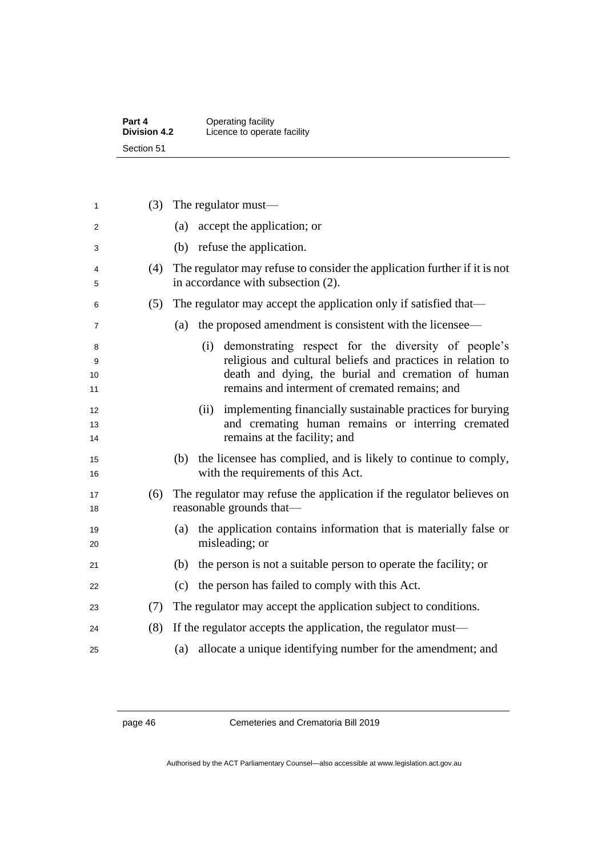| Part 4              | Operating facility          |
|---------------------|-----------------------------|
| <b>Division 4.2</b> | Licence to operate facility |
| Section 51          |                             |

| 1        | (3) | The regulator must—                                                                                       |
|----------|-----|-----------------------------------------------------------------------------------------------------------|
| 2        |     | accept the application; or<br>(a)                                                                         |
| 3        |     | (b) refuse the application.                                                                               |
| 4        | (4) | The regulator may refuse to consider the application further if it is not                                 |
| 5        |     | in accordance with subsection (2).                                                                        |
| 6        | (5) | The regulator may accept the application only if satisfied that—                                          |
| 7        |     | the proposed amendment is consistent with the licensee—<br>(a)                                            |
| 8        |     | demonstrating respect for the diversity of people's<br>(i)                                                |
| 9        |     | religious and cultural beliefs and practices in relation to                                               |
| 10<br>11 |     | death and dying, the burial and cremation of human<br>remains and interment of cremated remains; and      |
| 12       |     | (ii) implementing financially sustainable practices for burying                                           |
| 13<br>14 |     | and cremating human remains or interring cremated<br>remains at the facility; and                         |
|          |     |                                                                                                           |
| 15<br>16 |     | (b) the licensee has complied, and is likely to continue to comply,<br>with the requirements of this Act. |
| 17       | (6) | The regulator may refuse the application if the regulator believes on                                     |
| 18       |     | reasonable grounds that—                                                                                  |
| 19       |     | the application contains information that is materially false or<br>(a)                                   |
| 20       |     | misleading; or                                                                                            |
| 21       |     | the person is not a suitable person to operate the facility; or<br>(b)                                    |
| 22       |     | the person has failed to comply with this Act.<br>(c)                                                     |
| 23       | (7) | The regulator may accept the application subject to conditions.                                           |
| 24       | (8) | If the regulator accepts the application, the regulator must—                                             |
| 25       |     | allocate a unique identifying number for the amendment; and<br>(a)                                        |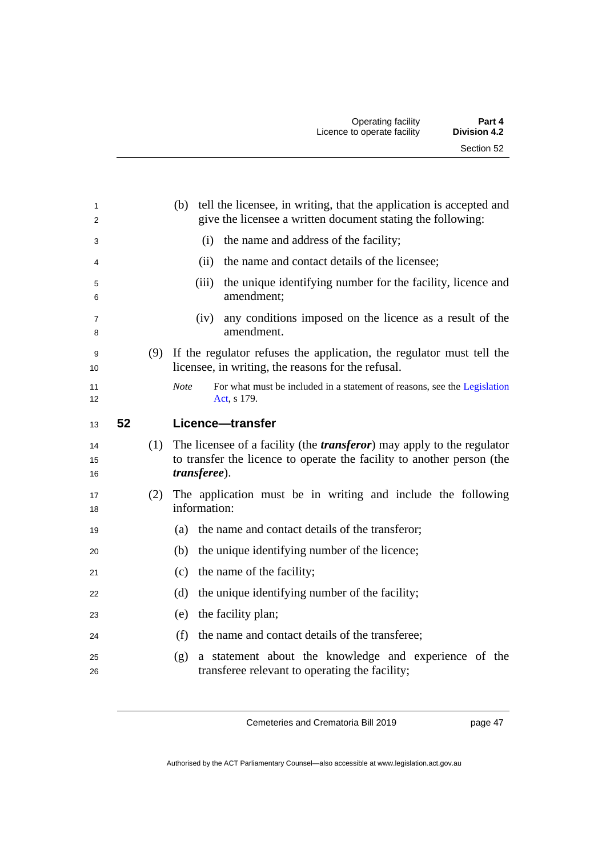| 1<br>2              |    | (b) tell the licensee, in writing, that the application is accepted and<br>give the licensee a written document stating the following:                                              |  |
|---------------------|----|-------------------------------------------------------------------------------------------------------------------------------------------------------------------------------------|--|
| 3                   |    | the name and address of the facility;<br>(i)                                                                                                                                        |  |
| 4                   |    | the name and contact details of the licensee;<br>(ii)                                                                                                                               |  |
| 5<br>6              |    | the unique identifying number for the facility, licence and<br>(iii)<br>amendment;                                                                                                  |  |
| $\overline{7}$<br>8 |    | any conditions imposed on the licence as a result of the<br>(iv)<br>amendment.                                                                                                      |  |
| 9<br>10             |    | (9) If the regulator refuses the application, the regulator must tell the<br>licensee, in writing, the reasons for the refusal.                                                     |  |
| 11<br>12            |    | <b>Note</b><br>For what must be included in a statement of reasons, see the Legislation<br>Act, s 179.                                                                              |  |
| 13                  | 52 | Licence-transfer                                                                                                                                                                    |  |
| 14<br>15<br>16      |    | (1) The licensee of a facility (the <i>transferor</i> ) may apply to the regulator<br>to transfer the licence to operate the facility to another person (the<br><i>transferee).</i> |  |
| 17<br>18            |    | (2) The application must be in writing and include the following<br>information:                                                                                                    |  |
| 19                  |    | the name and contact details of the transferor;<br>(a)                                                                                                                              |  |
| 20                  |    | the unique identifying number of the licence;<br>(b)                                                                                                                                |  |
| 21                  |    | the name of the facility;<br>(c)                                                                                                                                                    |  |
| 22                  |    | (d)<br>the unique identifying number of the facility;                                                                                                                               |  |
| 23                  |    | the facility plan;<br>(e)                                                                                                                                                           |  |
| 24                  |    | the name and contact details of the transferee;<br>(f)                                                                                                                              |  |
| 25<br>26            |    | a statement about the knowledge and experience of the<br>(g)<br>transferee relevant to operating the facility;                                                                      |  |
|                     |    |                                                                                                                                                                                     |  |

page 47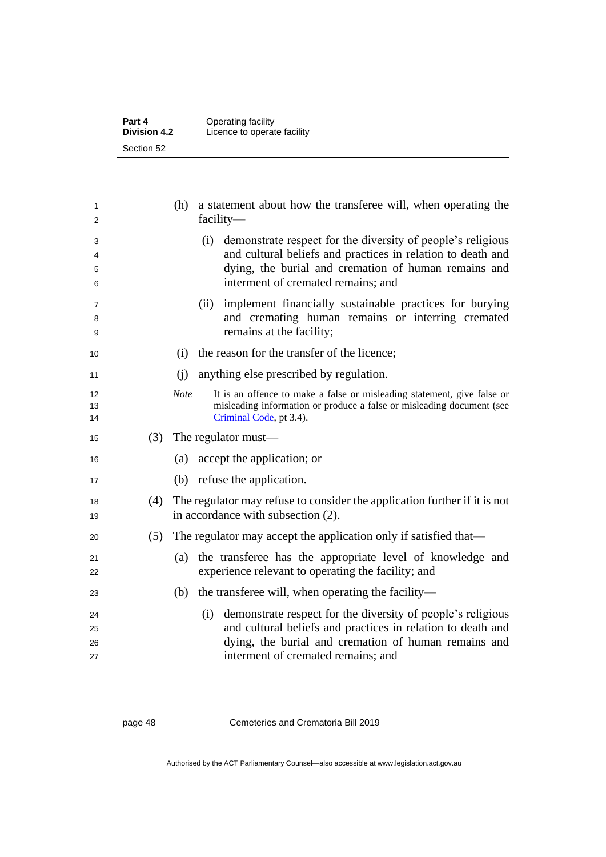| Part 4              | Operating facility          |
|---------------------|-----------------------------|
| <b>Division 4.2</b> | Licence to operate facility |
| Section 52          |                             |

| 1<br>2 |     | a statement about how the transferee will, when operating the<br>(h)<br>$facility-$    |
|--------|-----|----------------------------------------------------------------------------------------|
| 3      |     | (i) demonstrate respect for the diversity of people's religious                        |
| 4      |     | and cultural beliefs and practices in relation to death and                            |
| 5      |     | dying, the burial and cremation of human remains and                                   |
| 6      |     | interment of cremated remains; and                                                     |
| 7      |     | implement financially sustainable practices for burying<br>(ii)                        |
| 8      |     | and cremating human remains or interring cremated                                      |
| 9      |     | remains at the facility;                                                               |
| 10     |     | the reason for the transfer of the licence;<br>(i)                                     |
| 11     |     | anything else prescribed by regulation.<br>(i)                                         |
| 12     |     | <b>Note</b><br>It is an offence to make a false or misleading statement, give false or |
| 13     |     | misleading information or produce a false or misleading document (see                  |
| 14     |     | Criminal Code, pt 3.4).                                                                |
| 15     | (3) | The regulator must—                                                                    |
| 16     |     | accept the application; or<br>(a)                                                      |
| 17     |     | (b) refuse the application.                                                            |
| 18     | (4) | The regulator may refuse to consider the application further if it is not              |
| 19     |     | in accordance with subsection (2).                                                     |
| 20     | (5) | The regulator may accept the application only if satisfied that—                       |
| 21     |     | the transferee has the appropriate level of knowledge and<br>(a)                       |
| 22     |     | experience relevant to operating the facility; and                                     |
| 23     |     | the transferee will, when operating the facility—<br>(b)                               |
| 24     |     | (i) demonstrate respect for the diversity of people's religious                        |
| 25     |     | and cultural beliefs and practices in relation to death and                            |
| 26     |     | dying, the burial and cremation of human remains and                                   |
| 27     |     | interment of cremated remains; and                                                     |
|        |     |                                                                                        |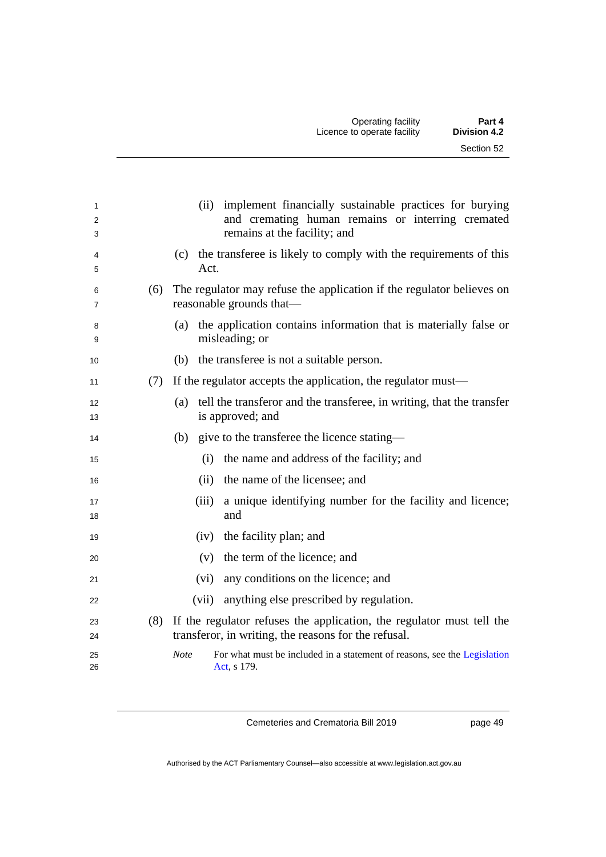| 1<br>$\overline{2}$<br>3 |     | (ii) implement financially sustainable practices for burying<br>and cremating human remains or interring cremated<br>remains at the facility; and |
|--------------------------|-----|---------------------------------------------------------------------------------------------------------------------------------------------------|
| 4<br>5                   |     | (c) the transferee is likely to comply with the requirements of this<br>Act.                                                                      |
| 6<br>7                   |     | (6) The regulator may refuse the application if the regulator believes on<br>reasonable grounds that—                                             |
| 8<br>9                   |     | the application contains information that is materially false or<br>(a)<br>misleading; or                                                         |
| 10                       |     | (b) the transferee is not a suitable person.                                                                                                      |
| 11                       | (7) | If the regulator accepts the application, the regulator must—                                                                                     |
| 12<br>13                 |     | tell the transferor and the transferee, in writing, that the transfer<br>(a)<br>is approved; and                                                  |
| 14                       |     | (b) give to the transferee the licence stating—                                                                                                   |
| 15                       |     | (i) the name and address of the facility; and                                                                                                     |
| 16                       |     | (ii) the name of the licensee; and                                                                                                                |
| 17<br>18                 |     | a unique identifying number for the facility and licence;<br>(iii)<br>and                                                                         |
| 19                       |     | the facility plan; and<br>(iv)                                                                                                                    |
| 20                       |     | (v) the term of the licence; and                                                                                                                  |
| 21                       |     | any conditions on the licence; and<br>(vi)                                                                                                        |
| 22                       |     | (vii) anything else prescribed by regulation.                                                                                                     |
| 23<br>24                 |     | (8) If the regulator refuses the application, the regulator must tell the<br>transferor, in writing, the reasons for the refusal.                 |
| 25<br>26                 |     | <b>Note</b><br>For what must be included in a statement of reasons, see the Legislation<br>Act, s 179.                                            |

page 49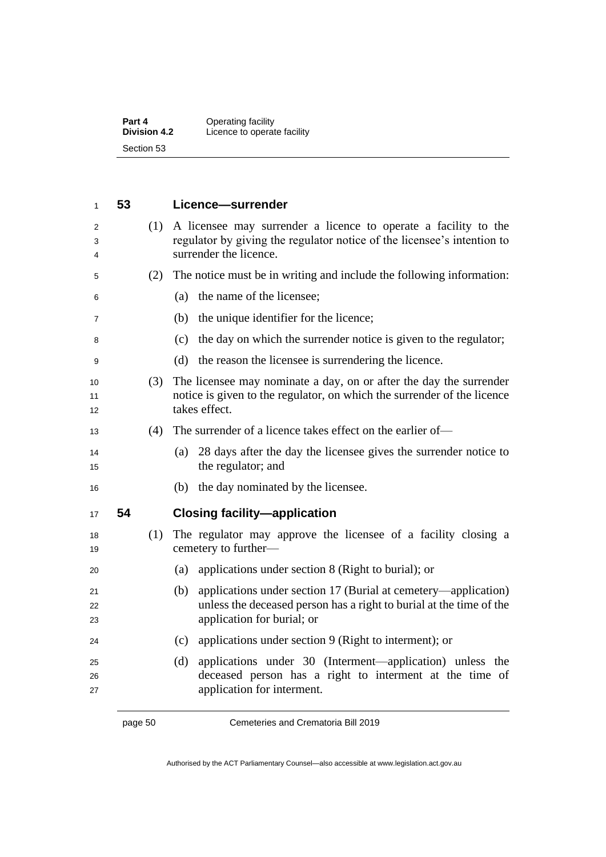| Part 4              | Operating facility          |
|---------------------|-----------------------------|
| <b>Division 4.2</b> | Licence to operate facility |
| Section 53          |                             |

| 1              | 53 |     | Licence-surrender                                                                                                                                                          |
|----------------|----|-----|----------------------------------------------------------------------------------------------------------------------------------------------------------------------------|
| 2<br>3<br>4    |    | (1) | A licensee may surrender a licence to operate a facility to the<br>regulator by giving the regulator notice of the licensee's intention to<br>surrender the licence.       |
| 5              |    | (2) | The notice must be in writing and include the following information:                                                                                                       |
| 6              |    |     | the name of the licensee;<br>(a)                                                                                                                                           |
| 7              |    |     | (b) the unique identifier for the licence;                                                                                                                                 |
| 8              |    |     | the day on which the surrender notice is given to the regulator;<br>(c)                                                                                                    |
| 9              |    |     | the reason the licensee is surrendering the licence.<br>(d)                                                                                                                |
| 10<br>11<br>12 |    | (3) | The licensee may nominate a day, on or after the day the surrender<br>notice is given to the regulator, on which the surrender of the licence<br>takes effect.             |
| 13             |    | (4) | The surrender of a licence takes effect on the earlier of-                                                                                                                 |
| 14<br>15       |    |     | 28 days after the day the licensee gives the surrender notice to<br>(a)<br>the regulator; and                                                                              |
| 16             |    |     | (b) the day nominated by the licensee.                                                                                                                                     |
| 17             | 54 |     | <b>Closing facility-application</b>                                                                                                                                        |
| 18<br>19       |    | (1) | The regulator may approve the licensee of a facility closing a<br>cemetery to further-                                                                                     |
| 20             |    |     | applications under section 8 (Right to burial); or<br>(a)                                                                                                                  |
| 21<br>22<br>23 |    |     | applications under section 17 (Burial at cemetery—application)<br>(b)<br>unless the deceased person has a right to burial at the time of the<br>application for burial; or |
| 24             |    |     | applications under section 9 (Right to interment); or<br>(c)                                                                                                               |
| 25<br>26<br>27 |    |     | applications under 30 (Interment—application) unless the<br>(d)<br>deceased person has a right to interment at the time of<br>application for interment.                   |
|                |    |     |                                                                                                                                                                            |

page 50 Cemeteries and Crematoria Bill 2019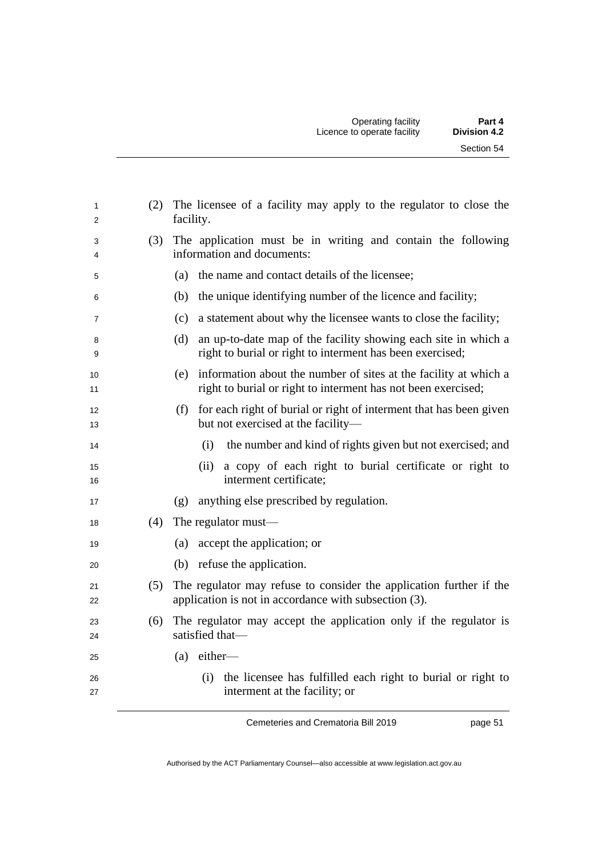| 1<br>2         | (2) | The licensee of a facility may apply to the regulator to close the<br>facility.                                                       |
|----------------|-----|---------------------------------------------------------------------------------------------------------------------------------------|
| 3<br>4         | (3) | The application must be in writing and contain the following<br>information and documents:                                            |
| 5              |     | the name and contact details of the licensee;<br>(a)                                                                                  |
| 6              |     | the unique identifying number of the licence and facility;<br>(b)                                                                     |
| $\overline{7}$ |     | a statement about why the licensee wants to close the facility;<br>(c)                                                                |
| 8<br>9         |     | an up-to-date map of the facility showing each site in which a<br>(d)<br>right to burial or right to interment has been exercised;    |
| 10<br>11       |     | (e) information about the number of sites at the facility at which a<br>right to burial or right to interment has not been exercised; |
| 12<br>13       |     | (f) for each right of burial or right of interment that has been given<br>but not exercised at the facility-                          |
| 14             |     | the number and kind of rights given but not exercised; and<br>(i)                                                                     |
| 15<br>16       |     | a copy of each right to burial certificate or right to<br>(ii)<br>interment certificate;                                              |
| 17             |     | anything else prescribed by regulation.<br>(g)                                                                                        |
| 18             | (4) | The regulator must—                                                                                                                   |
| 19             |     | accept the application; or<br>(a)                                                                                                     |
| 20             |     | (b) refuse the application.                                                                                                           |
| 21<br>22       | (5) | The regulator may refuse to consider the application further if the<br>application is not in accordance with subsection (3).          |
| 23<br>24       | (6) | The regulator may accept the application only if the regulator is<br>satisfied that-                                                  |
| 25             |     | $(a)$ either-                                                                                                                         |
| 26<br>27       |     | (i) the licensee has fulfilled each right to burial or right to<br>interment at the facility; or                                      |

page 51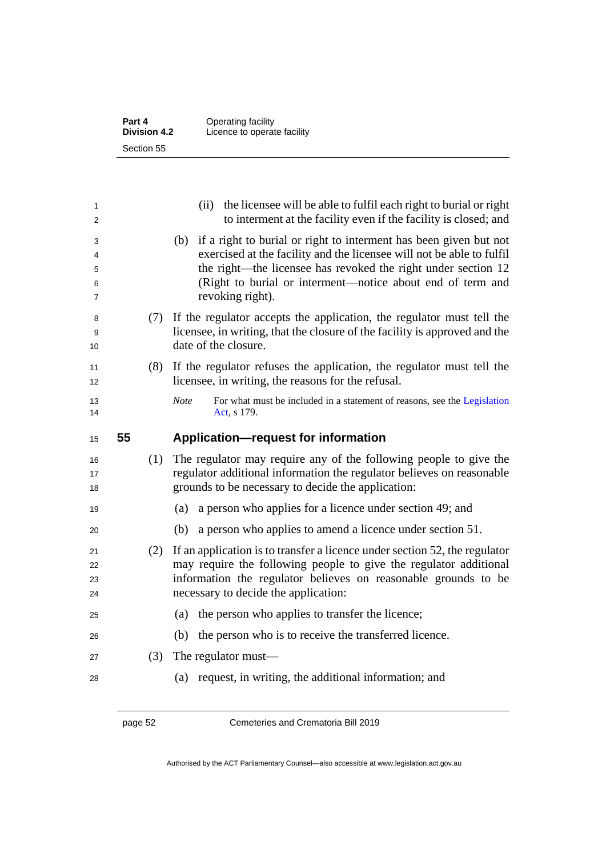| Part 4              | Operating facility          |
|---------------------|-----------------------------|
| <b>Division 4.2</b> | Licence to operate facility |
| Section 55          |                             |

| 1<br>2                |    |     | (ii) the licensee will be able to fulfil each right to burial or right<br>to interment at the facility even if the facility is closed; and                                                                                                                                                           |
|-----------------------|----|-----|------------------------------------------------------------------------------------------------------------------------------------------------------------------------------------------------------------------------------------------------------------------------------------------------------|
| 3<br>4<br>5<br>6<br>7 |    |     | if a right to burial or right to interment has been given but not<br>(b)<br>exercised at the facility and the licensee will not be able to fulfil<br>the right—the licensee has revoked the right under section 12<br>(Right to burial or interment-notice about end of term and<br>revoking right). |
| 8<br>9<br>10          |    | (7) | If the regulator accepts the application, the regulator must tell the<br>licensee, in writing, that the closure of the facility is approved and the<br>date of the closure.                                                                                                                          |
| 11<br>12              |    | (8) | If the regulator refuses the application, the regulator must tell the<br>licensee, in writing, the reasons for the refusal.                                                                                                                                                                          |
| 13<br>14              |    |     | Note<br>For what must be included in a statement of reasons, see the Legislation<br>Act, s 179.                                                                                                                                                                                                      |
|                       | 55 |     | <b>Application-request for information</b>                                                                                                                                                                                                                                                           |
| 15                    |    |     |                                                                                                                                                                                                                                                                                                      |
| 16<br>17<br>18        |    | (1) | The regulator may require any of the following people to give the<br>regulator additional information the regulator believes on reasonable<br>grounds to be necessary to decide the application:                                                                                                     |
| 19                    |    |     | a person who applies for a licence under section 49; and<br>(a)                                                                                                                                                                                                                                      |
| 20                    |    |     | (b)<br>a person who applies to amend a licence under section 51.                                                                                                                                                                                                                                     |
| 21<br>22<br>23<br>24  |    | (2) | If an application is to transfer a licence under section 52, the regulator<br>may require the following people to give the regulator additional<br>information the regulator believes on reasonable grounds to be<br>necessary to decide the application:                                            |
| 25                    |    |     | the person who applies to transfer the licence;<br>(a)                                                                                                                                                                                                                                               |
| 26                    |    |     | the person who is to receive the transferred licence.<br>(b)                                                                                                                                                                                                                                         |
| 27                    |    | (3) | The regulator must—                                                                                                                                                                                                                                                                                  |

page 52 Cemeteries and Crematoria Bill 2019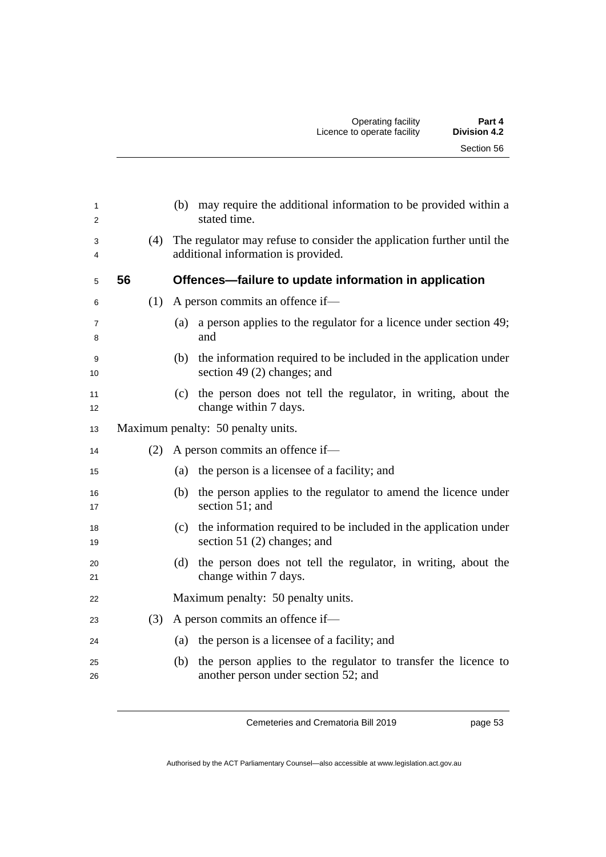| 1<br>2<br>3<br>4    | (4) | may require the additional information to be provided within a<br>(b)<br>stated time.<br>The regulator may refuse to consider the application further until the<br>additional information is provided. |
|---------------------|-----|--------------------------------------------------------------------------------------------------------------------------------------------------------------------------------------------------------|
| 5                   | 56  | Offences-failure to update information in application                                                                                                                                                  |
| 6                   | (1) | A person commits an offence if-                                                                                                                                                                        |
|                     |     |                                                                                                                                                                                                        |
| $\overline{7}$<br>8 |     | a person applies to the regulator for a licence under section 49;<br>(a)<br>and                                                                                                                        |
| 9<br>10             |     | the information required to be included in the application under<br>(b)<br>section 49 $(2)$ changes; and                                                                                               |
| 11<br>12            |     | (c) the person does not tell the regulator, in writing, about the<br>change within 7 days.                                                                                                             |
| 13                  |     | Maximum penalty: 50 penalty units.                                                                                                                                                                     |
| 14                  | (2) | A person commits an offence if-                                                                                                                                                                        |
| 15                  |     | the person is a licensee of a facility; and<br>(a)                                                                                                                                                     |
| 16<br>17            |     | the person applies to the regulator to amend the licence under<br>(b)<br>section 51; and                                                                                                               |
| 18<br>19            |     | (c) the information required to be included in the application under<br>section 51 $(2)$ changes; and                                                                                                  |
| 20<br>21            |     | the person does not tell the regulator, in writing, about the<br>(d)<br>change within 7 days.                                                                                                          |
| 22                  |     | Maximum penalty: 50 penalty units.                                                                                                                                                                     |
| 23                  | (3) | A person commits an offence if-                                                                                                                                                                        |
| 24                  |     | (a) the person is a licensee of a facility; and                                                                                                                                                        |
| 25<br>26            |     | the person applies to the regulator to transfer the licence to<br>(b)<br>another person under section 52; and                                                                                          |

page 53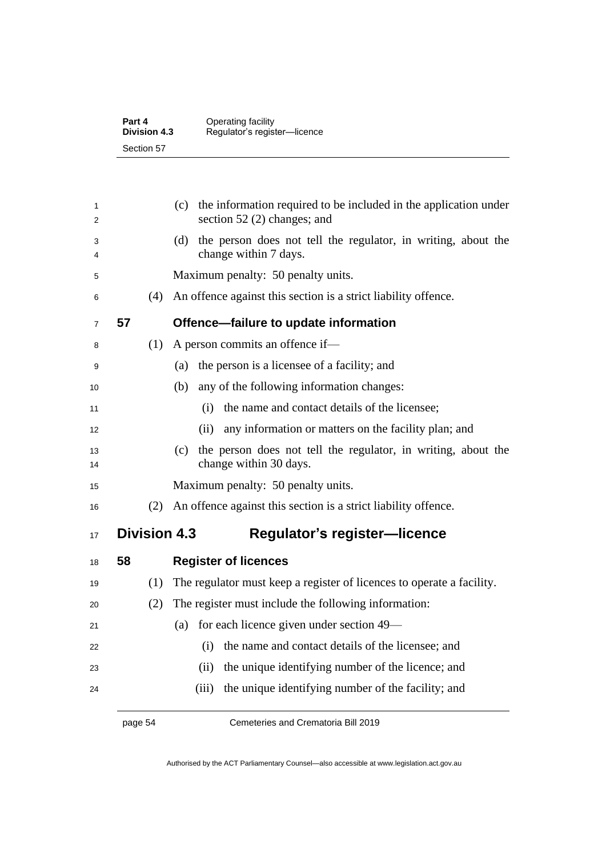| Part 4              | Operating facility           |
|---------------------|------------------------------|
| <b>Division 4.3</b> | Regulator's register-licence |
| Section 57          |                              |

| 1<br>2         |    |     | the information required to be included in the application under<br>(c)<br>section 52 $(2)$ changes; and |
|----------------|----|-----|----------------------------------------------------------------------------------------------------------|
| 3<br>4         |    |     | the person does not tell the regulator, in writing, about the<br>(d)<br>change within 7 days.            |
| 5              |    |     | Maximum penalty: 50 penalty units.                                                                       |
| 6              |    | (4) | An offence against this section is a strict liability offence.                                           |
| $\overline{7}$ | 57 |     | Offence-failure to update information                                                                    |
| 8              |    | (1) | A person commits an offence if-                                                                          |
| 9              |    |     | the person is a licensee of a facility; and<br>(a)                                                       |
| 10             |    |     | any of the following information changes:<br>(b)                                                         |
| 11             |    |     | the name and contact details of the licensee;<br>(i)                                                     |
| 12             |    |     | any information or matters on the facility plan; and<br>(ii)                                             |
| 13<br>14       |    |     | the person does not tell the regulator, in writing, about the<br>(c)<br>change within 30 days.           |
| 15             |    |     | Maximum penalty: 50 penalty units.                                                                       |
| 16             |    | (2) | An offence against this section is a strict liability offence.                                           |
| 17             |    |     | <b>Division 4.3</b><br><b>Regulator's register-licence</b>                                               |
| 18             | 58 |     | <b>Register of licences</b>                                                                              |
| 19             |    | (1) | The regulator must keep a register of licences to operate a facility.                                    |
| 20             |    | (2) | The register must include the following information:                                                     |
| 21             |    |     | for each licence given under section 49—<br>(a)                                                          |
| 22             |    |     | the name and contact details of the licensee; and<br>(i)                                                 |
| 23             |    |     | the unique identifying number of the licence; and<br>(ii)                                                |
| 24             |    |     | the unique identifying number of the facility; and<br>(iii)                                              |

page 54 Cemeteries and Crematoria Bill 2019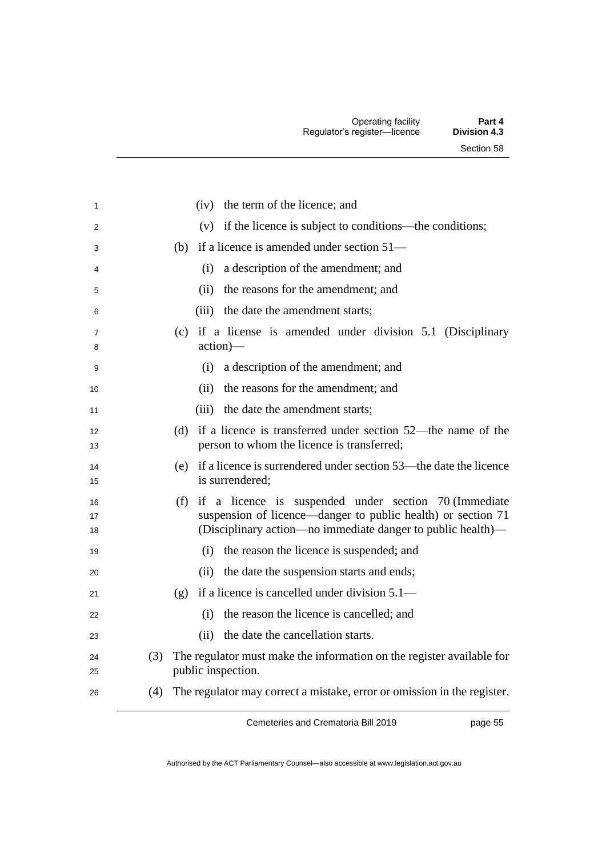| 1                   |     | the term of the licence; and<br>(iv)                                                                                                                                                        |
|---------------------|-----|---------------------------------------------------------------------------------------------------------------------------------------------------------------------------------------------|
| 2                   |     | (v) if the licence is subject to conditions—the conditions;                                                                                                                                 |
| 3                   |     | (b) if a licence is amended under section $51-$                                                                                                                                             |
| 4                   |     | a description of the amendment; and<br>(i)                                                                                                                                                  |
| 5                   |     | the reasons for the amendment; and<br>(ii)                                                                                                                                                  |
| 6                   |     | the date the amendment starts;<br>(iii)                                                                                                                                                     |
| $\overline{7}$<br>8 |     | if a license is amended under division 5.1 (Disciplinary<br>(c)<br>action)—                                                                                                                 |
| 9                   |     | a description of the amendment; and<br>(i)                                                                                                                                                  |
| 10                  |     | the reasons for the amendment; and<br>(ii)                                                                                                                                                  |
| 11                  |     | the date the amendment starts;<br>(iii)                                                                                                                                                     |
| 12<br>13            |     | if a licence is transferred under section 52—the name of the<br>(d)<br>person to whom the licence is transferred;                                                                           |
| 14<br>15            |     | if a licence is surrendered under section 53—the date the licence<br>(e)<br>is surrendered;                                                                                                 |
| 16<br>17<br>18      |     | if a licence is suspended under section 70 (Immediate<br>(f)<br>suspension of licence—danger to public health) or section 71<br>(Disciplinary action—no immediate danger to public health)— |
| 19                  |     | (i) the reason the licence is suspended; and                                                                                                                                                |
| 20                  |     | the date the suspension starts and ends;<br>(ii)                                                                                                                                            |
| 21                  |     | if a licence is cancelled under division 5.1—<br>(g)                                                                                                                                        |
| 22                  |     | the reason the licence is cancelled; and<br>(i)                                                                                                                                             |
| 23                  |     | the date the cancellation starts.<br>(ii)                                                                                                                                                   |
| 24<br>25            | (3) | The regulator must make the information on the register available for<br>public inspection.                                                                                                 |
| 26                  | (4) | The regulator may correct a mistake, error or omission in the register.                                                                                                                     |

page 55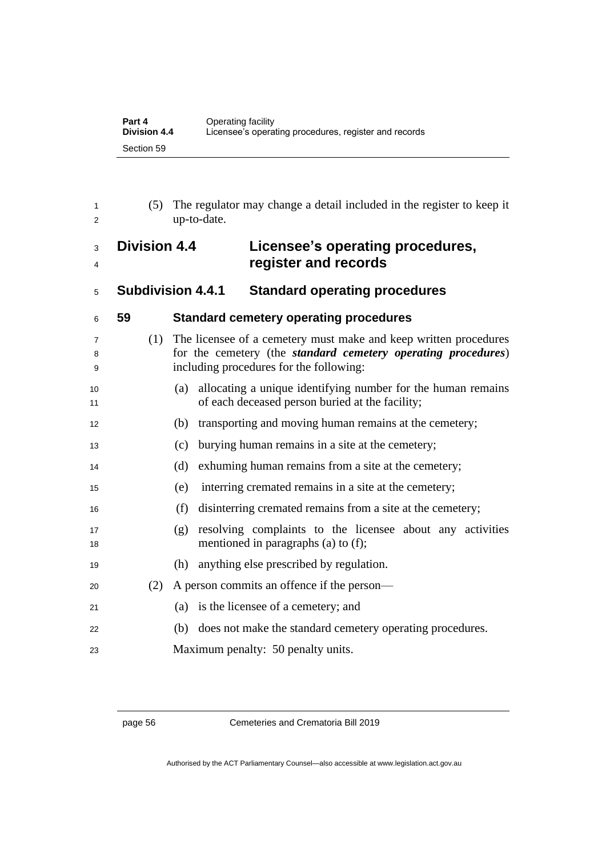| Part 4              | Operating facility                                    |
|---------------------|-------------------------------------------------------|
| <b>Division 4.4</b> | Licensee's operating procedures, register and records |
| Section 59          |                                                       |

| 1<br>2      | (5)                 | The regulator may change a detail included in the register to keep it<br>up-to-date.                                                                                                 |
|-------------|---------------------|--------------------------------------------------------------------------------------------------------------------------------------------------------------------------------------|
| 3<br>4      | <b>Division 4.4</b> | Licensee's operating procedures,<br>register and records                                                                                                                             |
| 5           |                     | <b>Subdivision 4.4.1</b><br><b>Standard operating procedures</b>                                                                                                                     |
| 6           | 59                  | <b>Standard cemetery operating procedures</b>                                                                                                                                        |
| 7<br>8<br>9 | (1)                 | The licensee of a cemetery must make and keep written procedures<br>for the cemetery (the <i>standard cemetery operating procedures</i> )<br>including procedures for the following: |
| 10<br>11    |                     | allocating a unique identifying number for the human remains<br>(a)<br>of each deceased person buried at the facility;                                                               |
| 12          |                     | transporting and moving human remains at the cemetery;<br>(b)                                                                                                                        |
| 13          |                     | burying human remains in a site at the cemetery;<br>(c)                                                                                                                              |
| 14          |                     | exhuming human remains from a site at the cemetery;<br>(d)                                                                                                                           |
| 15          |                     | interring cremated remains in a site at the cemetery;<br>(e)                                                                                                                         |
| 16          |                     | (f)<br>disinterring cremated remains from a site at the cemetery;                                                                                                                    |
| 17<br>18    |                     | resolving complaints to the licensee about any activities<br>(g)<br>mentioned in paragraphs (a) to (f);                                                                              |
| 19          |                     | anything else prescribed by regulation.<br>(h)                                                                                                                                       |
| 20          | (2)                 | A person commits an offence if the person—                                                                                                                                           |
| 21          |                     | is the licensee of a cemetery; and<br>(a)                                                                                                                                            |
| 22          |                     | does not make the standard cemetery operating procedures.<br>(b)                                                                                                                     |
| 23          |                     | Maximum penalty: 50 penalty units.                                                                                                                                                   |

## page 56 Cemeteries and Crematoria Bill 2019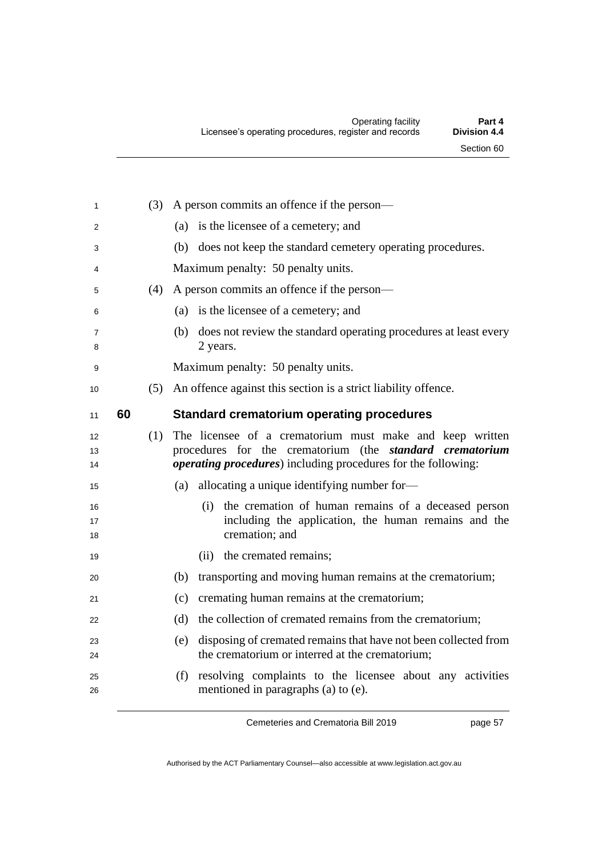| 1              |    | (3) A person commits an offence if the person—                                                                                                                                                    |
|----------------|----|---------------------------------------------------------------------------------------------------------------------------------------------------------------------------------------------------|
| $\overline{2}$ |    | (a) is the licensee of a cemetery; and                                                                                                                                                            |
| 3              |    | (b) does not keep the standard cemetery operating procedures.                                                                                                                                     |
| 4              |    | Maximum penalty: 50 penalty units.                                                                                                                                                                |
| 5              |    | (4) A person commits an offence if the person—                                                                                                                                                    |
| 6              |    | (a) is the licensee of a cemetery; and                                                                                                                                                            |
| 7<br>8         |    | (b) does not review the standard operating procedures at least every<br>2 years.                                                                                                                  |
| 9              |    | Maximum penalty: 50 penalty units.                                                                                                                                                                |
| 10             |    | (5) An offence against this section is a strict liability offence.                                                                                                                                |
| 11             | 60 | <b>Standard crematorium operating procedures</b>                                                                                                                                                  |
| 12<br>13<br>14 |    | (1) The licensee of a crematorium must make and keep written<br>procedures for the crematorium (the standard crematorium<br><i>operating procedures</i> ) including procedures for the following: |
| 15             |    | allocating a unique identifying number for-<br>(a)                                                                                                                                                |
| 16<br>17<br>18 |    | the cremation of human remains of a deceased person<br>(i)<br>including the application, the human remains and the<br>cremation; and                                                              |
| 19             |    | (ii) the cremated remains;                                                                                                                                                                        |
| 20             |    | transporting and moving human remains at the crematorium;<br>(b)                                                                                                                                  |
| 21             |    | cremating human remains at the crematorium;<br>(c)                                                                                                                                                |
| 22             |    | the collection of cremated remains from the crematorium;<br>(d)                                                                                                                                   |
| 23             |    | disposing of cremated remains that have not been collected from<br>(e)                                                                                                                            |
| 24             |    | the crematorium or interred at the crematorium;                                                                                                                                                   |
| 25<br>26       |    | resolving complaints to the licensee about any activities<br>(f)<br>mentioned in paragraphs (a) to (e).                                                                                           |
|                |    |                                                                                                                                                                                                   |

page 57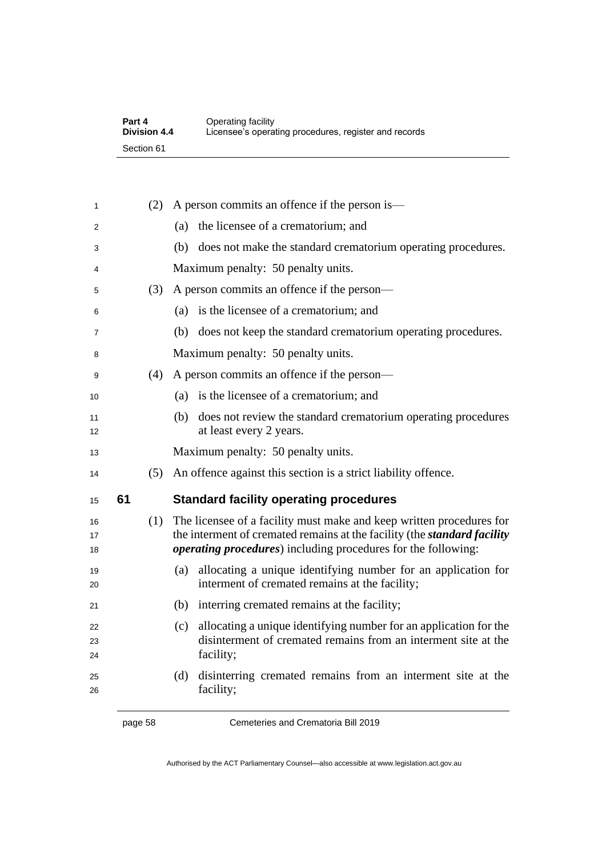| Part 4              | Operating facility                                    |
|---------------------|-------------------------------------------------------|
| <b>Division 4.4</b> | Licensee's operating procedures, register and records |
| Section 61          |                                                       |

| 1              |    | (2) | A person commits an offence if the person is—                                                                                                                                                                                    |
|----------------|----|-----|----------------------------------------------------------------------------------------------------------------------------------------------------------------------------------------------------------------------------------|
| 2              |    |     | the licensee of a crematorium; and<br>(a)                                                                                                                                                                                        |
| 3              |    |     | (b) does not make the standard crematorium operating procedures.                                                                                                                                                                 |
| 4              |    |     | Maximum penalty: 50 penalty units.                                                                                                                                                                                               |
| 5              |    | (3) | A person commits an offence if the person—                                                                                                                                                                                       |
| 6              |    |     | (a) is the licensee of a crematorium; and                                                                                                                                                                                        |
| 7              |    |     | (b) does not keep the standard crematorium operating procedures.                                                                                                                                                                 |
| 8              |    |     | Maximum penalty: 50 penalty units.                                                                                                                                                                                               |
| 9              |    | (4) | A person commits an offence if the person—                                                                                                                                                                                       |
| 10             |    |     | is the licensee of a crematorium; and<br>(a)                                                                                                                                                                                     |
| 11<br>12       |    |     | (b) does not review the standard crematorium operating procedures<br>at least every 2 years.                                                                                                                                     |
| 13             |    |     | Maximum penalty: 50 penalty units.                                                                                                                                                                                               |
| 14             |    | (5) | An offence against this section is a strict liability offence.                                                                                                                                                                   |
| 15             | 61 |     | <b>Standard facility operating procedures</b>                                                                                                                                                                                    |
| 16<br>17<br>18 |    | (1) | The licensee of a facility must make and keep written procedures for<br>the interment of cremated remains at the facility (the <i>standard facility</i><br><i>operating procedures</i> ) including procedures for the following: |
| 19<br>20       |    |     | allocating a unique identifying number for an application for<br>(a)<br>interment of cremated remains at the facility;                                                                                                           |
| 21             |    |     | (b) interring cremated remains at the facility;                                                                                                                                                                                  |
| 22<br>23<br>24 |    |     | allocating a unique identifying number for an application for the<br>(c)<br>disinterment of cremated remains from an interment site at the<br>facility;                                                                          |
| 25<br>26       |    |     | disinterring cremated remains from an interment site at the<br>(d)<br>facility;                                                                                                                                                  |

page 58 Cemeteries and Crematoria Bill 2019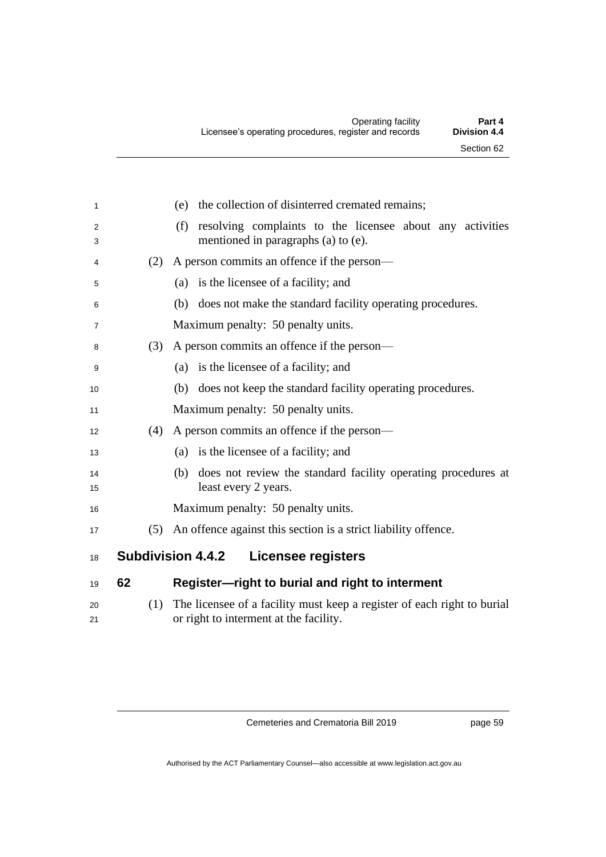| 1        |     | the collection of disinterred cremated remains;<br>(e)                                                            |
|----------|-----|-------------------------------------------------------------------------------------------------------------------|
| 2<br>3   |     | resolving complaints to the licensee about any activities<br>(f)<br>mentioned in paragraphs (a) to (e).           |
| 4        | (2) | A person commits an offence if the person—                                                                        |
| 5        |     | is the licensee of a facility; and<br>(a)                                                                         |
| 6        |     | does not make the standard facility operating procedures.<br>(b)                                                  |
| 7        |     | Maximum penalty: 50 penalty units.                                                                                |
| 8        | (3) | A person commits an offence if the person—                                                                        |
| 9        |     | (a) is the licensee of a facility; and                                                                            |
| 10       |     | (b) does not keep the standard facility operating procedures.                                                     |
| 11       |     | Maximum penalty: 50 penalty units.                                                                                |
| 12       | (4) | A person commits an offence if the person—                                                                        |
| 13       |     | (a) is the licensee of a facility; and                                                                            |
| 14<br>15 |     | does not review the standard facility operating procedures at<br>(b)<br>least every 2 years.                      |
| 16       |     | Maximum penalty: 50 penalty units.                                                                                |
| 17       | (5) | An offence against this section is a strict liability offence.                                                    |
| 18       |     | <b>Subdivision 4.4.2</b><br><b>Licensee registers</b>                                                             |
| 19       | 62  | Register-right to burial and right to interment                                                                   |
| 20<br>21 | (1) | The licensee of a facility must keep a register of each right to burial<br>or right to interment at the facility. |

page 59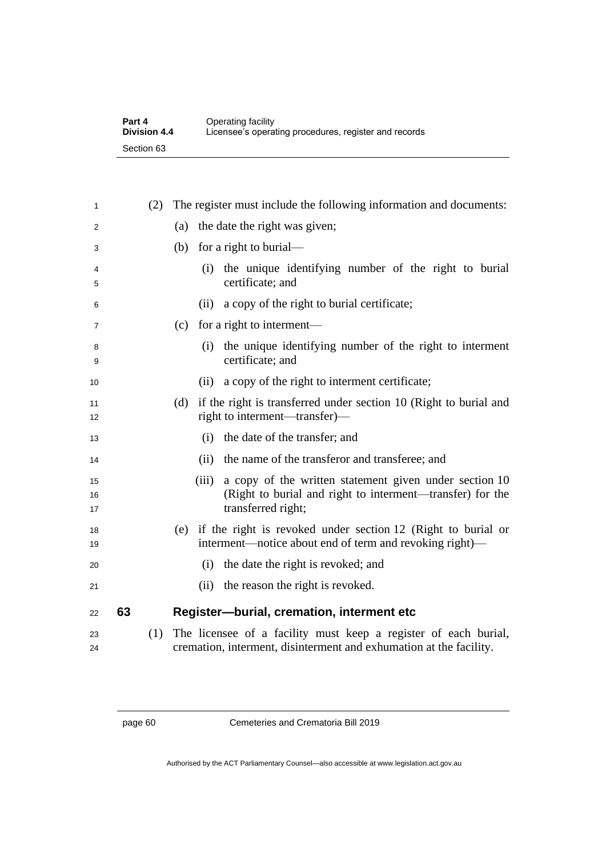| Part 4              | Operating facility                                    |
|---------------------|-------------------------------------------------------|
| <b>Division 4.4</b> | Licensee's operating procedures, register and records |
| Section 63          |                                                       |

| 1              |    | (2) | The register must include the following information and documents:                                                                                 |
|----------------|----|-----|----------------------------------------------------------------------------------------------------------------------------------------------------|
| 2              |    |     | the date the right was given;<br>(a)                                                                                                               |
| 3              |    |     | (b) for a right to burial—                                                                                                                         |
| 4<br>5         |    |     | (i) the unique identifying number of the right to burial<br>certificate; and                                                                       |
| 6              |    |     | a copy of the right to burial certificate;<br>(ii)                                                                                                 |
| 7              |    |     | for a right to interment—<br>(c)                                                                                                                   |
| 8<br>9         |    |     | the unique identifying number of the right to interment<br>(i)<br>certificate; and                                                                 |
| 10             |    |     | a copy of the right to interment certificate;<br>(ii)                                                                                              |
| 11<br>12       |    |     | if the right is transferred under section 10 (Right to burial and<br>(d)<br>right to interment—transfer—                                           |
| 13             |    |     | the date of the transfer; and<br>(i)                                                                                                               |
| 14             |    |     | the name of the transferor and transferee; and<br>(ii)                                                                                             |
| 15<br>16<br>17 |    |     | a copy of the written statement given under section 10<br>(iii)<br>(Right to burial and right to interment—transfer) for the<br>transferred right; |
| 18<br>19       |    |     | (e) if the right is revoked under section 12 (Right to burial or<br>interment—notice about end of term and revoking right)—                        |
| 20             |    |     | the date the right is revoked; and<br>(i)                                                                                                          |
| 21             |    |     | the reason the right is revoked.<br>(ii)                                                                                                           |
| 22             | 63 |     | Register-burial, cremation, interment etc                                                                                                          |
| 23<br>24       |    | (1) | The licensee of a facility must keep a register of each burial,<br>cremation, interment, disinterment and exhumation at the facility.              |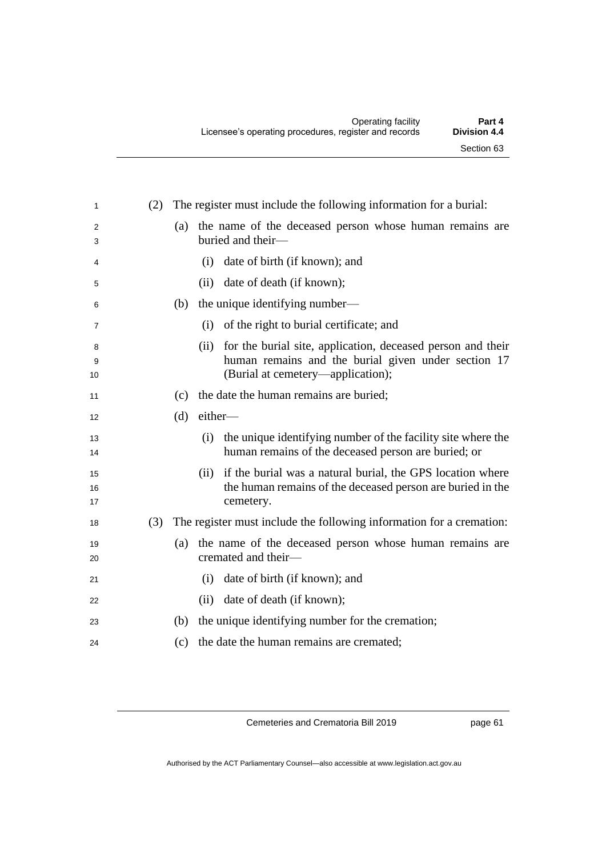| 1              | (2) | The register must include the following information for a burial:                                                                             |
|----------------|-----|-----------------------------------------------------------------------------------------------------------------------------------------------|
| 2<br>3         |     | the name of the deceased person whose human remains are<br>(a)<br>buried and their-                                                           |
| 4              |     | date of birth (if known); and<br>(i)                                                                                                          |
| 5              |     | date of death (if known);<br>(ii)                                                                                                             |
| 6              |     | (b) the unique identifying number—                                                                                                            |
| 7              |     | of the right to burial certificate; and<br>(i)                                                                                                |
| 8              |     | for the burial site, application, deceased person and their<br>(ii)                                                                           |
| 9<br>10        |     | human remains and the burial given under section 17<br>(Burial at cemetery—application);                                                      |
| 11             |     | the date the human remains are buried;<br>(c)                                                                                                 |
| 12             |     | either-<br>(d)                                                                                                                                |
| 13<br>14       |     | the unique identifying number of the facility site where the<br>(i)<br>human remains of the deceased person are buried; or                    |
| 15<br>16<br>17 |     | if the burial was a natural burial, the GPS location where<br>(ii)<br>the human remains of the deceased person are buried in the<br>cemetery. |
| 18             | (3) | The register must include the following information for a cremation:                                                                          |
| 19<br>20       |     | (a) the name of the deceased person whose human remains are<br>cremated and their-                                                            |
| 21             |     | date of birth (if known); and<br>(i)                                                                                                          |
| 22             |     | date of death (if known);<br>(ii)                                                                                                             |
| 23             |     | the unique identifying number for the cremation;<br>(b)                                                                                       |
| 24             |     | the date the human remains are cremated;<br>(c)                                                                                               |
|                |     |                                                                                                                                               |

page 61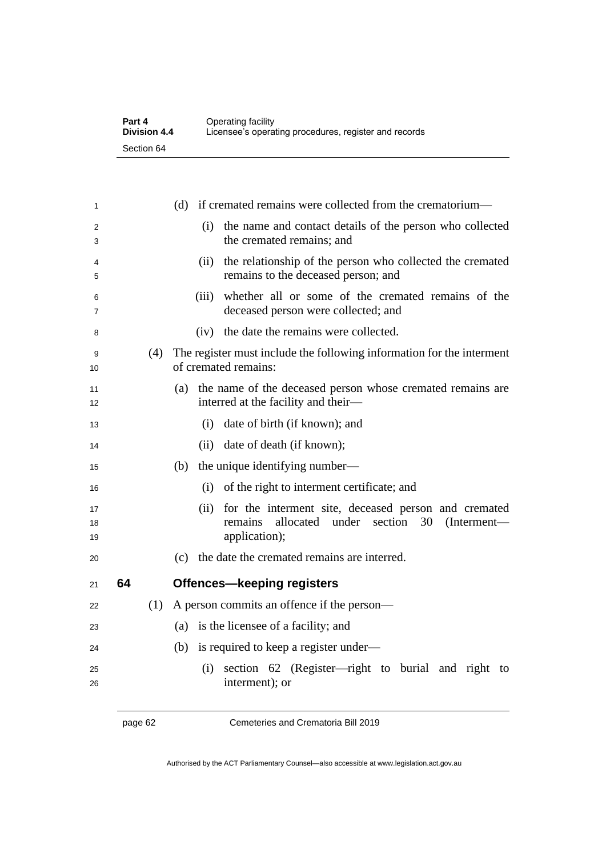| Part 4              | Operating facility                                    |
|---------------------|-------------------------------------------------------|
| <b>Division 4.4</b> | Licensee's operating procedures, register and records |
| Section 64          |                                                       |

| 1              |    |     | (d) if cremated remains were collected from the crematorium—                                                                                     |
|----------------|----|-----|--------------------------------------------------------------------------------------------------------------------------------------------------|
| 2<br>3         |    |     | (i)<br>the name and contact details of the person who collected<br>the cremated remains; and                                                     |
| 4<br>5         |    |     | the relationship of the person who collected the cremated<br>(ii)<br>remains to the deceased person; and                                         |
| 6<br>7         |    |     | whether all or some of the cremated remains of the<br>(iii)<br>deceased person were collected; and                                               |
| 8              |    |     | the date the remains were collected.<br>(iv)                                                                                                     |
| 9<br>10        |    | (4) | The register must include the following information for the interment<br>of cremated remains:                                                    |
| 11<br>12       |    |     | (a) the name of the deceased person whose cremated remains are<br>interred at the facility and their-                                            |
| 13             |    |     | date of birth (if known); and<br>(i)                                                                                                             |
| 14             |    |     | date of death (if known);<br>(ii)                                                                                                                |
| 15             |    |     | the unique identifying number—<br>(b)                                                                                                            |
| 16             |    |     | of the right to interment certificate; and<br>(i)                                                                                                |
| 17<br>18<br>19 |    |     | for the interment site, deceased person and cremated<br>(ii)<br>remains<br>allocated<br>under<br>section<br>30<br>$(Internet -$<br>application); |
| 20             |    |     | (c) the date the cremated remains are interred.                                                                                                  |
| 21             | 64 |     | <b>Offences-keeping registers</b>                                                                                                                |
| 22             |    | (1) | A person commits an offence if the person—                                                                                                       |
| 23             |    |     | (a) is the licensee of a facility; and                                                                                                           |
| 24             |    |     | (b)<br>is required to keep a register under—                                                                                                     |
| 25<br>26       |    |     | section 62 (Register—right to burial and right to<br>(i)<br>interment); or                                                                       |

page 62 Cemeteries and Crematoria Bill 2019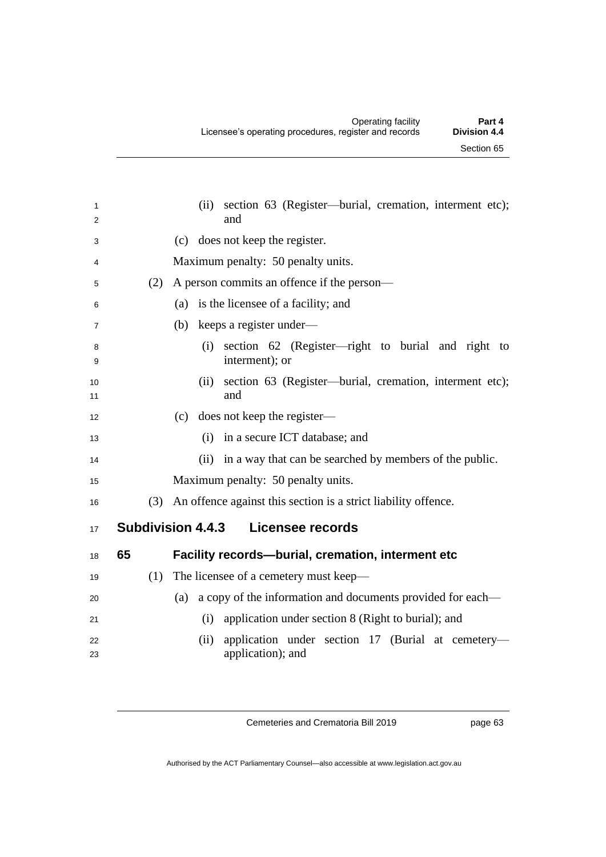| 1<br>2            |                                              | section 63 (Register—burial, cremation, interment etc);<br>(ii)<br>and         |
|-------------------|----------------------------------------------|--------------------------------------------------------------------------------|
| 3                 |                                              | (c) does not keep the register.                                                |
| 4                 |                                              | Maximum penalty: 50 penalty units.                                             |
| 5                 | (2)                                          | A person commits an offence if the person—                                     |
| 6                 |                                              | (a) is the licensee of a facility; and                                         |
|                   |                                              |                                                                                |
| 7                 |                                              | keeps a register under-<br>(b)                                                 |
| 8<br>9            |                                              | section 62 (Register—right to burial and right<br>(i)<br>to<br>interment); or  |
| 10<br>11          |                                              | section 63 (Register—burial, cremation, interment etc);<br>(ii)<br>and         |
| $12 \overline{ }$ |                                              | does not keep the register—<br>(c)                                             |
| 13                |                                              | in a secure ICT database; and<br>(i)                                           |
| 14                |                                              | (ii) in a way that can be searched by members of the public.                   |
| 15                |                                              | Maximum penalty: 50 penalty units.                                             |
| 16                | (3)                                          | An offence against this section is a strict liability offence.                 |
| 17                | <b>Subdivision 4.4.3</b><br>Licensee records |                                                                                |
| 18                | 65                                           | Facility records--burial, cremation, interment etc                             |
| 19                | (1)                                          | The licensee of a cemetery must keep—                                          |
| 20                |                                              | a copy of the information and documents provided for each—<br>(a)              |
| 21                |                                              | application under section 8 (Right to burial); and<br>(i)                      |
| 22<br>23          |                                              | application under section 17 (Burial at cemetery-<br>(ii)<br>application); and |
|                   |                                              |                                                                                |

page 63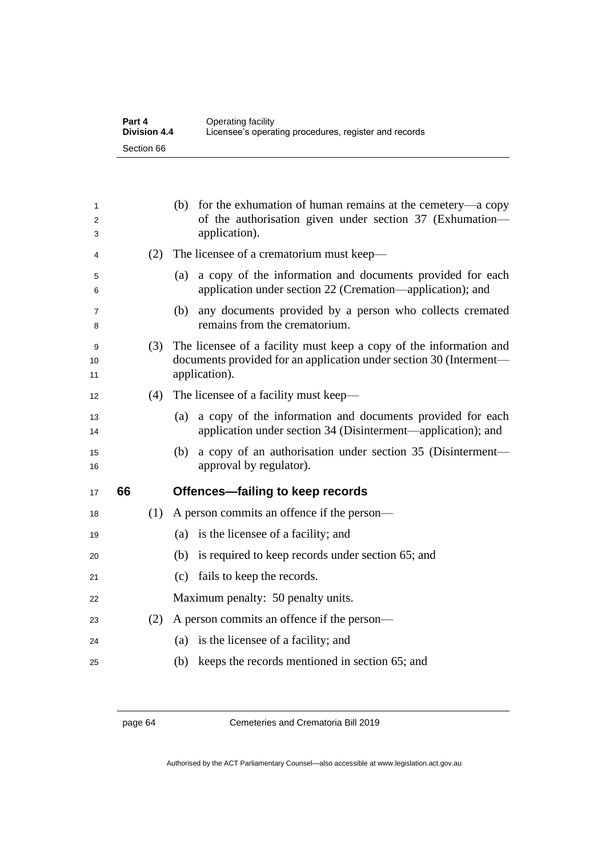| Part 4              | Operating facility                                    |
|---------------------|-------------------------------------------------------|
| <b>Division 4.4</b> | Licensee's operating procedures, register and records |
| Section 66          |                                                       |

| 1<br>2<br>3   |    |     | for the exhumation of human remains at the cemetery—a copy<br>(b)<br>of the authorisation given under section 37 (Exhumation-<br>application).            |
|---------------|----|-----|-----------------------------------------------------------------------------------------------------------------------------------------------------------|
| 4             |    | (2) | The licensee of a crematorium must keep-                                                                                                                  |
| 5<br>6        |    |     | a copy of the information and documents provided for each<br>(a)<br>application under section 22 (Cremation—application); and                             |
| 7<br>8        |    |     | any documents provided by a person who collects cremated<br>(b)<br>remains from the crematorium.                                                          |
| 9<br>10<br>11 |    | (3) | The licensee of a facility must keep a copy of the information and<br>documents provided for an application under section 30 (Interment—<br>application). |
| 12            |    | (4) | The licensee of a facility must keep-                                                                                                                     |
| 13<br>14      |    |     | a copy of the information and documents provided for each<br>(a)<br>application under section 34 (Disinterment—application); and                          |
| 15<br>16      |    |     | a copy of an authorisation under section 35 (Disinterment—<br>(b)<br>approval by regulator).                                                              |
| 17            | 66 |     | Offences-failing to keep records                                                                                                                          |
| 18            |    | (1) | A person commits an offence if the person—                                                                                                                |
| 19            |    |     | is the licensee of a facility; and<br>(a)                                                                                                                 |
| 20            |    |     | (b) is required to keep records under section 65; and                                                                                                     |
| 21            |    |     | fails to keep the records.<br>(c)                                                                                                                         |
| 22            |    |     | Maximum penalty: 50 penalty units.                                                                                                                        |
| 23            |    | (2) | A person commits an offence if the person—                                                                                                                |
| 24            |    |     | is the licensee of a facility; and<br>(a)                                                                                                                 |
| 25            |    |     | keeps the records mentioned in section 65; and<br>(b)                                                                                                     |

page 64 Cemeteries and Crematoria Bill 2019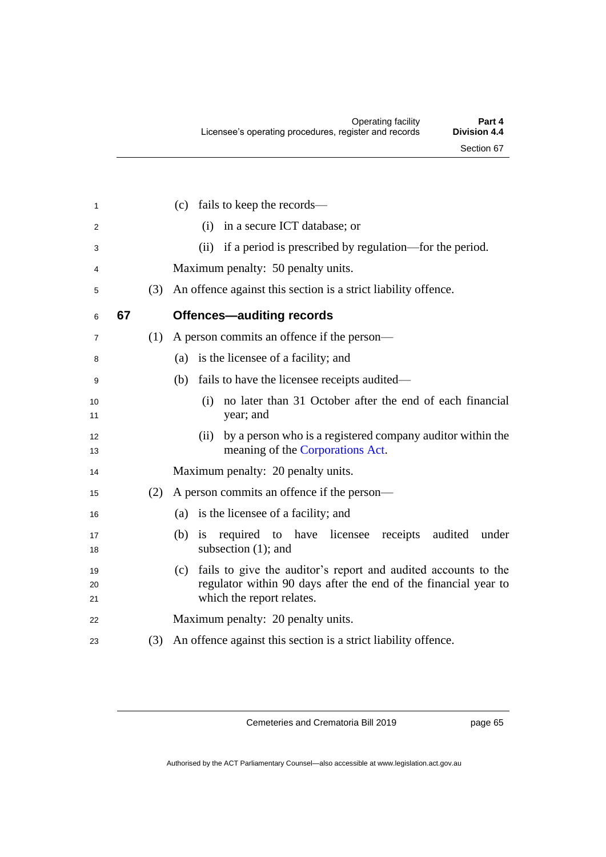| 1              |    |     | (c) fails to keep the records—                                                                                                                                     |
|----------------|----|-----|--------------------------------------------------------------------------------------------------------------------------------------------------------------------|
| 2              |    |     | in a secure ICT database; or<br>(i)                                                                                                                                |
| 3              |    |     | (ii) if a period is prescribed by regulation—for the period.                                                                                                       |
| 4              |    |     | Maximum penalty: 50 penalty units.                                                                                                                                 |
| 5              |    | (3) | An offence against this section is a strict liability offence.                                                                                                     |
| 6              | 67 |     | <b>Offences-auditing records</b>                                                                                                                                   |
| 7              |    | (1) | A person commits an offence if the person—                                                                                                                         |
| 8              |    |     | is the licensee of a facility; and<br>(a)                                                                                                                          |
| 9              |    |     | fails to have the licensee receipts audited—<br>(b)                                                                                                                |
| 10<br>11       |    |     | no later than 31 October after the end of each financial<br>(i)<br>year; and                                                                                       |
| 12<br>13       |    |     | by a person who is a registered company auditor within the<br>(ii)<br>meaning of the Corporations Act.                                                             |
| 14             |    |     | Maximum penalty: 20 penalty units.                                                                                                                                 |
| 15             |    | (2) | A person commits an offence if the person—                                                                                                                         |
| 16             |    |     | (a) is the licensee of a facility; and                                                                                                                             |
| 17<br>18       |    |     | required to have licensee receipts<br>$(b)$ is<br>audited<br>under<br>subsection $(1)$ ; and                                                                       |
| 19<br>20<br>21 |    |     | (c) fails to give the auditor's report and audited accounts to the<br>regulator within 90 days after the end of the financial year to<br>which the report relates. |
| 22             |    |     | Maximum penalty: 20 penalty units.                                                                                                                                 |
| 23             |    | (3) | An offence against this section is a strict liability offence.                                                                                                     |
|                |    |     |                                                                                                                                                                    |

page 65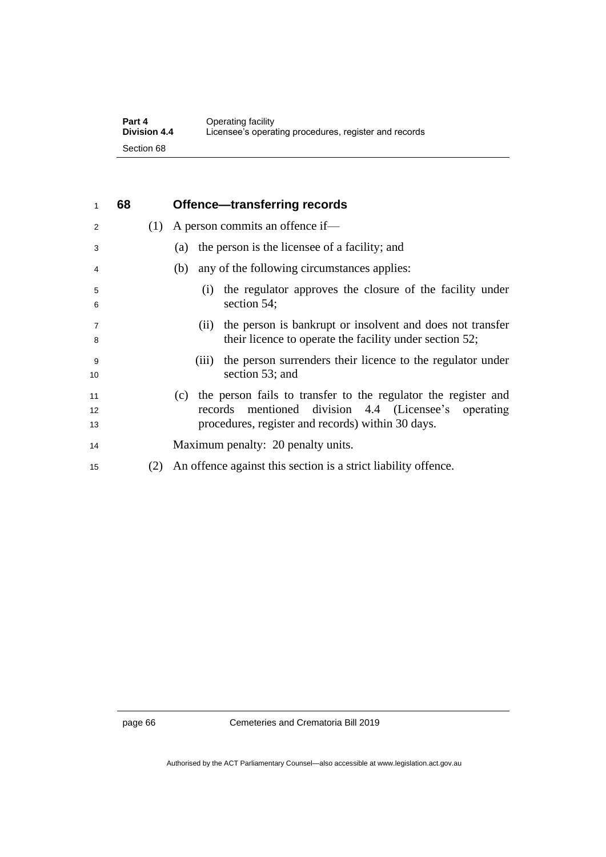| Part 4              | Operating facility                                    |
|---------------------|-------------------------------------------------------|
| <b>Division 4.4</b> | Licensee's operating procedures, register and records |
| Section 68          |                                                       |

| 1                   | 68 |     | Offence—transferring records                                                                                                 |
|---------------------|----|-----|------------------------------------------------------------------------------------------------------------------------------|
| 2                   |    | (1) | A person commits an offence if—                                                                                              |
| 3                   |    |     | the person is the licensee of a facility; and<br>(a)                                                                         |
| 4                   |    |     | any of the following circumstances applies:<br>(b)                                                                           |
| 5<br>6              |    |     | the regulator approves the closure of the facility under<br>(1)<br>section 54;                                               |
| $\overline{7}$<br>8 |    |     | the person is bankrupt or insolvent and does not transfer<br>(11)<br>their licence to operate the facility under section 52; |
| 9<br>10             |    |     | the person surrenders their licence to the regulator under<br>(111)<br>section 53; and                                       |
| 11                  |    |     | the person fails to transfer to the regulator the register and<br>(c)                                                        |
| 12                  |    |     | records mentioned division 4.4 (Licensee's operating                                                                         |
| 13                  |    |     | procedures, register and records) within 30 days.                                                                            |
| 14                  |    |     | Maximum penalty: 20 penalty units.                                                                                           |
| 15                  |    | (2) | An offence against this section is a strict liability offence.                                                               |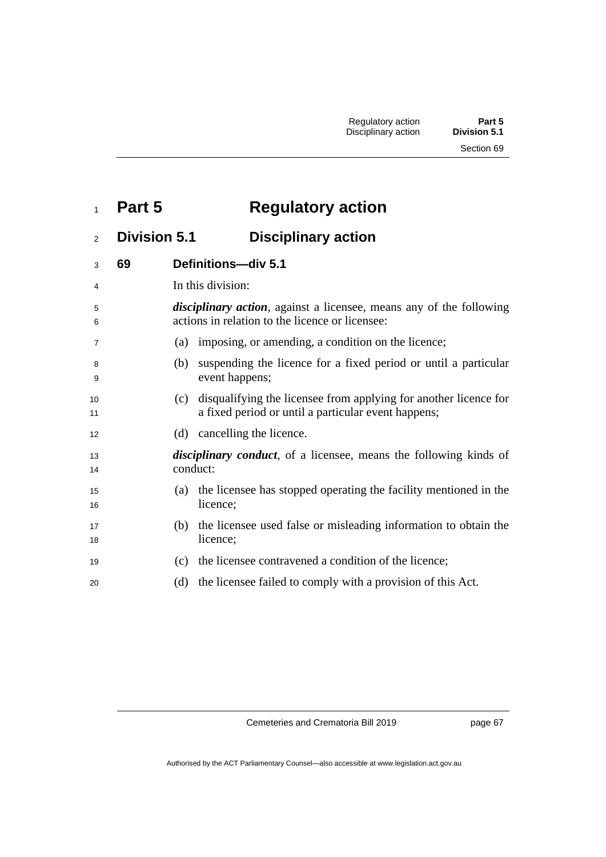Section 69

## **Part 5 Regulatory action**

## **Division 5.1 Disciplinary action**

| 3              | 69 | Definitions-div 5.1                                                                                                            |
|----------------|----|--------------------------------------------------------------------------------------------------------------------------------|
| 4              |    | In this division:                                                                                                              |
| 5<br>6         |    | <i>disciplinary action</i> , against a licensee, means any of the following<br>actions in relation to the licence or licensee: |
| $\overline{7}$ |    | (a) imposing, or amending, a condition on the licence;                                                                         |
| 8<br>9         |    | suspending the licence for a fixed period or until a particular<br>(b)<br>event happens;                                       |
| 10<br>11       |    | disqualifying the licensee from applying for another licence for<br>(c)<br>a fixed period or until a particular event happens; |
| 12             |    | (d) cancelling the licence.                                                                                                    |
| 13<br>14       |    | <i>disciplinary conduct</i> , of a licensee, means the following kinds of<br>conduct:                                          |
| 15<br>16       |    | the licensee has stopped operating the facility mentioned in the<br>(a)<br>licence;                                            |
| 17<br>18       |    | the licensee used false or misleading information to obtain the<br>(b)<br>licence;                                             |
| 19             |    | the licensee contravened a condition of the licence;<br>(c)                                                                    |
| 20             |    | the licensee failed to comply with a provision of this Act.<br>(d)                                                             |
|                |    |                                                                                                                                |

Cemeteries and Crematoria Bill 2019

page 67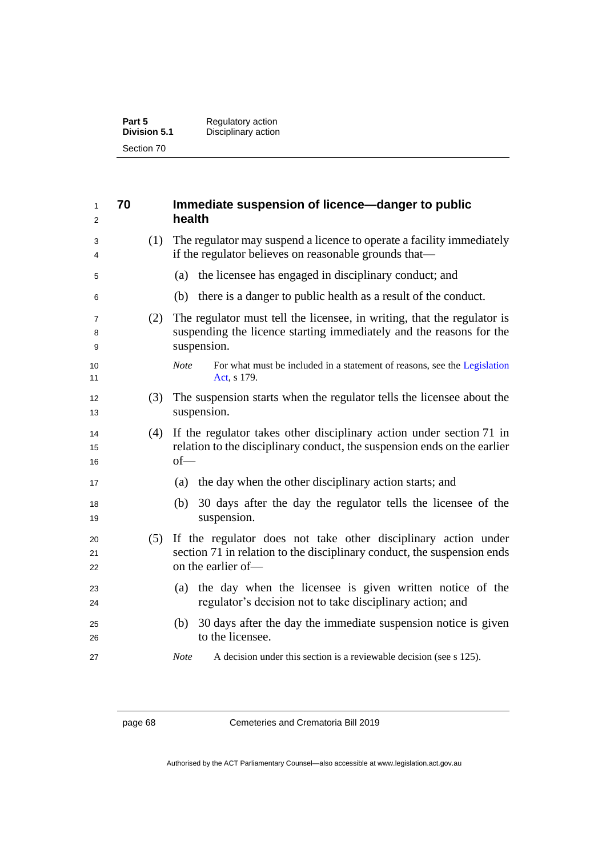| Part 5              | Regulatory action   |
|---------------------|---------------------|
| <b>Division 5.1</b> | Disciplinary action |
| Section 70          |                     |

| 1<br>2         | 70  | Immediate suspension of licence-danger to public<br>health                                                                                                          |
|----------------|-----|---------------------------------------------------------------------------------------------------------------------------------------------------------------------|
| 3<br>4         | (1) | The regulator may suspend a licence to operate a facility immediately<br>if the regulator believes on reasonable grounds that—                                      |
| 5              |     | the licensee has engaged in disciplinary conduct; and<br>(a)                                                                                                        |
| 6              |     | (b) there is a danger to public health as a result of the conduct.                                                                                                  |
| 7<br>8<br>9    | (2) | The regulator must tell the licensee, in writing, that the regulator is<br>suspending the licence starting immediately and the reasons for the<br>suspension.       |
| 10<br>11       |     | For what must be included in a statement of reasons, see the Legislation<br><b>Note</b><br>Act, s 179.                                                              |
| 12<br>13       | (3) | The suspension starts when the regulator tells the licensee about the<br>suspension.                                                                                |
| 14<br>15<br>16 | (4) | If the regulator takes other disciplinary action under section 71 in<br>relation to the disciplinary conduct, the suspension ends on the earlier<br>$of$ —          |
| 17             |     | the day when the other disciplinary action starts; and<br>(a)                                                                                                       |
| 18<br>19       |     | 30 days after the day the regulator tells the licensee of the<br>(b)<br>suspension.                                                                                 |
| 20<br>21<br>22 |     | (5) If the regulator does not take other disciplinary action under<br>section 71 in relation to the disciplinary conduct, the suspension ends<br>on the earlier of- |
| 23<br>24       |     | (a) the day when the licensee is given written notice of the<br>regulator's decision not to take disciplinary action; and                                           |
| 25<br>26       |     | 30 days after the day the immediate suspension notice is given<br>(b)<br>to the licensee.                                                                           |
| 27             |     | <b>Note</b><br>A decision under this section is a reviewable decision (see s 125).                                                                                  |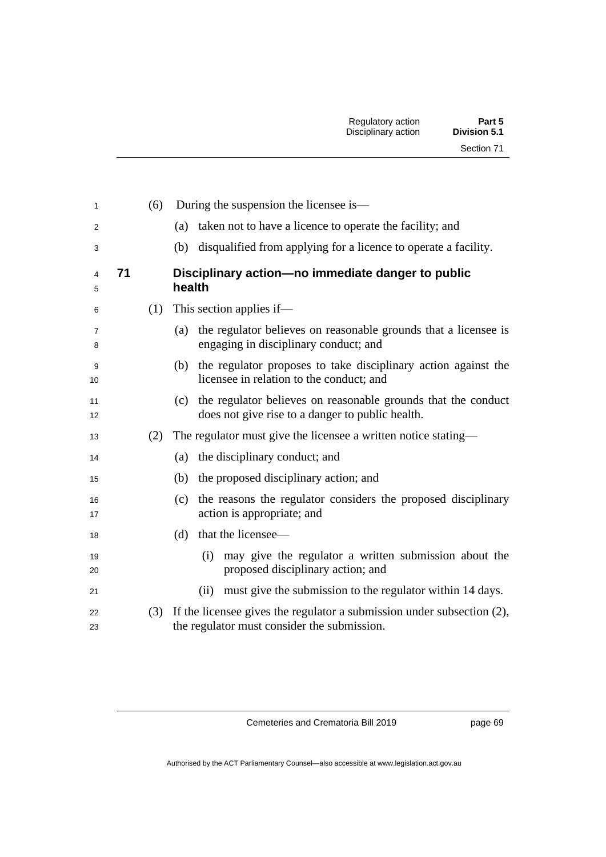| 1              |    | (6) | During the suspension the licensee is—                                                                                   |
|----------------|----|-----|--------------------------------------------------------------------------------------------------------------------------|
| $\overline{2}$ |    |     | taken not to have a licence to operate the facility; and<br>(a)                                                          |
| 3              |    |     | disqualified from applying for a licence to operate a facility.<br>(b)                                                   |
| 4<br>5         | 71 |     | Disciplinary action-no immediate danger to public<br>health                                                              |
| 6              |    | (1) | This section applies if—                                                                                                 |
| 7<br>8         |    |     | the regulator believes on reasonable grounds that a licensee is<br>(a)<br>engaging in disciplinary conduct; and          |
| 9<br>10        |    |     | the regulator proposes to take disciplinary action against the<br>(b)<br>licensee in relation to the conduct; and        |
| 11<br>12       |    |     | the regulator believes on reasonable grounds that the conduct<br>(c)<br>does not give rise to a danger to public health. |
| 13             |    | (2) | The regulator must give the licensee a written notice stating—                                                           |
| 14             |    |     | (a) the disciplinary conduct; and                                                                                        |
| 15             |    |     | the proposed disciplinary action; and<br>(b)                                                                             |
| 16<br>17       |    |     | the reasons the regulator considers the proposed disciplinary<br>(c)<br>action is appropriate; and                       |
| 18             |    |     | that the licensee—<br>(d)                                                                                                |
| 19<br>20       |    |     | may give the regulator a written submission about the<br>(i)<br>proposed disciplinary action; and                        |
| 21             |    |     | must give the submission to the regulator within 14 days.<br>(ii)                                                        |
| 22<br>23       |    | (3) | If the licensee gives the regulator a submission under subsection (2),<br>the regulator must consider the submission.    |

page 69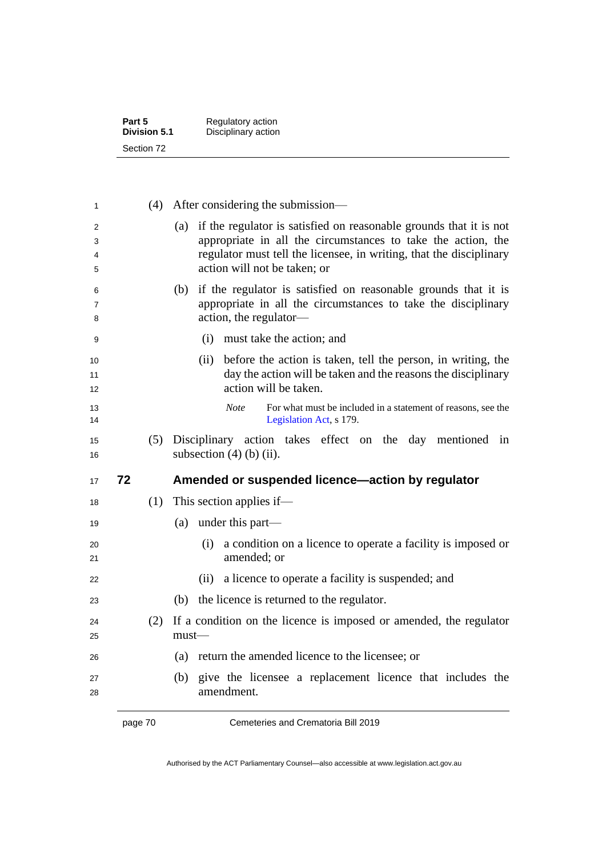| Part 5              | Regulatory action   |
|---------------------|---------------------|
| <b>Division 5.1</b> | Disciplinary action |
| Section 72          |                     |

| 1                |    | (4) | After considering the submission—                                                                                                                                                                                                                |
|------------------|----|-----|--------------------------------------------------------------------------------------------------------------------------------------------------------------------------------------------------------------------------------------------------|
| 2<br>3<br>4<br>5 |    |     | if the regulator is satisfied on reasonable grounds that it is not<br>(a)<br>appropriate in all the circumstances to take the action, the<br>regulator must tell the licensee, in writing, that the disciplinary<br>action will not be taken; or |
| 6<br>7<br>8      |    |     | if the regulator is satisfied on reasonable grounds that it is<br>(b)<br>appropriate in all the circumstances to take the disciplinary<br>action, the regulator-                                                                                 |
| 9                |    |     | must take the action; and<br>(i)                                                                                                                                                                                                                 |
| 10<br>11<br>12   |    |     | before the action is taken, tell the person, in writing, the<br>(ii)<br>day the action will be taken and the reasons the disciplinary<br>action will be taken.                                                                                   |
| 13<br>14         |    |     | <b>Note</b><br>For what must be included in a statement of reasons, see the<br>Legislation Act, s 179.                                                                                                                                           |
| 15<br>16         |    | (5) | Disciplinary action takes effect on the day mentioned in<br>subsection $(4)$ (b) (ii).                                                                                                                                                           |
| 17               | 72 |     | Amended or suspended licence—action by regulator                                                                                                                                                                                                 |
| 18               |    | (1) | This section applies if—                                                                                                                                                                                                                         |
| 19               |    |     | under this part—<br>(a)                                                                                                                                                                                                                          |
| 20<br>21         |    |     | a condition on a licence to operate a facility is imposed or<br>(i)<br>amended; or                                                                                                                                                               |
| 22               |    |     | a licence to operate a facility is suspended; and<br>(ii)                                                                                                                                                                                        |
| 23               |    |     | the licence is returned to the regulator.<br>(b)                                                                                                                                                                                                 |
| 24<br>25         |    | (2) | If a condition on the licence is imposed or amended, the regulator<br>$must$ —                                                                                                                                                                   |
| 26               |    |     | return the amended licence to the licensee; or<br>(a)                                                                                                                                                                                            |
| 27<br>28         |    |     | give the licensee a replacement licence that includes the<br>(b)<br>amendment.                                                                                                                                                                   |

page 70 Cemeteries and Crematoria Bill 2019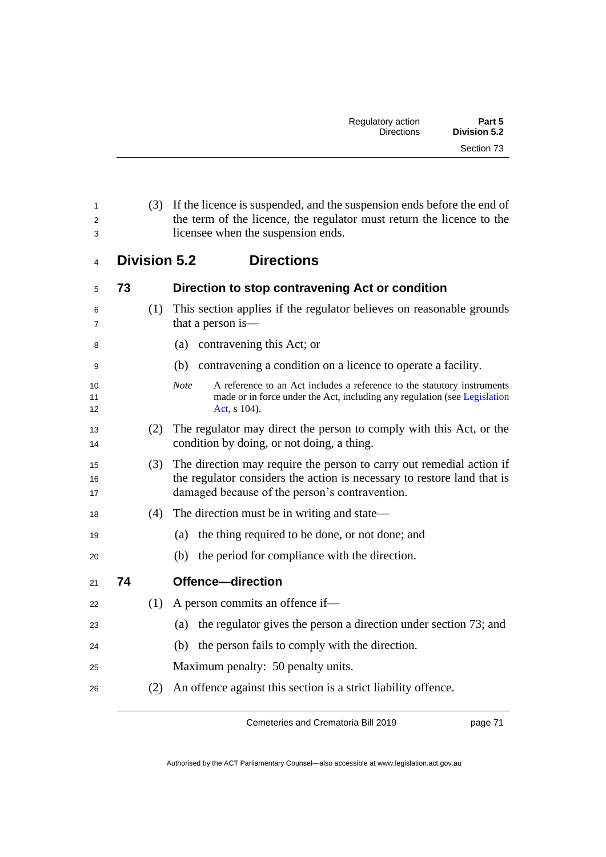| 1<br>$\overline{2}$<br>3 |                     | (3) If the licence is suspended, and the suspension ends before the end of<br>the term of the licence, the regulator must return the licence to the<br>licensee when the suspension ends.         |
|--------------------------|---------------------|---------------------------------------------------------------------------------------------------------------------------------------------------------------------------------------------------|
| 4                        | <b>Division 5.2</b> | <b>Directions</b>                                                                                                                                                                                 |
| 5                        | 73                  | Direction to stop contravening Act or condition                                                                                                                                                   |
| 6<br>7                   | (1)                 | This section applies if the regulator believes on reasonable grounds<br>that a person is—                                                                                                         |
| 8                        |                     | contravening this Act; or<br>(a)                                                                                                                                                                  |
| 9                        |                     | contravening a condition on a licence to operate a facility.<br>(b)                                                                                                                               |
| 10<br>11<br>12           |                     | <b>Note</b><br>A reference to an Act includes a reference to the statutory instruments<br>made or in force under the Act, including any regulation (see Legislation<br>Act, s 104).               |
| 13<br>14                 | (2)                 | The regulator may direct the person to comply with this Act, or the<br>condition by doing, or not doing, a thing.                                                                                 |
| 15<br>16<br>17           | (3)                 | The direction may require the person to carry out remedial action if<br>the regulator considers the action is necessary to restore land that is<br>damaged because of the person's contravention. |
| 18                       | (4)                 | The direction must be in writing and state—                                                                                                                                                       |
| 19                       |                     | (a) the thing required to be done, or not done; and                                                                                                                                               |
| 20                       |                     | the period for compliance with the direction.<br>(b)                                                                                                                                              |
| 21                       | 74                  | Offence-direction                                                                                                                                                                                 |
| 22                       | (1)                 | A person commits an offence if-                                                                                                                                                                   |
| 23                       |                     | the regulator gives the person a direction under section 73; and<br>(a)                                                                                                                           |
| 24                       |                     | (b) the person fails to comply with the direction.                                                                                                                                                |
| 25                       |                     | Maximum penalty: 50 penalty units.                                                                                                                                                                |
| 26                       | (2)                 | An offence against this section is a strict liability offence.                                                                                                                                    |

page 71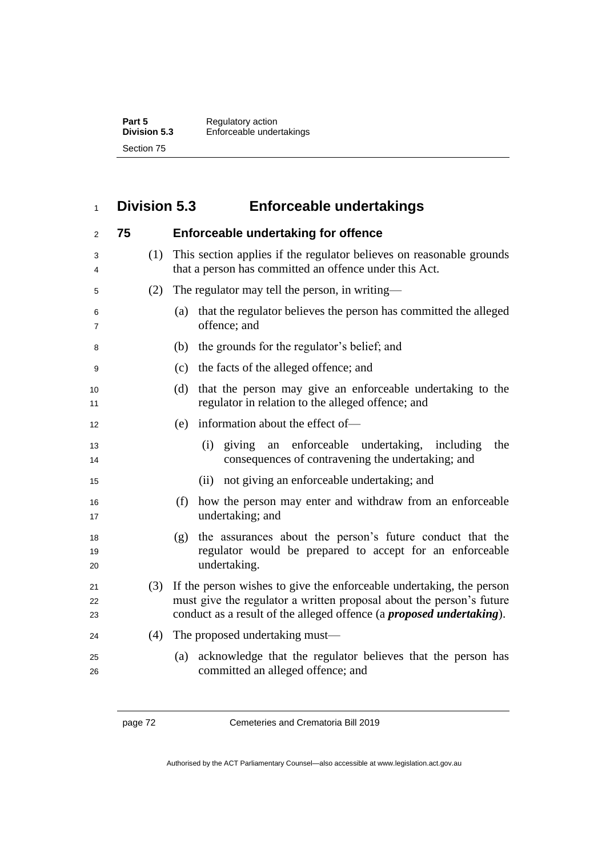**Part 5** Regulatory action **Division 5.3** Enforceable undertakings Section 75

#### **Division 5.3 Enforceable undertakings**

| 2              | 75 |     | <b>Enforceable undertaking for offence</b>                                                                                                                                                                                   |
|----------------|----|-----|------------------------------------------------------------------------------------------------------------------------------------------------------------------------------------------------------------------------------|
| 3<br>4         |    | (1) | This section applies if the regulator believes on reasonable grounds<br>that a person has committed an offence under this Act.                                                                                               |
| 5              |    | (2) | The regulator may tell the person, in writing—                                                                                                                                                                               |
| 6<br>7         |    |     | that the regulator believes the person has committed the alleged<br>(a)<br>offence; and                                                                                                                                      |
| 8              |    |     | the grounds for the regulator's belief; and<br>(b)                                                                                                                                                                           |
| 9              |    |     | the facts of the alleged offence; and<br>(c)                                                                                                                                                                                 |
| 10<br>11       |    |     | that the person may give an enforceable undertaking to the<br>(d)<br>regulator in relation to the alleged offence; and                                                                                                       |
| 12             |    |     | information about the effect of-<br>(e)                                                                                                                                                                                      |
| 13<br>14       |    |     | (i) giving an enforceable undertaking, including<br>the<br>consequences of contravening the undertaking; and                                                                                                                 |
| 15             |    |     | not giving an enforceable undertaking; and<br>(ii)                                                                                                                                                                           |
| 16<br>17       |    |     | (f)<br>how the person may enter and withdraw from an enforceable<br>undertaking; and                                                                                                                                         |
| 18<br>19<br>20 |    |     | the assurances about the person's future conduct that the<br>(g)<br>regulator would be prepared to accept for an enforceable<br>undertaking.                                                                                 |
| 21<br>22<br>23 |    | (3) | If the person wishes to give the enforceable undertaking, the person<br>must give the regulator a written proposal about the person's future<br>conduct as a result of the alleged offence (a <i>proposed undertaking</i> ). |
| 24             |    | (4) | The proposed undertaking must—                                                                                                                                                                                               |
| 25<br>26       |    |     | acknowledge that the regulator believes that the person has<br>(a)<br>committed an alleged offence; and                                                                                                                      |

page 72 Cemeteries and Crematoria Bill 2019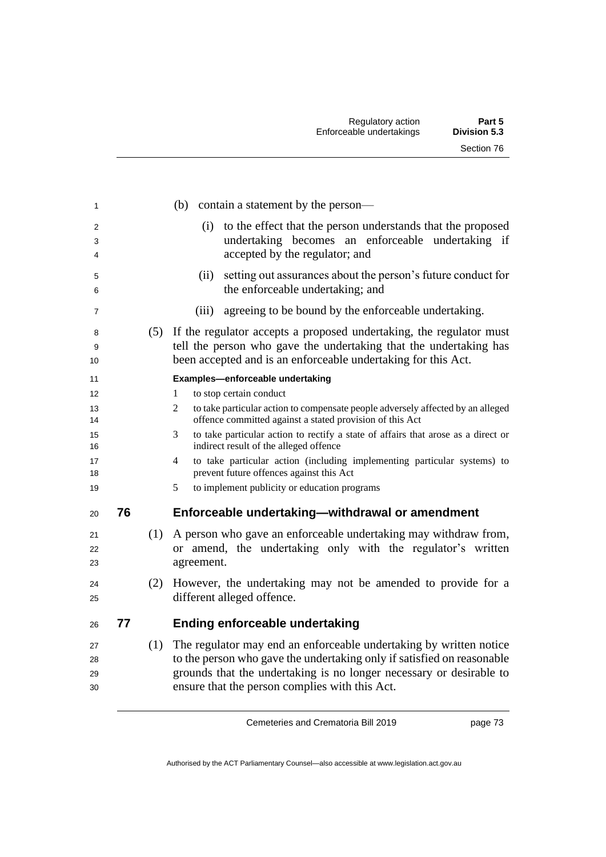| 1                    |    |     | contain a statement by the person—<br>(b)                                                                                                                                                                                                                             |
|----------------------|----|-----|-----------------------------------------------------------------------------------------------------------------------------------------------------------------------------------------------------------------------------------------------------------------------|
| 2<br>3<br>4          |    |     | to the effect that the person understands that the proposed<br>(i)<br>undertaking becomes an enforceable undertaking if<br>accepted by the regulator; and                                                                                                             |
| 5<br>6               |    |     | setting out assurances about the person's future conduct for<br>(ii)<br>the enforceable undertaking; and                                                                                                                                                              |
| 7                    |    |     | agreeing to be bound by the enforceable undertaking.<br>(iii)                                                                                                                                                                                                         |
| 8<br>9<br>10         |    |     | (5) If the regulator accepts a proposed undertaking, the regulator must<br>tell the person who gave the undertaking that the undertaking has<br>been accepted and is an enforceable undertaking for this Act.                                                         |
| 11                   |    |     | Examples-enforceable undertaking                                                                                                                                                                                                                                      |
| 12                   |    |     | to stop certain conduct<br>1                                                                                                                                                                                                                                          |
| 13<br>14             |    |     | $\overline{2}$<br>to take particular action to compensate people adversely affected by an alleged<br>offence committed against a stated provision of this Act                                                                                                         |
| 15<br>16             |    |     | to take particular action to rectify a state of affairs that arose as a direct or<br>3<br>indirect result of the alleged offence                                                                                                                                      |
| 17<br>18             |    |     | to take particular action (including implementing particular systems) to<br>$\overline{4}$<br>prevent future offences against this Act                                                                                                                                |
| 19                   |    |     | 5<br>to implement publicity or education programs                                                                                                                                                                                                                     |
| 20                   | 76 |     | Enforceable undertaking-withdrawal or amendment                                                                                                                                                                                                                       |
| 21<br>22<br>23       |    | (1) | A person who gave an enforceable undertaking may withdraw from,<br>or amend, the undertaking only with the regulator's written<br>agreement.                                                                                                                          |
| 24<br>25             |    | (2) | However, the undertaking may not be amended to provide for a<br>different alleged offence.                                                                                                                                                                            |
| 26                   | 77 |     | Ending enforceable undertaking                                                                                                                                                                                                                                        |
| 27<br>28<br>29<br>30 |    | (1) | The regulator may end an enforceable undertaking by written notice<br>to the person who gave the undertaking only if satisfied on reasonable<br>grounds that the undertaking is no longer necessary or desirable to<br>ensure that the person complies with this Act. |

page 73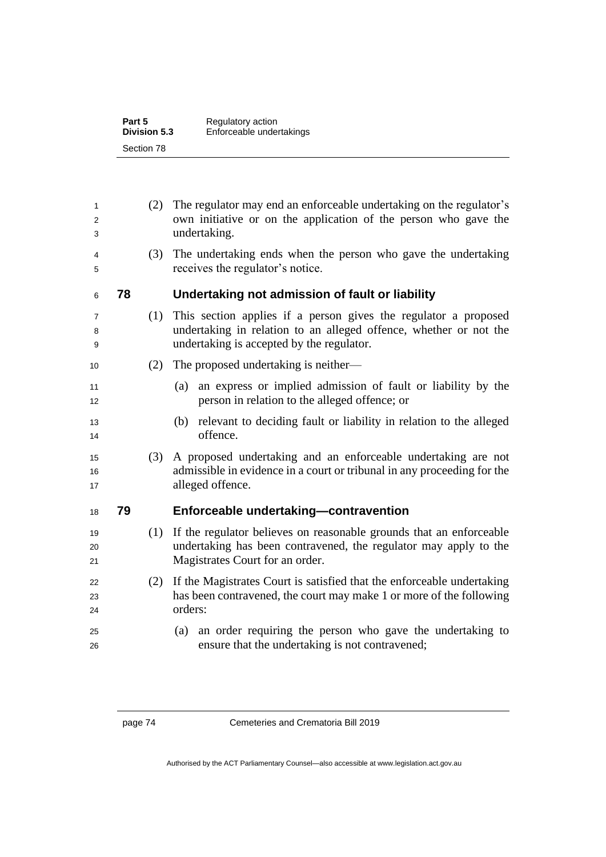| Part 5              | Regulatory action        |
|---------------------|--------------------------|
| <b>Division 5.3</b> | Enforceable undertakings |
| Section 78          |                          |

| (3)<br>4<br>receives the regulator's notice.<br>5<br>78<br>Undertaking not admission of fault or liability<br>6<br>(1)<br>7<br>8<br>undertaking is accepted by the regulator.<br>9<br>The proposed undertaking is neither—<br>(2)<br>10<br>(a)<br>11<br>person in relation to the alleged offence; or<br>12<br>(b)<br>13<br>offence.<br>14<br>(3)<br>15<br>16<br>alleged offence.<br>17<br>Enforceable undertaking-contravention<br>79<br>18<br>(1)<br>19<br>20<br>Magistrates Court for an order.<br>21<br>(2)<br>22<br>23<br>orders:<br>24<br>25<br>ensure that the undertaking is not contravened;<br>26 | 1<br>2<br>3 | (2) | The regulator may end an enforceable undertaking on the regulator's<br>own initiative or on the application of the person who gave the<br>undertaking. |
|-------------------------------------------------------------------------------------------------------------------------------------------------------------------------------------------------------------------------------------------------------------------------------------------------------------------------------------------------------------------------------------------------------------------------------------------------------------------------------------------------------------------------------------------------------------------------------------------------------------|-------------|-----|--------------------------------------------------------------------------------------------------------------------------------------------------------|
|                                                                                                                                                                                                                                                                                                                                                                                                                                                                                                                                                                                                             |             |     | The undertaking ends when the person who gave the undertaking                                                                                          |
|                                                                                                                                                                                                                                                                                                                                                                                                                                                                                                                                                                                                             |             |     |                                                                                                                                                        |
|                                                                                                                                                                                                                                                                                                                                                                                                                                                                                                                                                                                                             |             |     | This section applies if a person gives the regulator a proposed<br>undertaking in relation to an alleged offence, whether or not the                   |
|                                                                                                                                                                                                                                                                                                                                                                                                                                                                                                                                                                                                             |             |     |                                                                                                                                                        |
|                                                                                                                                                                                                                                                                                                                                                                                                                                                                                                                                                                                                             |             |     | an express or implied admission of fault or liability by the                                                                                           |
|                                                                                                                                                                                                                                                                                                                                                                                                                                                                                                                                                                                                             |             |     | relevant to deciding fault or liability in relation to the alleged                                                                                     |
|                                                                                                                                                                                                                                                                                                                                                                                                                                                                                                                                                                                                             |             |     | A proposed undertaking and an enforceable undertaking are not<br>admissible in evidence in a court or tribunal in any proceeding for the               |
|                                                                                                                                                                                                                                                                                                                                                                                                                                                                                                                                                                                                             |             |     |                                                                                                                                                        |
|                                                                                                                                                                                                                                                                                                                                                                                                                                                                                                                                                                                                             |             |     | If the regulator believes on reasonable grounds that an enforceable<br>undertaking has been contravened, the regulator may apply to the                |
|                                                                                                                                                                                                                                                                                                                                                                                                                                                                                                                                                                                                             |             |     | If the Magistrates Court is satisfied that the enforceable undertaking<br>has been contravened, the court may make 1 or more of the following          |
|                                                                                                                                                                                                                                                                                                                                                                                                                                                                                                                                                                                                             |             |     | (a) an order requiring the person who gave the undertaking to                                                                                          |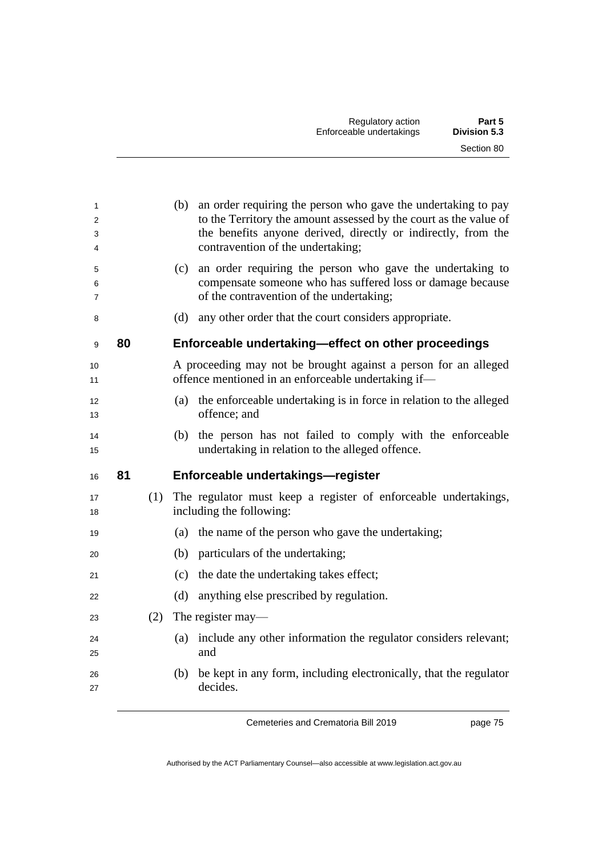| 1<br>$\overline{2}$<br>3<br>4<br>5 |    |     | (b) an order requiring the person who gave the undertaking to pay<br>to the Territory the amount assessed by the court as the value of<br>the benefits anyone derived, directly or indirectly, from the<br>contravention of the undertaking;<br>an order requiring the person who gave the undertaking to<br>(c) |
|------------------------------------|----|-----|------------------------------------------------------------------------------------------------------------------------------------------------------------------------------------------------------------------------------------------------------------------------------------------------------------------|
| 6<br>7                             |    |     | compensate someone who has suffered loss or damage because<br>of the contravention of the undertaking;                                                                                                                                                                                                           |
| 8                                  |    |     | any other order that the court considers appropriate.<br>(d)                                                                                                                                                                                                                                                     |
| 9                                  | 80 |     | Enforceable undertaking-effect on other proceedings                                                                                                                                                                                                                                                              |
| 10<br>11                           |    |     | A proceeding may not be brought against a person for an alleged<br>offence mentioned in an enforceable undertaking if-                                                                                                                                                                                           |
| 12<br>13                           |    |     | the enforceable undertaking is in force in relation to the alleged<br>(a)<br>offence; and                                                                                                                                                                                                                        |
| 14<br>15                           |    |     | the person has not failed to comply with the enforceable<br>(b)<br>undertaking in relation to the alleged offence.                                                                                                                                                                                               |
| 16                                 | 81 |     | Enforceable undertakings-register                                                                                                                                                                                                                                                                                |
| 17<br>18                           |    |     | (1) The regulator must keep a register of enforceable undertakings,<br>including the following:                                                                                                                                                                                                                  |
| 19                                 |    |     | the name of the person who gave the undertaking;<br>(a)                                                                                                                                                                                                                                                          |
| 20                                 |    |     | particulars of the undertaking;<br>(b)                                                                                                                                                                                                                                                                           |
| 21                                 |    |     | the date the undertaking takes effect;<br>(c)                                                                                                                                                                                                                                                                    |
| 22                                 |    |     | anything else prescribed by regulation.<br>(d)                                                                                                                                                                                                                                                                   |
| 23                                 |    | (2) | The register may—                                                                                                                                                                                                                                                                                                |
| 24<br>25                           |    |     | include any other information the regulator considers relevant;<br>(a)<br>and                                                                                                                                                                                                                                    |
| 26<br>27                           |    |     | be kept in any form, including electronically, that the regulator<br>(b)<br>decides.                                                                                                                                                                                                                             |

page 75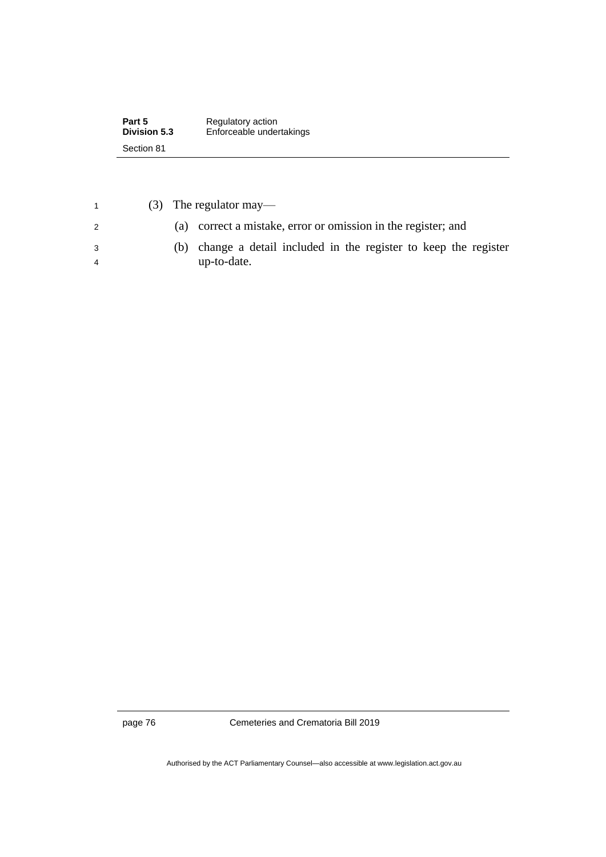| Part 5       | Regulatory action        |  |
|--------------|--------------------------|--|
| Division 5.3 | Enforceable undertakings |  |
| Section 81   |                          |  |

| $\overline{1}$ | $(3)$ The regulator may—                                             |
|----------------|----------------------------------------------------------------------|
| $\mathcal{P}$  | (a) correct a mistake, error or omission in the register; and        |
| - 3            | change a detail included in the register to keep the register<br>(h) |
|                | up-to-date.                                                          |

page 76 Cemeteries and Crematoria Bill 2019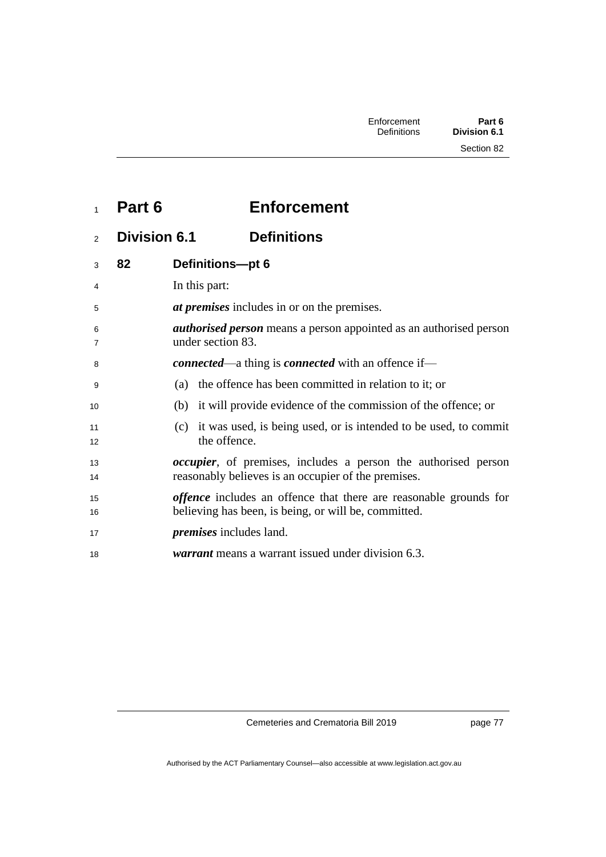|  | Part 6 | <b>Enforcement</b> |
|--|--------|--------------------|
|--|--------|--------------------|

**Division 6.1 Definitions**

| 3        | 82 | Definitions-pt 6                                                                                                                 |
|----------|----|----------------------------------------------------------------------------------------------------------------------------------|
| 4        |    | In this part:                                                                                                                    |
| 5        |    | <i>at premises</i> includes in or on the premises.                                                                               |
| 6<br>7   |    | <i>authorised person</i> means a person appointed as an authorised person<br>under section 83.                                   |
| 8        |    | <b><i>connected</i></b> —a thing is <b><i>connected</i></b> with an offence if—                                                  |
| 9        |    | (a) the offence has been committed in relation to it; or                                                                         |
| 10       |    | (b) it will provide evidence of the commission of the offence; or                                                                |
| 11<br>12 |    | (c) it was used, is being used, or is intended to be used, to commit<br>the offence.                                             |
| 13<br>14 |    | <i>occupier</i> , of premises, includes a person the authorised person<br>reasonably believes is an occupier of the premises.    |
| 15<br>16 |    | <i>offence</i> includes an offence that there are reasonable grounds for<br>believing has been, is being, or will be, committed. |
| 17       |    | <i>premises</i> includes land.                                                                                                   |
| 18       |    | <i>warrant</i> means a warrant issued under division 6.3.                                                                        |

Cemeteries and Crematoria Bill 2019

page 77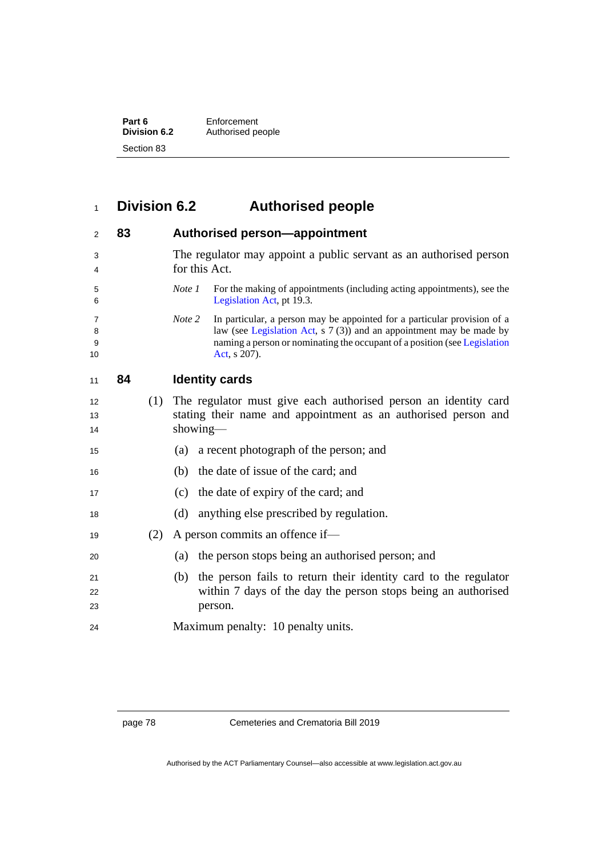| Part 6       | Enforcement       |  |
|--------------|-------------------|--|
| Division 6.2 | Authorised people |  |
| Section 83   |                   |  |

## **Division 6.2 Authorised people**

| 2                 | 83 |     | Authorised person-appointment                                                                                                                                                                                                                                  |  |
|-------------------|----|-----|----------------------------------------------------------------------------------------------------------------------------------------------------------------------------------------------------------------------------------------------------------------|--|
| 3<br>4            |    |     | The regulator may appoint a public servant as an authorised person<br>for this Act.                                                                                                                                                                            |  |
| 5<br>6            |    |     | For the making of appointments (including acting appointments), see the<br>Note 1<br>Legislation Act, pt 19.3.                                                                                                                                                 |  |
| 7<br>8<br>9<br>10 |    |     | Note 2<br>In particular, a person may be appointed for a particular provision of a<br>law (see Legislation Act, $s \ 7 \ (3)$ ) and an appointment may be made by<br>naming a person or nominating the occupant of a position (see Legislation<br>Act, s 207). |  |
| 11                | 84 |     | <b>Identity cards</b>                                                                                                                                                                                                                                          |  |
| 12<br>13<br>14    |    | (1) | The regulator must give each authorised person an identity card<br>stating their name and appointment as an authorised person and<br>showing—                                                                                                                  |  |
| 15                |    |     | a recent photograph of the person; and<br>(a)                                                                                                                                                                                                                  |  |
| 16                |    |     | the date of issue of the card; and<br>(b)                                                                                                                                                                                                                      |  |
| 17                |    |     | the date of expiry of the card; and<br>(c)                                                                                                                                                                                                                     |  |
| 18                |    |     | anything else prescribed by regulation.<br>(d)                                                                                                                                                                                                                 |  |
| 19                |    | (2) | A person commits an offence if-                                                                                                                                                                                                                                |  |
| 20                |    |     | the person stops being an authorised person; and<br>(a)                                                                                                                                                                                                        |  |
| 21<br>22<br>23    |    |     | the person fails to return their identity card to the regulator<br>(b)<br>within 7 days of the day the person stops being an authorised<br>person.                                                                                                             |  |
| 24                |    |     | Maximum penalty: 10 penalty units.                                                                                                                                                                                                                             |  |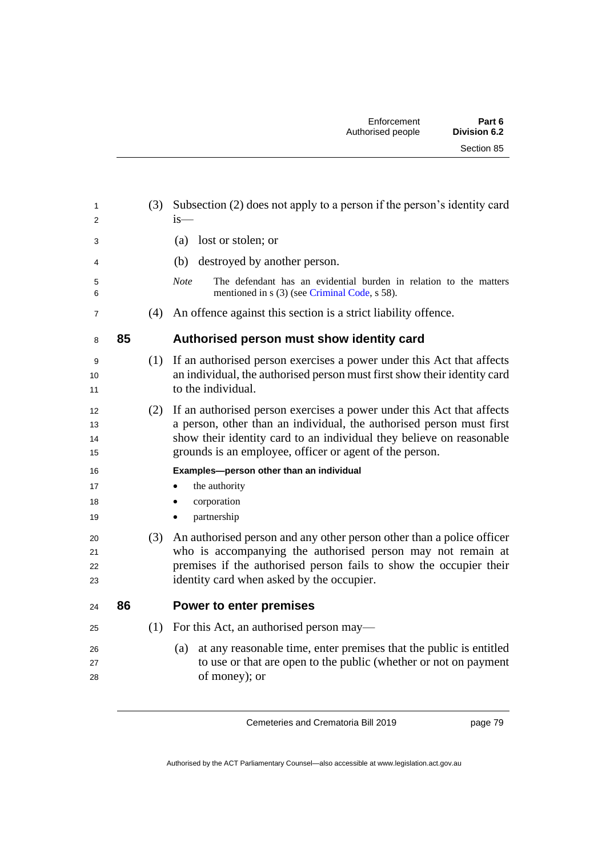| 1<br>2                     |    | (3) | Subsection (2) does not apply to a person if the person's identity card<br>is—                                                                                                                                                                                                   |
|----------------------------|----|-----|----------------------------------------------------------------------------------------------------------------------------------------------------------------------------------------------------------------------------------------------------------------------------------|
| 3                          |    |     | lost or stolen; or<br>(a)                                                                                                                                                                                                                                                        |
| 4                          |    |     | destroyed by another person.<br>(b)                                                                                                                                                                                                                                              |
| 5<br>6                     |    |     | The defendant has an evidential burden in relation to the matters<br><b>Note</b><br>mentioned in s (3) (see Criminal Code, s 58).                                                                                                                                                |
| 7                          |    | (4) | An offence against this section is a strict liability offence.                                                                                                                                                                                                                   |
| 8                          | 85 |     | Authorised person must show identity card                                                                                                                                                                                                                                        |
| 9<br>10<br>11              |    | (1) | If an authorised person exercises a power under this Act that affects<br>an individual, the authorised person must first show their identity card<br>to the individual.                                                                                                          |
| 12<br>13<br>14<br>15       |    | (2) | If an authorised person exercises a power under this Act that affects<br>a person, other than an individual, the authorised person must first<br>show their identity card to an individual they believe on reasonable<br>grounds is an employee, officer or agent of the person. |
| 16<br>17<br>18<br>19<br>20 |    | (3) | Examples-person other than an individual<br>the authority<br>corporation<br>٠<br>partnership<br>$\bullet$<br>An authorised person and any other person other than a police officer                                                                                               |
| 21<br>22<br>23             |    |     | who is accompanying the authorised person may not remain at<br>premises if the authorised person fails to show the occupier their<br>identity card when asked by the occupier.                                                                                                   |
| 24                         | 86 |     | <b>Power to enter premises</b>                                                                                                                                                                                                                                                   |
| 25                         |    | (1) | For this Act, an authorised person may—                                                                                                                                                                                                                                          |
| 26<br>27<br>28             |    |     | at any reasonable time, enter premises that the public is entitled<br>(a)<br>to use or that are open to the public (whether or not on payment<br>of money); or                                                                                                                   |

page 79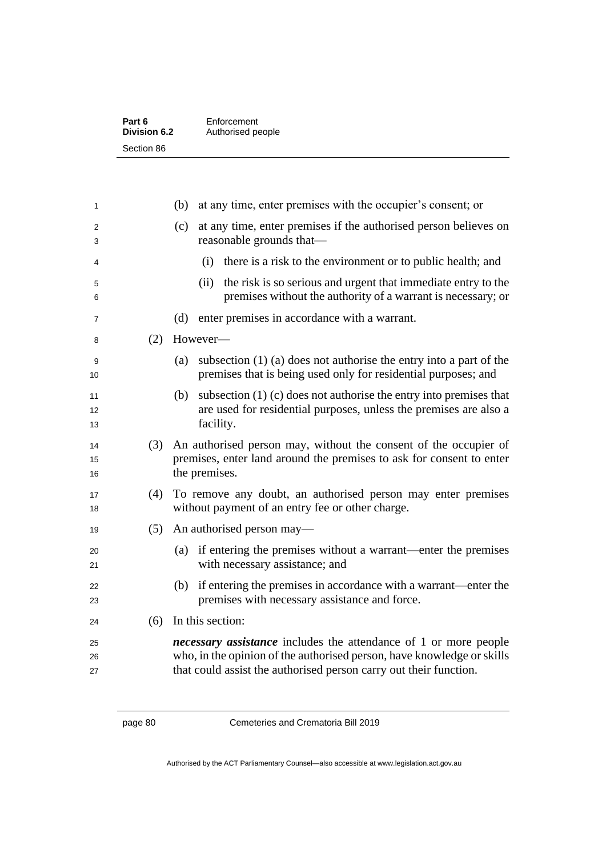| Part 6       | Enforcement       |  |
|--------------|-------------------|--|
| Division 6.2 | Authorised people |  |
| Section 86   |                   |  |

| 1              |     | at any time, enter premises with the occupier's consent; or<br>(b)                                                                                                                                                     |  |
|----------------|-----|------------------------------------------------------------------------------------------------------------------------------------------------------------------------------------------------------------------------|--|
| 2<br>3         |     | at any time, enter premises if the authorised person believes on<br>(c)<br>reasonable grounds that—                                                                                                                    |  |
| 4              |     | there is a risk to the environment or to public health; and<br>(i)                                                                                                                                                     |  |
| 5<br>6         |     | the risk is so serious and urgent that immediate entry to the<br>(ii)<br>premises without the authority of a warrant is necessary; or                                                                                  |  |
| 7              |     | (d)<br>enter premises in accordance with a warrant.                                                                                                                                                                    |  |
| 8              | (2) | However-                                                                                                                                                                                                               |  |
| 9<br>10        |     | subsection $(1)$ (a) does not authorise the entry into a part of the<br>(a)<br>premises that is being used only for residential purposes; and                                                                          |  |
| 11<br>12<br>13 |     | subsection $(1)$ (c) does not authorise the entry into premises that<br>(b)<br>are used for residential purposes, unless the premises are also a<br>facility.                                                          |  |
| 14<br>15<br>16 | (3) | An authorised person may, without the consent of the occupier of<br>premises, enter land around the premises to ask for consent to enter<br>the premises.                                                              |  |
| 17<br>18       | (4) | To remove any doubt, an authorised person may enter premises<br>without payment of an entry fee or other charge.                                                                                                       |  |
| 19             | (5) | An authorised person may—                                                                                                                                                                                              |  |
| 20<br>21       |     | if entering the premises without a warrant—enter the premises<br>(a)<br>with necessary assistance; and                                                                                                                 |  |
| 22<br>23       |     | (b) if entering the premises in accordance with a warrant—enter the<br>premises with necessary assistance and force.                                                                                                   |  |
| 24             | (6) | In this section:                                                                                                                                                                                                       |  |
| 25<br>26<br>27 |     | <i>necessary assistance</i> includes the attendance of 1 or more people<br>who, in the opinion of the authorised person, have knowledge or skills<br>that could assist the authorised person carry out their function. |  |

page 80 Cemeteries and Crematoria Bill 2019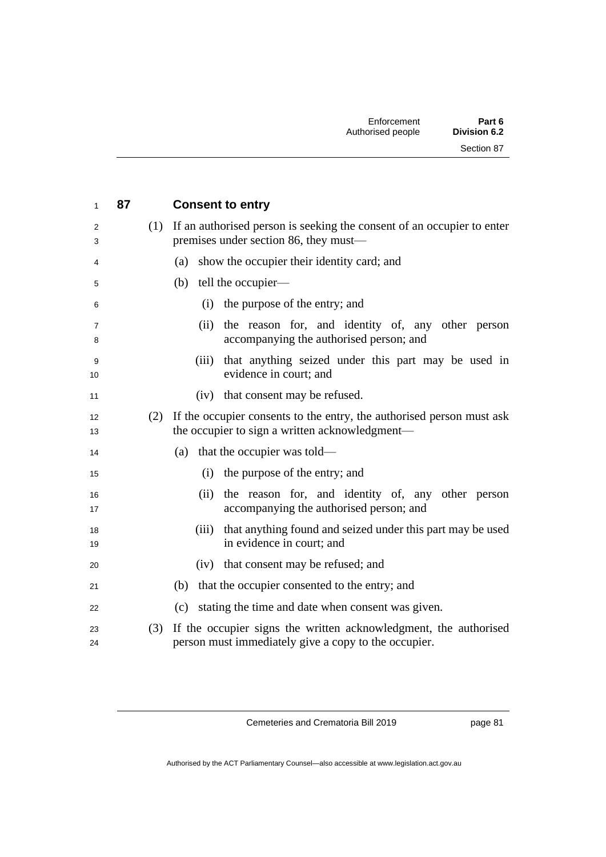| 1                   | 87  | <b>Consent to entry</b>                                                                                                     |
|---------------------|-----|-----------------------------------------------------------------------------------------------------------------------------|
| 2<br>3              |     | (1) If an authorised person is seeking the consent of an occupier to enter<br>premises under section 86, they must—         |
| 4                   |     | show the occupier their identity card; and<br>(a)                                                                           |
| 5                   |     | tell the occupier-<br>(b)                                                                                                   |
| 6                   |     | the purpose of the entry; and<br>(i)                                                                                        |
| $\overline{7}$<br>8 |     | the reason for, and identity of, any other person<br>(ii)<br>accompanying the authorised person; and                        |
| 9<br>10             |     | that anything seized under this part may be used in<br>(iii)<br>evidence in court; and                                      |
| 11                  |     | that consent may be refused.<br>(iv)                                                                                        |
| 12<br>13            |     | (2) If the occupier consents to the entry, the authorised person must ask<br>the occupier to sign a written acknowledgment— |
| 14                  |     | that the occupier was told—<br>(a)                                                                                          |
| 15                  |     | the purpose of the entry; and<br>(i)                                                                                        |
| 16<br>17            |     | (ii)<br>the reason for, and identity of, any other person<br>accompanying the authorised person; and                        |
| 18<br>19            |     | that anything found and seized under this part may be used<br>(iii)<br>in evidence in court; and                            |
| 20                  |     | that consent may be refused; and<br>(iv)                                                                                    |
| 21                  |     | (b) that the occupier consented to the entry; and                                                                           |
| 22                  |     | stating the time and date when consent was given.<br>(c)                                                                    |
| 23<br>24            | (3) | If the occupier signs the written acknowledgment, the authorised<br>person must immediately give a copy to the occupier.    |

page 81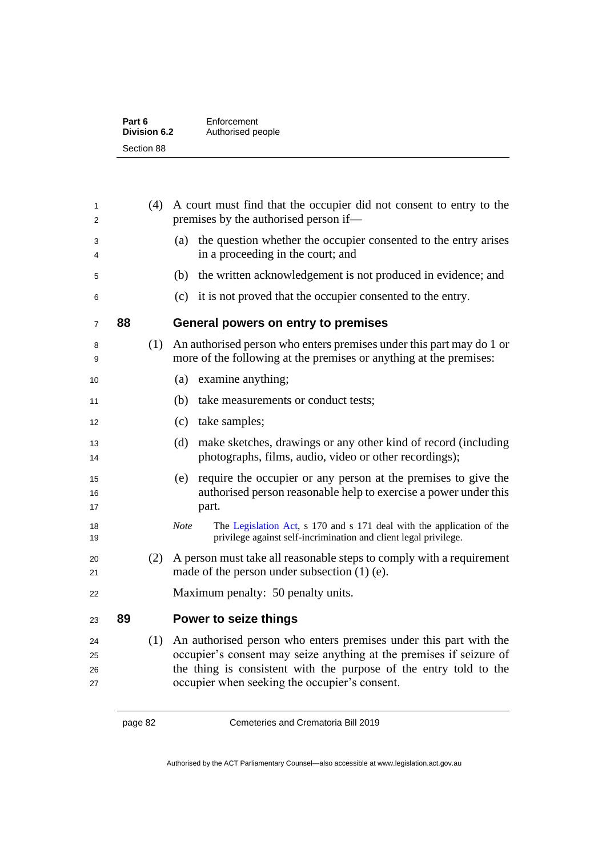|    |     | Authorised people                                                                                                                                                                                                                                              |
|----|-----|----------------------------------------------------------------------------------------------------------------------------------------------------------------------------------------------------------------------------------------------------------------|
|    |     |                                                                                                                                                                                                                                                                |
|    |     |                                                                                                                                                                                                                                                                |
|    | (4) | A court must find that the occupier did not consent to entry to the<br>premises by the authorised person if—                                                                                                                                                   |
|    |     | the question whether the occupier consented to the entry arises<br>(a)<br>in a proceeding in the court; and                                                                                                                                                    |
|    |     | the written acknowledgement is not produced in evidence; and<br>(b)                                                                                                                                                                                            |
|    |     | it is not proved that the occupier consented to the entry.<br>(c)                                                                                                                                                                                              |
| 88 |     | General powers on entry to premises                                                                                                                                                                                                                            |
|    | (1) | An authorised person who enters premises under this part may do 1 or<br>more of the following at the premises or anything at the premises:                                                                                                                     |
|    |     | examine anything;<br>(a)                                                                                                                                                                                                                                       |
|    |     | (b)<br>take measurements or conduct tests;                                                                                                                                                                                                                     |
|    |     | take samples;<br>(c)                                                                                                                                                                                                                                           |
|    |     | make sketches, drawings or any other kind of record (including<br>(d)<br>photographs, films, audio, video or other recordings);                                                                                                                                |
|    |     | require the occupier or any person at the premises to give the<br>(e)<br>authorised person reasonable help to exercise a power under this<br>part.                                                                                                             |
|    |     | The Legislation Act, s 170 and s 171 deal with the application of the<br><b>Note</b><br>privilege against self-incrimination and client legal privilege.                                                                                                       |
|    | (2) | A person must take all reasonable steps to comply with a requirement<br>made of the person under subsection $(1)$ (e).                                                                                                                                         |
|    |     | Maximum penalty: 50 penalty units.                                                                                                                                                                                                                             |
| 89 |     | Power to seize things                                                                                                                                                                                                                                          |
|    | (1) | An authorised person who enters premises under this part with the<br>occupier's consent may seize anything at the premises if seizure of<br>the thing is consistent with the purpose of the entry told to the<br>occupier when seeking the occupier's consent. |
|    |     | <b>Division 6.2</b><br>Section 88                                                                                                                                                                                                                              |

page 82 Cemeteries and Crematoria Bill 2019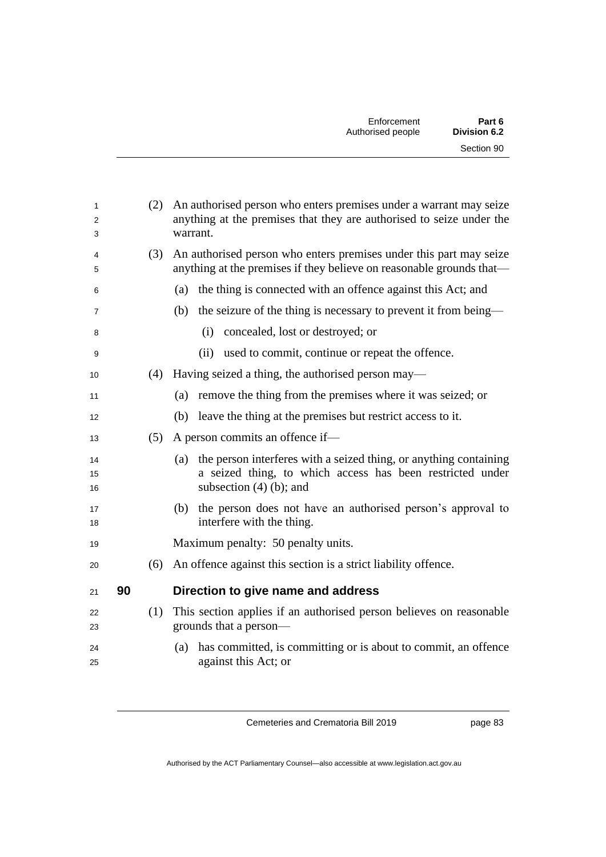|    | (2) | An authorised person who enters premises under a warrant may seize<br>anything at the premises that they are authorised to seize under the<br>warrant.             |
|----|-----|--------------------------------------------------------------------------------------------------------------------------------------------------------------------|
|    | (3) | An authorised person who enters premises under this part may seize<br>anything at the premises if they believe on reasonable grounds that—                         |
|    |     | (a) the thing is connected with an offence against this Act; and                                                                                                   |
|    |     | the seizure of the thing is necessary to prevent it from being—<br>(b)                                                                                             |
|    |     | concealed, lost or destroyed; or<br>(i)                                                                                                                            |
|    |     | (ii)<br>used to commit, continue or repeat the offence.                                                                                                            |
|    | (4) | Having seized a thing, the authorised person may—                                                                                                                  |
|    |     | remove the thing from the premises where it was seized; or<br>(a)                                                                                                  |
|    |     | leave the thing at the premises but restrict access to it.<br>(b)                                                                                                  |
|    | (5) | A person commits an offence if—                                                                                                                                    |
|    |     | the person interferes with a seized thing, or anything containing<br>(a)<br>a seized thing, to which access has been restricted under<br>subsection $(4)$ (b); and |
|    |     | the person does not have an authorised person's approval to<br>(b)<br>interfere with the thing.                                                                    |
|    |     | Maximum penalty: 50 penalty units.                                                                                                                                 |
|    | (6) | An offence against this section is a strict liability offence.                                                                                                     |
| 90 |     | Direction to give name and address                                                                                                                                 |
|    | (1) | This section applies if an authorised person believes on reasonable<br>grounds that a person-                                                                      |
|    |     | (a) has committed, is committing or is about to commit, an offence<br>against this Act; or                                                                         |
|    |     |                                                                                                                                                                    |

page 83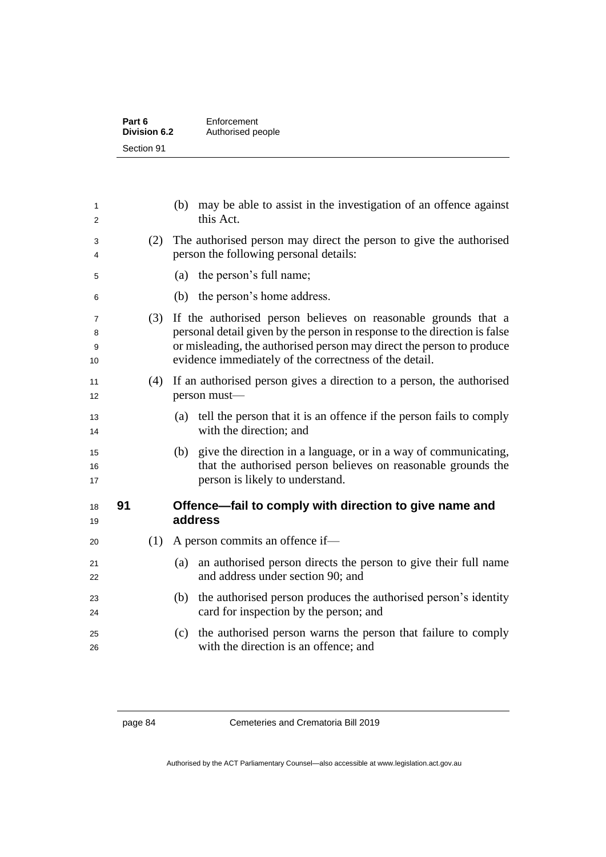| Part 6       | Enforcement       |  |
|--------------|-------------------|--|
| Division 6.2 | Authorised people |  |
| Section 91   |                   |  |

| 1<br>2            |    |     | may be able to assist in the investigation of an offence against<br>(b)<br>this Act.                                                                                                                                                                                           |
|-------------------|----|-----|--------------------------------------------------------------------------------------------------------------------------------------------------------------------------------------------------------------------------------------------------------------------------------|
| 3<br>4            |    | (2) | The authorised person may direct the person to give the authorised<br>person the following personal details:                                                                                                                                                                   |
| 5                 |    |     | the person's full name;<br>(a)                                                                                                                                                                                                                                                 |
| 6                 |    |     | (b) the person's home address.                                                                                                                                                                                                                                                 |
| 7<br>8<br>9<br>10 |    | (3) | If the authorised person believes on reasonable grounds that a<br>personal detail given by the person in response to the direction is false<br>or misleading, the authorised person may direct the person to produce<br>evidence immediately of the correctness of the detail. |
| 11<br>12          |    | (4) | If an authorised person gives a direction to a person, the authorised<br>person must-                                                                                                                                                                                          |
| 13<br>14          |    |     | tell the person that it is an offence if the person fails to comply<br>(a)<br>with the direction; and                                                                                                                                                                          |
| 15<br>16<br>17    |    |     | give the direction in a language, or in a way of communicating,<br>(b)<br>that the authorised person believes on reasonable grounds the<br>person is likely to understand.                                                                                                     |
| 18<br>19          | 91 |     | Offence—fail to comply with direction to give name and<br>address                                                                                                                                                                                                              |
| 20                |    | (1) | A person commits an offence if—                                                                                                                                                                                                                                                |
| 21<br>22          |    |     | an authorised person directs the person to give their full name<br>(a)<br>and address under section 90; and                                                                                                                                                                    |
| 23<br>24          |    |     | the authorised person produces the authorised person's identity<br>(b)<br>card for inspection by the person; and                                                                                                                                                               |
| 25<br>26          |    |     | the authorised person warns the person that failure to comply<br>(c)<br>with the direction is an offence; and                                                                                                                                                                  |
|                   |    |     |                                                                                                                                                                                                                                                                                |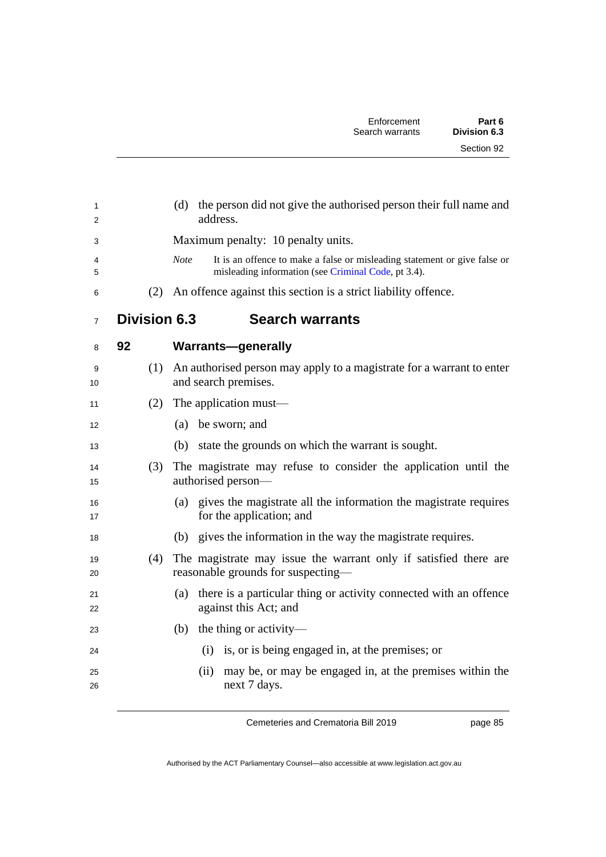| 1<br>2         |                     | (d) the person did not give the authorised person their full name and<br>address.                                                               |
|----------------|---------------------|-------------------------------------------------------------------------------------------------------------------------------------------------|
| 3              |                     | Maximum penalty: 10 penalty units.                                                                                                              |
| 4<br>5         |                     | <b>Note</b><br>It is an offence to make a false or misleading statement or give false or<br>misleading information (see Criminal Code, pt 3.4). |
| 6              | (2)                 | An offence against this section is a strict liability offence.                                                                                  |
| $\overline{7}$ | <b>Division 6.3</b> | <b>Search warrants</b>                                                                                                                          |
| 8              | 92                  | <b>Warrants-generally</b>                                                                                                                       |
| 9<br>10        |                     | (1) An authorised person may apply to a magistrate for a warrant to enter<br>and search premises.                                               |
| 11             | (2)                 | The application must—                                                                                                                           |
| 12             |                     | (a) be sworn; and                                                                                                                               |
| 13             |                     | state the grounds on which the warrant is sought.<br>(b)                                                                                        |
| 14<br>15       | (3)                 | The magistrate may refuse to consider the application until the<br>authorised person-                                                           |
| 16<br>17       |                     | gives the magistrate all the information the magistrate requires<br>(a)<br>for the application; and                                             |
| 18             |                     | (b) gives the information in the way the magistrate requires.                                                                                   |
| 19<br>20       | (4)                 | The magistrate may issue the warrant only if satisfied there are<br>reasonable grounds for suspecting-                                          |
| 21<br>22       |                     | there is a particular thing or activity connected with an offence<br>(a)<br>against this Act; and                                               |
| 23             |                     | the thing or activity—<br>(b)                                                                                                                   |
| 24             |                     | (i) is, or is being engaged in, at the premises; or                                                                                             |
| 25<br>26       |                     | (ii)<br>may be, or may be engaged in, at the premises within the<br>next 7 days.                                                                |

page 85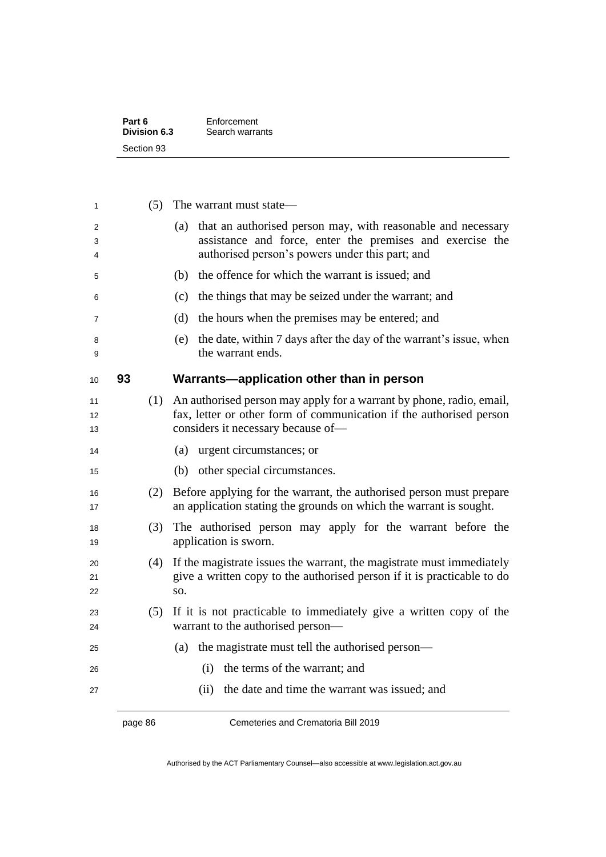| Part 6       | Enforcement     |  |
|--------------|-----------------|--|
| Division 6.3 | Search warrants |  |
| Section 93   |                 |  |

|    |     | The warrant must state—                                                                                                                                                           |
|----|-----|-----------------------------------------------------------------------------------------------------------------------------------------------------------------------------------|
|    |     | that an authorised person may, with reasonable and necessary<br>assistance and force, enter the premises and exercise the<br>authorised person's powers under this part; and      |
|    |     | the offence for which the warrant is issued; and                                                                                                                                  |
|    |     | the things that may be seized under the warrant; and                                                                                                                              |
|    |     | the hours when the premises may be entered; and                                                                                                                                   |
|    |     | the date, within 7 days after the day of the warrant's issue, when<br>the warrant ends.                                                                                           |
| 93 |     | Warrants-application other than in person                                                                                                                                         |
|    |     | An authorised person may apply for a warrant by phone, radio, email,<br>fax, letter or other form of communication if the authorised person<br>considers it necessary because of- |
|    |     | urgent circumstances; or                                                                                                                                                          |
|    |     | other special circumstances.                                                                                                                                                      |
|    |     | Before applying for the warrant, the authorised person must prepare<br>an application stating the grounds on which the warrant is sought.                                         |
|    |     | The authorised person may apply for the warrant before the<br>application is sworn.                                                                                               |
|    | SO. | If the magistrate issues the warrant, the magistrate must immediately<br>give a written copy to the authorised person if it is practicable to do                                  |
|    |     | If it is not practicable to immediately give a written copy of the<br>warrant to the authorised person-                                                                           |
|    |     | the magistrate must tell the authorised person—                                                                                                                                   |
|    |     | the terms of the warrant; and<br>(i)                                                                                                                                              |
|    |     | the date and time the warrant was issued; and<br>(ii)                                                                                                                             |
|    |     | (5)<br>(a)<br>(b)<br>(c)<br>(d)<br>(e)<br>(1)<br>(a)<br>(b)<br>(2)<br>(3)<br>(4)<br>(5)<br>(a)                                                                                    |

page 86 Cemeteries and Crematoria Bill 2019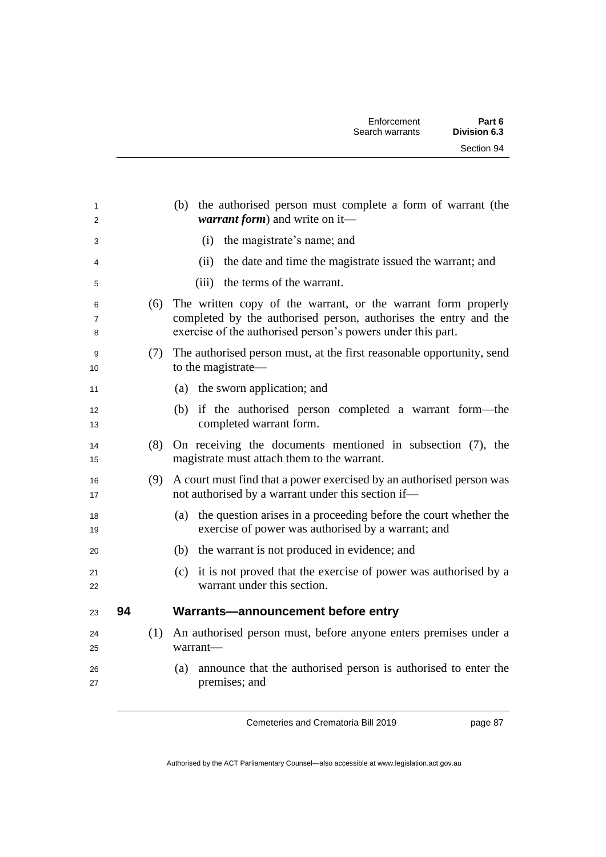| 1<br>2                   |    |     | (b) the authorised person must complete a form of warrant (the<br>warrant form) and write on it-                                                                                                 |
|--------------------------|----|-----|--------------------------------------------------------------------------------------------------------------------------------------------------------------------------------------------------|
| 3                        |    |     | (i) the magistrate's name; and                                                                                                                                                                   |
| 4                        |    |     | the date and time the magistrate issued the warrant; and<br>(ii)                                                                                                                                 |
| 5                        |    |     | (iii) the terms of the warrant.                                                                                                                                                                  |
| 6<br>$\overline{7}$<br>8 |    | (6) | The written copy of the warrant, or the warrant form properly<br>completed by the authorised person, authorises the entry and the<br>exercise of the authorised person's powers under this part. |
| 9<br>10                  |    |     | (7) The authorised person must, at the first reasonable opportunity, send<br>to the magistrate-                                                                                                  |
| 11                       |    |     | (a) the sworn application; and                                                                                                                                                                   |
| 12<br>13                 |    |     | (b) if the authorised person completed a warrant form—the<br>completed warrant form.                                                                                                             |
| 14<br>15                 |    | (8) | On receiving the documents mentioned in subsection (7), the<br>magistrate must attach them to the warrant.                                                                                       |
| 16<br>17                 |    | (9) | A court must find that a power exercised by an authorised person was<br>not authorised by a warrant under this section if-                                                                       |
| 18<br>19                 |    |     | (a) the question arises in a proceeding before the court whether the<br>exercise of power was authorised by a warrant; and                                                                       |
| 20                       |    |     | (b) the warrant is not produced in evidence; and                                                                                                                                                 |
| 21<br>22                 |    |     | (c) it is not proved that the exercise of power was authorised by a<br>warrant under this section.                                                                                               |
| 23                       | 94 |     | Warrants-announcement before entry                                                                                                                                                               |
| 24<br>25                 |    | (1) | An authorised person must, before anyone enters premises under a<br>warrant—                                                                                                                     |
| 26<br>27                 |    |     | announce that the authorised person is authorised to enter the<br>(a)<br>premises; and                                                                                                           |
|                          |    |     |                                                                                                                                                                                                  |

page 87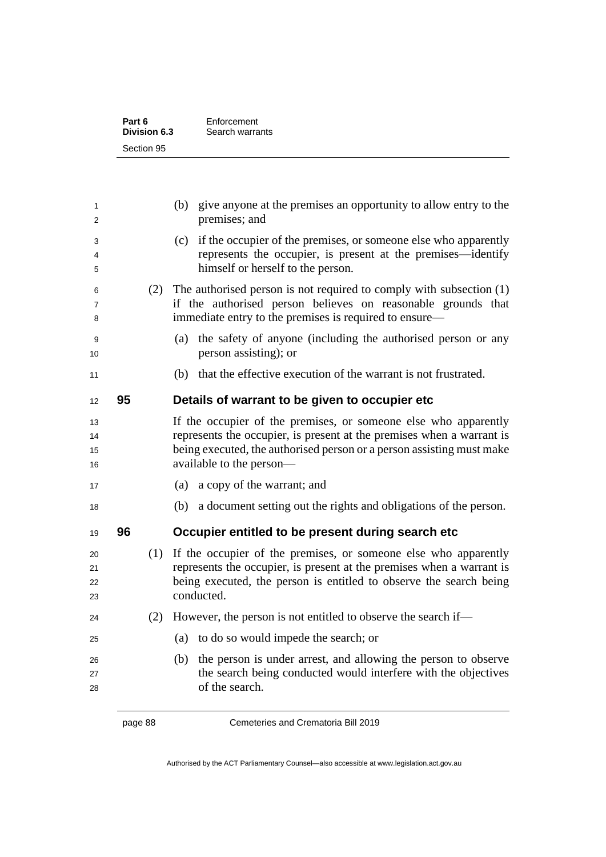| Part 6       | Enforcement     |
|--------------|-----------------|
| Division 6.3 | Search warrants |
| Section 95   |                 |

| 1<br>2               |    |     | (b) give anyone at the premises an opportunity to allow entry to the<br>premises; and                                                                                                                                                         |
|----------------------|----|-----|-----------------------------------------------------------------------------------------------------------------------------------------------------------------------------------------------------------------------------------------------|
| 3<br>4<br>5          |    |     | (c) if the occupier of the premises, or someone else who apparently<br>represents the occupier, is present at the premises—identify<br>himself or herself to the person.                                                                      |
| 6<br>7<br>8          |    |     | (2) The authorised person is not required to comply with subsection $(1)$<br>if the authorised person believes on reasonable grounds that<br>immediate entry to the premises is required to ensure—                                           |
| 9<br>10              |    |     | the safety of anyone (including the authorised person or any<br>(a)<br>person assisting); or                                                                                                                                                  |
| 11                   |    |     | that the effective execution of the warrant is not frustrated.<br>(b)                                                                                                                                                                         |
| 12                   | 95 |     | Details of warrant to be given to occupier etc                                                                                                                                                                                                |
| 13<br>14<br>15<br>16 |    |     | If the occupier of the premises, or someone else who apparently<br>represents the occupier, is present at the premises when a warrant is<br>being executed, the authorised person or a person assisting must make<br>available to the person- |
| 17                   |    |     | (a)<br>a copy of the warrant; and                                                                                                                                                                                                             |
| 18                   |    |     | (b) a document setting out the rights and obligations of the person.                                                                                                                                                                          |
| 19                   | 96 |     | Occupier entitled to be present during search etc                                                                                                                                                                                             |
| 20<br>21<br>22<br>23 |    | (1) | If the occupier of the premises, or someone else who apparently<br>represents the occupier, is present at the premises when a warrant is<br>being executed, the person is entitled to observe the search being<br>conducted.                  |
| 24                   |    | (2) | However, the person is not entitled to observe the search if-                                                                                                                                                                                 |
| 25                   |    |     | (a) to do so would impede the search; or                                                                                                                                                                                                      |
| 26<br>27<br>28       |    |     | the person is under arrest, and allowing the person to observe<br>(b)<br>the search being conducted would interfere with the objectives<br>of the search.                                                                                     |
|                      |    |     |                                                                                                                                                                                                                                               |

page 88 Cemeteries and Crematoria Bill 2019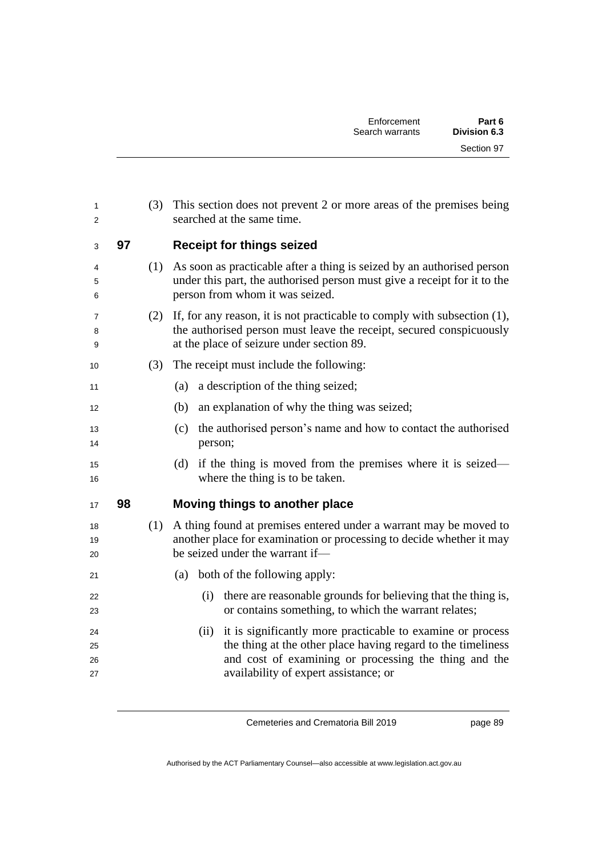| 1<br>2               |    | (3) | This section does not prevent 2 or more areas of the premises being<br>searched at the same time.                                                                                                                                    |
|----------------------|----|-----|--------------------------------------------------------------------------------------------------------------------------------------------------------------------------------------------------------------------------------------|
| 3                    | 97 |     | <b>Receipt for things seized</b>                                                                                                                                                                                                     |
| 4<br>5<br>6          |    | (1) | As soon as practicable after a thing is seized by an authorised person<br>under this part, the authorised person must give a receipt for it to the<br>person from whom it was seized.                                                |
| 7<br>8<br>9          |    | (2) | If, for any reason, it is not practicable to comply with subsection $(1)$ ,<br>the authorised person must leave the receipt, secured conspicuously<br>at the place of seizure under section 89.                                      |
| 10                   |    | (3) | The receipt must include the following:                                                                                                                                                                                              |
| 11                   |    |     | a description of the thing seized;<br>(a)                                                                                                                                                                                            |
| 12                   |    |     | an explanation of why the thing was seized;<br>(b)                                                                                                                                                                                   |
| 13<br>14             |    |     | the authorised person's name and how to contact the authorised<br>(c)<br>person;                                                                                                                                                     |
| 15<br>16             |    |     | if the thing is moved from the premises where it is seized—<br>(d)<br>where the thing is to be taken.                                                                                                                                |
| 17                   | 98 |     | Moving things to another place                                                                                                                                                                                                       |
| 18<br>19<br>20       |    | (1) | A thing found at premises entered under a warrant may be moved to<br>another place for examination or processing to decide whether it may<br>be seized under the warrant if-                                                         |
| 21                   |    |     | both of the following apply:<br>(a)                                                                                                                                                                                                  |
| 22<br>23             |    |     | there are reasonable grounds for believing that the thing is,<br>(i)<br>or contains something, to which the warrant relates;                                                                                                         |
| 24<br>25<br>26<br>27 |    |     | it is significantly more practicable to examine or process<br>(ii)<br>the thing at the other place having regard to the timeliness<br>and cost of examining or processing the thing and the<br>availability of expert assistance; or |

page 89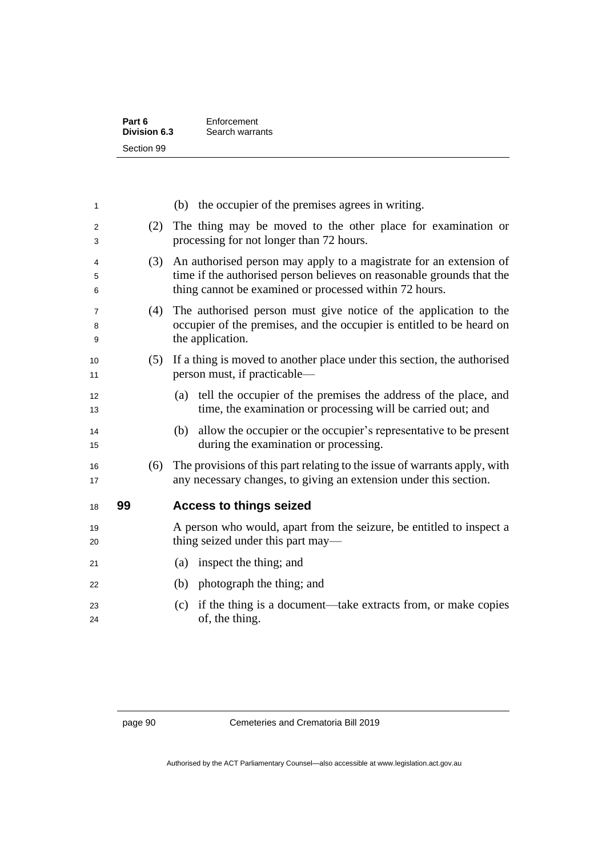| Part 6       | Enforcement     |
|--------------|-----------------|
| Division 6.3 | Search warrants |
| Section 99   |                 |

| 1           |    |     | (b) the occupier of the premises agrees in writing.                                                                                                                                                   |
|-------------|----|-----|-------------------------------------------------------------------------------------------------------------------------------------------------------------------------------------------------------|
| 2<br>3      |    | (2) | The thing may be moved to the other place for examination or<br>processing for not longer than 72 hours.                                                                                              |
| 4<br>5<br>6 |    | (3) | An authorised person may apply to a magistrate for an extension of<br>time if the authorised person believes on reasonable grounds that the<br>thing cannot be examined or processed within 72 hours. |
| 7<br>8<br>9 |    | (4) | The authorised person must give notice of the application to the<br>occupier of the premises, and the occupier is entitled to be heard on<br>the application.                                         |
| 10<br>11    |    | (5) | If a thing is moved to another place under this section, the authorised<br>person must, if practicable—                                                                                               |
| 12<br>13    |    |     | tell the occupier of the premises the address of the place, and<br>(a)<br>time, the examination or processing will be carried out; and                                                                |
| 14<br>15    |    |     | allow the occupier or the occupier's representative to be present<br>(b)<br>during the examination or processing.                                                                                     |
| 16<br>17    |    | (6) | The provisions of this part relating to the issue of warrants apply, with<br>any necessary changes, to giving an extension under this section.                                                        |
| 18          | 99 |     | <b>Access to things seized</b>                                                                                                                                                                        |
| 19<br>20    |    |     |                                                                                                                                                                                                       |
|             |    |     | A person who would, apart from the seizure, be entitled to inspect a<br>thing seized under this part may—                                                                                             |
| 21          |    |     | inspect the thing; and<br>(a)                                                                                                                                                                         |
| 22          |    |     | (b)<br>photograph the thing; and                                                                                                                                                                      |
| 23<br>24    |    |     | if the thing is a document—take extracts from, or make copies<br>(c)<br>of, the thing.                                                                                                                |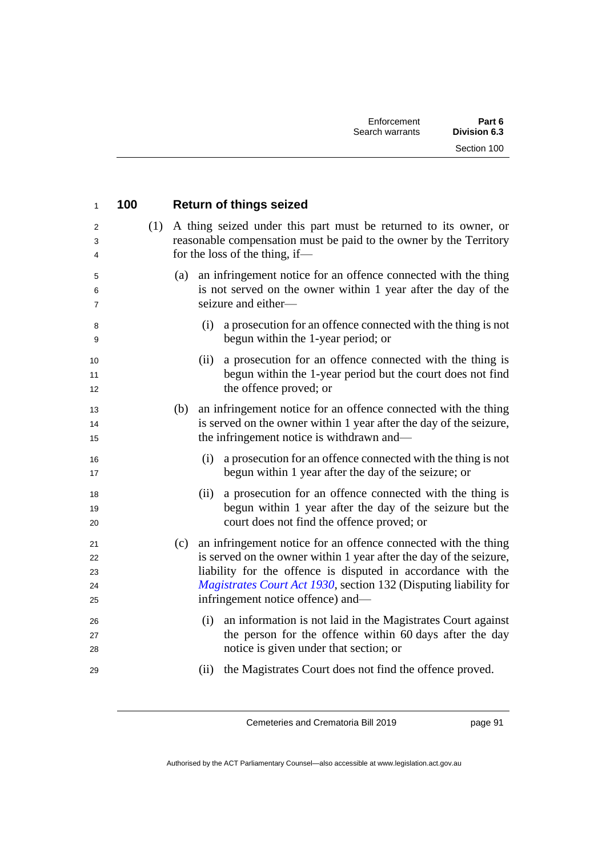| $\mathbf{1}$               | 100 |             | <b>Return of things seized</b>                                                                                                                                                                                                                                                                                |
|----------------------------|-----|-------------|---------------------------------------------------------------------------------------------------------------------------------------------------------------------------------------------------------------------------------------------------------------------------------------------------------------|
| 2<br>3<br>4                |     |             | (1) A thing seized under this part must be returned to its owner, or<br>reasonable compensation must be paid to the owner by the Territory<br>for the loss of the thing, if—                                                                                                                                  |
| 5<br>6<br>7                |     | (a)         | an infringement notice for an offence connected with the thing<br>is not served on the owner within 1 year after the day of the<br>seizure and either-                                                                                                                                                        |
| 8<br>9                     |     | (i)         | a prosecution for an offence connected with the thing is not<br>begun within the 1-year period; or                                                                                                                                                                                                            |
| 10<br>11<br>12             |     | (ii)        | a prosecution for an offence connected with the thing is<br>begun within the 1-year period but the court does not find<br>the offence proved; or                                                                                                                                                              |
| 13<br>14<br>15             |     | (b)         | an infringement notice for an offence connected with the thing<br>is served on the owner within 1 year after the day of the seizure,<br>the infringement notice is withdrawn and—                                                                                                                             |
| 16<br>17                   |     | (i)         | a prosecution for an offence connected with the thing is not<br>begun within 1 year after the day of the seizure; or                                                                                                                                                                                          |
| 18<br>19<br>20             |     | (ii)        | a prosecution for an offence connected with the thing is<br>begun within 1 year after the day of the seizure but the<br>court does not find the offence proved; or                                                                                                                                            |
| 21<br>22<br>23<br>24<br>25 |     | (c)         | an infringement notice for an offence connected with the thing<br>is served on the owner within 1 year after the day of the seizure,<br>liability for the offence is disputed in accordance with the<br>Magistrates Court Act 1930, section 132 (Disputing liability for<br>infringement notice offence) and— |
| 26<br>27<br>28<br>29       |     | (i)<br>(ii) | an information is not laid in the Magistrates Court against<br>the person for the offence within 60 days after the day<br>notice is given under that section; or<br>the Magistrates Court does not find the offence proved.                                                                                   |
|                            |     |             |                                                                                                                                                                                                                                                                                                               |

page 91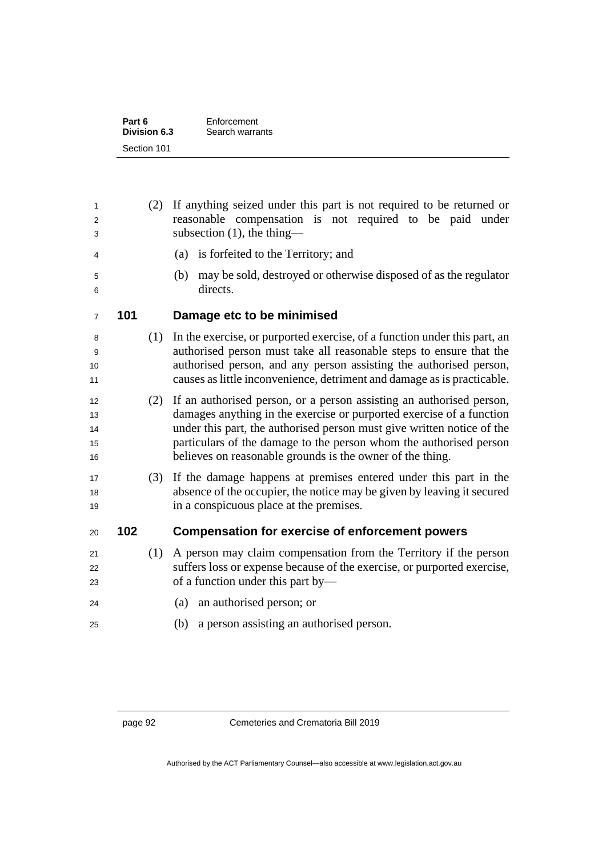| Part 6       | Enforcement     |
|--------------|-----------------|
| Division 6.3 | Search warrants |
| Section 101  |                 |

| 1<br>2<br>3                |     | (2) | If anything seized under this part is not required to be returned or<br>reasonable compensation is not required to be paid under<br>subsection (1), the thing-                                                                                                                                                                                            |  |
|----------------------------|-----|-----|-----------------------------------------------------------------------------------------------------------------------------------------------------------------------------------------------------------------------------------------------------------------------------------------------------------------------------------------------------------|--|
| 4                          |     |     | (a) is forfeited to the Territory; and                                                                                                                                                                                                                                                                                                                    |  |
| 5<br>6                     |     |     | may be sold, destroyed or otherwise disposed of as the regulator<br>(b)<br>directs.                                                                                                                                                                                                                                                                       |  |
| 7                          | 101 |     | Damage etc to be minimised                                                                                                                                                                                                                                                                                                                                |  |
| 8<br>9<br>10<br>11         |     | (1) | In the exercise, or purported exercise, of a function under this part, an<br>authorised person must take all reasonable steps to ensure that the<br>authorised person, and any person assisting the authorised person,<br>causes as little inconvenience, detriment and damage as is practicable.                                                         |  |
| 12<br>13<br>14<br>15<br>16 |     | (2) | If an authorised person, or a person assisting an authorised person,<br>damages anything in the exercise or purported exercise of a function<br>under this part, the authorised person must give written notice of the<br>particulars of the damage to the person whom the authorised person<br>believes on reasonable grounds is the owner of the thing. |  |
| 17<br>18<br>19             |     | (3) | If the damage happens at premises entered under this part in the<br>absence of the occupier, the notice may be given by leaving it secured<br>in a conspicuous place at the premises.                                                                                                                                                                     |  |
| 20                         | 102 |     | <b>Compensation for exercise of enforcement powers</b>                                                                                                                                                                                                                                                                                                    |  |
| 21<br>22<br>23<br>24       |     | (1) | A person may claim compensation from the Territory if the person<br>suffers loss or expense because of the exercise, or purported exercise,<br>of a function under this part by—<br>(a) an authorised person; or                                                                                                                                          |  |
| 25                         |     |     | a person assisting an authorised person.<br>(b)                                                                                                                                                                                                                                                                                                           |  |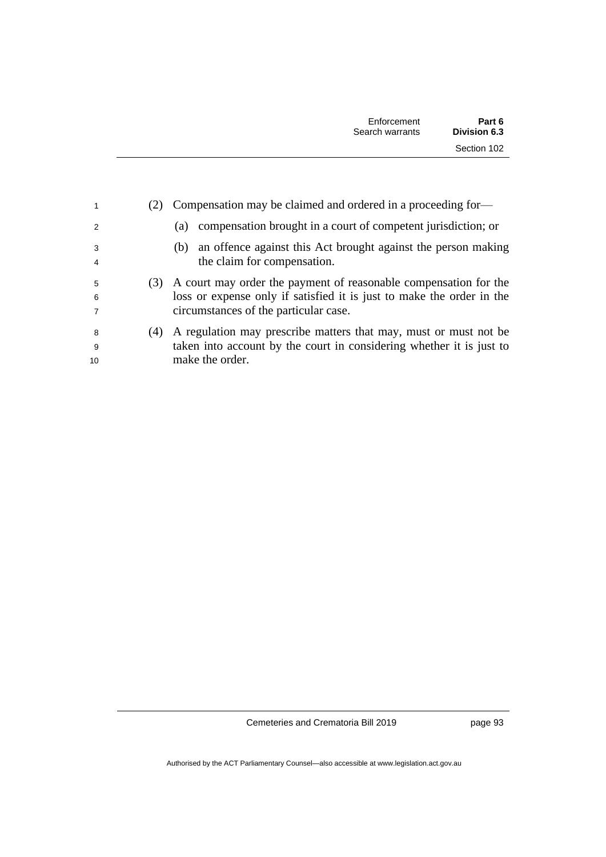| 1                        |     | Compensation may be claimed and ordered in a proceeding for-                                                                                                                       |
|--------------------------|-----|------------------------------------------------------------------------------------------------------------------------------------------------------------------------------------|
| $\mathcal{P}$            |     | compensation brought in a court of competent jurisdiction; or<br>(a)                                                                                                               |
| 3<br>4                   |     | an offence against this Act brought against the person making<br>(b)<br>the claim for compensation.                                                                                |
| 5<br>6<br>$\overline{7}$ | (3) | A court may order the payment of reasonable compensation for the<br>loss or expense only if satisfied it is just to make the order in the<br>circumstances of the particular case. |
| -8<br>-9<br>10           | (4) | A regulation may prescribe matters that may, must or must not be<br>taken into account by the court in considering whether it is just to<br>make the order.                        |

page 93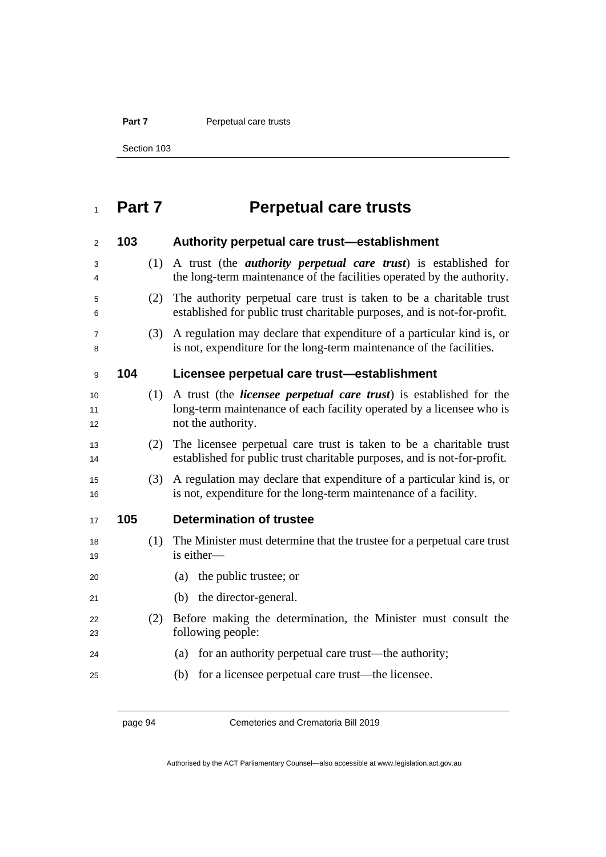**Part 7** Perpetual care trusts

Section 103

# **Part 7 Perpetual care trusts**

| 2              | 103 |     | Authority perpetual care trust-establishment                                                                                                                             |
|----------------|-----|-----|--------------------------------------------------------------------------------------------------------------------------------------------------------------------------|
| 3<br>4         |     | (1) | A trust (the <i>authority perpetual care trust</i> ) is established for<br>the long-term maintenance of the facilities operated by the authority.                        |
| 5<br>6         |     | (2) | The authority perpetual care trust is taken to be a charitable trust<br>established for public trust charitable purposes, and is not-for-profit.                         |
| 7<br>8         |     | (3) | A regulation may declare that expenditure of a particular kind is, or<br>is not, expenditure for the long-term maintenance of the facilities.                            |
| 9              | 104 |     | Licensee perpetual care trust-establishment                                                                                                                              |
| 10<br>11<br>12 |     | (1) | A trust (the <i>licensee perpetual care trust</i> ) is established for the<br>long-term maintenance of each facility operated by a licensee who is<br>not the authority. |
| 13<br>14       |     | (2) | The licensee perpetual care trust is taken to be a charitable trust<br>established for public trust charitable purposes, and is not-for-profit.                          |
| 15<br>16       |     | (3) | A regulation may declare that expenditure of a particular kind is, or<br>is not, expenditure for the long-term maintenance of a facility.                                |
| 17             | 105 |     | <b>Determination of trustee</b>                                                                                                                                          |
| 18<br>19       |     | (1) | The Minister must determine that the trustee for a perpetual care trust<br>is either-                                                                                    |
| 20             |     |     | the public trustee; or<br>(a)                                                                                                                                            |
| 21             |     |     | (b) the director-general.                                                                                                                                                |
| 22<br>23       |     | (2) | Before making the determination, the Minister must consult the<br>following people:                                                                                      |
| 24             |     |     | for an authority perpetual care trust—the authority;<br>(a)                                                                                                              |
| 25             |     |     | for a licensee perpetual care trust—the licensee.<br>(b)                                                                                                                 |

page 94 Cemeteries and Crematoria Bill 2019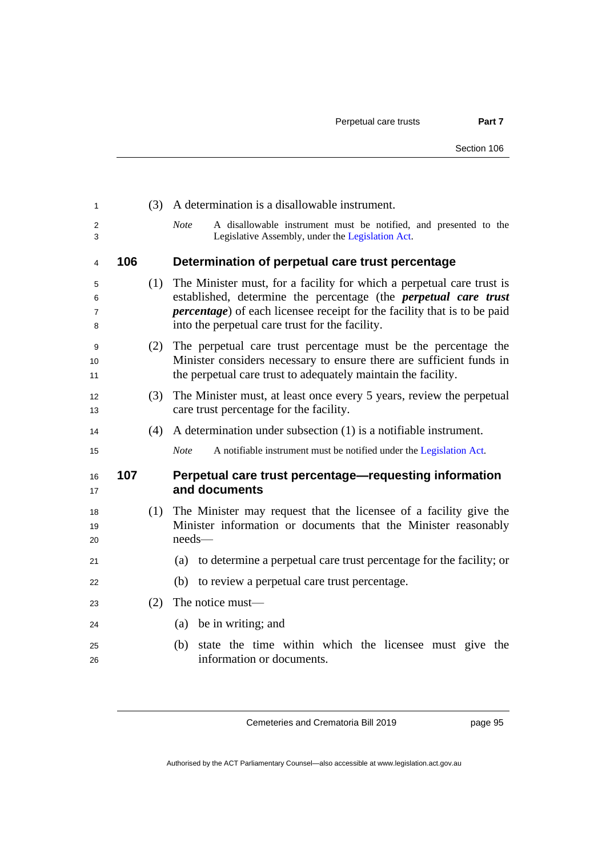| 1                             |     | (3) | A determination is a disallowable instrument.                                                                                                                                                                                                                                          |
|-------------------------------|-----|-----|----------------------------------------------------------------------------------------------------------------------------------------------------------------------------------------------------------------------------------------------------------------------------------------|
| $\overline{2}$<br>3           |     |     | <b>Note</b><br>A disallowable instrument must be notified, and presented to the<br>Legislative Assembly, under the Legislation Act.                                                                                                                                                    |
| $\overline{4}$                | 106 |     | Determination of perpetual care trust percentage                                                                                                                                                                                                                                       |
| 5<br>6<br>$\overline{7}$<br>8 |     | (1) | The Minister must, for a facility for which a perpetual care trust is<br>established, determine the percentage (the <i>perpetual care trust</i><br><i>percentage</i> ) of each licensee receipt for the facility that is to be paid<br>into the perpetual care trust for the facility. |
| 9<br>10<br>11                 |     | (2) | The perpetual care trust percentage must be the percentage the<br>Minister considers necessary to ensure there are sufficient funds in<br>the perpetual care trust to adequately maintain the facility.                                                                                |
| 12<br>13                      |     | (3) | The Minister must, at least once every 5 years, review the perpetual<br>care trust percentage for the facility.                                                                                                                                                                        |
| 14                            |     | (4) | A determination under subsection $(1)$ is a notifiable instrument.                                                                                                                                                                                                                     |
| 15                            |     |     | <b>Note</b><br>A notifiable instrument must be notified under the Legislation Act.                                                                                                                                                                                                     |
| 16<br>17                      | 107 |     | Perpetual care trust percentage—requesting information<br>and documents                                                                                                                                                                                                                |
| 18<br>19<br>20                |     | (1) | The Minister may request that the licensee of a facility give the<br>Minister information or documents that the Minister reasonably<br>$needs$ —                                                                                                                                       |
| 21                            |     |     | (a) to determine a perpetual care trust percentage for the facility; or                                                                                                                                                                                                                |
| 22                            |     |     | to review a perpetual care trust percentage.<br>(b)                                                                                                                                                                                                                                    |
| 23                            |     | (2) | The notice must—                                                                                                                                                                                                                                                                       |
| 24                            |     |     | (a) be in writing; and                                                                                                                                                                                                                                                                 |
| 25<br>26                      |     |     | (b) state the time within which the licensee must give the<br>information or documents.                                                                                                                                                                                                |

page 95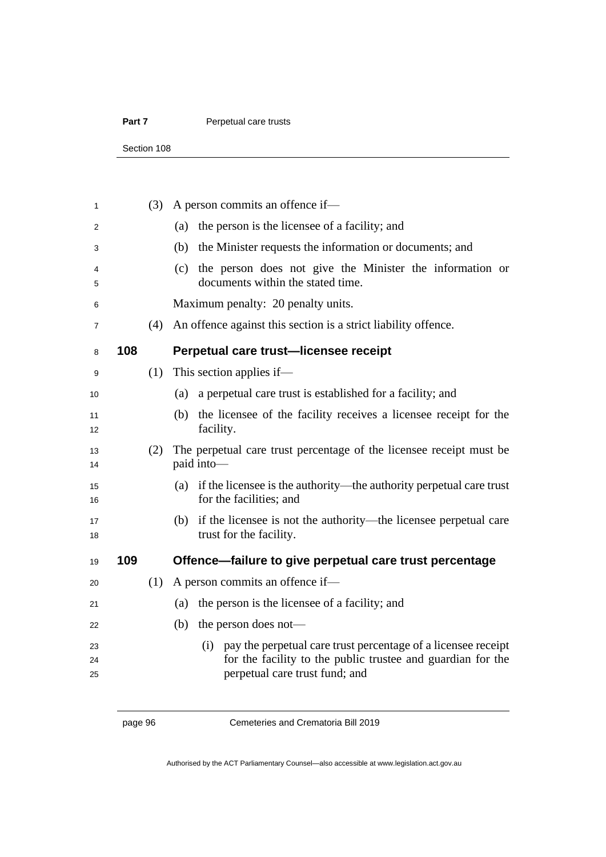#### Part 7 **Perpetual care trusts**

Section 108

| 1              |     | (3) | A person commits an offence if-                                                                                                                                    |
|----------------|-----|-----|--------------------------------------------------------------------------------------------------------------------------------------------------------------------|
| 2              |     |     | the person is the licensee of a facility; and<br>(a)                                                                                                               |
| 3              |     |     | the Minister requests the information or documents; and<br>(b)                                                                                                     |
| 4<br>5         |     |     | the person does not give the Minister the information or<br>(c)<br>documents within the stated time.                                                               |
| 6              |     |     | Maximum penalty: 20 penalty units.                                                                                                                                 |
| $\overline{7}$ |     | (4) | An offence against this section is a strict liability offence.                                                                                                     |
| 8              | 108 |     | Perpetual care trust-licensee receipt                                                                                                                              |
| 9              |     | (1) | This section applies if—                                                                                                                                           |
| 10             |     |     | a perpetual care trust is established for a facility; and<br>(a)                                                                                                   |
| 11<br>12       |     |     | the licensee of the facility receives a licensee receipt for the<br>(b)<br>facility.                                                                               |
| 13<br>14       |     | (2) | The perpetual care trust percentage of the licensee receipt must be<br>paid into-                                                                                  |
| 15<br>16       |     |     | (a) if the licensee is the authority—the authority perpetual care trust<br>for the facilities; and                                                                 |
| 17<br>18       |     |     | (b) if the licensee is not the authority—the licensee perpetual care<br>trust for the facility.                                                                    |
| 19             | 109 |     | Offence—failure to give perpetual care trust percentage                                                                                                            |
| 20             |     | (1) | A person commits an offence if-                                                                                                                                    |
| 21             |     |     | the person is the licensee of a facility; and<br>(a)                                                                                                               |
| 22             |     |     | the person does not—<br>(b)                                                                                                                                        |
| 23<br>24<br>25 |     |     | (i) pay the perpetual care trust percentage of a licensee receipt<br>for the facility to the public trustee and guardian for the<br>perpetual care trust fund; and |

page 96 Cemeteries and Crematoria Bill 2019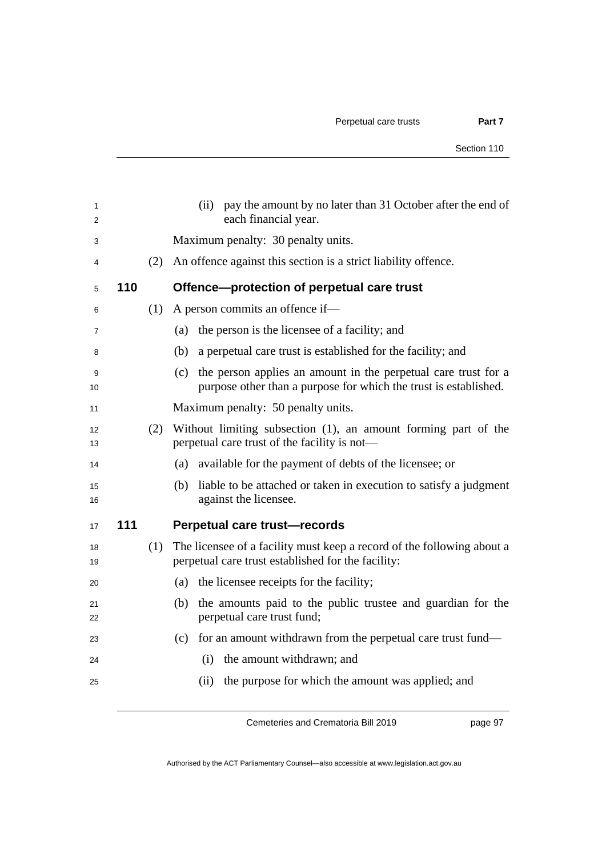|     |     | pay the amount by no later than 31 October after the end of<br>(ii)<br>each financial year.                                            |
|-----|-----|----------------------------------------------------------------------------------------------------------------------------------------|
|     |     | Maximum penalty: 30 penalty units.                                                                                                     |
|     | (2) | An offence against this section is a strict liability offence.                                                                         |
| 110 |     | Offence-protection of perpetual care trust                                                                                             |
|     | (1) | A person commits an offence if-                                                                                                        |
|     |     | the person is the licensee of a facility; and<br>(a)                                                                                   |
|     |     | (b)<br>a perpetual care trust is established for the facility; and                                                                     |
|     |     | (c) the person applies an amount in the perpetual care trust for a<br>purpose other than a purpose for which the trust is established. |
|     |     | Maximum penalty: 50 penalty units.                                                                                                     |
|     | (2) | Without limiting subsection (1), an amount forming part of the<br>perpetual care trust of the facility is not—                         |
|     |     | available for the payment of debts of the licensee; or<br>(a)                                                                          |
|     |     | liable to be attached or taken in execution to satisfy a judgment<br>(b)<br>against the licensee.                                      |
| 111 |     | Perpetual care trust-records                                                                                                           |
|     | (1) | The licensee of a facility must keep a record of the following about a<br>perpetual care trust established for the facility:           |
|     |     | the licensee receipts for the facility;<br>(a)                                                                                         |
|     |     | (b) the amounts paid to the public trustee and guardian for the<br>perpetual care trust fund;                                          |
|     |     | (c) for an amount withdrawn from the perpetual care trust fund—                                                                        |
|     |     | the amount withdrawn; and<br>(i)                                                                                                       |
|     |     | the purpose for which the amount was applied; and<br>(ii)                                                                              |
|     |     |                                                                                                                                        |

page 97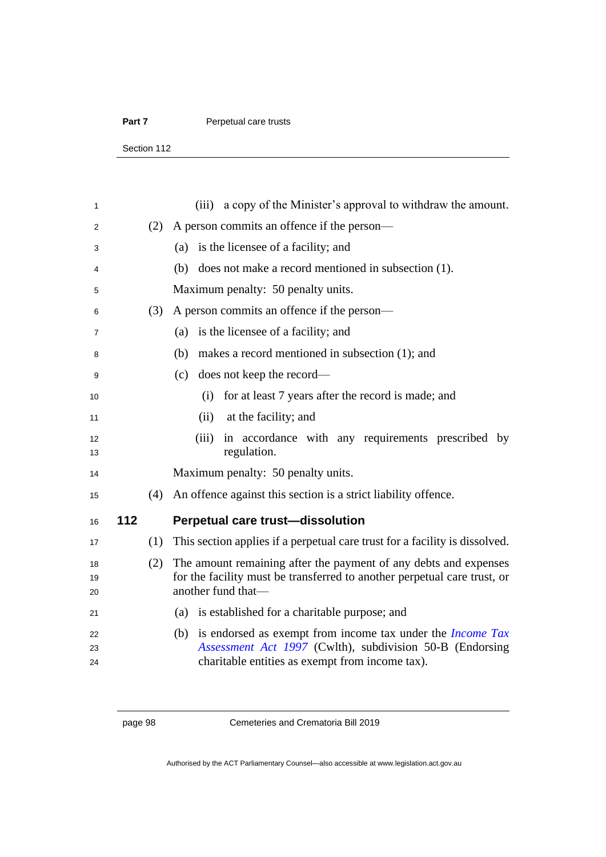#### Part 7 **Perpetual care trusts**

Section 112

| 1              |     |     | (iii) a copy of the Minister's approval to withdraw the amount.                                                                                                                         |
|----------------|-----|-----|-----------------------------------------------------------------------------------------------------------------------------------------------------------------------------------------|
| 2              |     | (2) | A person commits an offence if the person—                                                                                                                                              |
| 3              |     |     | is the licensee of a facility; and<br>(a)                                                                                                                                               |
| 4              |     |     | (b) does not make a record mentioned in subsection (1).                                                                                                                                 |
| 5              |     |     | Maximum penalty: 50 penalty units.                                                                                                                                                      |
| 6              |     | (3) | A person commits an offence if the person—                                                                                                                                              |
| 7              |     |     | is the licensee of a facility; and<br>(a)                                                                                                                                               |
| 8              |     |     | makes a record mentioned in subsection (1); and<br>(b)                                                                                                                                  |
| 9              |     |     | (c) does not keep the record—                                                                                                                                                           |
| 10             |     |     | for at least 7 years after the record is made; and<br>(i)                                                                                                                               |
| 11             |     |     | at the facility; and<br>(ii)                                                                                                                                                            |
| 12<br>13       |     |     | (iii) in accordance with any requirements prescribed by<br>regulation.                                                                                                                  |
| 14             |     |     | Maximum penalty: 50 penalty units.                                                                                                                                                      |
| 15             |     | (4) | An offence against this section is a strict liability offence.                                                                                                                          |
| 16             | 112 |     | <b>Perpetual care trust-dissolution</b>                                                                                                                                                 |
| 17             |     | (1) | This section applies if a perpetual care trust for a facility is dissolved.                                                                                                             |
| 18<br>19<br>20 |     | (2) | The amount remaining after the payment of any debts and expenses<br>for the facility must be transferred to another perpetual care trust, or<br>another fund that-                      |
| 21             |     |     | (a) is established for a charitable purpose; and                                                                                                                                        |
| 22<br>23<br>24 |     |     | is endorsed as exempt from income tax under the <i>Income Tax</i><br>(b)<br>Assessment Act 1997 (Cwlth), subdivision 50-B (Endorsing<br>charitable entities as exempt from income tax). |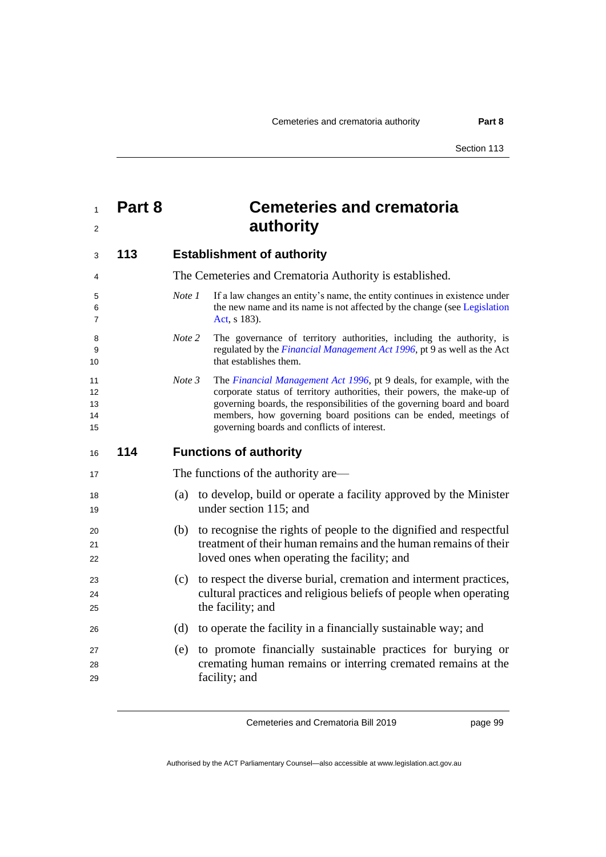| $1 \quad$ | Part 8 | <b>Cemeteries and crematoria</b> |
|-----------|--------|----------------------------------|
|           |        | authority                        |

| 3                          | 113 | <b>Establishment of authority</b>                                                                                                                                                                                                                                                                                                                       |
|----------------------------|-----|---------------------------------------------------------------------------------------------------------------------------------------------------------------------------------------------------------------------------------------------------------------------------------------------------------------------------------------------------------|
| 4                          |     | The Cemeteries and Crematoria Authority is established.                                                                                                                                                                                                                                                                                                 |
| 5<br>6<br>7                |     | If a law changes an entity's name, the entity continues in existence under<br>Note 1<br>the new name and its name is not affected by the change (see Legislation<br>Act, s 183).                                                                                                                                                                        |
| 8<br>9<br>10               |     | Note 2<br>The governance of territory authorities, including the authority, is<br>regulated by the Financial Management Act 1996, pt 9 as well as the Act<br>that establishes them.                                                                                                                                                                     |
| 11<br>12<br>13<br>14<br>15 |     | Note 3<br>The Financial Management Act 1996, pt 9 deals, for example, with the<br>corporate status of territory authorities, their powers, the make-up of<br>governing boards, the responsibilities of the governing board and board<br>members, how governing board positions can be ended, meetings of<br>governing boards and conflicts of interest. |
| 16                         | 114 | <b>Functions of authority</b>                                                                                                                                                                                                                                                                                                                           |
| 17                         |     | The functions of the authority are—                                                                                                                                                                                                                                                                                                                     |
| 18<br>19                   |     | to develop, build or operate a facility approved by the Minister<br>(a)<br>under section 115; and                                                                                                                                                                                                                                                       |
| 20<br>21<br>22             |     | (b) to recognise the rights of people to the dignified and respectful<br>treatment of their human remains and the human remains of their<br>loved ones when operating the facility; and                                                                                                                                                                 |
| 23<br>24<br>25             |     | to respect the diverse burial, cremation and interment practices,<br>(c)<br>cultural practices and religious beliefs of people when operating<br>the facility; and                                                                                                                                                                                      |
| 26                         |     | (d)<br>to operate the facility in a financially sustainable way; and                                                                                                                                                                                                                                                                                    |
| 27<br>28<br>29             |     | to promote financially sustainable practices for burying or<br>(e)<br>cremating human remains or interring cremated remains at the<br>facility; and                                                                                                                                                                                                     |

page 99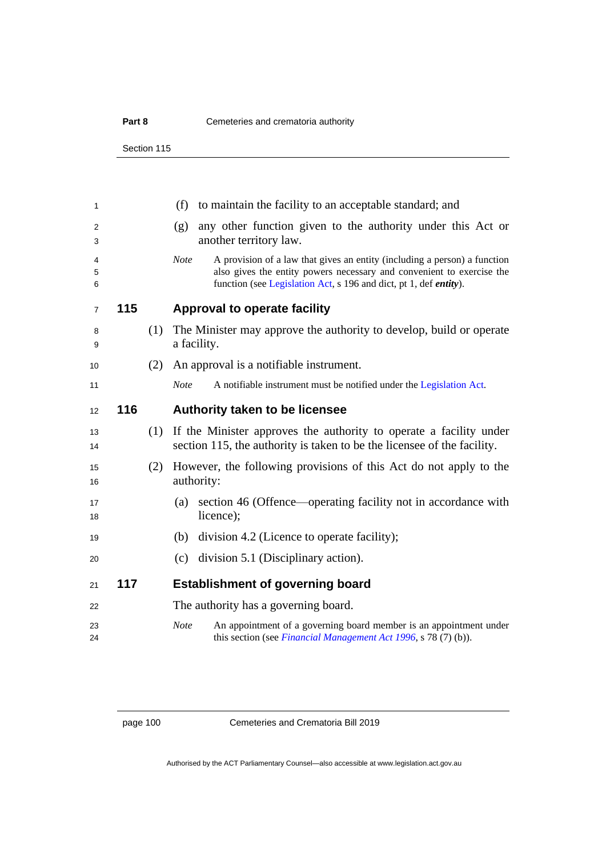Section 115

| 1              |     |     | (f)<br>to maintain the facility to an acceptable standard; and                                                                                                                                                                                 |
|----------------|-----|-----|------------------------------------------------------------------------------------------------------------------------------------------------------------------------------------------------------------------------------------------------|
| 2<br>3         |     |     | any other function given to the authority under this Act or<br>(g)<br>another territory law.                                                                                                                                                   |
| 4<br>5<br>6    |     |     | <b>Note</b><br>A provision of a law that gives an entity (including a person) a function<br>also gives the entity powers necessary and convenient to exercise the<br>function (see Legislation Act, s 196 and dict, pt 1, def <i>entity</i> ). |
| $\overline{7}$ | 115 |     | <b>Approval to operate facility</b>                                                                                                                                                                                                            |
| 8<br>9         |     | (1) | The Minister may approve the authority to develop, build or operate<br>a facility.                                                                                                                                                             |
| 10             |     | (2) | An approval is a notifiable instrument.                                                                                                                                                                                                        |
| 11             |     |     | A notifiable instrument must be notified under the Legislation Act.<br><b>Note</b>                                                                                                                                                             |
| 12             | 116 |     | Authority taken to be licensee                                                                                                                                                                                                                 |
| 13<br>14       |     | (1) | If the Minister approves the authority to operate a facility under<br>section 115, the authority is taken to be the licensee of the facility.                                                                                                  |
| 15<br>16       |     | (2) | However, the following provisions of this Act do not apply to the<br>authority:                                                                                                                                                                |
| 17<br>18       |     |     | section 46 (Offence—operating facility not in accordance with<br>(a)<br>licence);                                                                                                                                                              |
| 19             |     |     | division 4.2 (Licence to operate facility);<br>(b)                                                                                                                                                                                             |
| 20             |     |     | (c) division 5.1 (Disciplinary action).                                                                                                                                                                                                        |
| 21             | 117 |     | <b>Establishment of governing board</b>                                                                                                                                                                                                        |
| 22             |     |     | The authority has a governing board.                                                                                                                                                                                                           |
| 23<br>24       |     |     | <b>Note</b><br>An appointment of a governing board member is an appointment under<br>this section (see Financial Management Act 1996, s 78 (7) (b)).                                                                                           |
|                |     |     |                                                                                                                                                                                                                                                |

page 100 Cemeteries and Crematoria Bill 2019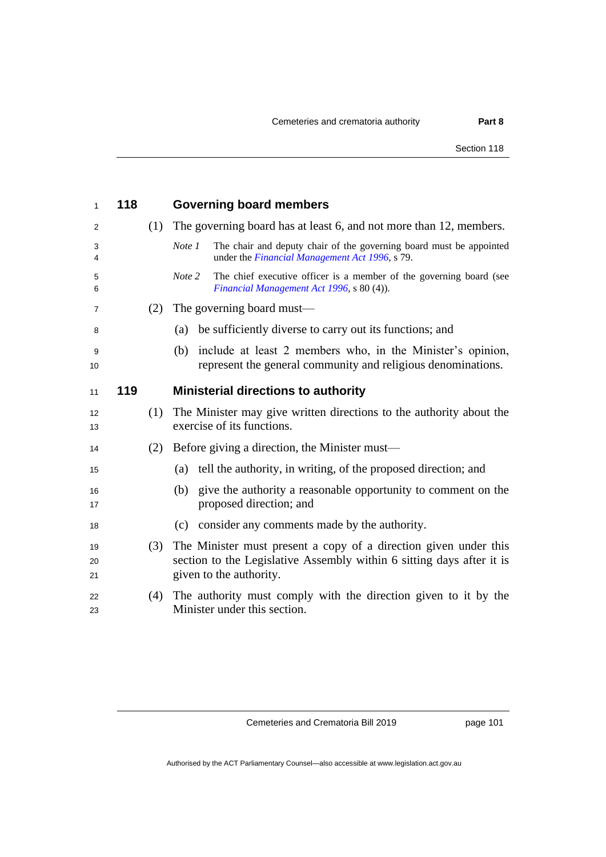| 1              | 118 |     | <b>Governing board members</b>                                                                                                                                       |
|----------------|-----|-----|----------------------------------------------------------------------------------------------------------------------------------------------------------------------|
| 2              |     | (1) | The governing board has at least 6, and not more than 12, members.                                                                                                   |
| 3<br>4         |     |     | The chair and deputy chair of the governing board must be appointed<br>Note 1<br>under the <i>Financial Management Act 1996</i> , s 79.                              |
| 5<br>6         |     |     | Note 2<br>The chief executive officer is a member of the governing board (see<br>Financial Management Act 1996, s 80 (4)).                                           |
| 7              |     | (2) | The governing board must—                                                                                                                                            |
| 8              |     |     | be sufficiently diverse to carry out its functions; and<br>(a)                                                                                                       |
| 9<br>10        |     |     | include at least 2 members who, in the Minister's opinion,<br>(b)<br>represent the general community and religious denominations.                                    |
| 11             | 119 |     | <b>Ministerial directions to authority</b>                                                                                                                           |
| 12<br>13       |     | (1) | The Minister may give written directions to the authority about the<br>exercise of its functions.                                                                    |
| 14             |     | (2) | Before giving a direction, the Minister must—                                                                                                                        |
| 15             |     |     | tell the authority, in writing, of the proposed direction; and<br>(a)                                                                                                |
| 16<br>17       |     |     | give the authority a reasonable opportunity to comment on the<br>(b)<br>proposed direction; and                                                                      |
| 18             |     |     | (c) consider any comments made by the authority.                                                                                                                     |
| 19<br>20<br>21 |     | (3) | The Minister must present a copy of a direction given under this<br>section to the Legislative Assembly within 6 sitting days after it is<br>given to the authority. |
| 22<br>23       |     | (4) | The authority must comply with the direction given to it by the<br>Minister under this section.                                                                      |

page 101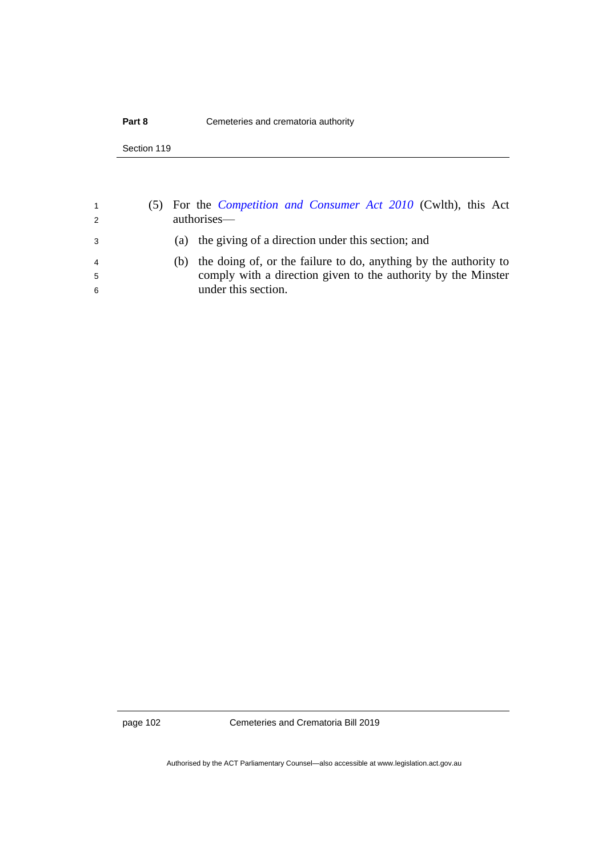| $\overline{1}$<br>2 | (5) For the <i>Competition and Consumer Act 2010</i> (Cwlth), this Act<br>authorises— |
|---------------------|---------------------------------------------------------------------------------------|
| -3                  | (a) the giving of a direction under this section; and                                 |
| $\overline{4}$      | the doing of, or the failure to do, anything by the authority to<br>(h)               |
| -5                  | comply with a direction given to the authority by the Minster                         |
| -6                  | under this section.                                                                   |
|                     |                                                                                       |

page 102 Cemeteries and Crematoria Bill 2019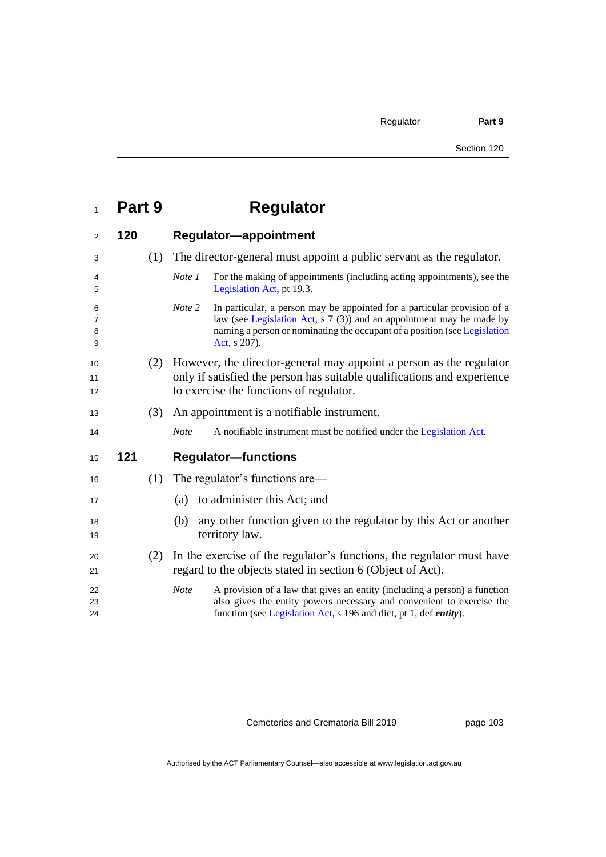| $\mathbf{1}$     | Part 9 |     | <b>Regulator</b>                                                                                                                                                                                                                                        |
|------------------|--------|-----|---------------------------------------------------------------------------------------------------------------------------------------------------------------------------------------------------------------------------------------------------------|
| $\overline{2}$   | 120    |     | <b>Regulator-appointment</b>                                                                                                                                                                                                                            |
| 3                |        | (1) | The director-general must appoint a public servant as the regulator.                                                                                                                                                                                    |
| 4<br>5           |        |     | Note 1<br>For the making of appointments (including acting appointments), see the<br>Legislation Act, pt 19.3.                                                                                                                                          |
| 6<br>7<br>8<br>9 |        |     | In particular, a person may be appointed for a particular provision of a<br>Note 2<br>law (see Legislation Act, s 7 (3)) and an appointment may be made by<br>naming a person or nominating the occupant of a position (see Legislation<br>Act, s 207). |
| 10<br>11<br>12   |        | (2) | However, the director-general may appoint a person as the regulator<br>only if satisfied the person has suitable qualifications and experience<br>to exercise the functions of regulator.                                                               |
| 13               |        | (3) | An appointment is a notifiable instrument.                                                                                                                                                                                                              |
| 14               |        |     | <b>Note</b><br>A notifiable instrument must be notified under the Legislation Act.                                                                                                                                                                      |
| 15               | 121    |     | <b>Regulator-functions</b>                                                                                                                                                                                                                              |
| 16               |        | (1) | The regulator's functions are—                                                                                                                                                                                                                          |
| 17               |        |     | to administer this Act; and<br>(a)                                                                                                                                                                                                                      |
| 18<br>19         |        |     | any other function given to the regulator by this Act or another<br>(b)<br>territory law.                                                                                                                                                               |
| 20<br>21         |        | (2) | In the exercise of the regulator's functions, the regulator must have<br>regard to the objects stated in section 6 (Object of Act).                                                                                                                     |
| 22<br>23<br>24   |        |     | <b>Note</b><br>A provision of a law that gives an entity (including a person) a function<br>also gives the entity powers necessary and convenient to exercise the<br>function (see Legislation Act, s 196 and dict, pt 1, def <i>entity</i> ).          |

page 103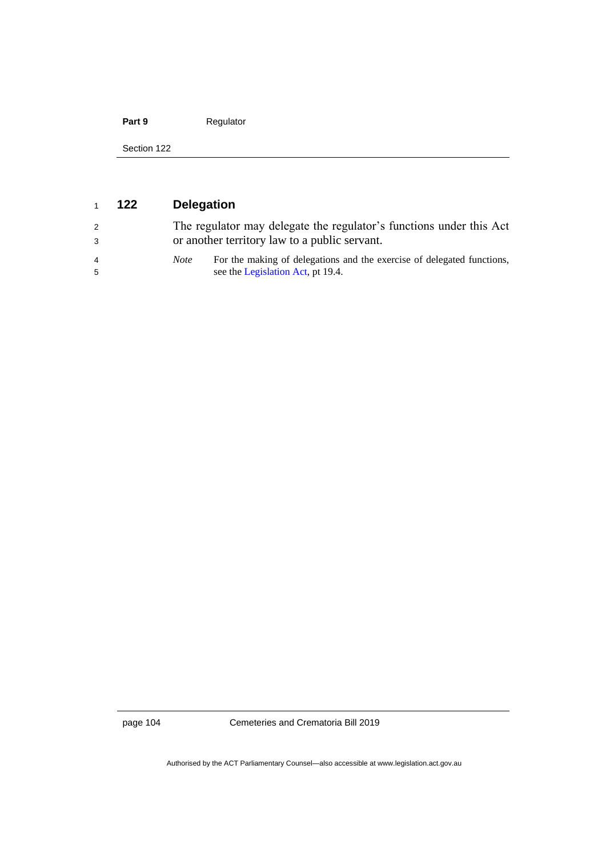### Part 9 Regulator

Section 122

| $\mathbf{1}$        | 122 | <b>Delegation</b> |                                                                                                                      |
|---------------------|-----|-------------------|----------------------------------------------------------------------------------------------------------------------|
| 2<br>-3             |     |                   | The regulator may delegate the regulator's functions under this Act<br>or another territory law to a public servant. |
| $\overline{4}$<br>5 |     | <i>Note</i>       | For the making of delegations and the exercise of delegated functions,<br>see the Legislation Act, pt 19.4.          |

page 104 Cemeteries and Crematoria Bill 2019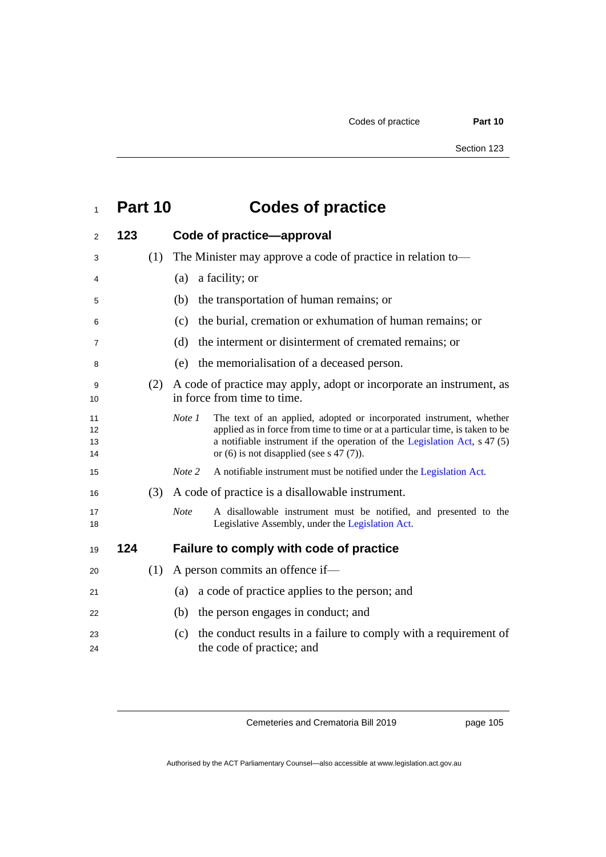# **Part 10 Codes of practice**

| 2                    | 123 |     |             | Code of practice-approval                                                                                                                                                                                                                                                          |
|----------------------|-----|-----|-------------|------------------------------------------------------------------------------------------------------------------------------------------------------------------------------------------------------------------------------------------------------------------------------------|
| 3                    |     | (1) |             | The Minister may approve a code of practice in relation to—                                                                                                                                                                                                                        |
| 4                    |     |     | (a)         | a facility; or                                                                                                                                                                                                                                                                     |
| 5                    |     |     | (b)         | the transportation of human remains; or                                                                                                                                                                                                                                            |
| 6                    |     |     | (c)         | the burial, cremation or exhumation of human remains; or                                                                                                                                                                                                                           |
| 7                    |     |     | (d)         | the interment or disinterment of cremated remains; or                                                                                                                                                                                                                              |
| 8                    |     |     | (e)         | the memorialisation of a deceased person.                                                                                                                                                                                                                                          |
| 9<br>10              |     | (2) |             | A code of practice may apply, adopt or incorporate an instrument, as<br>in force from time to time.                                                                                                                                                                                |
| 11<br>12<br>13<br>14 |     |     | Note 1      | The text of an applied, adopted or incorporated instrument, whether<br>applied as in force from time to time or at a particular time, is taken to be<br>a notifiable instrument if the operation of the Legislation Act, s 47 (5)<br>or $(6)$ is not disapplied (see s 47 $(7)$ ). |
| 15                   |     |     | Note 2      | A notifiable instrument must be notified under the Legislation Act.                                                                                                                                                                                                                |
| 16                   |     | (3) |             | A code of practice is a disallowable instrument.                                                                                                                                                                                                                                   |
| 17<br>18             |     |     | <b>Note</b> | A disallowable instrument must be notified, and presented to the<br>Legislative Assembly, under the Legislation Act.                                                                                                                                                               |
| 19                   | 124 |     |             | Failure to comply with code of practice                                                                                                                                                                                                                                            |
| 20                   |     | (1) |             | A person commits an offence if-                                                                                                                                                                                                                                                    |
| 21                   |     |     | (a)         | a code of practice applies to the person; and                                                                                                                                                                                                                                      |
| 22                   |     |     | (b)         | the person engages in conduct; and                                                                                                                                                                                                                                                 |
| 23<br>24             |     |     | (c)         | the conduct results in a failure to comply with a requirement of<br>the code of practice; and                                                                                                                                                                                      |
|                      |     |     |             |                                                                                                                                                                                                                                                                                    |

Cemeteries and Crematoria Bill 2019

page 105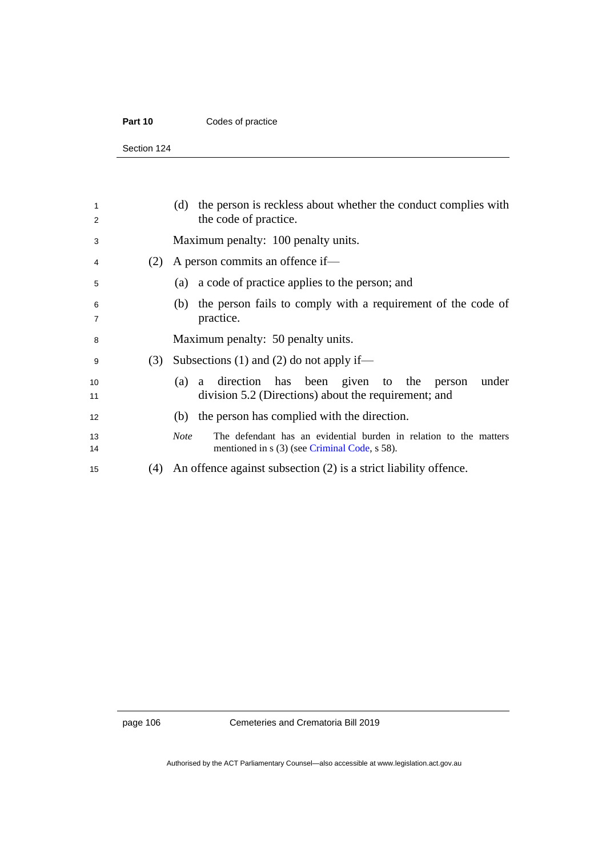#### Part 10 **Codes of practice**

Section 124

| 1<br>2              |     | (d) the person is reckless about whether the conduct complies with<br>the code of practice.                                       |
|---------------------|-----|-----------------------------------------------------------------------------------------------------------------------------------|
| 3                   |     | Maximum penalty: 100 penalty units.                                                                                               |
| 4                   | (2) | A person commits an offence if—                                                                                                   |
| 5                   |     | (a) a code of practice applies to the person; and                                                                                 |
| 6<br>$\overline{7}$ |     | the person fails to comply with a requirement of the code of<br>(b)<br>practice.                                                  |
| 8                   |     | Maximum penalty: 50 penalty units.                                                                                                |
| 9                   | (3) | Subsections (1) and (2) do not apply if—                                                                                          |
| 10<br>11            |     | a direction has been given to the person<br>under<br>(a)<br>division 5.2 (Directions) about the requirement; and                  |
| 12                  |     | (b) the person has complied with the direction.                                                                                   |
| 13<br>14            |     | <b>Note</b><br>The defendant has an evidential burden in relation to the matters<br>mentioned in s (3) (see Criminal Code, s 58). |
| 15                  | (4) | An offence against subsection $(2)$ is a strict liability offence.                                                                |
|                     |     |                                                                                                                                   |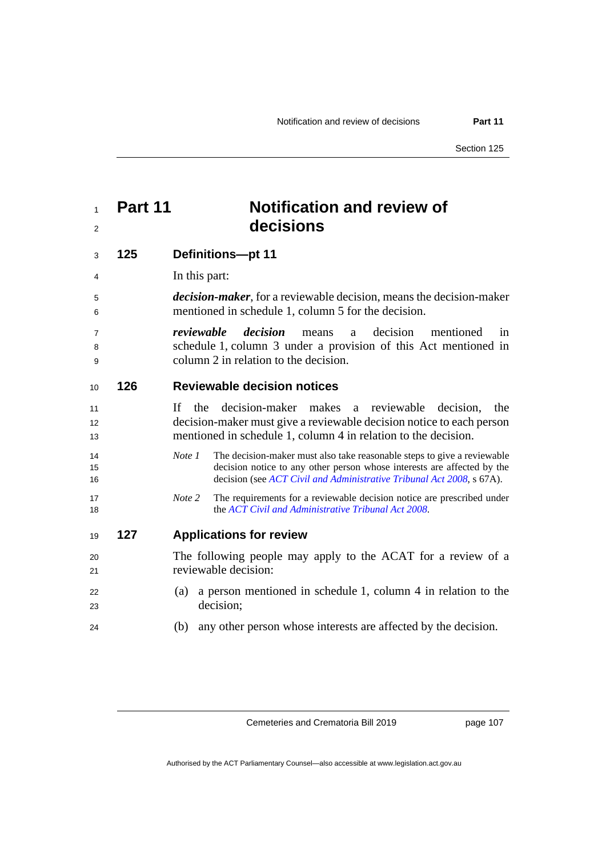### **Part 11 Notification and review of decisions**

| Definitions-pt 11<br>125<br>3 |  |
|-------------------------------|--|
|-------------------------------|--|

- In this part:
- *decision-maker*, for a reviewable decision, means the decision-maker mentioned in schedule 1, column 5 for the decision.
- *reviewable decision* means a decision mentioned in schedule 1, column 3 under a provision of this Act mentioned in column 2 in relation to the decision.

#### **126 Reviewable decision notices**

- If the decision-maker makes a reviewable decision, the decision-maker must give a reviewable decision notice to each person mentioned in schedule 1, column 4 in relation to the decision.
- *Note 1* The decision-maker must also take reasonable steps to give a reviewable decision notice to any other person whose interests are affected by the decision (see *[ACT Civil and Administrative Tribunal Act](http://www.legislation.act.gov.au/a/2008-35) 2008*, s 67A).
- *Note 2* The requirements for a reviewable decision notice are prescribed under the *[ACT Civil and Administrative Tribunal Act](http://www.legislation.act.gov.au/a/2008-35) 2008*.

#### **127 Applications for review**

- The following people may apply to the ACAT for a review of a reviewable decision:
- (a) a person mentioned in schedule 1, column 4 in relation to the decision;
- (b) any other person whose interests are affected by the decision.

Cemeteries and Crematoria Bill 2019

page 107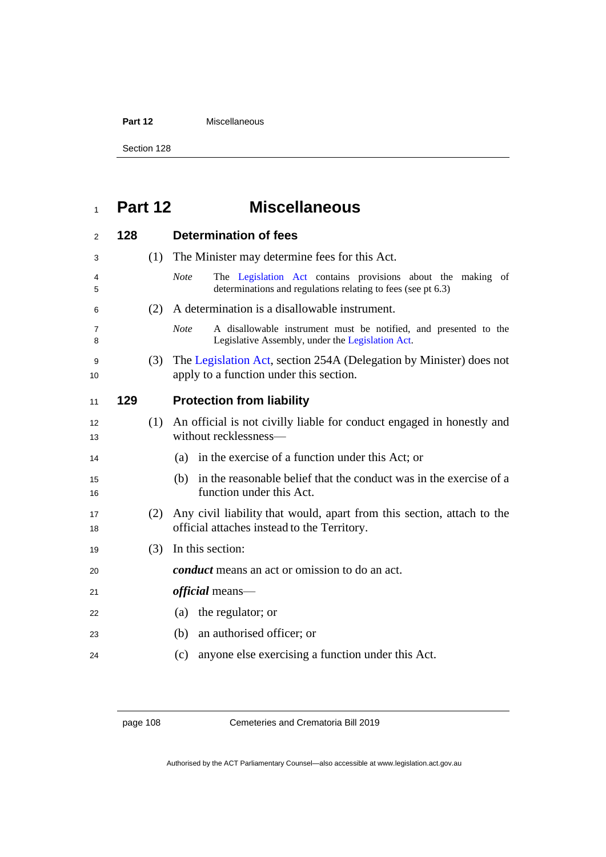Part 12 **Miscellaneous** 

Section 128

## **Part 12 Miscellaneous**

| 2        | 128 |     | <b>Determination of fees</b>                                                                                                               |
|----------|-----|-----|--------------------------------------------------------------------------------------------------------------------------------------------|
| 3        |     | (1) | The Minister may determine fees for this Act.                                                                                              |
| 4<br>5   |     |     | <b>Note</b><br>The Legislation Act contains provisions about the making of<br>determinations and regulations relating to fees (see pt 6.3) |
| 6        |     | (2) | A determination is a disallowable instrument.                                                                                              |
| 7<br>8   |     |     | <b>Note</b><br>A disallowable instrument must be notified, and presented to the<br>Legislative Assembly, under the Legislation Act.        |
| 9<br>10  |     | (3) | The Legislation Act, section 254A (Delegation by Minister) does not<br>apply to a function under this section.                             |
| 11       | 129 |     | <b>Protection from liability</b>                                                                                                           |
| 12<br>13 |     | (1) | An official is not civilly liable for conduct engaged in honestly and<br>without recklessness-                                             |
| 14       |     |     | in the exercise of a function under this Act; or<br>(a)                                                                                    |
| 15<br>16 |     |     | in the reasonable belief that the conduct was in the exercise of a<br>(b)<br>function under this Act.                                      |
| 17<br>18 |     | (2) | Any civil liability that would, apart from this section, attach to the<br>official attaches instead to the Territory.                      |
| 19       |     | (3) | In this section:                                                                                                                           |
| 20       |     |     | <i>conduct</i> means an act or omission to do an act.                                                                                      |
| 21       |     |     | <i>official</i> means—                                                                                                                     |
| 22       |     |     | (a) the regulator; or                                                                                                                      |
| 23       |     |     | an authorised officer; or<br>(b)                                                                                                           |
| 24       |     |     | anyone else exercising a function under this Act.<br>(c)                                                                                   |

page 108 Cemeteries and Crematoria Bill 2019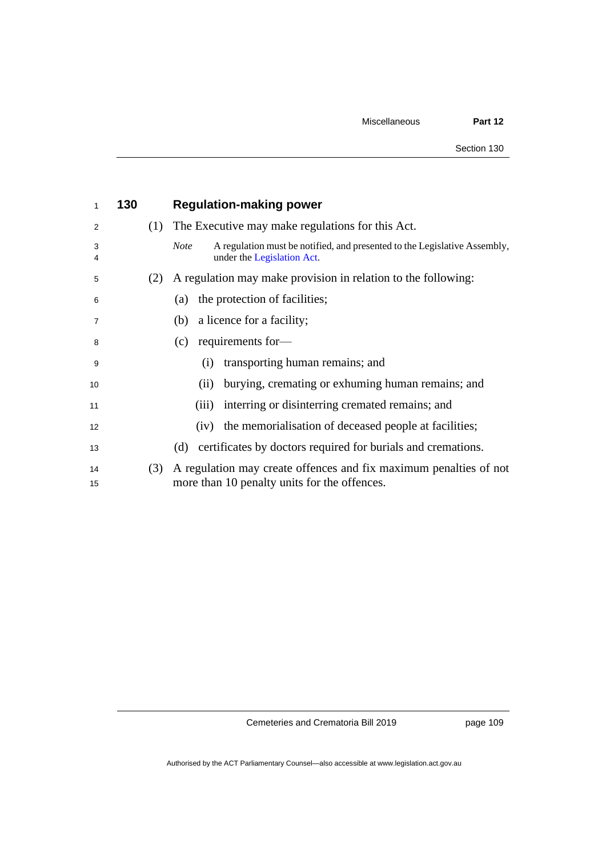| 1              | 130 |     | <b>Regulation-making power</b>                                                                                         |
|----------------|-----|-----|------------------------------------------------------------------------------------------------------------------------|
| 2              |     | (1) | The Executive may make regulations for this Act.                                                                       |
| 3<br>4         |     |     | A regulation must be notified, and presented to the Legislative Assembly,<br><b>Note</b><br>under the Legislation Act. |
| 5              |     | (2) | A regulation may make provision in relation to the following:                                                          |
| 6              |     |     | the protection of facilities;<br>(a)                                                                                   |
| $\overline{7}$ |     |     | a licence for a facility;<br>(b)                                                                                       |
| 8              |     |     | requirements for-<br>(c)                                                                                               |
| 9              |     |     | transporting human remains; and<br>(i)                                                                                 |
| 10             |     |     | burying, cremating or exhuming human remains; and<br>(ii)                                                              |
| 11             |     |     | interring or disinterring cremated remains; and<br>(iii)                                                               |
| 12             |     |     | (iv) the memorialisation of deceased people at facilities;                                                             |
| 13             |     |     | certificates by doctors required for burials and cremations.<br>(d)                                                    |
| 14<br>15       |     | (3) | A regulation may create offences and fix maximum penalties of not<br>more than 10 penalty units for the offences.      |

page 109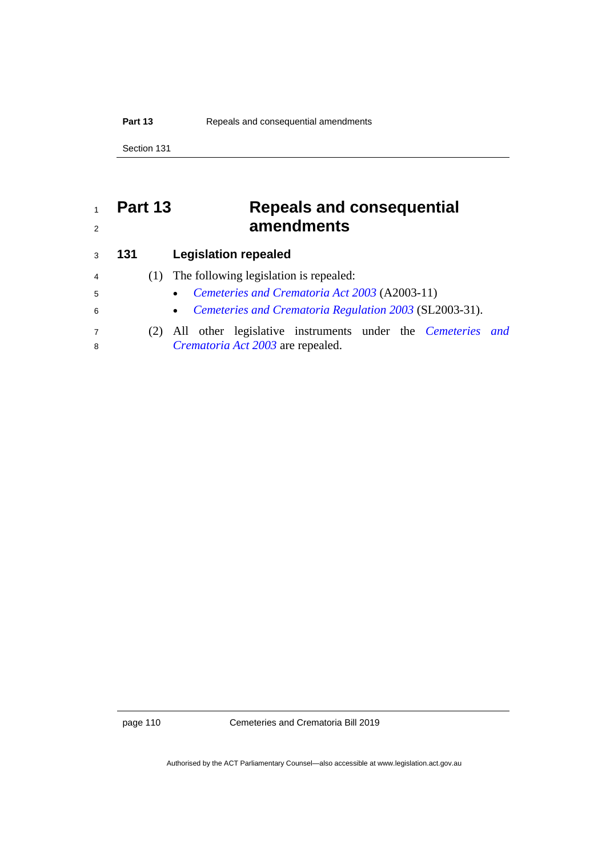#### **Part 13** Repeals and consequential amendments

Section 131

## **Part 13 Repeals and consequential amendments**

| 3              | 131 |     | <b>Legislation repealed</b>                                           |  |  |
|----------------|-----|-----|-----------------------------------------------------------------------|--|--|
| $\overline{4}$ |     | (1) | The following legislation is repealed:                                |  |  |
| 5              |     |     | Cemeteries and Crematoria Act 2003 (A2003-11)<br>$\bullet$            |  |  |
| 6              |     |     | • Cemeteries and Crematoria Regulation 2003 (SL2003-31).              |  |  |
| 7              |     |     | (2) All other legislative instruments under the <i>Cemeteries and</i> |  |  |
| 8              |     |     | Crematoria Act 2003 are repealed.                                     |  |  |
|                |     |     |                                                                       |  |  |

page 110 Cemeteries and Crematoria Bill 2019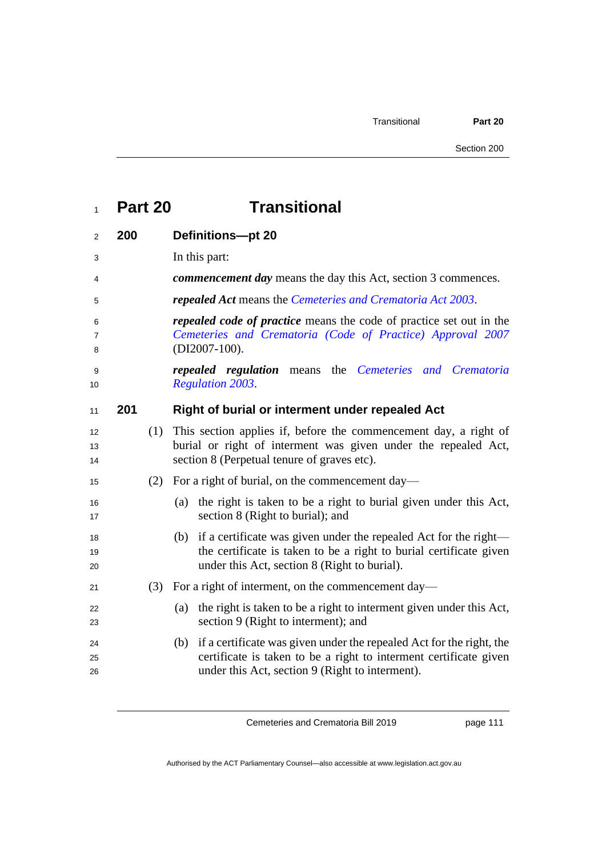| Part 20 | <b>Transitional</b> |
|---------|---------------------|
|---------|---------------------|

| $\overline{2}$ | 200 |     | <b>Definitions-pt 20</b>                                                                                                                                                                         |
|----------------|-----|-----|--------------------------------------------------------------------------------------------------------------------------------------------------------------------------------------------------|
| 3              |     |     | In this part:                                                                                                                                                                                    |
| 4              |     |     | <i>commencement day</i> means the day this Act, section 3 commences.                                                                                                                             |
| 5              |     |     | <b>repealed Act</b> means the Cemeteries and Crematoria Act 2003.                                                                                                                                |
| 6<br>7<br>8    |     |     | <i>repealed code of practice</i> means the code of practice set out in the<br>Cemeteries and Crematoria (Code of Practice) Approval 2007<br>$(DI2007-100)$ .                                     |
| 9<br>10        |     |     | <b>repealed regulation</b> means the Cemeteries and Crematoria<br><b>Regulation 2003.</b>                                                                                                        |
| 11             | 201 |     | Right of burial or interment under repealed Act                                                                                                                                                  |
| 12<br>13<br>14 |     | (1) | This section applies if, before the commencement day, a right of<br>burial or right of interment was given under the repealed Act,<br>section 8 (Perpetual tenure of graves etc).                |
| 15             |     | (2) | For a right of burial, on the commencement day—                                                                                                                                                  |
| 16<br>17       |     |     | the right is taken to be a right to burial given under this Act,<br>(a)<br>section 8 (Right to burial); and                                                                                      |
| 18<br>19<br>20 |     |     | (b) if a certificate was given under the repealed Act for the right—<br>the certificate is taken to be a right to burial certificate given<br>under this Act, section 8 (Right to burial).       |
| 21             |     | (3) | For a right of interment, on the commencement day—                                                                                                                                               |
| 22<br>23       |     |     | the right is taken to be a right to interment given under this Act,<br>(a)<br>section 9 (Right to interment); and                                                                                |
| 24<br>25<br>26 |     |     | (b) if a certificate was given under the repealed Act for the right, the<br>certificate is taken to be a right to interment certificate given<br>under this Act, section 9 (Right to interment). |

page 111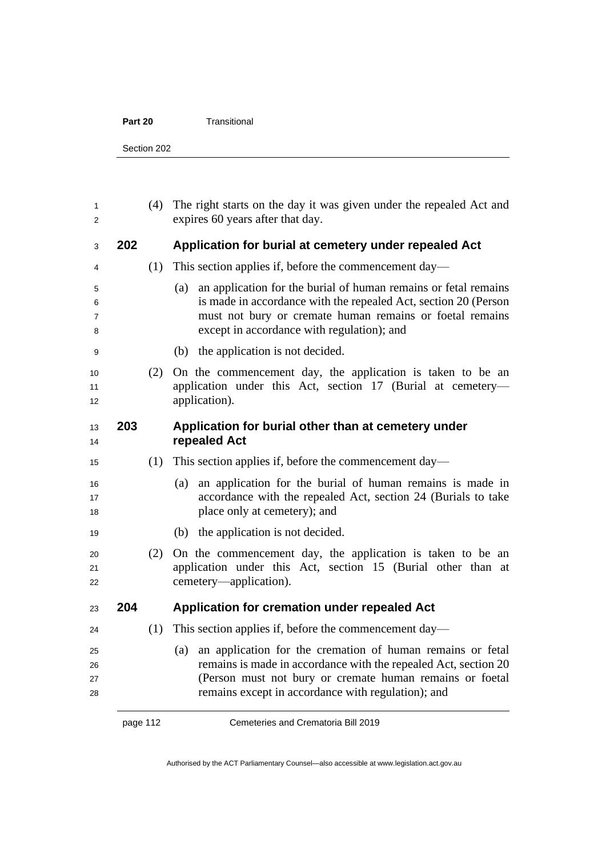| Part 20 | Transitional |
|---------|--------------|
|---------|--------------|

Section 202

| 1<br>2               |     | (4) | The right starts on the day it was given under the repealed Act and<br>expires 60 years after that day.                                                                                                                                                |
|----------------------|-----|-----|--------------------------------------------------------------------------------------------------------------------------------------------------------------------------------------------------------------------------------------------------------|
| 3                    | 202 |     | Application for burial at cemetery under repealed Act                                                                                                                                                                                                  |
| 4                    |     | (1) | This section applies if, before the commencement day—                                                                                                                                                                                                  |
| 5<br>6<br>7<br>8     |     |     | an application for the burial of human remains or fetal remains<br>(a)<br>is made in accordance with the repealed Act, section 20 (Person<br>must not bury or cremate human remains or foetal remains<br>except in accordance with regulation); and    |
| 9                    |     |     | the application is not decided.<br>(b)                                                                                                                                                                                                                 |
| 10<br>11<br>12       |     | (2) | On the commencement day, the application is taken to be an<br>application under this Act, section 17 (Burial at cemetery-<br>application).                                                                                                             |
| 13<br>14             | 203 |     | Application for burial other than at cemetery under<br>repealed Act                                                                                                                                                                                    |
| 15                   |     | (1) | This section applies if, before the commencement day—                                                                                                                                                                                                  |
| 16<br>17<br>18       |     |     | an application for the burial of human remains is made in<br>(a)<br>accordance with the repealed Act, section 24 (Burials to take<br>place only at cemetery); and                                                                                      |
| 19                   |     |     | the application is not decided.<br>(b)                                                                                                                                                                                                                 |
| 20<br>21<br>22       |     | (2) | On the commencement day, the application is taken to be an<br>application under this Act, section 15 (Burial other than at<br>cemetery—application).                                                                                                   |
| 23                   | 204 |     | Application for cremation under repealed Act                                                                                                                                                                                                           |
| 24                   |     | (1) | This section applies if, before the commencement day—                                                                                                                                                                                                  |
| 25<br>26<br>27<br>28 |     |     | an application for the cremation of human remains or fetal<br>(a)<br>remains is made in accordance with the repealed Act, section 20<br>(Person must not bury or cremate human remains or foetal<br>remains except in accordance with regulation); and |

page 112 Cemeteries and Crematoria Bill 2019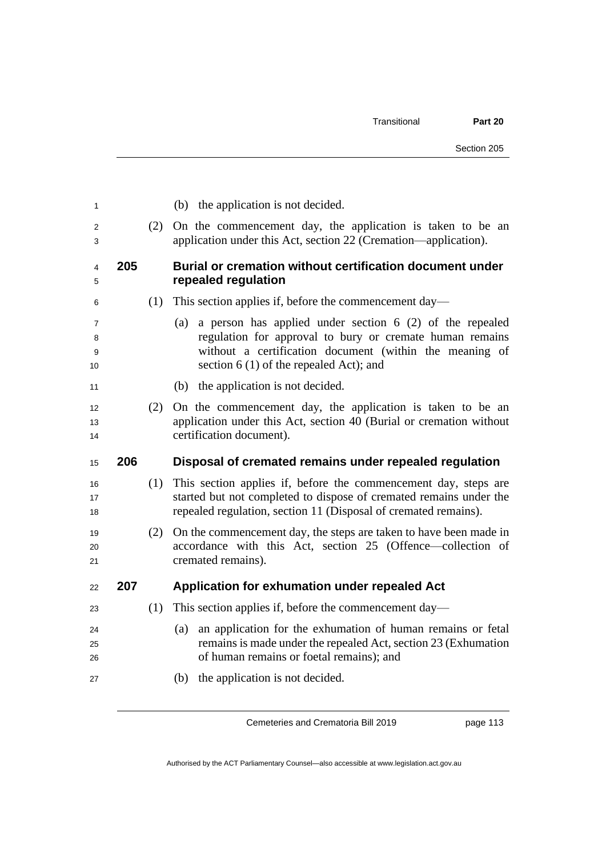| 1                 |     |     | (b) the application is not decided.                                                                                                                                                                                                 |
|-------------------|-----|-----|-------------------------------------------------------------------------------------------------------------------------------------------------------------------------------------------------------------------------------------|
| 2<br>3            |     | (2) | On the commencement day, the application is taken to be an<br>application under this Act, section 22 (Cremation—application).                                                                                                       |
| 4<br>5            | 205 |     | Burial or cremation without certification document under<br>repealed regulation                                                                                                                                                     |
| 6                 |     | (1) | This section applies if, before the commencement day—                                                                                                                                                                               |
| 7<br>8<br>9<br>10 |     |     | a person has applied under section $6(2)$ of the repealed<br>(a)<br>regulation for approval to bury or cremate human remains<br>without a certification document (within the meaning of<br>section $6(1)$ of the repealed Act); and |
| 11                |     |     | (b) the application is not decided.                                                                                                                                                                                                 |
| 12<br>13<br>14    |     | (2) | On the commencement day, the application is taken to be an<br>application under this Act, section 40 (Burial or cremation without<br>certification document).                                                                       |
|                   |     |     |                                                                                                                                                                                                                                     |
| 15                | 206 |     | Disposal of cremated remains under repealed regulation                                                                                                                                                                              |
| 16<br>17<br>18    |     | (1) | This section applies if, before the commencement day, steps are<br>started but not completed to dispose of cremated remains under the<br>repealed regulation, section 11 (Disposal of cremated remains).                            |
| 19<br>20<br>21    |     | (2) | On the commencement day, the steps are taken to have been made in<br>accordance with this Act, section 25 (Offence—collection of<br>cremated remains).                                                                              |
| 22                | 207 |     | Application for exhumation under repealed Act                                                                                                                                                                                       |
| 23                |     | (1) | This section applies if, before the commencement day—                                                                                                                                                                               |
| 24<br>25<br>26    |     |     | an application for the exhumation of human remains or fetal<br>(a)<br>remains is made under the repealed Act, section 23 (Exhumation<br>of human remains or foetal remains); and                                                    |

page 113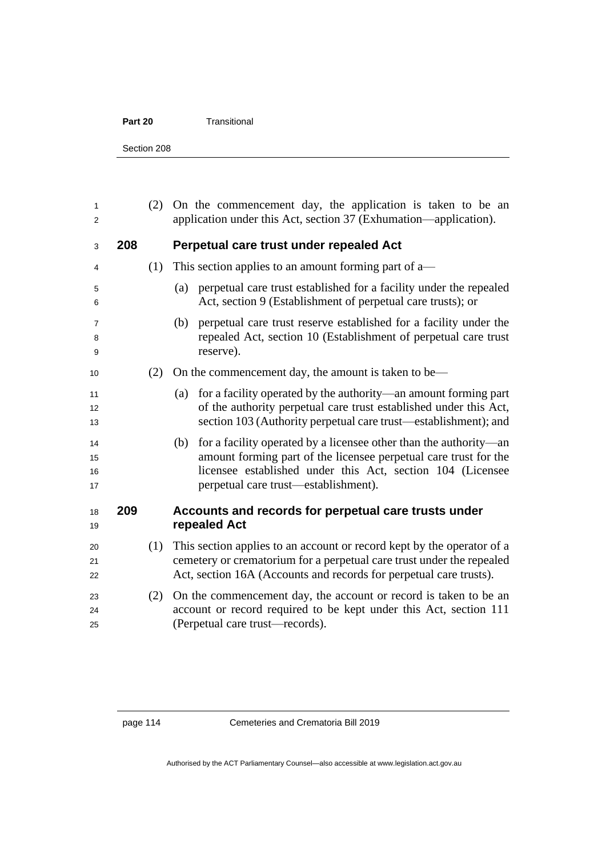#### **Part 20** Transitional

Section 208

| 1<br>2               |     | (2) | On the commencement day, the application is taken to be an<br>application under this Act, section 37 (Exhumation—application).                                                                                                                     |
|----------------------|-----|-----|----------------------------------------------------------------------------------------------------------------------------------------------------------------------------------------------------------------------------------------------------|
| 3                    | 208 |     | Perpetual care trust under repealed Act                                                                                                                                                                                                            |
| 4                    |     | (1) | This section applies to an amount forming part of a—                                                                                                                                                                                               |
| 5<br>6               |     |     | perpetual care trust established for a facility under the repealed<br>(a)<br>Act, section 9 (Establishment of perpetual care trusts); or                                                                                                           |
| 7<br>8<br>9          |     |     | perpetual care trust reserve established for a facility under the<br>(b)<br>repealed Act, section 10 (Establishment of perpetual care trust<br>reserve).                                                                                           |
| 10                   |     | (2) | On the commencement day, the amount is taken to be—                                                                                                                                                                                                |
| 11<br>12<br>13       |     |     | for a facility operated by the authority—an amount forming part<br>(a)<br>of the authority perpetual care trust established under this Act,<br>section 103 (Authority perpetual care trust—establishment); and                                     |
| 14<br>15<br>16<br>17 |     |     | for a facility operated by a licensee other than the authority—an<br>(b)<br>amount forming part of the licensee perpetual care trust for the<br>licensee established under this Act, section 104 (Licensee<br>perpetual care trust—establishment). |
| 18<br>19             | 209 |     | Accounts and records for perpetual care trusts under<br>repealed Act                                                                                                                                                                               |
| 20<br>21<br>22       |     | (1) | This section applies to an account or record kept by the operator of a<br>cemetery or crematorium for a perpetual care trust under the repealed<br>Act, section 16A (Accounts and records for perpetual care trusts).                              |
| 23<br>24<br>25       |     | (2) | On the commencement day, the account or record is taken to be an<br>account or record required to be kept under this Act, section 111<br>(Perpetual care trust—records).                                                                           |
|                      |     |     |                                                                                                                                                                                                                                                    |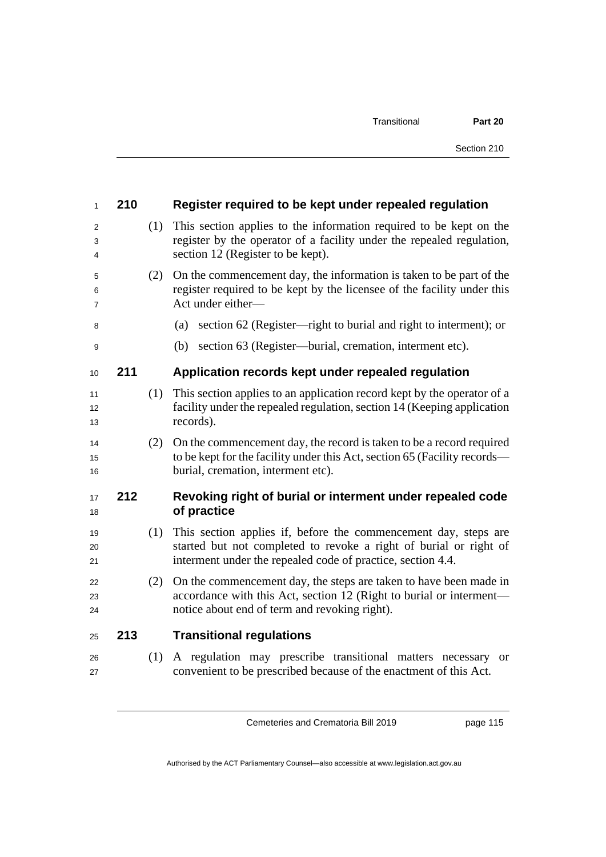| $\mathbf{1}$   | 210 |     | Register required to be kept under repealed regulation                                                                                                                                              |
|----------------|-----|-----|-----------------------------------------------------------------------------------------------------------------------------------------------------------------------------------------------------|
| 2<br>3<br>4    |     | (1) | This section applies to the information required to be kept on the<br>register by the operator of a facility under the repealed regulation,<br>section 12 (Register to be kept).                    |
| 5<br>6<br>7    |     | (2) | On the commencement day, the information is taken to be part of the<br>register required to be kept by the licensee of the facility under this<br>Act under either-                                 |
| 8              |     |     | section 62 (Register—right to burial and right to interment); or<br>(a)                                                                                                                             |
| 9              |     |     | section 63 (Register—burial, cremation, interment etc).<br>(b)                                                                                                                                      |
| 10             | 211 |     | Application records kept under repealed regulation                                                                                                                                                  |
| 11<br>12<br>13 |     | (1) | This section applies to an application record kept by the operator of a<br>facility under the repealed regulation, section 14 (Keeping application<br>records).                                     |
| 14<br>15<br>16 |     | (2) | On the commencement day, the record is taken to be a record required<br>to be kept for the facility under this Act, section 65 (Facility records—<br>burial, cremation, interment etc).             |
| 17<br>18       | 212 |     | Revoking right of burial or interment under repealed code<br>of practice                                                                                                                            |
| 19<br>20<br>21 |     | (1) | This section applies if, before the commencement day, steps are<br>started but not completed to revoke a right of burial or right of<br>interment under the repealed code of practice, section 4.4. |
| 22<br>23<br>24 |     | (2) | On the commencement day, the steps are taken to have been made in<br>accordance with this Act, section 12 (Right to burial or interment—<br>notice about end of term and revoking right).           |
| 25             | 213 |     | <b>Transitional regulations</b>                                                                                                                                                                     |
| 26<br>27       |     | (1) | A regulation may prescribe transitional matters necessary<br><b>or</b><br>convenient to be prescribed because of the enactment of this Act.                                                         |

page 115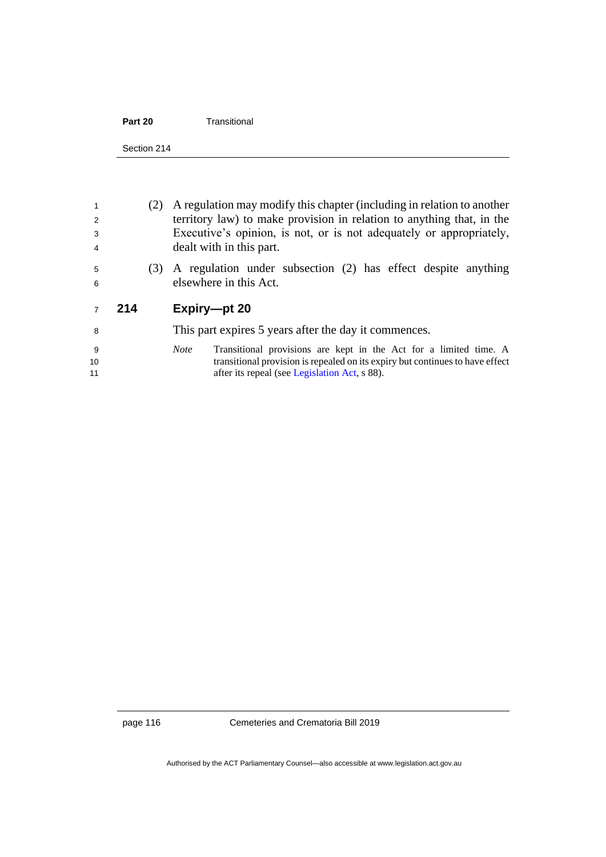| Part 20 | Transitional |
|---------|--------------|
|         |              |

| 2<br>3<br>4    |     | (2) | A regulation may modify this chapter (including in relation to another<br>territory law) to make provision in relation to anything that, in the<br>Executive's opinion, is not, or is not adequately or appropriately,<br>dealt with in this part. |
|----------------|-----|-----|----------------------------------------------------------------------------------------------------------------------------------------------------------------------------------------------------------------------------------------------------|
| 5<br>6         |     | (3) | A regulation under subsection (2) has effect despite anything<br>elsewhere in this Act.                                                                                                                                                            |
|                |     |     |                                                                                                                                                                                                                                                    |
| $\overline{7}$ | 214 |     | Expiry-pt 20                                                                                                                                                                                                                                       |
| 8              |     |     | This part expires 5 years after the day it commences.                                                                                                                                                                                              |

page 116 Cemeteries and Crematoria Bill 2019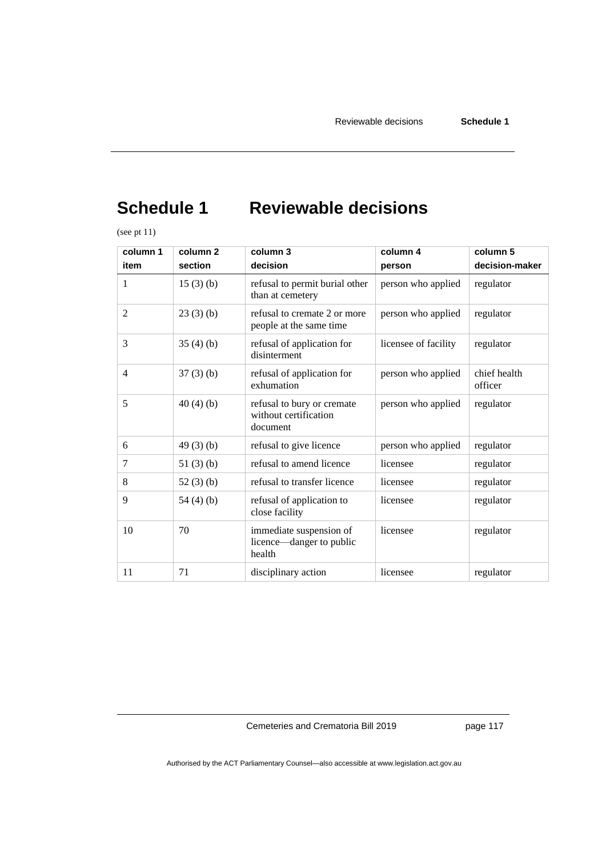# **Schedule 1 Reviewable decisions**

(see pt 11)

| column 1       | column <sub>2</sub> | column 3                                                        | column 4             | column 5                |
|----------------|---------------------|-----------------------------------------------------------------|----------------------|-------------------------|
| item           | section             | decision                                                        | person               | decision-maker          |
| 1              | 15(3)(b)            | refusal to permit burial other<br>than at cemetery              | person who applied   | regulator               |
| $\overline{2}$ | 23(3)(b)            | refusal to cremate 2 or more<br>people at the same time         | person who applied   | regulator               |
| 3              | 35(4)(b)            | refusal of application for<br>disinterment                      | licensee of facility | regulator               |
| $\overline{4}$ | $37(3)$ (b)         | refusal of application for<br>exhumation                        | person who applied   | chief health<br>officer |
| 5              | 40(4)(b)            | refusal to bury or cremate<br>without certification<br>document | person who applied   | regulator               |
| 6              | 49(3)(b)            | refusal to give licence                                         | person who applied   | regulator               |
| 7              | 51 $(3)$ $(b)$      | refusal to amend licence                                        | licensee             | regulator               |
| 8              | 52 $(3)$ $(b)$      | refusal to transfer licence                                     | licensee             | regulator               |
| 9              | 54 $(4)$ $(b)$      | refusal of application to<br>close facility                     | licensee             | regulator               |
| 10             | 70                  | immediate suspension of<br>licence—danger to public<br>health   | licensee             | regulator               |
| 11             | 71                  | disciplinary action                                             | licensee             | regulator               |

Cemeteries and Crematoria Bill 2019

page 117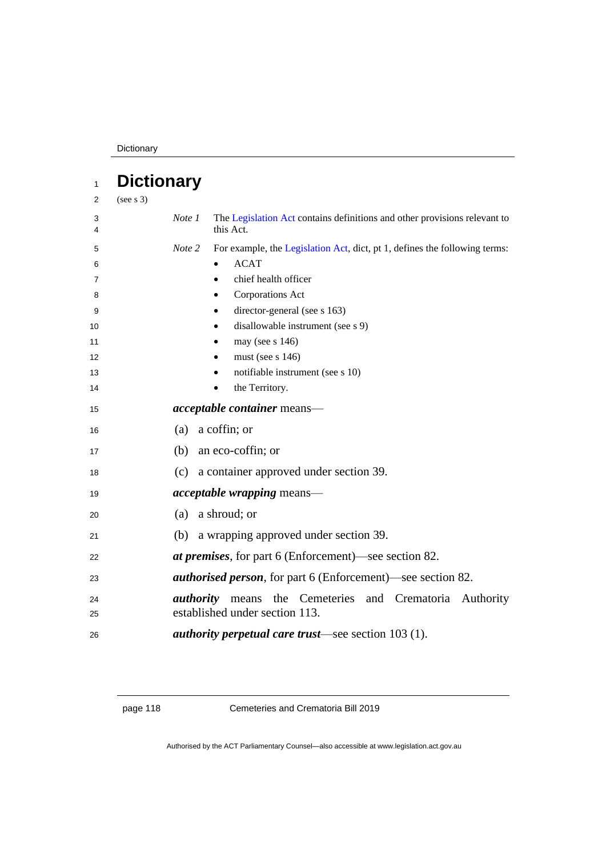Dictionary

| 1      | <b>Dictionary</b> |                                                                                        |
|--------|-------------------|----------------------------------------------------------------------------------------|
| 2      | (see s 3)         |                                                                                        |
| 3<br>4 | Note 1            | The Legislation Act contains definitions and other provisions relevant to<br>this Act. |
| 5      | Note 2            | For example, the Legislation Act, dict, pt 1, defines the following terms:             |
| 6      |                   | <b>ACAT</b><br>$\bullet$                                                               |
| 7      |                   | chief health officer                                                                   |
| 8      |                   | Corporations Act<br>$\bullet$                                                          |
| 9      |                   | director-general (see s 163)<br>٠                                                      |
| 10     |                   | disallowable instrument (see s 9)<br>$\bullet$                                         |
| 11     |                   | may (see $s$ 146)                                                                      |
| 12     |                   | must (see $s$ 146)<br>٠                                                                |
| 13     |                   | notifiable instrument (see s 10)<br>٠                                                  |
| 14     |                   | the Territory.<br>$\bullet$                                                            |
| 15     |                   | <i>acceptable container</i> means-                                                     |
| 16     |                   | (a) a coffin; or                                                                       |
| 17     |                   | (b) an eco-coffin; or                                                                  |
| 18     |                   | (c) a container approved under section 39.                                             |
| 19     |                   | <i>acceptable wrapping</i> means—                                                      |
| 20     | (a)               | a shroud; or                                                                           |
| 21     | (b)               | a wrapping approved under section 39.                                                  |
| 22     |                   | <i>at premises</i> , for part 6 (Enforcement)—see section 82.                          |
| 23     |                   | <b><i>authorised person</i></b> , for part 6 (Enforcement)—see section 82.             |
| 24     | <i>authority</i>  | the Cemeteries and Crematoria Authority<br>means                                       |
| 25     |                   | established under section 113.                                                         |
| 26     |                   | <i>authority perpetual care trust—see section 103 (1).</i>                             |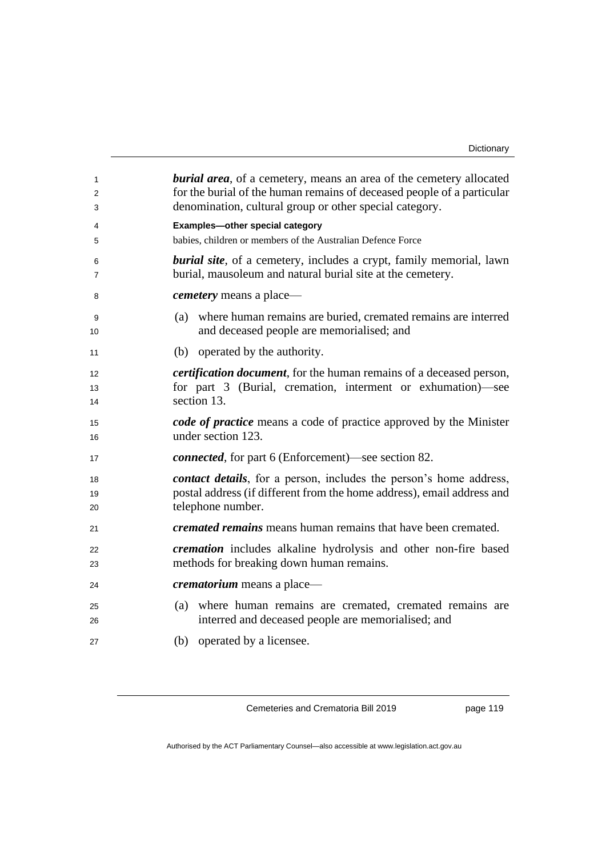| 1<br>2<br>3 | <b>burial area</b> , of a cemetery, means an area of the cemetery allocated<br>for the burial of the human remains of deceased people of a particular<br>denomination, cultural group or other special category. |
|-------------|------------------------------------------------------------------------------------------------------------------------------------------------------------------------------------------------------------------|
| 4           | Examples-other special category                                                                                                                                                                                  |
| 5           | babies, children or members of the Australian Defence Force                                                                                                                                                      |
| 6<br>7      | <b>burial site</b> , of a cemetery, includes a crypt, family memorial, lawn<br>burial, mausoleum and natural burial site at the cemetery.                                                                        |
| 8           | <i>cemetery</i> means a place—                                                                                                                                                                                   |
| 9<br>10     | (a) where human remains are buried, cremated remains are interred<br>and deceased people are memorialised; and                                                                                                   |
| 11          | (b) operated by the authority.                                                                                                                                                                                   |
| 12          | <i>certification document</i> , for the human remains of a deceased person,                                                                                                                                      |
| 13          | for part 3 (Burial, cremation, interment or exhumation)-see<br>section 13.                                                                                                                                       |
| 14          |                                                                                                                                                                                                                  |
| 15<br>16    | code of practice means a code of practice approved by the Minister<br>under section 123.                                                                                                                         |
| 17          | <i>connected</i> , for part 6 (Enforcement)—see section 82.                                                                                                                                                      |
| 18          | <i>contact details</i> , for a person, includes the person's home address,                                                                                                                                       |
| 19          | postal address (if different from the home address), email address and                                                                                                                                           |
| 20          | telephone number.                                                                                                                                                                                                |
| 21          | <i>cremated remains</i> means human remains that have been cremated.                                                                                                                                             |
| 22          | <i>cremation</i> includes alkaline hydrolysis and other non-fire based                                                                                                                                           |
| 23          | methods for breaking down human remains.                                                                                                                                                                         |
| 24          | <i>crematorium</i> means a place—                                                                                                                                                                                |
| 25          | (a) where human remains are cremated, cremated remains are                                                                                                                                                       |
| 26          | interred and deceased people are memorialised; and                                                                                                                                                               |
| 27          | (b) operated by a licensee.                                                                                                                                                                                      |

page 119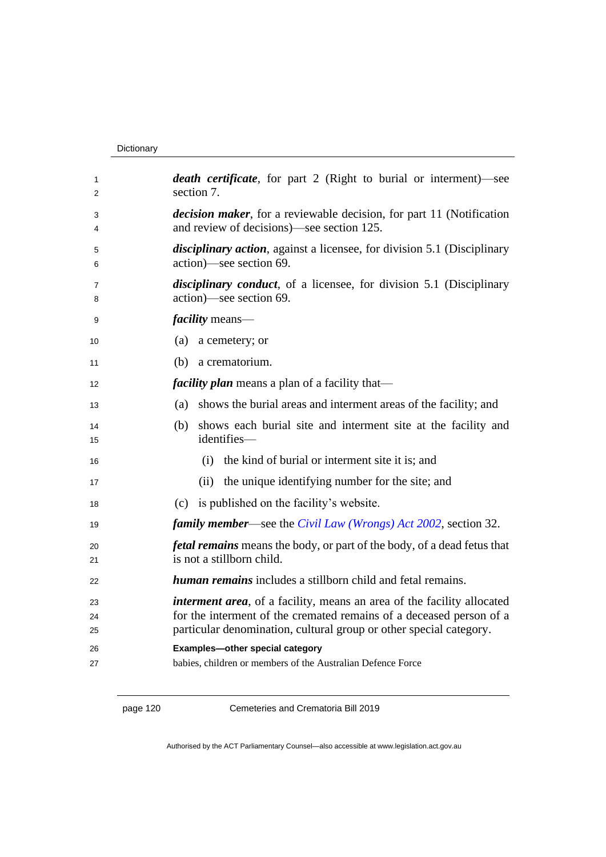#### Dictionary

| 1<br>2         | <i>death certificate</i> , for part 2 (Right to burial or interment)—see<br>section 7.                                                                                                                                      |
|----------------|-----------------------------------------------------------------------------------------------------------------------------------------------------------------------------------------------------------------------------|
| 3<br>4         | <i>decision maker</i> , for a reviewable decision, for part 11 (Notification<br>and review of decisions)—see section 125.                                                                                                   |
| 5<br>6         | <i>disciplinary action</i> , against a licensee, for division 5.1 (Disciplinary<br>action)—see section 69.                                                                                                                  |
| 7<br>8         | <i>disciplinary conduct</i> , of a licensee, for division 5.1 (Disciplinary<br>action)—see section 69.                                                                                                                      |
| 9              | <i>facility</i> means—                                                                                                                                                                                                      |
| 10             | a cemetery; or<br>(a)                                                                                                                                                                                                       |
| 11             | a crematorium.<br>(b)                                                                                                                                                                                                       |
| 12             | <i>facility plan</i> means a plan of a facility that—                                                                                                                                                                       |
| 13             | shows the burial areas and interment areas of the facility; and<br>(a)                                                                                                                                                      |
| 14<br>15       | shows each burial site and interment site at the facility and<br>(b)<br>identifies-                                                                                                                                         |
| 16             | the kind of burial or interment site it is; and<br>(i)                                                                                                                                                                      |
| 17             | (ii) the unique identifying number for the site; and                                                                                                                                                                        |
| 18             | is published on the facility's website.<br>(c)                                                                                                                                                                              |
| 19             | <i>family member—see the Civil Law (Wrongs) Act 2002</i> , section 32.                                                                                                                                                      |
| 20<br>21       | <i>fetal remains</i> means the body, or part of the body, of a dead fetus that<br>is not a stillborn child.                                                                                                                 |
| 22             | <i>human remains</i> includes a stillborn child and fetal remains.                                                                                                                                                          |
| 23<br>24<br>25 | <i>interment area</i> , of a facility, means an area of the facility allocated<br>for the interment of the cremated remains of a deceased person of a<br>particular denomination, cultural group or other special category. |
| 26             | Examples-other special category                                                                                                                                                                                             |
| 27             | babies, children or members of the Australian Defence Force                                                                                                                                                                 |

page 120 Cemeteries and Crematoria Bill 2019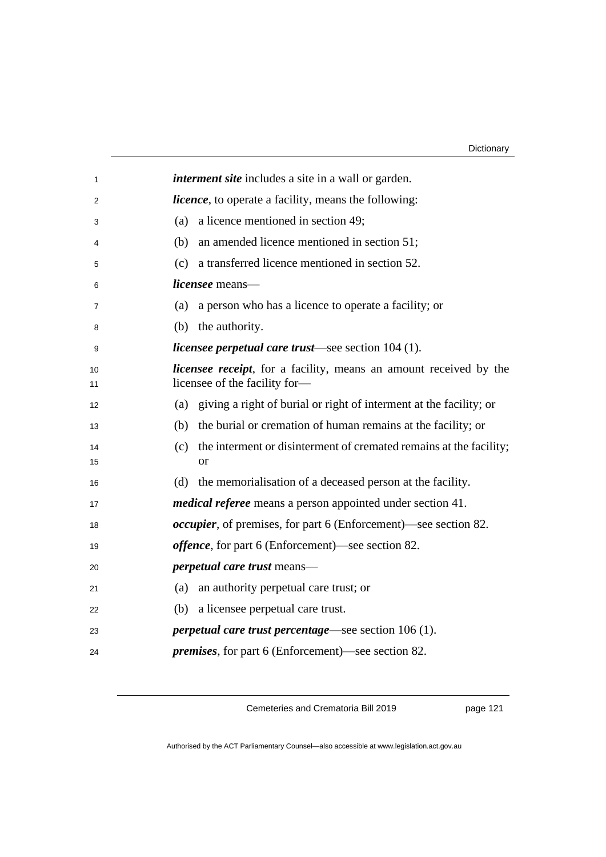| 1  | <i>interment site</i> includes a site in a wall or garden.                |
|----|---------------------------------------------------------------------------|
| 2  | <i>licence</i> , to operate a facility, means the following:              |
| 3  | a licence mentioned in section 49;<br>(a)                                 |
| 4  | an amended licence mentioned in section 51;<br>(b)                        |
| 5  | a transferred licence mentioned in section 52.<br>(c)                     |
| 6  | <i>licensee</i> means—                                                    |
| 7  | a person who has a licence to operate a facility; or<br>(a)               |
| 8  | (b) the authority.                                                        |
| 9  | <i>licensee perpetual care trust</i> —see section 104 (1).                |
| 10 | <i>licensee receipt</i> , for a facility, means an amount received by the |
| 11 | licensee of the facility for-                                             |
| 12 | (a) giving a right of burial or right of interment at the facility; or    |
| 13 | (b) the burial or cremation of human remains at the facility; or          |
| 14 | the interment or disinterment of cremated remains at the facility;<br>(c) |
| 15 | <sub>or</sub>                                                             |
| 16 | (d) the memorialisation of a deceased person at the facility.             |
| 17 | <i>medical referee</i> means a person appointed under section 41.         |
| 18 | <i>occupier</i> , of premises, for part 6 (Enforcement)—see section 82.   |
| 19 | <i>offence</i> , for part 6 (Enforcement)—see section 82.                 |
| 20 | <i>perpetual care trust</i> means—                                        |
| 21 | an authority perpetual care trust; or<br>(a)                              |
| 22 | (b) a licensee perpetual care trust.                                      |
| 23 | <i>perpetual care trust percentage</i> —see section $106(1)$ .            |
| 24 | <i>premises</i> , for part 6 (Enforcement)—see section 82.                |
|    |                                                                           |

page 121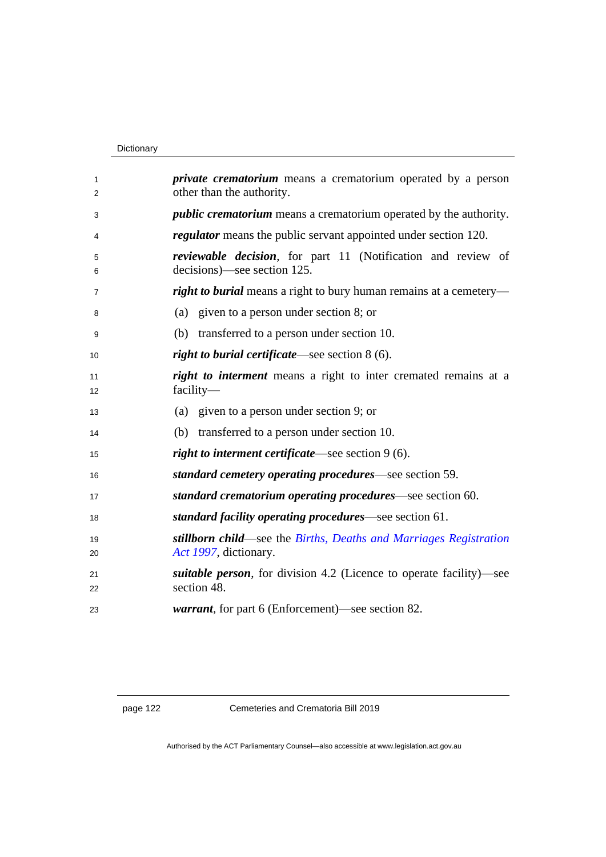#### Dictionary

| 1        | <i>private crematorium</i> means a crematorium operated by a person                         |  |  |
|----------|---------------------------------------------------------------------------------------------|--|--|
| 2        | other than the authority.                                                                   |  |  |
| 3        | <i>public crematorium</i> means a crematorium operated by the authority.                    |  |  |
| 4        | <i>regulator</i> means the public servant appointed under section 120.                      |  |  |
| 5<br>6   | reviewable decision, for part 11 (Notification and review of<br>decisions)—see section 125. |  |  |
| 7        | <i>right to burial</i> means a right to bury human remains at a cemetery—                   |  |  |
| 8        | (a) given to a person under section 8; or                                                   |  |  |
| 9        | (b) transferred to a person under section 10.                                               |  |  |
| 10       | right to burial certificate—see section 8 (6).                                              |  |  |
| 11<br>12 | <i>right to interment</i> means a right to inter cremated remains at a<br>$facility-$       |  |  |
| 13       | (a) given to a person under section 9; or                                                   |  |  |
| 14       | (b) transferred to a person under section 10.                                               |  |  |
| 15       | right to interment certificate—see section 9 (6).                                           |  |  |
| 16       | standard cemetery operating procedures—see section 59.                                      |  |  |
| 17       | standard crematorium operating procedures—see section 60.                                   |  |  |
| 18       | standard facility operating procedures—see section 61.                                      |  |  |
| 19<br>20 | stillborn child—see the Births, Deaths and Marriages Registration<br>Act 1997, dictionary.  |  |  |
| 21<br>22 | <i>suitable person</i> , for division 4.2 (Licence to operate facility)—see<br>section 48.  |  |  |
| 23       | <i>warrant</i> , for part 6 (Enforcement)—see section 82.                                   |  |  |
|          |                                                                                             |  |  |